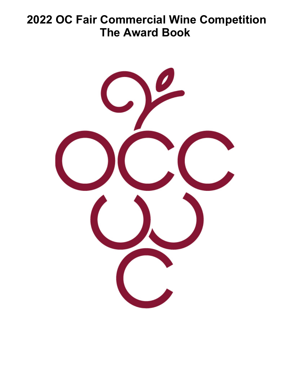# **2022 OC Fair Commercial Wine Competition The Award Book**

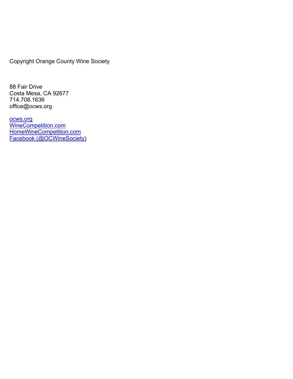Copyright Orange County Wine Society

88 Fair Drive Costa Mesa, CA 92677 714.708.1636 office@ocws.org

ocws.org WineCompetition.com HomeWineCompetition.com Facebook (@OCWineSociety)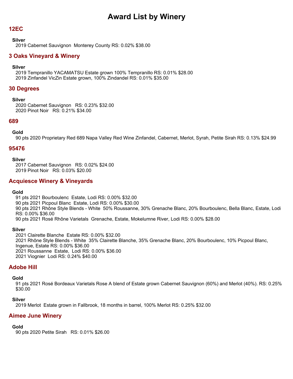### **12EC**

#### **Silver**

2019 Cabernet Sauvignon Monterey County RS: 0.02% \$38.00

# **3 Oaks Vineyard & Winery**

### **Silver**

2019 Tempranillo YACAMATSU Estate grown 100% Tempranillo RS: 0.01% \$28.00 2019 Zinfandel VicZin Estate grown, 100% Zindandel RS: 0.01% \$35.00

### **30 Degrees**

#### **Silver**

2020 Cabernet Sauvignon RS: 0.23% \$32.00 2020 Pinot Noir RS: 0.21% \$34.00

### **689**

### **Gold**

90 pts 2020 Proprietary Red 689 Napa Valley Red Wine Zinfandel, Cabernet, Merlot, Syrah, Petite Sirah RS: 0.13% \$24.99

### **95476**

#### **Silver**

2017 Cabernet Sauvignon RS: 0.02% \$24.00 2019 Pinot Noir RS: 0.03% \$20.00

### **Acquiesce Winery & Vineyards**

### **Gold**

91 pts 2021 Bourboulenc Estate, Lodi RS: 0.00% \$32.00 90 pts 2021 Picpoul Blanc Estate, Lodi RS: 0.00% \$30.00 90 pts 2021 Rhône Style Blends - White 50% Roussanne, 30% Grenache Blanc, 20% Bourboulenc, Bella Blanc, Estate, Lodi RS: 0.00% \$36.00 90 pts 2021 Rosé Rhône Varietals Grenache, Estate, Mokelumne River, Lodi RS: 0.00% \$28.00

### **Silver**

2021 Clairette Blanche Estate RS: 0.00% \$32.00 2021 Rhône Style Blends - White 35% Clairette Blanche, 35% Grenache Blanc, 20% Bourboulenc, 10% Picpoul Blanc, Ingenue, Estate RS: 0.00% \$36.00 2021 Roussanne Estate, Lodi RS: 0.00% \$36.00 2021 Viognier Lodi RS: 0.24% \$40.00

# **Adobe Hill**

### **Gold**

91 pts 2021 Rosé Bordeaux Varietals Rose A blend of Estate grown Cabernet Sauvignon (60%) and Merlot (40%). RS: 0.25% \$30.00

### **Silver**

2019 Merlot Estate grown in Fallbrook, 18 months in barrel, 100% Merlot RS: 0.25% \$32.00

### **Aimee June Winery**

# **Gold**

90 pts 2020 Petite Sirah RS: 0.01% \$26.00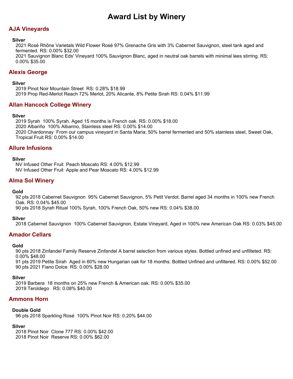# **AJA Vineyards**

### **Silver**

2021 Rosé Rhône Varietals Wild Flower Rosé 97% Grenache Gris with 3% Cabernet Sauvignon, steel tank aged and fermented. RS: 0.00% \$32.00

2021 Sauvignon Blanc Eds' Vineyard 100% Sauvignon Blanc, aged in neutral oak barrels with minimal lees stirring. RS: 0.00% \$35.00

# **Alexis George**

### **Silver**

2019 Pinot Noir Mountain Street RS: 0.28% \$18.99 2019 Prop Red-Merlot Reach 72% Merlot, 20% Alicante, 8% Petite Sirah RS: 0.04% \$11.99

# **Allan Hancock College Winery**

### **Silver**

2019 Syrah 100% Syrah. Aged 15 months is French oak. RS: 0.00% \$18.00 2020 Albariño 100% Albarino, Stainless steel RS: 0.00% \$14.00 2020 Chardonnay From our campus vineyard in Santa Maria; 50% barrel fermented and 50% stainless steel, Sweet Oak, Tropical Fruit RS: 0.00% \$14.00

# **Allure Infusions**

### **Silver**

NV Infused Other Fruit Peach Moscato RS: 4.00% \$12.99 NV Infused Other Fruit Apple and Pear Moscato RS: 4.00% \$12.99

# **Alma Sol Winery**

### **Gold**

92 pts 2018 Cabernet Sauvignon 95% Cabernet Sauvignon, 5% Petit Verdot. Barrel aged 34 months in 100% new French Oak. RS: 0.04% \$45.00

90 pts 2018 Syrah Ritual 100% Syrah, 100% French Oak, 50% new RS: 0.04% \$38.00

### **Silver**

2018 Cabernet Sauvignon 100% Cabernet Sauvignon, Estate Vineyard, Aged in 100% new American Oak RS: 0.03% \$45.00

# **Amador Cellars**

### **Gold**

90 pts 2018 Zinfandel Family Reserve Zinfandel A barrel selection from various styles. Bottled unfined and unfilteted. RS: 0.00% \$48.00

91 pts 2019 Petite Sirah Aged in 60% new Hungarian oak for 18 months. Bottled Unfined and unfiltered. RS: 0.00% \$52.00 90 pts 2021 Fiano Dolce RS: 0.00% \$28.00

### **Silver**

2019 Barbera 18 months on 25% new French & American oak. RS: 0.00% \$35.00 2019 Teroldego RS: 0.08% \$40.00

# **Ammons Horn**

### **Double Gold**

96 pts 2018 Sparkling Rosé 100% Pinot Noir RS: 0.20% \$44.00

### **Silver**

2018 Pinot Noir Clone 777 RS: 0.00% \$42.00 2018 Pinot Noir Reserve RS: 0.00% \$62.00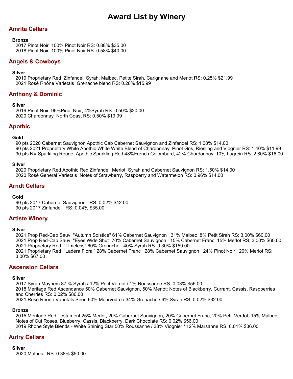# **Amrita Cellars**

#### **Bronze**

2017 Pinot Noir 100% Pinot Noir RS: 0.88% \$35.00 2018 Pinot Noir 100% Pinot Noir RS: 0.58% \$40.00

### **Angels & Cowboys**

### **Silver**

2019 Proprietary Red Zinfandel, Syrah, Malbec, Petite Sirah, Carignane and Merlot RS: 0.25% \$21.99 2021 Rosé Rhône Varietals Grenache blend RS: 0.28% \$15.99

# **Anthony & Dominic**

### **Silver**

2019 Pinot Noir 96%Pinot Noir, 4%Syrah RS: 0.50% \$20.00 2020 Chardonnay North Coast RS: 0.50% \$19.99

### **Apothic**

### **Gold**

90 pts 2020 Cabernet Sauvignon Apothic Cab Cabernet Sauvignon and Zinfandel RS: 1.08% \$14.00 90 pts 2021 Proprietary White Apothic White White Blend of Chardonnay, Pinot Gris, Riesling and Viognier RS: 1.40% \$11.99 90 pts NV Sparkling Rouge Apothic Sparkling Red 48%French Colombard, 42% Chardonnay, 10% Lagrein RS: 2.80% \$16.00

#### **Silver**

2020 Proprietary Red Apothic Red Zinfandel, Merlot, Syrah and Cabernet Sauvignon RS: 1.50% \$14.00 2020 Rosé General Varietals Notes of Strawberry, Raspberry and Watermelon RS: 0.96% \$14.00

# **Arndt Cellars**

### **Gold**

90 pts 2017 Cabernet Sauvignon RS: 0.02% \$42.00 90 pts 2017 Zinfandel RS: 0.04% \$35.00

# **Artiste Winery**

### **Silver**

2021 Prop Red-Cab Sauv "Autumn Solstice" 61% Cabernet Sauvignon 31% Malbec 8% Petit Sirah RS: 3.00% \$60.00 2021 Prop Red-Cab Sauv "Eyes Wide Shut" 70% Cabernet Sauvignon 15% Cabernet Franc 15% Merlot RS: 3.00% \$60.00 2021 Proprietary Red "Timeless" 60% Grenache. 40% Syrah RS: 0.30% \$159.00 2021 Proprietary Red "Ladera Floral" 28% Cabernet Franc 28% Cabernet Sauvignon 24% Pinot Noir 20% Merlot RS: 3.00% \$67.00

# **Ascension Cellars**

### **Silver**

2017 Syrah Mayhem 87 % Syrah / 12% Petit Verdot / 1% Roussanne RS: 0.03% \$56.00 2018 Meritage Red Ascendance 50% Cabernet Sauvignon, 50% Merlot; Notes of Blackberry, Currant, Cassis, Raspberries and Cherries RS: 0.02% \$86.00 2021 Rosé Rhône Varietals Siren 60% Mourvedre / 34% Grenache / 6% Syrah RS: 0.02% \$32.00

### **Bronze**

2015 Meritage Red Testament 25% Merlot, 20% Cabernet Sauvignon, 20% Cabernet Franc, 20% Petit Verdot, 15% Malbec; Notes of Cut Roses, Blueberry, Cassis, Blackberry, Dark Chocolate RS: 0.02% \$56.00 2019 Rhône Style Blends - White Shining Star 50% Roussanne / 38% Viognier / 12% Marsanne RS: 0.01% \$36.00

# **Autry Cellars**

**Silver** 2020 Malbec RS: 0.38% \$50.00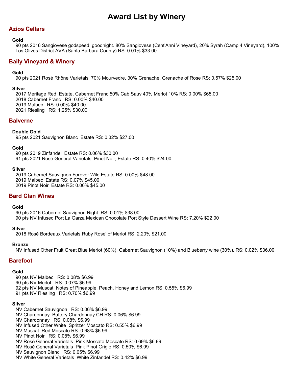# **Azios Cellars**

### **Gold**

90 pts 2016 Sangiovese godspeed. goodnight. 80% Sangiovese (Cent'Anni Vineyard), 20% Syrah (Camp 4 Vineyard), 100% Los Olivos District AVA (Santa Barbara County) RS: 0.01% \$33.00

# **Baily Vineyard & Winery**

### **Gold**

90 pts 2021 Rosé Rhône Varietals 70% Mourvedre, 30% Grenache, Grenache of Rose RS: 0.57% \$25.00

### **Silver**

2017 Meritage Red Estate, Cabernet Franc 50% Cab Sauv 40% Merlot 10% RS: 0.00% \$65.00 2018 Cabernet Franc RS: 0.00% \$40.00 2019 Malbec RS: 0.00% \$40.00 2021 Riesling RS: 1.25% \$30.00

### **Balverne**

### **Double Gold**

95 pts 2021 Sauvignon Blanc Estate RS: 0.32% \$27.00

### **Gold**

90 pts 2019 Zinfandel Estate RS: 0.06% \$30.00 91 pts 2021 Rosé General Varietals Pinot Noir; Estate RS: 0.40% \$24.00

#### **Silver**

2019 Cabernet Sauvignon Forever Wild Estate RS: 0.00% \$48.00 2019 Malbec Estate RS: 0.07% \$45.00 2019 Pinot Noir Estate RS: 0.06% \$45.00

# **Bard Clan Wines**

### **Gold**

90 pts 2016 Cabernet Sauvignon Night RS: 0.01% \$38.00 90 pts NV Infused Port La Garza Mexican Chocolate Port Style Dessert Wine RS: 7.20% \$22.00

### **Silver**

2018 Rosé Bordeaux Varietals Ruby Rose' of Merlot RS: 2.20% \$21.00

### **Bronze**

NV Infused Other Fruit Great Blue Merlot (60%), Cabernet Sauvignon (10%) and Blueberry wine (30%). RS: 0.02% \$36.00

### **Barefoot**

### **Gold**

90 pts NV Malbec RS: 0.08% \$6.99 90 pts NV Merlot RS: 0.07% \$6.99 92 pts NV Muscat Notes of Pineapple, Peach, Honey and Lemon RS: 0.55% \$6.99 91 pts NV Riesling RS: 0.70% \$6.99

### **Silver**

NV Cabernet Sauvignon RS: 0.06% \$6.99 NV Chardonnay Buttery Chardonnay CH RS: 0.06% \$6.99 NV Chardonnay RS: 0.08% \$6.99 NV Infused Other White Spritzer Moscato RS: 0.55% \$6.99 NV Muscat Red Moscato RS: 0.68% \$6.99 NV Pinot Noir RS: 0.08% \$6.99 NV Rosé General Varietals Pink Moscato Moscato RS: 0.69% \$6.99 NV Rosé General Varietals Pink Pinot Grigio RS: 0.50% \$6.99 NV Sauvignon Blanc RS: 0.05% \$6.99 NV White General Varietals White Zinfandel RS: 0.42% \$6.99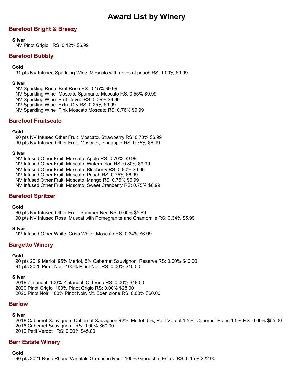# **Barefoot Bright & Breezy**

### **Silver**

NV Pinot Grigio RS: 0.12% \$6.99

# **Barefoot Bubbly**

### **Gold**

91 pts NV Infused Sparkling Wine Moscato with notes of peach RS: 1.00% \$9.99

### **Silver**

NV Sparkling Rosé Brut Rose RS: 0.15% \$9.99 NV Sparkling Wine Moscato Spumante Moscato RS: 0.55% \$9.99 NV Sparkling Wine Brut Cuvee RS: 0.09% \$9.99 NV Sparkling Wine Extra Dry RS: 0.25% \$9.99 NV Sparkling Wine Pink Moscato Moscato RS: 0.76% \$9.99

# **Barefoot Fruitscato**

### **Gold**

90 pts NV Infused Other Fruit Moscato, Strawberry RS: 0.70% \$6.99 90 pts NV Infused Other Fruit Moscato, Pineapple RS: 0.75% \$6.99

### **Silver**

NV Infused Other Fruit Moscato, Apple RS: 0.70% \$9.99 NV Infused Other Fruit Moscato, Watermelon RS: 0.80% \$9.99 NV Infused Other Fruit Moscato, Blueberry RS: 0.80% \$6.99 NV Infused Other Fruit Moscato, Peach RS: 0.75% \$6.99 NV Infused Other Fruit Moscato, Mango RS: 0.75% \$6.99 NV Infused Other Fruit Moscato, Sweet Cranberry RS: 0.75% \$6.99

# **Barefoot Spritzer**

### **Gold**

90 pts NV Infused Other Fruit Summer Red RS: 0.60% \$5.99 90 pts NV Infused Rosé Muscat with Pomegranite and Chamomile RS: 0.34% \$5.99

### **Silver**

NV Infused Other White Crisp White, Moscato RS: 0.34% \$6.99

# **Bargetto Winery**

### **Gold**

90 pts 2019 Merlot 95% Merlot, 5% Cabernet Sauvignon, Reserve RS: 0.00% \$40.00 91 pts 2020 Pinot Noir 100% Pinot Noir RS: 0.00% \$45.00

### **Silver**

2019 Zinfandel 100% Zinfandel, Old Vine RS: 0.00% \$18.00 2020 Pinot Grigio 100% Pinot Grigio RS: 0.00% \$28.00 2020 Pinot Noir 100% Pinot Noir, Mt. Eden clone RS: 0.00% \$60.00

### **Barlow**

### **Silver**

2018 Cabernet Sauvignon Cabernet Sauvignon 92%, Merlot 5%, Petit Verdot 1.5%, Cabernet Franc 1.5% RS: 0.00% \$55.00 2018 Cabernet Sauvignon RS: 0.00% \$60.00 2019 Petit Verdot RS: 0.00% \$45.00

# **Barr Estate Winery**

### **Gold**

90 pts 2021 Rosé Rhône Varietals Grenache Rose 100% Grenache, Estate RS: 0.15% \$22.00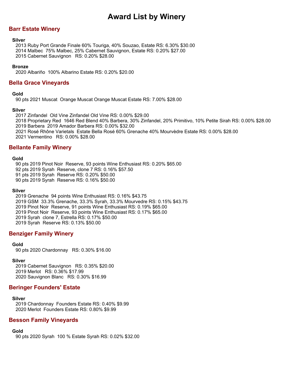# **Barr Estate Winery**

#### **Silver**

2013 Ruby Port Grande Finale 60% Touriga, 40% Souzao, Estate RS: 6.30% \$30.00 2014 Malbec 75% Malbec, 25% Cabernet Sauvignon, Estate RS: 0.20% \$27.00 2015 Cabernet Sauvignon RS: 0.20% \$28.00

#### **Bronze**

2020 Albariño 100% Albarino Estate RS: 0.20% \$20.00

### **Bella Grace Vineyards**

#### **Gold**

90 pts 2021 Muscat Orange Muscat Orange Muscat Estate RS: 7.00% \$28.00

### **Silver**

2017 Zinfandel Old Vine Zinfandel Old Vine RS: 0.00% \$29.00 2018 Proprietary Red 1646 Red Blend 40% Barbera, 30% Zinfandel, 20% Primitivo, 10% Petite Sirah RS: 0.00% \$28.00 2019 Barbera 2019 Amador Barbera RS: 0.00% \$32.00 2021 Rosé Rhône Varietals Estate Bella Rosé 60% Grenache 40% Mourvèdre Estate RS: 0.00% \$28.00 2021 Vermentino RS: 0.00% \$28.00

# **Bellante Family Winery**

#### **Gold**

90 pts 2019 Pinot Noir Reserve, 93 points Wine Enthusiast RS: 0.20% \$65.00 92 pts 2019 Syrah Reserve, clone 7 RS: 0.16% \$57.50 91 pts 2019 Syrah Reserve RS: 0.20% \$50.00 90 pts 2019 Syrah Reserve RS: 0.16% \$50.00

#### **Silver**

2019 Grenache 94 points Wine Enthusiast RS: 0.16% \$43.75 2019 GSM 33.3% Grenache, 33.3% Syrah, 33.3% Mourvedre RS: 0.15% \$43.75 2019 Pinot Noir Reserve, 91 points Wine Enthusiast RS: 0.19% \$65.00 2019 Pinot Noir Reserve, 93 points Wine Enthusiast RS: 0.17% \$65.00 2019 Syrah clone 7, Estrella RS: 0.17% \$50.00 2019 Syrah Reserve RS: 0.13% \$50.00

### **Benziger Family Winery**

#### **Gold**

90 pts 2020 Chardonnay RS: 0.30% \$16.00

### **Silver**

2019 Cabernet Sauvignon RS: 0.35% \$20.00 2019 Merlot RS: 0.36% \$17.99 2020 Sauvignon Blanc RS: 0.30% \$16.99

### **Beringer Founders' Estate**

### **Silver**

2019 Chardonnay Founders Estate RS: 0.40% \$9.99 2020 Merlot Founders Estate RS: 0.80% \$9.99

### **Besson Family Vineyards**

# **Gold**

90 pts 2020 Syrah 100 % Estate Syrah RS: 0.02% \$32.00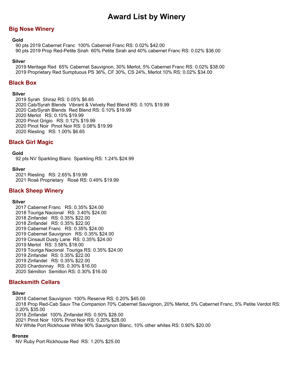# **Big Nose Winery**

#### **Gold**

90 pts 2019 Cabernet Franc 100% Cabernet Franc RS: 0.02% \$42.00 90 pts 2019 Prop Red-Petite Sirah 60% Petite Sirah and 40% cabernet Franc RS: 0.02% \$36.00

#### **Silver**

2019 Meritage Red 65% Cabernet Sauvignon, 30% Merlot, 5% Cabernet Franc RS: 0.02% \$38.00 2019 Proprietary Red Sumptuous PS 36%, CF 30%, CS 24%, Merlot 10% RS: 0.02% \$34.00

### **Black Box**

#### **Silver**

2019 Syrah Shiraz RS: 0.05% \$6.65 2020 Cab/Syrah Blends Vibrant & Velvety Red Blend RS: 0.10% \$19.99 2020 Cab/Syrah Blends Red Blend RS: 0.10% \$19.99 2020 Merlot RS: 0.10% \$19.99 2020 Pinot Grigio RS: 0.12% \$19.99 2020 Pinot Noir Pinot Noir RS: 0.08% \$19.99 2020 Riesling RS: 1.00% \$6.65

### **Black Girl Magic**

#### **Gold**

92 pts NV Sparkling Blanc Sparkling RS: 1.24% \$24.99

#### **Silver**

2021 Riesling RS: 2.65% \$19.99 2021 Rosé Proprietary Rosé RS: 0.49% \$19.99

### **Black Sheep Winery**

#### **Silver**

2017 Cabernet Franc RS: 0.35% \$24.00 2018 Touriga Nacional RS: 3.40% \$24.00 2018 Zinfandel RS: 0.35% \$22.00 2018 Zinfandel RS: 0.35% \$22.00 2019 Cabernet Franc RS: 0.35% \$24.00 2019 Cabernet Sauvignon RS: 0.35% \$24.00 2019 Cinsault Dusty Lane RS: 0.35% \$24.00 2019 Merlot RS: 3.58% \$18.00 2019 Touriga Nacional Touriga RS: 0.35% \$24.00 2019 Zinfandel RS: 0.35% \$22.00 2019 Zinfandel RS: 0.35% \$22.00 2020 Chardonnay RS: 0.30% \$16.00 2020 Sémillon Semillon RS: 0.30% \$16.00

### **Blacksmith Cellars**

### **Silver**

2018 Cabernet Sauvignon 100% Reserve RS: 0.20% \$45.00 2018 Prop Red-Cab Sauv The Companion 70% Cabernet Sauvignon, 20% Merlot, 5% Cabernet Franc, 5% Petite Verdot RS: 0.20% \$35.00 2018 Zinfandel 100% Zinfandel RS: 0.50% \$28.00 2021 Pinot Noir 100% Pinot Noir RS: 0.20% \$28.00 NV White Port Rickhouse White 90% Sauvignon Blanc, 10% other whites RS: 0.90% \$20.00

### **Bronze**

NV Ruby Port Rickhouse Red RS: 1.20% \$25.00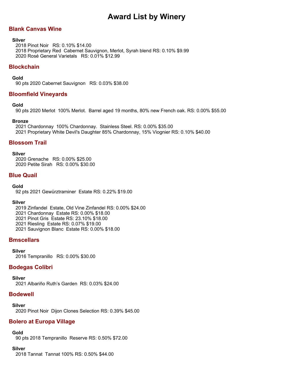# **Blank Canvas Wine**

#### **Silver**

2018 Pinot Noir RS: 0.10% \$14.00 2018 Proprietary Red Cabernet Sauvignon, Merlot, Syrah blend RS: 0.10% \$9.99 2020 Rosé General Varietals RS: 0.01% \$12.99

### **Blockchain**

### **Gold**

90 pts 2020 Cabernet Sauvignon RS: 0.03% \$38.00

### **Bloomfield Vineyards**

### **Gold**

90 pts 2020 Merlot 100% Merlot. Barrel aged 19 months, 80% new French oak. RS: 0.00% \$55.00

### **Bronze**

2021 Chardonnay 100% Chardonnay. Stainless Steel. RS: 0.00% \$35.00 2021 Proprietary White Devil's Daughter 85% Chardonnay, 15% Viognier RS: 0.10% \$40.00

### **Blossom Trail**

#### **Silver**

2020 Grenache RS: 0.00% \$25.00 2020 Petite Sirah RS: 0.00% \$30.00

### **Blue Quail**

### **Gold**

92 pts 2021 Gewürztraminer Estate RS: 0.22% \$19.00

### **Silver**

2019 Zinfandel Estate, Old Vine Zinfandel RS: 0.00% \$24.00

- 2021 Chardonnay Estate RS: 0.00% \$18.00
- 2021 Pinot Gris Estate RS: 23.10% \$18.00
- 2021 Riesling Estate RS: 0.07% \$19.00
- 2021 Sauvignon Blanc Estate RS: 0.00% \$18.00

# **Bmscellars**

**Silver**

2016 Tempranillo RS: 0.00% \$30.00

### **Bodegas Colibri**

### **Silver**

2021 Albariño Ruth's Garden RS: 0.03% \$24.00

### **Bodewell**

**Silver** 2020 Pinot Noir Dijon Clones Selection RS: 0.39% \$45.00

# **Bolero at Europa Village**

### **Gold**

90 pts 2018 Tempranillo Reserve RS: 0.50% \$72.00

### **Silver**

2018 Tannat Tannat 100% RS: 0.50% \$44.00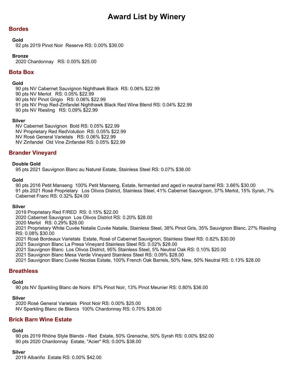# **Bordes**

#### **Gold**

92 pts 2019 Pinot Noir Reserve RS: 0.00% \$39.00

### **Bronze**

2020 Chardonnay RS: 0.00% \$25.00

# **Bota Box**

### **Gold**

90 pts NV Cabernet Sauvignon Nighthawk Black RS: 0.06% \$22.99

- 90 pts NV Merlot RS: 0.05% \$22.99
- 90 pts NV Pinot Grigio RS: 0.06% \$22.99
- 91 pts NV Prop Red-Zinfandel Nighthawk Black Red Wine Blend RS: 0.04% \$22.99
- 90 pts NV Riesling RS: 0.09% \$22.99

### **Silver**

NV Cabernet Sauvignon Bold RS: 0.05% \$22.99 NV Proprietary Red RedVolution RS: 0.05% \$22.99 NV Rosé General Varietals RS: 0.06% \$22.99 NV Zinfandel Old Vine Zinfandel RS: 0.05% \$22.99

### **Brander Vineyard**

#### **Double Gold**

95 pts 2021 Sauvignon Blanc au Naturel Estate, Stainless Steel RS: 0.07% \$38.00

#### **Gold**

90 pts 2016 Petit Manseng 100% Petit Manseng, Estate, fermented and aged in neutral barrel RS: 3.66% \$30.00 91 pts 2021 Rosé Proprietary Los Olivos District, Stainless Steel, 41% Cabernet Sauvignon, 37% Merlot, 15% Syrah, 7% Cabernet Franc RS: 0.32% \$24.00

### **Silver**

2019 Proprietary Red F/RED RS: 0.15% \$22.00

2020 Cabernet Sauvignon Los Olivos District RS: 0.20% \$28.00

2020 Merlot RS: 0.29% \$28.00

2021 Proprietary White Cuvée Natalie Cuvée Natalie, Stainless Steel, 38% Pinot Gris, 35% Sauvignon Blanc, 27% Riesling RS: 0.08% \$30.00

2021 Rosé Bordeaux Varietals Estate, Rosé of Cabernet Sauvignon, Stainless Steel RS: 0.82% \$30.00

2021 Sauvignon Blanc La Presa Vineyard Stainless Steel RS: 0.02% \$28.00

2021 Sauvignon Blanc Los Olivos District, 95% Stainless Steel, 5% Neutral Oak RS: 0.10% \$20.00

2021 Sauvignon Blanc Mesa Verde Vineyard Stainless Steel RS: 0.09% \$28.00

2021 Sauvignon Blanc Cuvée Nicolas Estate, 100% French Oak Barrels, 50% New, 50% Neutral RS: 0.13% \$28.00

### **Breathless**

#### **Gold**

90 pts NV Sparkling Blanc de Noirs 87% Pinot Noir, 13% Pinot Meunier RS: 0.80% \$36.00

### **Silver**

2020 Rosé General Varietals Pinot Noir RS: 0.00% \$25.00 NV Sparkling Blanc de Blancs 100% Chardonnay RS: 0.70% \$38.00

# **Brick Barn Wine Estate**

# **Gold**

90 pts 2019 Rhône Style Blends - Red Estate, 50% Grenache, 50% Syrah RS: 0.00% \$52.00 90 pts 2020 Chardonnay Estate, "Acier" RS: 0.00% \$38.00

# **Silver**

2019 Albariño Estate RS: 0.00% \$42.00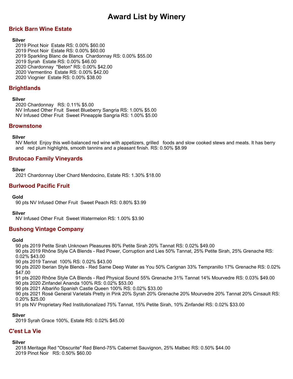# **Brick Barn Wine Estate**

### **Silver**

2019 Pinot Noir Estate RS: 0.00% \$60.00 2019 Pinot Noir Estate RS: 0.00% \$60.00 2019 Sparkling Blanc de Blancs Chardonnay RS: 0.00% \$55.00 2019 Syrah Estate RS: 0.00% \$46.00 2020 Chardonnay "Beton" RS: 0.00% \$42.00 2020 Vermentino Estate RS: 0.00% \$42.00 2020 Viognier Estate RS: 0.00% \$38.00

# **Brightlands**

### **Silver**

2020 Chardonnay RS: 0.11% \$5.00 NV Infused Other Fruit Sweet Blueberry Sangria RS: 1.00% \$5.00 NV Infused Other Fruit Sweet Pineapple Sangria RS: 1.00% \$5.00

### **Brownstone**

### **Silver**

NV Merlot Enjoy this well-balanced red wine with appetizers, grilled foods and slow cooked stews and meats. It has berry and red plum highlights, smooth tannins and a pleasant finish. RS: 0.50% \$8.99

# **Brutocao Family Vineyards**

#### **Silver**

2021 Chardonnay Uber Chard Mendocino, Estate RS: 1.30% \$18.00

# **Burlwood Pacific Fruit**

### **Gold**

90 pts NV Infused Other Fruit Sweet Peach RS: 0.80% \$3.99

### **Silver**

NV Infused Other Fruit Sweet Watermelon RS: 1.00% \$3.90

# **Bushong Vintage Company**

#### **Gold**

90 pts 2019 Petite Sirah Unknown Pleasures 80% Petite Sirah 20% Tannat RS: 0.02% \$49.00

90 pts 2019 Rhône Style CA Blends - Red Power, Corruption and Lies 50% Tannat, 25% Petite Sirah, 25% Grenache RS: 0.02% \$43.00

90 pts 2019 Tannat 100% RS: 0.02% \$43.00

90 pts 2020 Iberian Style Blends - Red Same Deep Water as You 50% Carignan 33% Tempranillo 17% Grenache RS: 0.02% \$47.00

91 pts 2020 Rhône Style CA Blends - Red Physical Sound 55% Grenache 31% Tannat 14% Mourvedre RS: 0.03% \$49.00 90 pts 2020 Zinfandel Ananda 100% RS: 0.02% \$53.00

90 pts 2021 Albariño Spanish Castle Queen 100% RS: 0.02% \$33.00

90 pts 2021 Rosé General Varietals Pretty in Pink 20% Syrah 20% Grenache 20% Mourvedre 20% Tannat 20% Cinsault RS: 0.20% \$25.00

91 pts NV Proprietary Red Institutionalized 75% Tannat, 15% Petite Sirah, 10% Zinfandel RS: 0.02% \$33.00

### **Silver**

2019 Syrah Grace 100%, Estate RS: 0.02% \$45.00

### **C'est La Vie**

### **Silver**

2018 Meritage Red "Obscurite" Red Blend-75% Cabernet Sauvignon, 25% Malbec RS: 0.50% \$44.00 2019 Pinot Noir RS: 0.50% \$60.00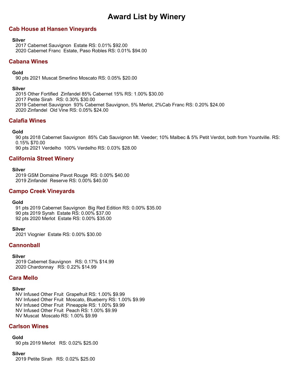# **Cab House at Hansen Vineyards**

### **Silver**

2017 Cabernet Sauvignon Estate RS: 0.01% \$92.00 2020 Cabernet Franc Estate, Paso Robles RS: 0.01% \$94.00

# **Cabana Wines**

### **Gold**

90 pts 2021 Muscat Smerlino Moscato RS: 0.05% \$20.00

### **Silver**

2015 Other Fortified Zinfandel 85% Cabernet 15% RS: 1.00% \$30.00 2017 Petite Sirah RS: 0.30% \$30.00

2019 Cabernet Sauvignon 93% Cabernet Sauvignon, 5% Merlot, 2%Cab Franc RS: 0.20% \$24.00

2020 Zinfandel Old Vine RS: 0.05% \$24.00

# **Calafia Wines**

### **Gold**

90 pts 2018 Cabernet Sauvignon 85% Cab Sauvignon Mt. Veeder; 10% Malbec & 5% Petit Verdot, both from Yountville. RS: 0.15% \$70.00

90 pts 2021 Verdelho 100% Verdelho RS: 0.03% \$28.00

# **California Street Winery**

### **Silver**

2019 GSM Domaine Pavot Rouge RS: 0.00% \$40.00 2019 Zinfandel Reserve RS: 0.00% \$40.00

### **Campo Creek Vineyards**

### **Gold**

91 pts 2019 Cabernet Sauvignon Big Red Edition RS: 0.00% \$35.00 90 pts 2019 Syrah Estate RS: 0.00% \$37.00 92 pts 2020 Merlot Estate RS: 0.00% \$35.00

### **Silver**

2021 Viognier Estate RS: 0.00% \$30.00

# **Cannonball**

### **Silver**

2019 Cabernet Sauvignon RS: 0.17% \$14.99 2020 Chardonnay RS: 0.22% \$14.99

# **Cara Mello**

### **Silver**

NV Infused Other Fruit Grapefruit RS: 1.00% \$9.99 NV Infused Other Fruit Moscato, Blueberry RS: 1.00% \$9.99 NV Infused Other Fruit Pineapple RS: 1.00% \$9.99 NV Infused Other Fruit Peach RS: 1.00% \$9.99 NV Muscat Moscato RS: 1.00% \$9.99

# **Carlson Wines**

### **Gold**

90 pts 2019 Merlot RS: 0.02% \$25.00

### **Silver**

2019 Petite Sirah RS: 0.02% \$25.00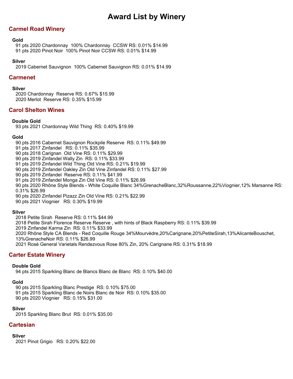# **Carmel Road Winery**

### **Gold**

91 pts 2020 Chardonnay 100% Chardonnay CCSW RS: 0.01% \$14.99 91 pts 2020 Pinot Noir 100% Pinot Noir CCSW RS: 0.01% \$14.99

### **Silver**

2019 Cabernet Sauvignon 100% Cabernet Sauvignon RS: 0.01% \$14.99

### **Carmenet**

### **Silver**

2020 Chardonnay Reserve RS: 0.67% \$15.99 2020 Merlot Reserve RS: 0.35% \$15.99

# **Carol Shelton Wines**

### **Double Gold**

93 pts 2021 Chardonnay Wild Thing RS: 0.40% \$19.99

### **Gold**

90 pts 2016 Cabernet Sauvignon Rockpile Reserve RS: 0.11% \$49.99 91 pts 2017 Zinfandel RS: 0.11% \$35.99 90 pts 2018 Carignan Old Vine RS: 0.11% \$29.99 90 pts 2019 Zinfandel Wally Zin RS: 0.11% \$33.99 91 pts 2019 Zinfandel Wild Thing Old Vine RS: 0.21% \$19.99 90 pts 2019 Zinfandel Oakley Zin Old Vine Zinfandel RS: 0.11% \$27.99 90 pts 2019 Zinfandel Reserve RS: 0.11% \$41.99 91 pts 2019 Zinfandel Monga Zin Old Vine RS: 0.11% \$26.99 90 pts 2020 Rhône Style Blends - White Coquille Blanc 34%GrenacheBlanc,32%Roussanne,22%Viognier,12% Marsanne RS: 0.31% \$26.99 90 pts 2020 Zinfandel Pizazz Zin Old Vine RS: 0.21% \$22.99 90 pts 2021 Viognier RS: 0.30% \$19.99

### **Silver**

2018 Petite Sirah Reserve RS: 0.11% \$44.99 2018 Petite Sirah Florence Reserve Reserve , with hints of Black Raspberry RS: 0.11% \$39.99 2019 Zinfandel Karma Zin RS: 0.11% \$33.99 2020 Rhône Style CA Blends - Red Coquille Rouge 34%Mourvèdre,20%Carignane,20%PetiteSirah,13%AlicanteBouschet, 13%GrenacheNoir RS: 0.11% \$26.99 2021 Rosé General Varietals Rendezvous Rose 80% Zin, 20% Carignane RS: 0.31% \$18.99

# **Carter Estate Winery**

### **Double Gold**

94 pts 2015 Sparkling Blanc de Blancs Blanc de Blanc RS: 0.10% \$40.00

### **Gold**

90 pts 2015 Sparkling Blanc Prestige RS: 0.10% \$75.00 91 pts 2015 Sparkling Blanc de Noirs Blanc de Noir RS: 0.10% \$35.00 90 pts 2020 Viognier RS: 0.15% \$31.00

### **Silver**

2015 Sparkling Blanc Brut RS: 0.01% \$35.00

# **Cartesian**

### **Silver**

2021 Pinot Grigio RS: 0.20% \$22.00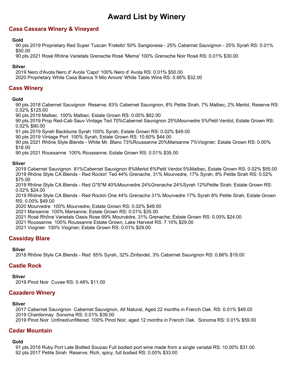# **Casa Cassara Winery & Vineyard**

### **Gold**

90 pts 2019 Proprietary Red Super Tuscan 'Fratello' 50% Sangiovese - 25% Cabernet Sauvignon - 25% Syrah RS: 0.01% \$50.00

90 pts 2021 Rosé Rhône Varietals Grenache Rosé 'Mema' 100% Grenache Noir Rosé RS: 0.01% \$30.00

### **Silver**

2019 Nero d'Avola Nero d' Avola 'Capo' 100% Nero d' Avola RS: 0.01% \$50.00

2020 Proprietary White Casa Bianca 'Il Mio Amore' White Table Wine RS: 0.66% \$32.00

# **Cass Winery**

### **Gold**

90 pts 2018 Cabernet Sauvignon Reserve; 83% Cabernet Sauvignon, 8% Petite Sirah, 7% Malbec, 2% Merlot, Reserve RS: 0.02% \$125.00

90 pts 2019 Malbec 100% Malbec; Estate Grown RS: 0.00% \$62.00

90 pts 2019 Prop Red-Cab Sauv Vintage Ted 70%Cabernet Sauvignon 25%Mourvedre 5%Petit Verdot, Estate Grown RS: 0.02% \$90.00

91 pts 2019 Syrah Backbone Syrah 100% Syrah; Estate Grown RS: 0.02% \$49.00

90 pts 2019 Vintage Port 100% Syrah; Estate Grown RS: 10.60% \$44.00

90 pts 2021 Rhône Style Blends - White Mr. Blanc 73%Roussanne 20%Marsanne 7%Viognier; Estate Grown RS: 0.00% \$18.00

90 pts 2021 Roussanne 100% Roussanne; Estate Grown RS: 0.01% \$35.00

### **Silver**

2019 Cabernet Sauvignon 81%Cabernet Sauvignon 8%Merlot 6%Petit Verdot 5%Malbec, Estate Grown RS: 0.02% \$55.00 2019 Rhône Style CA Blends - Red Rockin' Ted 44% Grenache, 31% Mourvedre, 17% Syrah, 8% Petite Sirah RS: 0.02% \$75.00

2019 Rhône Style CA Blends - Red G\*S\*M 40%Mourvedre 24%Grenache 24%Syrah 12%Petite Sirah; Estate Grown RS: 0.02% \$24.00

2019 Rhône Style CA Blends - Red Rockin One 44% Grenache 31% Mourvedre 17% Syrah 8% Petite Sirah, Estate Grown RS: 0.00% \$49.00

2020 Mourvedre 100% Mourvedre; Estate Grown RS: 0.02% \$48.00

2021 Marsanne 100% Marsanne; Estate Grown RS: 0.01% \$35.00

2021 Rosé Rhône Varietals Oasis Rose 69% Mourvèdre, 31% Grenache; Estate Grown RS: 0.00% \$24.00

2021 Roussanne 100% Roussanne Estate Grown, Lake Harvest RS: 7.10% \$29.00

2021 Viognier 100% Viognier; Estate Grown RS: 0.01% \$29.00

# **Cassiday Blare**

### **Silver**

2018 Rhône Style CA Blends - Red 65% Syrah, 32% Zinfandel, 3% Cabernet Sauvignon RS: 0.66% \$19.00

# **Castle Rock**

### **Silver**

2019 Pinot Noir Cuvee RS: 0.48% \$11.00

### **Cazadero Winery**

### **Silver**

2017 Cabernet Sauvignon Cabernet Sauvignon, All Natural, Aged 22 months in French Oak. RS: 0.01% \$49.00 2019 Chardonnay Sonoma RS: 0.01% \$39.00

2019 Pinot Noir Unfined/unfiltered. 100% Pinot Noir, aged 12 months in French Oak. Sonoma RS: 0.01% \$59.00

### **Cedar Mountain**

### **Gold**

91 pts 2016 Ruby Port Late Bottled Souzao Full bodied port wine made from a single variatal RS: 10.00% \$31.00 92 pts 2017 Petite Sirah Reserve; Rich, spicy, full bodied RS: 0.00% \$33.00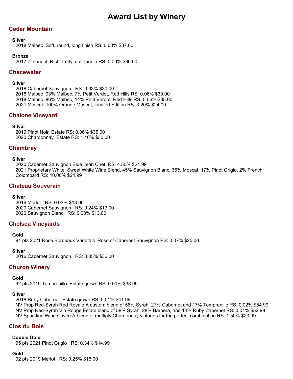# **Cedar Mountain**

### **Silver**

2018 Malbec Soft, round, long finish RS: 0.00% \$37.00

### **Bronze**

2017 Zinfandel Rich, fruity, soft tannin RS: 0.00% \$36.00

# **Chacewater**

### **Silver**

2018 Cabernet Sauvignon RS: 0.03% \$30.00 2018 Malbec 93% Malbec, 7% Petit Verdot, Red Hills RS: 0.06% \$30.00 2018 Malbec 86% Malbec, 14% Petit Verdot, Red Hills RS: 0.06% \$35.00 2021 Muscat 100% Orange Muscat, Limited Edition RS: 3.20% \$24.00

# **Chalone Vineyard**

### **Silver**

2019 Pinot Noir Estate RS: 0.36% \$35.00 2020 Chardonnay Estate RS: 1.40% \$30.00

# **Chambray**

### **Silver**

2020 Cabernet Sauvignon Blue Jean Chef RS: 4.50% \$24.99 2021 Proprietary White Sweet White Wine Blend, 45% Sauvignon Blanc, 36% Moscat, 17% Pinot Grigio, 2% French Colombard RS: 10.00% \$24.99

# **Chateau Souverain**

### **Silver**

2019 Merlot RS: 0.03% \$13.00 2020 Cabernet Sauvignon RS: 0.24% \$13.00 2020 Sauvignon Blanc RS: 0.03% \$13.00

# **Chelsea Vineyards**

### **Gold**

91 pts 2021 Rosé Bordeaux Varietals Rose of Cabernet Sauvignon RS: 0.07% \$25.00

### **Silver**

2016 Cabernet Sauvignon RS: 0.05% \$36.00

# **Churon Winery**

### **Gold**

92 pts 2019 Tempranillo Estate grown RS: 0.01% \$38.99

### **Silver**

2018 Ruby Cabernet Estate grown RS: 0.01% \$41.99

NV Prop Red-Syrah Red Royale A custom blend of 56% Syrah, 27% Cabernet and 17% Tempranillo RS: 0.02% \$54.99 NV Prop Red-Syrah Vin Rouge Estate blend of 58% Syrah, 28% Barbera, and 14% Ruby Cabernet RS: 0.01% \$52.99 NV Sparkling Wine Cuvee A blend of multiply Chardonnay vintages for the perfect combination RS: 1.50% \$23.99

# **Clos du Bois**

### **Double Gold**

95 pts 2021 Pinot Grigio RS: 0.34% \$14.99

### **Gold**

92 pts 2019 Merlot RS: 0.25% \$15.00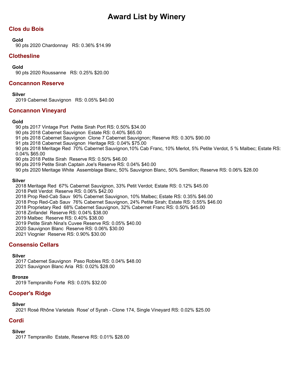# **Clos du Bois**

### **Gold**

90 pts 2020 Chardonnay RS: 0.36% \$14.99

# **Clothesline**

**Gold**

90 pts 2020 Roussanne RS: 0.25% \$20.00

# **Concannon Reserve**

**Silver**

2019 Cabernet Sauvignon RS: 0.05% \$40.00

# **Concannon Vineyard**

### **Gold**

90 pts 2017 Vintage Port Petite Sirah Port RS: 0.50% \$34.00

90 pts 2018 Cabernet Sauvignon Estate RS: 0.40% \$65.00

- 91 pts 2018 Cabernet Sauvignon Clone 7 Cabernet Sauvignon; Reserve RS: 0.30% \$90.00
- 91 pts 2018 Cabernet Sauvignon Heritage RS: 0.04% \$75.00

90 pts 2018 Meritage Red 70% Cabernet Sauvignon,10% Cab Franc, 10% Merlot, 5% Petite Verdot, 5 % Malbec; Estate RS: 0.04% \$65.00

90 pts 2018 Petite Sirah Reserve RS: 0.50% \$46.00

90 pts 2019 Petite Sirah Captain Joe's Reserve RS: 0.04% \$40.00

90 pts 2020 Meritage White Assemblage Blanc, 50% Sauvignon Blanc, 50% Semillon; Reserve RS: 0.06% \$28.00

### **Silver**

2018 Meritage Red 67% Cabernet Sauvignon, 33% Petit Verdot; Estate RS: 0.12% \$45.00

2018 Petit Verdot Reserve RS: 0.06% \$42.00

2018 Prop Red-Cab Sauv 90% Cabernet Sauvignon, 10% Malbec; Estate RS: 0.35% \$46.00

2018 Prop Red-Cab Sauv 76% Cabernet Sauvignon, 24% Petite Sirah; Estate RS: 0.55% \$46.00

2018 Proprietary Red 68% Cabernet Sauvignon, 32% Cabernet Franc RS: 0.50% \$45.00

2018 Zinfandel Reserve RS: 0.04% \$38.00

2019 Malbec Reserve RS: 0.40% \$38.00

2019 Petite Sirah Nina's Cuvee Reserve RS: 0.05% \$40.00

2020 Sauvignon Blanc Reserve RS: 0.06% \$30.00

2021 Viognier Reserve RS: 0.90% \$30.00

# **Consensio Cellars**

### **Silver**

2017 Cabernet Sauvignon Paso Robles RS: 0.04% \$48.00 2021 Sauvignon Blanc Aria RS: 0.02% \$28.00

### **Bronze**

2019 Tempranillo Forte RS: 0.03% \$32.00

# **Cooper's Ridge**

### **Silver**

2021 Rosé Rhône Varietals Rose' of Syrah - Clone 174, Single Vineyard RS: 0.02% \$25.00

# **Cordi**

### **Silver**

2017 Tempranillo Estate, Reserve RS: 0.01% \$28.00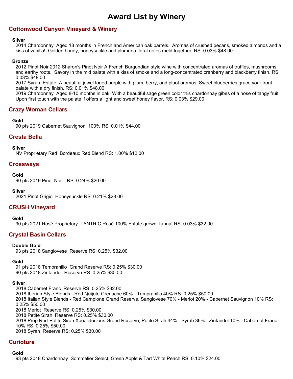# **Cottonwood Canyon Vineyard & Winery**

### **Silver**

2014 Chardonnay Aged 18 months in French and American oak barrels. Aromas of crushed pecans, smoked almonds and a kiss of vanilla! Golden honey, honeysuckle and plumeria floral notes meld together. RS: 0.03% \$48.00

#### **Bronze**

2012 Pinot Noir 2012 Sharon's Pinot Noir A French Burgundian style wine with concentrated aromas of truffles, mushrooms and earthy roots. Savory in the mid palate with a kiss of smoke and a long-concentrated cranberry and blackberry finish. RS: 0.03% \$48.00

2017 Syrah Estate, A beautiful jewel toned purple with plum, berry, and pluot aromas. Sweet blueberries grace your front palate with a dry finish. RS: 0.01% \$48.00

2019 Chardonnay Aged 8-10 months in oak. With a beautiful sage green color this chardonnay gibes of a nose of tangy fruit. Upon first touch with the palate if offers a light and sweet honey flavor. RS: 0.03% \$29.00

### **Crazy Woman Cellars**

#### **Gold**

90 pts 2019 Cabernet Sauvignon 100% RS: 0.01% \$44.00

# **Cresta Bella**

**Silver**

NV Proprietary Red Bordeaux Red Blend RS: 1.00% \$12.00

### **Crossways**

#### **Gold**

90 pts 2019 Pinot Noir RS: 0.24% \$20.00

#### **Silver**

2021 Pinot Grigio Honeysuckle RS: 0.21% \$28.00

### **CRUSH Vineyard**

#### **Gold**

90 pts 2021 Rosé Proprietary TANTRIC Rosé 100% Estate grown Tannat RS: 0.03% \$32.00

# **Crystal Basin Cellars**

### **Double Gold**

93 pts 2018 Sangiovese Reserve RS: 0.25% \$32.00

### **Gold**

91 pts 2018 Tempranillo Grand Reserve RS: 0.25% \$30.00 90 pts 2018 Zinfandel Reserve RS: 0.25% \$30.00

### **Silver**

2018 Cabernet Franc Reserve RS: 0.25% \$32.00 2018 Iberian Style Blends - Red Quijote Grenache 60% - Tempranillo 40% RS: 0.25% \$50.00 2018 Italian Style Blends - Red Campione Grand Reserve, Sangiovese 70% - Merlot 20% - Cabernet Sauvignon 10% RS: 0.25% \$50.00 2018 Merlot Reserve RS: 0.25% \$30.00 2018 Petite Sirah Reserve RS: 0.25% \$30.00 2018 Prop Red-Petite Sirah Xpealidocious Grand Reserve, Petite Sirah 44% - Syrah 36% - Zinfandel 10% - Cabernet Franc 10% RS: 0.25% \$50.00 2018 Syrah Reserve RS: 0.25% \$30.00

### **Curioture**

#### **Gold**

93 pts 2018 Chardonnay Sommelier Select, Green Apple & Tart White Peach RS: 0.10% \$24.00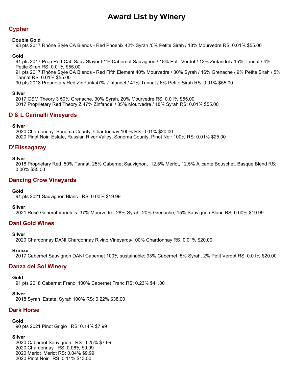# **Cypher**

### **Double Gold**

93 pts 2017 Rhône Style CA Blends - Red Phoenix 42% Syrah /0% Petite Sirah / 18% Mourvedre RS: 0.01% \$55.00

### **Gold**

91 pts 2017 Prop Red-Cab Sauv Slayer 51% Cabernet Sauvignon / 18% Petit Verdot / 12% Zinfandel / 15% Tannat / 4% Petite Sirah RS: 0.01% \$55.00 91 pts 2017 Rhône Style CA Blends - Red Fifth Element 40% Mourvedre / 30% Syrah / 16% Grenache / 9% Petite Sirah / 5% Tannat RS: 0.01% \$55.00

90 pts 2018 Proprietary Red ZinPunk 47% Zinfandel / 47% Tannat / 6% Petite Sirah RS: 0.01% \$55.00

### **Silver**

2017 GSM Theory 3 50% Grenache, 30% Syrah, 20% Mourvedre RS: 0.01% \$55.00 2017 Proprietary Red Theory Z 47% Zinfandel / 35% Mourvedre / 18% Syrah RS: 0.01% \$55.00

# **D & L Carinalli Vineyards**

### **Silver**

2020 Chardonnay Sonoma County, Chardonnay 100% RS: 0.01% \$20.00 2020 Pinot Noir Estate, Russian River Valley, Sonoma County, Pinot Noir 100% RS: 0.01% \$25.00

# **D'Elissagaray**

### **Silver**

2018 Proprietary Red 50% Tannat, 25% Cabernet Sauvignon, 12.5% Merlot, 12.5% Alicante Bouschet, Basque Blend RS: 0.00% \$35.00

# **Dancing Crow Vineyards**

### **Gold**

91 pts 2021 Sauvignon Blanc RS: 0.00% \$19.99

### **Silver**

2021 Rosé General Varietals 37% Mourvèdre, 28% Syrah, 20% Grenache, 15% Sauvignon Blanc RS: 0.00% \$19.99

# **Dani Gold Wines**

### **Silver**

2020 Chardonnay DANI Chardonnay Rivino Vineyards-100% Chardonnay RS: 0.01% \$20.00

### **Bronze**

2017 Cabernet Sauvignon DANI Cabernet 100% sustainable; 93% Cabernet, 5% Syrah, 2% Petit Verdot RS: 0.01% \$20.00

# **Danza del Sol Winery**

### **Gold**

91 pts 2018 Cabernet Franc 100% Cabernet Franc RS: 0.23% \$41.00

### **Silver**

2018 Syrah Estate, Syrah 100% RS: 0.22% \$38.00

# **Dark Horse**

### **Gold**

90 pts 2021 Pinot Grigio RS: 0.14% \$7.99

### **Silver**

2020 Cabernet Sauvignon RS: 0.25% \$7.99 2020 Chardonnay RS: 0.06% \$9.99 2020 Merlot Merlot RS: 0.04% \$9.99 2020 Pinot Noir RS: 0.11% \$13.50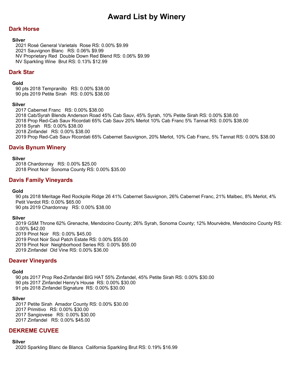# **Dark Horse**

### **Silver**

2021 Rosé General Varietals Rose RS: 0.00% \$9.99 2021 Sauvignon Blanc RS: 0.06% \$9.99 NV Proprietary Red Double Down Red Blend RS: 0.06% \$9.99 NV Sparkling Wine Brut RS: 0.13% \$12.99

### **Dark Star**

#### **Gold**

90 pts 2018 Tempranillo RS: 0.00% \$38.00 90 pts 2019 Petite Sirah RS: 0.00% \$38.00

#### **Silver**

2017 Cabernet Franc RS: 0.00% \$38.00 2018 Cab/Syrah Blends Anderson Road 45% Cab Sauv, 45% Syrah, 10% Petite Sirah RS: 0.00% \$38.00 2018 Prop Red-Cab Sauv Ricordati 65% Cab Sauv 20% Merlot 10% Cab Franc 5% Tannat RS: 0.00% \$38.00 2018 Syrah RS: 0.00% \$38.00 2018 Zinfandel RS: 0.00% \$38.00 2019 Prop Red-Cab Sauv Ricordati 65% Cabernet Sauvignon, 20% Merlot, 10% Cab Franc, 5% Tannat RS: 0.00% \$38.00

# **Davis Bynum Winery**

### **Silver**

2018 Chardonnay RS: 0.00% \$25.00 2018 Pinot Noir Sonoma County RS: 0.00% \$35.00

### **Davis Family Vineyards**

#### **Gold**

90 pts 2018 Meritage Red Rockpile Ridge 26 41% Cabernet Sauvignon, 26% Cabernet Franc, 21% Malbec, 8% Merlot, 4% Petit Verdot RS: 0.00% \$65.00 90 pts 2019 Chardonnay RS: 0.00% \$38.00

### **Silver**

2019 GSM Throne 62% Grenache, Mendocino County; 26% Syrah, Sonoma County; 12% Mourvèdre, Mendocino County RS: 0.00% \$42.00 2019 Pinot Noir RS: 0.00% \$45.00 2019 Pinot Noir Soul Patch Estate RS: 0.00% \$55.00 2019 Pinot Noir Neighborhood Series RS: 0.00% \$55.00 2019 Zinfandel Old Vine RS: 0.00% \$36.00

### **Deaver Vineyards**

#### **Gold**

90 pts 2017 Prop Red-Zinfandel BIG HAT 55% Zinfandel, 45% Petite Sirah RS: 0.00% \$30.00 90 pts 2017 Zinfandel Henry's House RS: 0.00% \$30.00 91 pts 2018 Zinfandel Signature RS: 0.00% \$30.00

#### **Silver**

2017 Petite Sirah Amador County RS: 0.00% \$30.00 2017 Primitivo RS: 0.00% \$30.00 2017 Sangiovese RS: 0.00% \$30.00 2017 Zinfandel RS: 0.00% \$45.00

# **DEKREME CUVEE**

### **Silver**

2020 Sparkling Blanc de Blancs California Sparkling Brut RS: 0.19% \$16.99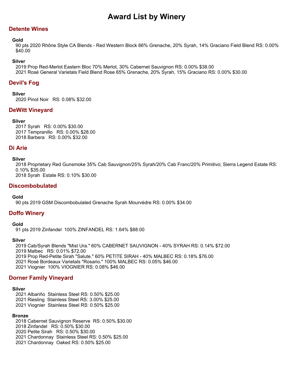# **Detente Wines**

### **Gold**

90 pts 2020 Rhône Style CA Blends - Red Western Block 66% Grenache, 20% Syrah, 14% Graciano Field Blend RS: 0.00% \$40.00

### **Silver**

2019 Prop Red-Merlot Eastern Bloc 70% Merlot, 30% Cabernet Sauvignon RS: 0.00% \$38.00 2021 Rosé General Varietals Field Blend Rose 65% Grenache, 20% Syrah, 15% Graciano RS: 0.00% \$30.00

# **Devil's Fog**

### **Silver**

2020 Pinot Noir RS: 0.08% \$32.00

# **DeWitt Vineyard**

### **Silver**

2017 Syrah RS: 0.00% \$30.00 2017 Tempranillo RS: 0.00% \$28.00 2018 Barbera RS: 0.00% \$32.00

### **Di Arie**

### **Silver**

2018 Proprietary Red Gunsmoke 35% Cab Sauvignon/25% Syrah/20% Cab Franc/20% Primitivo; Sierra Legend Estate RS: 0.10% \$35.00

2018 Syrah Estate RS: 0.10% \$30.00

# **Discombobulated**

**Gold**

90 pts 2019 GSM Discombobulated Grenache Syrah Mourvèdre RS: 0.00% \$34.00

# **Doffo Winery**

### **Gold**

91 pts 2019 Zinfandel 100% ZINFANDEL RS: 1.64% \$88.00

### **Silver**

2019 Cab/Syrah Blends "Mist Ura." 60% CABERNET SAUVIGNON - 40% SYRAH RS: 0.14% \$72.00 2019 Malbec RS: 0.01% \$72.00 2019 Prop Red-Petite Sirah "Salute." 60% PETITE SIRAH - 40% MALBEC RS: 0.18% \$76.00 2021 Rosé Bordeaux Varietals "Rosario." 100% MALBEC RS: 0.05% \$46.00 2021 Viognier 100% VIOGNIER RS: 0.08% \$46.00

# **Dorner Family Vineyard**

# **Silver**

2021 Albariño Stainless Steel RS: 0.50% \$25.00 2021 Riesling Stainless Steel RS: 3.00% \$25.00

2021 Viognier Stainless Steel RS: 0.50% \$25.00

# **Bronze**

2018 Cabernet Sauvignon Reserve RS: 0.50% \$30.00 2018 Zinfandel RS: 0.50% \$30.00 2020 Petite Sirah RS: 0.50% \$30.00 2021 Chardonnay Stainless Steel RS: 0.50% \$25.00 2021 Chardonnay Oaked RS: 0.50% \$25.00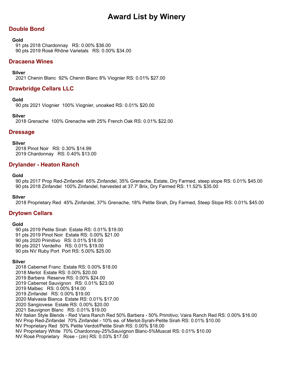# **Double Bond**

#### **Gold**

91 pts 2018 Chardonnay RS: 0.00% \$36.00 90 pts 2019 Rosé Rhône Varietals RS: 0.00% \$34.00

### **Dracaena Wines**

### **Silver**

2021 Chenin Blanc 92% Chenin Blanc 8% Viognier RS: 0.01% \$27.00

# **Drawbridge Cellars LLC**

### **Gold**

90 pts 2021 Viognier 100% Viognier, unoaked RS: 0.01% \$20.00

### **Silver**

2018 Grenache 100% Grenache with 25% French Oak RS: 0.01% \$22.00

### **Dressage**

#### **Silver**

2018 Pinot Noir RS: 0.30% \$14.99 2019 Chardonnay RS: 0.40% \$13.00

### **Drylander - Heaton Ranch**

#### **Gold**

90 pts 2017 Prop Red-Zinfandel 65% Zinfandel, 35% Grenache, Estate, Dry Farmed, steep slope RS: 0.01% \$45.00 90 pts 2018 Zinfandel 100% Zinfandel, harvested at 37.7' Brix, Dry Farmed RS: 11.52% \$35.00

### **Silver**

2018 Proprietary Red 45% Zinfandel, 37% Grenache, 18% Petite Sirah, Dry Farmed, Steep Slope RS: 0.01% \$45.00

### **Drytown Cellars**

### **Gold**

90 pts 2019 Petite Sirah Estate RS: 0.01% \$19.00 91 pts 2019 Pinot Noir Estate RS: 0.00% \$21.00 90 pts 2020 Primitivo RS: 0.01% \$18.00 90 pts 2021 Verdelho RS: 0.01% \$19.00 90 pts NV Ruby Port Port RS: 5.00% \$25.00

### **Silver**

2018 Cabernet Franc Estate RS: 0.00% \$18.00 2018 Merlot Estate RS: 0.00% \$20.00 2019 Barbera Reserve RS: 0.00% \$24.00 2019 Cabernet Sauvignon RS: 0.01% \$23.00 2019 Malbec RS: 0.00% \$14.00 2019 Zinfandel RS: 0.00% \$19.00 2020 Malvasia Bianca Estate RS: 0.01% \$17.00 2020 Sangiovese Estate RS: 0.00% \$20.00 2021 Sauvignon Blanc RS: 0.01% \$19.00 NV Italian Style Blends - Red Viara Ranch Red 50% Barbera - 50% Primitivo; Vaira Ranch Red RS: 0.00% \$16.00 NV Prop Red-Zinfandel 70% Zinfandel - 10% ea. of Merlot-Syrah-Petite Sirah RS: 0.01% \$10.00 NV Proprietary Red 50% Petite Verdot/Petite Sirah RS: 0.00% \$18.00 NV Proprietary White 70% Chardonnay-25%Sauvignon Blanc-5%Muscat RS: 0.01% \$10.00 NV Rosé Proprietary Rose - (zin) RS: 0.03% \$17.00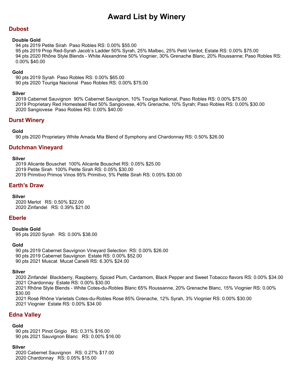# **Dubost**

#### **Double Gold**

94 pts 2019 Petite Sirah Paso Robles RS: 0.00% \$55.00

95 pts 2019 Prop Red-Syrah Jacob's Ladder 50% Syrah, 25% Malbec, 25% Petit Verdot; Estate RS: 0.00% \$75.00 94 pts 2020 Rhône Style Blends - White Alexandrine 50% Viognier, 30% Grenache Blanc, 20% Roussanne; Paso Robles RS: 0.00% \$40.00

### **Gold**

90 pts 2019 Syrah Paso Robles RS: 0.00% \$65.00 90 pts 2020 Touriga Nacional Paso Robles RS: 0.00% \$75.00

### **Silver**

2019 Cabernet Sauvignon 90% Cabernet Sauvignon, 10% Touriga National, Paso Robles RS: 0.00% \$75.00 2019 Proprietary Red Homestead Red 50% Sangiovese, 40% Grenache, 10% Syrah; Paso Robles RS: 0.00% \$30.00 2020 Sangiovese Paso Robles RS: 0.00% \$40.00

# **Durst Winery**

### **Gold**

90 pts 2020 Proprietary White Amada Mia Blend of Symphony and Chardonnay RS: 0.50% \$26.00

# **Dutchman Vineyard**

### **Silver**

2019 Alicante Bouschet 100% Alicante Bouschet RS: 0.05% \$25.00 2019 Petite Sirah 100% Petite Sirah RS: 0.05% \$30.00 2019 Primitivo Primos Vinos 95% Primitivo, 5% Petite Sirah RS: 0.05% \$30.00

# **Earth's Draw**

### **Silver**

2020 Merlot RS: 0.50% \$22.00 2020 Zinfandel RS: 0.39% \$21.00

# **Eberle**

### **Double Gold**

95 pts 2020 Syrah RS: 0.00% \$38.00

### **Gold**

90 pts 2019 Cabernet Sauvignon Vineyard Selection RS: 0.00% \$26.00 90 pts 2019 Cabernet Sauvignon Estate RS: 0.00% \$52.00 90 pts 2021 Muscat Mucat Canelli RS: 6.30% \$24.00

### **Silver**

2020 Zinfandel Blackberry, Raspberry, Spiced Plum, Cardamom, Black Pepper and Sweet Tobacco flavors RS: 0.00% \$34.00 2021 Chardonnay Estate RS: 0.00% \$30.00 2021 Rhône Style Blends - White Cotes-du-Robles Blanc 65% Roussanne, 20% Grenache Blanc, 15% Viognier RS: 0.00% \$30.00

2021 Rosé Rhône Varietals Cotes-du-Robles Rose 85% Grenache, 12% Syrah, 3% Viognier RS: 0.00% \$30.00 2021 Viognier Estate RS: 0.00% \$34.00

# **Edna Valley**

### **Gold**

90 pts 2021 Pinot Grigio RS: 0.31% \$16.00 90 pts 2021 Sauvignon Blanc RS: 0.00% \$16.00

### **Silver**

2020 Cabernet Sauvignon RS: 0.27% \$17.00 2020 Chardonnay RS: 0.05% \$15.00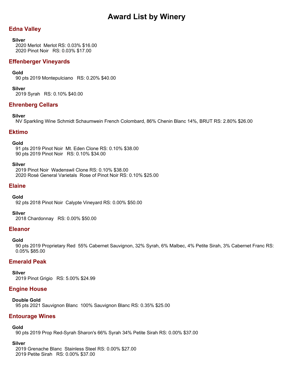# **Edna Valley**

### **Silver**

2020 Merlot Merlot RS: 0.03% \$16.00 2020 Pinot Noir RS: 0.03% \$17.00

# **Effenberger Vineyards**

### **Gold**

90 pts 2019 Montepulciano RS: 0.20% \$40.00

### **Silver**

2019 Syrah RS: 0.10% \$40.00

# **Ehrenberg Cellars**

### **Silver**

NV Sparkling Wine Schmidt Schaumwein French Colombard, 86% Chenin Blanc 14%, BRUT RS: 2.80% \$26.00

### **Ektimo**

### **Gold**

91 pts 2019 Pinot Noir Mt. Eden Clone RS: 0.10% \$38.00 90 pts 2019 Pinot Noir RS: 0.10% \$34.00

### **Silver**

2019 Pinot Noir Wadenswil Clone RS: 0.10% \$38.00 2020 Rosé General Varietals Rose of Pinot Noir RS: 0.10% \$25.00

### **Elaine**

### **Gold**

92 pts 2018 Pinot Noir Calypte Vineyard RS: 0.00% \$50.00

### **Silver**

2018 Chardonnay RS: 0.00% \$50.00

# **Eleanor**

### **Gold**

90 pts 2019 Proprietary Red 55% Cabernet Sauvignon, 32% Syrah, 6% Malbec, 4% Petite Sirah, 3% Cabernet Franc RS: 0.05% \$85.00

# **Emerald Peak**

**Silver** 2019 Pinot Grigio RS: 5.00% \$24.99

# **Engine House**

### **Double Gold**

95 pts 2021 Sauvignon Blanc 100% Sauvignon Blanc RS: 0.35% \$25.00

### **Entourage Wines**

# **Gold**

90 pts 2019 Prop Red-Syrah Sharon's 66% Syrah 34% Petite Sirah RS: 0.00% \$37.00

# **Silver**

2019 Grenache Blanc Stainless Steel RS: 0.00% \$27.00 2019 Petite Sirah RS: 0.00% \$37.00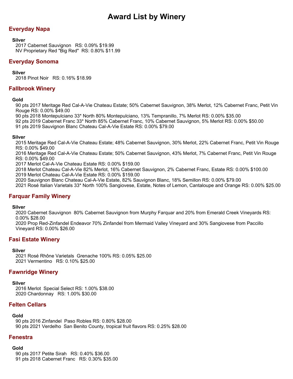# **Everyday Napa**

### **Silver**

2017 Cabernet Sauvignon RS: 0.09% \$19.99 NV Proprietary Red "Big Red" RS: 0.80% \$11.99

# **Everyday Sonoma**

### **Silver**

2018 Pinot Noir RS: 0.16% \$18.99

# **Fallbrook Winery**

### **Gold**

90 pts 2017 Meritage Red Cal-A-Vie Chateau Estate; 50% Cabernet Sauvignon, 38% Merlot, 12% Cabernet Franc, Petit Vin Rouge RS: 0.00% \$49.00

90 pts 2018 Montepulciano 33\* North 80% Montepulciano, 13% Tempranillo, 7% Merlot RS: 0.00% \$35.00

92 pts 2019 Cabernet Franc 33\* North 85% Cabernet Franc, 10% Cabernet Sauvignon, 5% Merlot RS: 0.00% \$50.00

91 pts 2019 Sauvignon Blanc Chateau Cal-A-Vie Estate RS: 0.00% \$79.00

### **Silver**

2015 Meritage Red Cal-A-Vie Chateau Estate; 48% Cabernet Sauvignon, 30% Merlot, 22% Cabernet Franc, Petit Vin Rouge RS: 0.00% \$49.00

2016 Meritage Red Cal-A-Vie Chateau Estate; 50% Cabernet Sauvignon, 43% Merlot, 7% Cabernet Franc, Petit Vin Rouge RS: 0.00% \$49.00

2017 Merlot Cal-A-Vie Chateau Estate RS: 0.00% \$159.00

2018 Merlot Chateau Cal-A-Vie 82% Merlot, 16% Cabernet Sauvignon, 2% Cabernet Franc, Estate RS: 0.00% \$100.00 2019 Merlot Chateau Cal-A-Vie Estate RS: 0.00% \$159.00

2020 Sauvignon Blanc Chateau Cal-A-Vie Estate, 82% Sauvignon Blanc, 18% Semillon RS: 0.00% \$79.00

2021 Rosé Italian Varietals 33\* North 100% Sangiovese, Estate, Notes of Lemon, Cantaloupe and Orange RS: 0.00% \$25.00

# **Farquar Family Winery**

**Silver**

2020 Cabernet Sauvignon 80% Cabernet Sauvignon from Murphy Farquar and 20% from Emerald Creek Vineyards RS: 0.00% \$28.00

2020 Prop Red-Zinfandel Endeavor 70% Zinfandel from Mermaid Valley Vineyard and 30% Sangiovese from Paccillo Vineyard RS: 0.00% \$26.00

# **Fasi Estate Winery**

### **Silver**

2021 Rosé Rhône Varietals Grenache 100% RS: 0.05% \$25.00 2021 Vermentino RS: 0.10% \$25.00

# **Fawnridge Winery**

# **Silver**

2016 Merlot Special Select RS: 1.00% \$38.00 2020 Chardonnay RS: 1.00% \$30.00

# **Felten Cellars**

### **Gold**

90 pts 2016 Zinfandel Paso Robles RS: 0.80% \$28.00 90 pts 2021 Verdelho San Benito County, tropical fruit flavors RS: 0.25% \$28.00

# **Fenestra**

### **Gold**

90 pts 2017 Petite Sirah RS: 0.40% \$36.00 91 pts 2018 Cabernet Franc RS: 0.30% \$35.00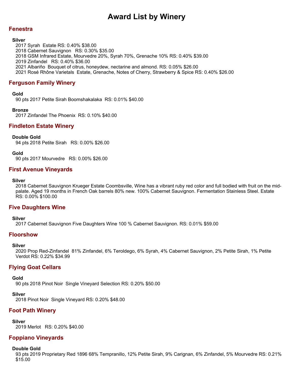### **Fenestra**

#### **Silver**

2017 Syrah Estate RS: 0.40% \$38.00 2018 Cabernet Sauvignon RS: 0.30% \$35.00 2018 GSM Infrared Estate, Mourvedre 20%, Syrah 70%, Grenache 10% RS: 0.40% \$39.00 2019 Zinfandel RS: 0.40% \$36.00 2021 Albariño Bouquet of citrus, honeydew, nectarine and almond. RS: 0.05% \$26.00 2021 Rosé Rhône Varietals Estate, Grenache, Notes of Cherry, Strawberry & Spice RS: 0.40% \$26.00

# **Ferguson Family Winery**

#### **Gold**

90 pts 2017 Petite Sirah Boomshakalaka RS: 0.01% \$40.00

#### **Bronze**

2017 Zinfandel The Phoenix RS: 0.10% \$40.00

### **Findleton Estate Winery**

### **Double Gold**

94 pts 2018 Petite Sirah RS: 0.00% \$26.00

**Gold**

90 pts 2017 Mourvedre RS: 0.00% \$26.00

### **First Avenue Vineyards**

#### **Silver**

2018 Cabernet Sauvignon Krueger Estate Coombsville, Wine has a vibrant ruby red color and full bodied with fruit on the midpalate. Aged 19 months in French Oak barrels 80% new. 100% Cabernet Sauvignon. Fermentation Stainless Steel. Estate RS: 0.00% \$100.00

### **Five Daughters Wine**

**Silver**

2017 Cabernet Sauvignon Five Daughters Wine 100 % Cabernet Sauvignon. RS: 0.01% \$59.00

### **Floorshow**

#### **Silver**

2020 Prop Red-Zinfandel 81% Zinfandel, 6% Teroldego, 6% Syrah, 4% Cabernet Sauvignon, 2% Petite Sirah, 1% Petite Verdot RS: 0.22% \$34.99

# **Flying Goat Cellars**

**Gold**

90 pts 2018 Pinot Noir Single Vineyard Selection RS: 0.20% \$50.00

**Silver**

2018 Pinot Noir Single Vineyard RS: 0.20% \$48.00

# **Foot Path Winery**

**Silver** 2019 Merlot RS: 0.20% \$40.00

# **Foppiano Vineyards**

#### **Double Gold**

93 pts 2019 Proprietary Red 1896 68% Tempranillo, 12% Petite Sirah, 9% Carignan, 6% Zinfandel, 5% Mourvedre RS: 0.21% \$15.00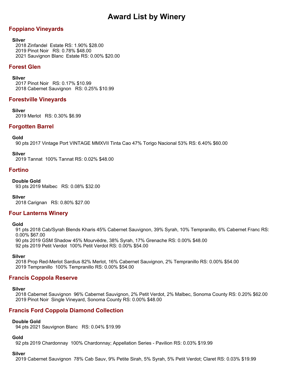# **Foppiano Vineyards**

### **Silver**

2018 Zinfandel Estate RS: 1.90% \$28.00 2019 Pinot Noir RS: 0.78% \$48.00 2021 Sauvignon Blanc Estate RS: 0.00% \$20.00

### **Forest Glen**

### **Silver**

2017 Pinot Noir RS: 0.17% \$10.99 2018 Cabernet Sauvignon RS: 0.25% \$10.99

### **Forestville Vineyards**

### **Silver**

2019 Merlot RS: 0.30% \$6.99

# **Forgotten Barrel**

### **Gold**

90 pts 2017 Vintage Port VINTAGE MMXVII Tinta Cao 47% Torigo Nacional 53% RS: 6.40% \$60.00

### **Silver**

2019 Tannat 100% Tannat RS: 0.02% \$48.00

# **Fortino**

### **Double Gold**

93 pts 2019 Malbec RS: 0.08% \$32.00

**Silver** 2018 Carignan RS: 0.80% \$27.00

# **Four Lanterns Winery**

### **Gold**

91 pts 2018 Cab/Syrah Blends Kharis 45% Cabernet Sauvignon, 39% Syrah, 10% Tempranillo, 6% Cabernet Franc RS: 0.00% \$67.00

90 pts 2019 GSM Shadow 45% Mourvèdre, 38% Syrah, 17% Grenache RS: 0.00% \$48.00

92 pts 2019 Petit Verdot 100% Petit Verdot RS: 0.00% \$54.00

### **Silver**

2018 Prop Red-Merlot Sardius 82% Merlot, 16% Cabernet Sauvignon, 2% Tempranillo RS: 0.00% \$54.00 2019 Tempranillo 100% Tempranillo RS: 0.00% \$54.00

# **Francis Coppola Reserve**

# **Silver**

2018 Cabernet Sauvignon 96% Cabernet Sauvignon, 2% Petit Verdot, 2% Malbec, Sonoma County RS: 0.20% \$62.00 2019 Pinot Noir Single Vineyard, Sonoma County RS: 0.00% \$48.00

# **Francis Ford Coppola Diamond Collection**

### **Double Gold**

94 pts 2021 Sauvignon Blanc RS: 0.04% \$19.99

### **Gold**

92 pts 2019 Chardonnay 100% Chardonnay; Appellation Series - Pavilion RS: 0.03% \$19.99

### **Silver**

2019 Cabernet Sauvignon 78% Cab Sauv, 9% Petite Sirah, 5% Syrah, 5% Petit Verdot; Claret RS: 0.03% \$19.99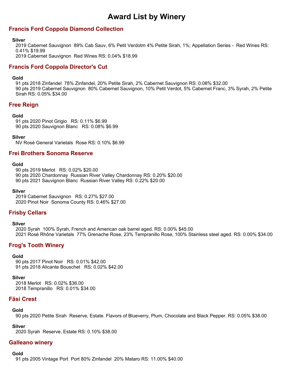# **Francis Ford Coppola Diamond Collection**

#### **Silver**

2019 Cabernet Sauvignon 89% Cab Sauv, 6% Petit Verdotm 4% Petite Sirah, 1%; Appellation Series - Red Wines RS: 0.41% \$19.99

2019 Cabernet Sauvignon Red Wines RS: 0.04% \$18.99

# **Francis Ford Coppola Director's Cut**

### **Gold**

91 pts 2018 Zinfandel 78% Zinfandel, 20% Petite Sirah, 2% Cabernet Sauvignon RS: 0.08% \$32.00 90 pts 2019 Cabernet Sauvignon 80% Cabernet Sauvignon, 10% Petit Verdot, 5% Cabernet Franc, 3% Syrah, 2% Petite Sirah RS: 0.05% \$34.00

# **Free Reign**

### **Gold**

91 pts 2020 Pinot Grigio RS: 0.11% \$6.99 90 pts 2020 Sauvignon Blanc RS: 0.08% \$6.99

### **Silver**

NV Rosé General Varietals Rose RS: 0.10% \$6.99

# **Frei Brothers Sonoma Reserve**

### **Gold**

90 pts 2019 Merlot RS: 0.02% \$20.00 90 pts 2020 Chardonnay Russian River Valley Chardonnay RS: 0.20% \$20.00 90 pts 2021 Sauvignon Blanc Russian River Valley RS: 0.22% \$20.00

#### **Silver**

2019 Cabernet Sauvignon RS: 0.27% \$27.00 2020 Pinot Noir Sonoma County RS: 0.46% \$27.00

# **Frisby Cellars**

### **Silver**

2020 Syrah 100% Syrah, French and American oak barrel aged. RS: 0.00% \$45.00 2021 Rosé Rhône Varietals 77% Grenache Rose, 23% Tempranillo Rose, 100% Stainless steel aged. RS: 0.00% \$34.00

# **Frog's Tooth Winery**

### **Gold**

90 pts 2017 Pinot Noir RS: 0.01% \$42.00 91 pts 2018 Alicante Bouschet RS: 0.02% \$42.00

### **Silver**

2018 Merlot RS: 0.02% \$36.00 2018 Tempranillo RS: 0.01% \$34.00

# **Fäsi Crest**

# **Gold**

90 pts 2020 Petite Sirah Reserve, Estate. Flavors of Blueverry, Plum, Chocolate and Black Pepper. RS: 0.05% \$38.00

### **Silver**

2020 Syrah Reserve, Estate RS: 0.10% \$38.00

# **Galleano winery**

### **Gold**

91 pts 2005 Vintage Port Port 80% Zinfandel 20% Mataro RS: 11.00% \$40.00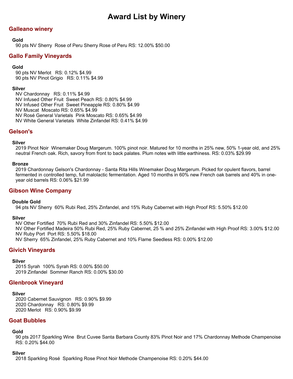# **Galleano winery**

### **Gold**

90 pts NV Sherry Rose of Peru Sherry Rose of Peru RS: 12.00% \$50.00

### **Gallo Family Vineyards**

#### **Gold**

90 pts NV Merlot RS: 0.12% \$4.99 90 pts NV Pinot Grigio RS: 0.11% \$4.99

#### **Silver**

NV Chardonnay RS: 0.11% \$4.99 NV Infused Other Fruit Sweet Peach RS: 0.80% \$4.99 NV Infused Other Fruit Sweet Pineapple RS: 0.80% \$4.99 NV Muscat Moscato RS: 0.65% \$4.99 NV Rosé General Varietals Pink Moscato RS: 0.65% \$4.99 NV White General Varietals White Zinfandel RS: 0.41% \$4.99

### **Gelson's**

#### **Silver**

2019 Pinot Noir Winemaker Doug Margerum. 100% pinot noir. Matured for 10 months in 25% new, 50% 1-year old, and 25% neutral French oak. Rich, savory from front to back palates. Plum notes with little earthiness. RS: 0.03% \$29.99

#### **Bronze**

2019 Chardonnay Gelson's Chardonnay - Santa Rita Hills Winemaker Doug Margerum. Picked for opulent flavors, barrel fermented in controlled temp, full malolactic fermentation. Aged 10 months in 60% new French oak barrels and 40% in oneyear old barrels RS: 0.06% \$21.99

### **Gibson Wine Company**

### **Double Gold**

94 pts NV Sherry 60% Rubi Red, 25% Zinfandel, and 15% Ruby Cabernet with High Proof RS: 5.50% \$12.00

#### **Silver**

NV Other Fortified 70% Rubi Red and 30% Zinfandel RS: 5.50% \$12.00 NV Other Fortified Madeira 50% Rubi Red, 25% Ruby Cabernet, 25 % and 25% Zinfandel with High Proof RS: 3.00% \$12.00 NV Ruby Port Port RS: 5.50% \$18.00 NV Sherry 65% Zinfandel, 25% Ruby Cabernet and 10% Flame Seedless RS: 0.00% \$12.00

# **Givich Vineyards**

#### **Silver**

2015 Syrah 100% Syrah RS: 0.00% \$50.00 2019 Zinfandel Sommer Ranch RS: 0.00% \$30.00

### **Glenbrook Vineyard**

#### **Silver**

2020 Cabernet Sauvignon RS: 0.90% \$9.99 2020 Chardonnay RS: 0.80% \$9.99 2020 Merlot RS: 0.90% \$9.99

### **Goat Bubbles**

### **Gold**

90 pts 2017 Sparkling Wine Brut Cuvee Santa Barbara County 83% Pinot Noir and 17% Chardonnay Methode Champenoise RS: 0.20% \$44.00

#### **Silver**

2018 Sparkling Rosé Sparkling Rose Pinot Noir Methode Champenoise RS: 0.20% \$44.00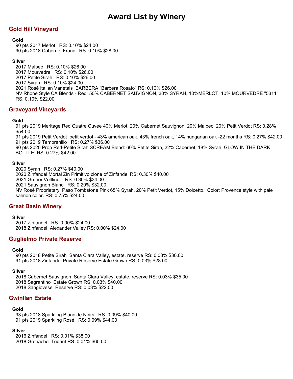# **Gold Hill Vineyard**

### **Gold**

90 pts 2017 Merlot RS: 0.10% \$24.00 90 pts 2018 Cabernet Franc RS: 0.10% \$28.00

### **Silver**

2017 Malbec RS: 0.10% \$26.00 2017 Mourvedre RS: 0.10% \$26.00 2017 Petite Sirah RS: 0.10% \$26.00 2017 Syrah RS: 0.10% \$24.00 2021 Rosé Italian Varietals BARBERA "Barbera Rosato" RS: 0.10% \$26.00 NV Rhône Style CA Blends - Red 50% CABERNET SAUVIGNON, 30% SYRAH, 10%MERLOT, 10% MOURVEDRE "5311" RS: 0.10% \$22.00

### **Graveyard Vineyards**

### **Gold**

91 pts 2019 Meritage Red Quatre Cuvee 40% Merlot, 20% Cabernet Sauvignon, 20% Malbec, 20% Petit Verdot RS: 0.28% \$54.00

91 pts 2019 Petit Verdot petit verdot - 43% american oak, 43% french oak, 14% hungarian oak -22 months RS: 0.27% \$42.00 91 pts 2019 Tempranillo RS: 0.27% \$36.00

90 pts 2020 Prop Red-Petite Sirah SCREAM Blend: 60% Petite Sirah, 22% Cabernet, 18% Syrah. GLOW IN THE DARK BOTTLE! RS: 0.27% \$42.00

### **Silver**

2020 Syrah RS: 0.27% \$40.00 2020 Zinfandel Mortal Zin Primitivo clone of Zinfandel RS: 0.30% \$40.00 2021 Gruner Veltliner RS: 0.30% \$34.00 2021 Sauvignon Blanc RS: 0.20% \$32.00 NV Rosé Proprietary Paso Tombstone Pink 65% Syrah, 20% Petit Verdot, 15% Dolcetto. Color: Provence style with pale salmon color. RS: 0.75% \$24.00

### **Great Basin Winery**

#### **Silver**

2017 Zinfandel RS: 0.00% \$24.00 2018 Zinfandel Alexander Valley RS: 0.00% \$24.00

### **Guglielmo Private Reserve**

### **Gold**

90 pts 2018 Petite Sirah Santa Clara Valley, estate, reserve RS: 0.03% \$30.00 91 pts 2018 Zinfandel Private Reserve Estate Grown RS: 0.03% \$28.00

### **Silver**

2018 Cabernet Sauvignon Santa Clara Valley, estate, reserve RS: 0.03% \$35.00 2018 Sagrantino Estate Grown RS: 0.03% \$40.00 2018 Sangiovese Reserve RS: 0.03% \$22.00

# **Gwinllan Estate**

### **Gold**

93 pts 2018 Sparkling Blanc de Noirs RS: 0.09% \$40.00 91 pts 2019 Sparkling Rosé RS: 0.09% \$44.00

### **Silver**

2016 Zinfandel RS: 0.01% \$38.00 2018 Grenache Tridant RS: 0.01% \$65.00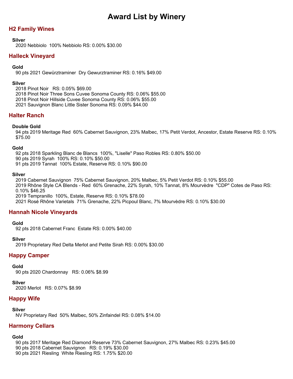# **H2 Family Wines**

### **Silver**

2020 Nebbiolo 100% Nebbiolo RS: 0.00% \$30.00

# **Halleck Vineyard**

### **Gold**

90 pts 2021 Gewürztraminer Dry Gewurztraminer RS: 0.16% \$49.00

### **Silver**

2018 Pinot Noir RS: 0.05% \$69.00 2018 Pinot Noir Three Sons Cuvee Sonoma County RS: 0.06% \$55.00 2018 Pinot Noir Hillside Cuvee Sonoma County RS: 0.06% \$55.00 2021 Sauvignon Blanc Little Sister Sonoma RS: 0.09% \$44.00

# **Halter Ranch**

### **Double Gold**

94 pts 2019 Meritage Red 60% Cabernet Sauvignon, 23% Malbec, 17% Petit Verdot, Ancestor, Estate Reserve RS: 0.10% \$75.00

### **Gold**

92 pts 2018 Sparkling Blanc de Blancs 100%, "Liselle" Paso Robles RS: 0.80% \$50.00

90 pts 2019 Syrah 100% RS: 0.10% \$50.00

91 pts 2019 Tannat 100% Estate, Reserve RS: 0.10% \$90.00

### **Silver**

2019 Cabernet Sauvignon 75% Cabernet Sauvignon, 20% Malbec, 5% Petit Verdot RS: 0.10% \$55.00 2019 Rhône Style CA Blends - Red 60% Grenache, 22% Syrah, 10% Tannat, 8% Mourvèdre "CDP" Cotes de Paso RS: 0.10% \$46.25 2019 Tempranillo 100%, Estate, Reserve RS: 0.10% \$78.00 2021 Rosé Rhône Varietals 71% Grenache, 22% Picpoul Blanc, 7% Mourvèdre RS: 0.10% \$30.00

# **Hannah Nicole Vineyards**

### **Gold**

92 pts 2018 Cabernet Franc Estate RS: 0.00% \$40.00

### **Silver**

2019 Proprietary Red Delta Merlot and Petite Sirah RS: 0.00% \$30.00

# **Happy Camper**

### **Gold**

90 pts 2020 Chardonnay RS: 0.06% \$8.99

### **Silver**

2020 Merlot RS: 0.07% \$8.99

# **Happy Wife**

**Silver**

NV Proprietary Red 50% Malbec, 50% Zinfaindel RS: 0.08% \$14.00

# **Harmony Cellars**

### **Gold**

90 pts 2017 Meritage Red Diamond Reserve 73% Cabernet Sauvignon, 27% Malbec RS: 0.23% \$45.00 90 pts 2018 Cabernet Sauvignon RS: 0.19% \$30.00 90 pts 2021 Riesling White Riesling RS: 1.75% \$20.00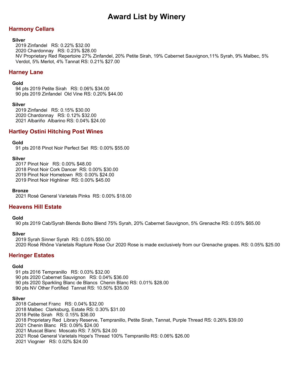# **Harmony Cellars**

### **Silver**

2019 Zinfandel RS: 0.22% \$32.00 2020 Chardonnay RS: 0.23% \$28.00 NV Proprietary Red Repertoire 27% Zinfandel, 20% Petite Sirah, 19% Cabernet Sauvignon,11% Syrah, 9% Malbec, 5% Verdot, 5% Merlot, 4% Tannat RS: 0.21% \$27.00

### **Harney Lane**

#### **Gold**

94 pts 2019 Petite Sirah RS: 0.06% \$34.00 90 pts 2019 Zinfandel Old Vine RS: 0.20% \$44.00

#### **Silver**

2019 Zinfandel RS: 0.15% \$30.00 2020 Chardonnay RS: 0.12% \$32.00 2021 Albariño Albarino RS: 0.04% \$24.00

# **Hartley Ostini Hitching Post Wines**

#### **Gold**

91 pts 2018 Pinot Noir Perfect Set RS: 0.00% \$55.00

#### **Silver**

2017 Pinot Noir RS: 0.00% \$48.00 2018 Pinot Noir Cork Dancer RS: 0.00% \$30.00 2019 Pinot Noir Hometown RS: 0.00% \$24.00 2019 Pinot Noir Highliner RS: 0.00% \$45.00

#### **Bronze**

2021 Rosé General Varietals Pinks RS: 0.00% \$18.00

### **Heavens Hill Estate**

### **Gold**

90 pts 2019 Cab/Syrah Blends Boho Blend 75% Syrah, 20% Cabernet Sauvignon, 5% Grenache RS: 0.05% \$65.00

### **Silver**

2019 Syrah Sinner Syrah RS: 0.05% \$50.00 2020 Rosé Rhône Varietals Rapture Rose Our 2020 Rose is made exclusively from our Grenache grapes. RS: 0.05% \$25.00

### **Heringer Estates**

### **Gold**

91 pts 2016 Tempranillo RS: 0.03% \$32.00 90 pts 2020 Cabernet Sauvignon RS: 0.04% \$36.00 90 pts 2020 Sparkling Blanc de Blancs Chenin Blanc RS: 0.01% \$28.00 90 pts NV Other Fortified Tannat RS: 10.50% \$35.00

#### **Silver**

2018 Cabernet Franc RS: 0.04% \$32.00 2018 Malbec Clarksburg, Estate RS: 0.30% \$31.00 2018 Petite Sirah RS: 0.15% \$36.00 2018 Proprietary Red Library Reserve, Tempranillo, Petite Sirah, Tannat, Purple Thread RS: 0.26% \$39.00 2021 Chenin Blanc RS: 0.09% \$24.00 2021 Muscat Blanc Moscato RS: 7.50% \$24.00 2021 Rosé General Varietals Hope's Thread 100% Tempranillo RS: 0.06% \$26.00 2021 Viognier RS: 0.02% \$24.00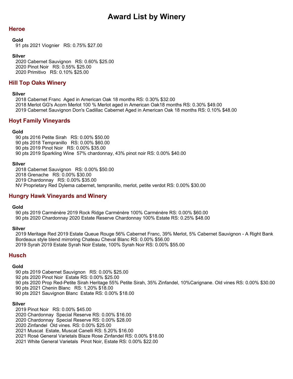# **Heroe**

### **Gold**

91 pts 2021 Viognier RS: 0.75% \$27.00

### **Silver**

2020 Cabernet Sauvignon RS: 0.60% \$25.00 2020 Pinot Noir RS: 0.55% \$25.00 2020 Primitivo RS: 0.10% \$25.00

# **Hill Top Oaks Winery**

### **Silver**

2018 Cabernet Franc Aged in American Oak 18 months RS: 0.30% \$32.00 2018 Merlot GG's Acorn Merlot 100 % Merlot aged in American Oak18 months RS: 0.30% \$49.00 2019 Cabernet Sauvignon Don's Cadillac Cabernet Aged in American Oak 18 months RS: 0.10% \$48.00

# **Hoyt Family Vineyards**

### **Gold**

90 pts 2016 Petite Sirah RS: 0.00% \$50.00 90 pts 2018 Tempranillo RS: 0.00% \$60.00 90 pts 2019 Pinot Noir RS: 0.00% \$35.00 90 pts 2019 Sparkling Wine 57% chardonnay, 43% pinot noir RS: 0.00% \$40.00

### **Silver**

2018 Cabernet Sauvignon RS: 0.00% \$50.00 2018 Grenache RS: 0.00% \$30.00 2019 Chardonnay RS: 0.00% \$35.00 NV Proprietary Red Dylema cabernet, tempranillo, merlot, petite verdot RS: 0.00% \$30.00

# **Hungry Hawk Vineyards and Winery**

### **Gold**

90 pts 2019 Carménère 2019 Rock Ridge Carménère 100% Carménère RS: 0.00% \$60.00 90 pts 2020 Chardonnay 2020 Estate Reserve Chardonnay 100% Estate RS: 0.25% \$48.00

### **Silver**

2019 Meritage Red 2019 Estate Queue Rouge 56% Cabernet Franc, 39% Merlot, 5% Cabernet Sauvignon - A Right Bank Bordeaux style blend mirroring Chateau Cheval Blanc RS: 0.00% \$56.00 2019 Syrah 2019 Estate Syrah Noir Estate, 100% Syrah Noir RS: 0.00% \$55.00

### **Husch**

### **Gold**

90 pts 2019 Cabernet Sauvignon RS: 0.00% \$25.00

- 92 pts 2020 Pinot Noir Estate RS: 0.00% \$25.00
- 90 pts 2020 Prop Red-Petite Sirah Heritage 55% Petite Sirah, 35% Zinfandel, 10%Carignane. Old vines RS: 0.00% \$30.00
- 90 pts 2021 Chenin Blanc RS: 1.20% \$18.00
- 90 pts 2021 Sauvignon Blanc Estate RS: 0.00% \$18.00

### **Silver**

- 2019 Pinot Noir RS: 0.00% \$45.00
- 2020 Chardonnay Special Reserve RS: 0.00% \$16.00
- 2020 Chardonnay Special Reserve RS: 0.00% \$28.00
- 2020 Zinfandel Old vines. RS: 0.00% \$25.00
- 2021 Muscat Estate, Muscat Canelli RS: 5.20% \$16.00
- 2021 Rosé General Varietals Blaze Rose Zinfandel RS: 0.00% \$18.00
- 2021 White General Varietals Pinot Noir, Estate RS: 0.00% \$22.00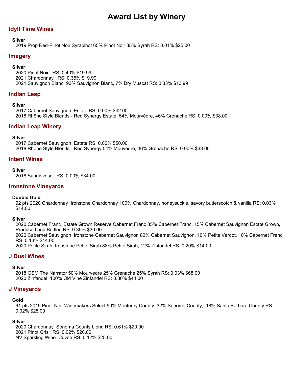# **Idyll Time Wines**

### **Silver**

2019 Prop Red-Pinot Noir Syrapinot 65% Pinot Noir 35% Syrah RS: 0.01% \$25.00

### **Imagery**

### **Silver**

2020 Pinot Noir RS: 0.40% \$19.99 2021 Chardonnay RS: 0.35% \$19.99 2021 Sauvignon Blanc 93% Sauvignon Blanc, 7% Dry Muscat RS: 0.33% \$13.99

### **Indian Leap**

### **Silver**

2017 Cabernet Sauvignon Estate RS: 0.00% \$42.00 2018 Rhône Style Blends - Red Synergy Estate, 54% Mourvèdre, 46% Grenache RS: 0.00% \$38.00

### **Indian Leap Winery**

### **Silver**

2017 Cabernet Sauvignon Estate RS: 0.00% \$50.00 2018 Rhône Style Blends - Red Synergy 54% Mouvedre, 46% Grenache RS: 0.00% \$38.00

### **Intent Wines**

#### **Silver**

2018 Sangiovese RS: 0.00% \$34.00

### **Ironstone Vineyards**

### **Double Gold**

92 pts 2020 Chardonnay Ironstone Chardonnay 100% Chardonnay, honeysuckle, savory butterscotch & vanilla RS: 0.03% \$14.00

### **Silver**

2020 Cabernet Franc Estate Grown Reserve Cabernet Franc 85% Cabernet Franc, 15% Cabernet Sauvignon Estate Grown, Produced and Bottled RS: 0.35% \$30.00 2020 Cabernet Sauvignon Ironstone Cabernet Sauvignon 80% Cabernet Sauvignon, 10% Petite Verdot, 10% Cabernet Franc RS: 0.13% \$14.00 2020 Petite Sirah Ironstone Petite Sirah 88% Petite Sirah, 12% Zinfandel RS: 0.20% \$14.00

### **J Dusi Wines**

### **Silver**

2018 GSM The Narrator 50% Mourvedre 25% Grenache 25% Syrah RS: 0.03% \$68.00 2020 Zinfandel 100% Old Vine Zinfandel RS: 0.80% \$44.00

### **J Vineyards**

### **Gold**

91 pts 2019 Pinot Noir Winemakers Select 50% Monterey County, 32% Sonoma County, 18% Santa Barbara County RS: 0.02% \$25.00

### **Silver**

2020 Chardonnay Sonoma County blend RS: 0.61% \$20.00 2021 Pinot Gris RS: 0.02% \$20.00 NV Sparkling Wine Cuvee RS: 0.12% \$25.00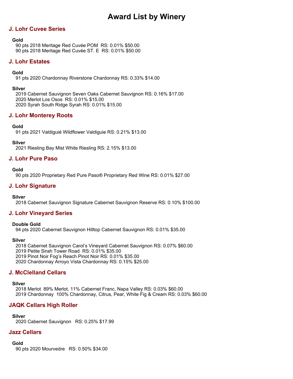# **J. Lohr Cuvee Series**

### **Gold**

90 pts 2018 Meritage Red Cuvée POM RS: 0.01% \$50.00 90 pts 2018 Meritage Red Cuvée ST. E RS: 0.01% \$50.00

# **J. Lohr Estates**

### **Gold**

91 pts 2020 Chardonnay Riverstone Chardonnay RS: 0.33% \$14.00

### **Silver**

2019 Cabernet Sauvignon Seven Oaks Cabernet Sauvignon RS: 0.16% \$17.00 2020 Merlot Los Osos RS: 0.01% \$15.00 2020 Syrah South Ridge Syrah RS: 0.01% \$15.00

# **J. Lohr Monterey Roots**

### **Gold**

91 pts 2021 Valdiguié Wildflower Valdiguie RS: 0.21% \$13.00

**Silver**

2021 Riesling Bay Mist White Riesling RS: 2.15% \$13.00

# **J. Lohr Pure Paso**

### **Gold**

90 pts 2020 Proprietary Red Pure Paso® Proprietary Red Wine RS: 0.01% \$27.00

# **J. Lohr Signature**

**Silver**

2018 Cabernet Sauvignon Signature Cabernet Sauvignon Reserve RS: 0.10% \$100.00

# **J. Lohr Vineyard Series**

### **Double Gold**

94 pts 2020 Cabernet Sauvignon Hilltop Cabernet Sauvignon RS: 0.01% \$35.00

### **Silver**

2018 Cabernet Sauvignon Carol's Vineyard Cabernet Sauvignon RS: 0.07% \$60.00 2019 Petite Sirah Tower Road RS: 0.01% \$35.00 2019 Pinot Noir Fog's Reach Pinot Noir RS: 0.01% \$35.00 2020 Chardonnay Arroyo Vista Chardonnay RS: 0.15% \$25.00

# **J. McClelland Cellars**

### **Silver** 2018 Merlot 89% Merlot, 11% Cabernet Franc, Napa Valley RS: 0.03% \$60.00 2019 Chardonnay 100% Chardonnay, Citrus, Pear, White Fig & Cream RS: 0.03% \$60.00

# **JAQK Cellars High Roller**

**Silver** 2020 Cabernet Sauvignon RS: 0.25% \$17.99

# **Jazz Cellars**

**Gold**

90 pts 2020 Mourvedre RS: 0.50% \$34.00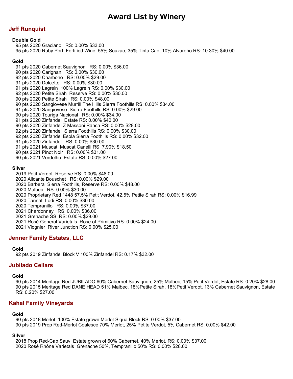# **Jeff Runquist**

### **Double Gold**

95 pts 2020 Graciano RS: 0.00% \$33.00 95 pts 2020 Ruby Port Fortified Wine; 55% Souzao, 35% Tinta Cao, 10% Alvareho RS: 10.30% \$40.00

#### **Gold**

91 pts 2020 Cabernet Sauvignon RS: 0.00% \$36.00 90 pts 2020 Carignan RS: 0.00% \$30.00 92 pts 2020 Charbono RS: 0.00% \$29.00 91 pts 2020 Dolcetto RS: 0.00% \$30.00 91 pts 2020 Lagrein 100% Lagrein RS: 0.00% \$30.00 92 pts 2020 Petite Sirah Reserve RS: 0.00% \$30.00 90 pts 2020 Petite Sirah RS: 0.00% \$48.00 90 pts 2020 Sangiovese Murrill The Hills Sierra Foothills RS: 0.00% \$34.00 91 pts 2020 Sangiovese Sierra Foothills RS: 0.00% \$29.00 90 pts 2020 Touriga Nacional RS: 0.00% \$34.00 91 pts 2020 Zinfandel Estate RS: 0.00% \$40.00 90 pts 2020 Zinfandel Z Massoni Ranch RS: 0.00% \$28.00 92 pts 2020 Zinfandel Sierra Foothills RS: 0.00% \$30.00 92 pts 2020 Zinfandel Esola Sierra Foothills RS: 0.00% \$32.00 91 pts 2020 Zinfandel RS: 0.00% \$30.00 91 pts 2021 Muscat Muscat Canelli RS: 7.90% \$18.50 90 pts 2021 Pinot Noir RS: 0.00% \$31.00 90 pts 2021 Verdelho Estate RS: 0.00% \$27.00

#### **Silver**

2019 Petit Verdot Reserve RS: 0.00% \$48.00 2020 Alicante Bouschet RS: 0.00% \$29.00 2020 Barbera Sierra Foothills, Reserve RS: 0.00% \$48.00 2020 Malbec RS: 0.00% \$30.00 2020 Proprietary Red 1448 57.5% Petit Verdot, 42.5% Petite Sirah RS: 0.00% \$16.99 2020 Tannat Lodi RS: 0.00% \$30.00 2020 Tempranillo RS: 0.00% \$37.00 2021 Chardonnay RS: 0.00% \$36.00 2021 Grenache SS RS: 0.00% \$29.00 2021 Rosé General Varietals Rose of Primitivo RS: 0.00% \$24.00 2021 Viognier River Junction RS: 0.00% \$25.00

# **Jenner Family Estates, LLC**

### **Gold**

92 pts 2019 Zinfandel Block V 100% Zinfandel RS: 0.17% \$32.00

# **Jubilado Cellars**

### **Gold**

90 pts 2014 Meritage Red JUBILADO 60% Cabernet Sauvignon, 25% Malbec, 15% Petit Verdot, Estate RS: 0.20% \$28.00 90 pts 2015 Meritage Red DANE HEAD 51% Malbec, 18%Petite Sirah, 18%Petit Verdot, 13% Cabernet Sauvignon, Estate RS: 0.20% \$27.00

### **Kahal Family Vineyards**

### **Gold**

90 pts 2018 Merlot 100% Estate grown Merlot Siqua Block RS: 0.00% \$37.00 90 pts 2019 Prop Red-Merlot Coalesce 70% Merlot, 25% Petite Verdot, 5% Cabernet RS: 0.00% \$42.00

### **Silver**

2018 Prop Red-Cab Sauv Estate grown of 60% Cabernet, 40% Merlot. RS: 0.00% \$37.00 2020 Rosé Rhône Varietals Grenache 50%, Tempranillo 50% RS: 0.00% \$28.00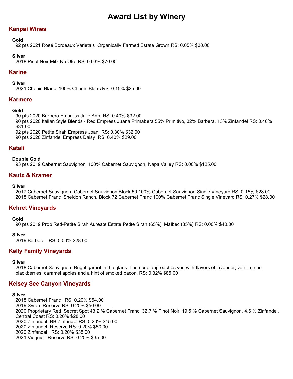# **Kanpai Wines**

## **Gold**

92 pts 2021 Rosé Bordeaux Varietals Organically Farmed Estate Grown RS: 0.05% \$30.00

## **Silver**

2018 Pinot Noir Mitz No Oto RS: 0.03% \$70.00

# **Karine**

## **Silver**

2021 Chenin Blanc 100% Chenin Blanc RS: 0.15% \$25.00

## **Karmere**

## **Gold**

90 pts 2020 Barbera Empress Julie Ann RS: 0.40% \$32.00

90 pts 2020 Italian Style Blends - Red Empress Juana Primabera 55% Primitivo, 32% Barbera, 13% Zinfandel RS: 0.40% \$31.00

92 pts 2020 Petite Sirah Empress Joan RS: 0.30% \$32.00

90 pts 2020 Zinfandel Empress Daisy RS: 0.40% \$29.00

# **Katali**

## **Double Gold**

93 pts 2019 Cabernet Sauvignon 100% Cabernet Sauvignon, Napa Valley RS: 0.00% \$125.00

## **Kautz & Kramer**

## **Silver**

2017 Cabernet Sauvignon Cabernet Sauvignon Block 50 100% Cabernet Sauvignon Single Vineyard RS: 0.15% \$28.00 2018 Cabernet Franc Sheldon Ranch, Block 72 Cabernet Franc 100% Cabernet Franc Single Vineyard RS: 0.27% \$28.00

## **Kehret Vineyards**

### **Gold**

90 pts 2019 Prop Red-Petite Sirah Aureate Estate Petite Sirah (65%), Malbec (35%) RS: 0.00% \$40.00

### **Silver**

2019 Barbera RS: 0.00% \$28.00

## **Kelly Family Vineyards**

### **Silver**

2018 Cabernet Sauvignon Bright garnet in the glass. The nose approaches you with flavors of lavender, vanilla, ripe blackberries, caramel apples and a hint of smoked bacon. RS: 0.32% \$85.00

## **Kelsey See Canyon Vineyards**

### **Silver**

2018 Cabernet Franc RS: 0.20% \$54.00 2019 Syrah Reserve RS: 0.20% \$50.00 2020 Proprietary Red Secret Spot 43.2 % Cabernet Franc, 32.7 % Pinot Noir, 19.5 % Cabernet Sauvignon, 4.6 % Zinfandel, Central Coast RS: 0.20% \$28.00 2020 Zinfandel BB Zinfandel RS: 0.20% \$45.00 2020 Zinfandel Reserve RS: 0.20% \$50.00 2020 Zinfandel RS: 0.20% \$35.00 2021 Viognier Reserve RS: 0.20% \$35.00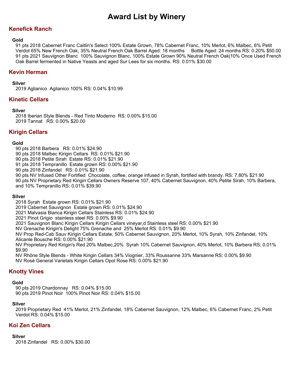# **Kenefick Ranch**

## **Gold**

91 pts 2018 Cabernet Franc Caitlin's Select 100% Estate Grown, 78% Cabernet Franc, 10% Merlot, 6% Malbec, 6% Petit Verdot 65% New French Oak, 35% Neutral French Oak Barrel Aged: 18 months Bottle Aged: 24 months RS: 0.20% \$50.00 91 pts 2021 Sauvignon Blanc 100% Sauvignon Blanc, 100% Estate Grown 90% Neutral French Oak|10% Once Used French Oak Barrel fermented in Native Yeasts and aged Sur Lees for six months. RS: 0.01% \$30.00

# **Kevin Herman**

## **Silver**

2019 Aglianico Aglianico 100% RS: 0.04% \$10.99

## **Kinetic Cellars**

## **Silver**

2018 Iberian Style Blends - Red Tinto Moderno RS: 0.00% \$15.00 2019 Tannat RS: 0.00% \$20.00

## **Kirigin Cellars**

## **Gold**

90 pts 2018 Barbera RS: 0.01% \$24.90

90 pts 2018 Malbec Kirigin Cellars RS: 0.01% \$21.90

90 pts 2018 Petite Sirah Estate RS: 0.01% \$21.90

91 pts 2018 Tempranillo Estate grown RS: 0.00% \$21.90

90 pts 2018 Zinfandel RS: 0.01% \$21.90

90 pts NV Infused Other Fortified Chocolate, coffee, orange infused in Syrah, fortified with brandy. RS: 7.80% \$21.90

90 pts NV Proprietary Red Kirigin Cellars Owners Reserve 107, 40% Cabernet Sauvignon, 40% Petite Sirah, 10% Barbera, and 10% Tempranillo RS: 0.01% \$39.90

### **Silver**

2018 Syrah Estate grown RS: 0.01% \$21.90

2019 Cabernet Sauvignon Estate grown RS: 0.01% \$24.90

2021 Malvasia Bianca Kirigin Cellars Stainless RS: 0.01% \$24.90

2021 Pinot Grigio stainless steel RS: 0.00% \$9.90

2021 Sauvignon Blanc Kirigin Cellars Kirigin Cellars vineyar,d Stainless steel RS: 0.00% \$21.90

NV Grenache Kirigin's Delight 75% Grenache and 25% Merlot RS: 0.01% \$9.90

NV Prop Red-Cab Sauv Kirigin Cellars Estate, 50% Cabernet Sauvignon, 20% Merlot, 10% Syrah, 10% Zinfandel, 10% Alicante Bousche RS: 0.00% \$21.90

NV Proprietary Red Kirigin's Red 20% Malbec,20% Syrah 10% Cabernet Sauvignon, 40% Merlot, 10% Barbera RS: 0.01% \$9.90

NV Rhône Style Blends - White Kirigin Cellars 34% Viognier, 33% Roussanne 33% Marsanne RS: 0.00% \$9.90 NV Rosé General Varietals Kirigin Cellars Opol Rose RS: 0.00% \$21.90

# **Knotty Vines**

### **Gold**

90 pts 2019 Chardonnay RS: 0.04% \$15.00 90 pts 2019 Pinot Noir 100% Pinot Noir RS: 0.04% \$15.00

## **Silver**

2019 Proprietary Red 41% Merlot, 21% Zinfandel, 18% Cabernet Sauvignon, 12% Malbec, 6% Cabernet Franc, 2% Petit Verdot RS: 0.04% \$15.00

## **Koi Zen Cellars**

## **Silver**

2018 Zinfandel RS: 0.00% \$30.00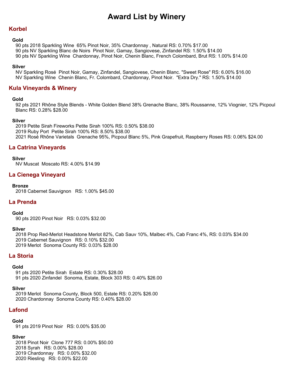## **Korbel**

#### **Gold**

90 pts 2018 Sparkling Wine 65% Pinot Noir, 35% Chardonnay , Natural RS: 0.70% \$17.00 90 pts NV Sparkling Blanc de Noirs Pinot Noir, Gamay, Sangiovese, Zinfandel RS: 1.50% \$14.00 90 pts NV Sparkling Wine Chardonnay, Pinot Noir, Chenin Blanc, French Colombard, Brut RS: 1.00% \$14.00

#### **Silver**

NV Sparkling Rosé Pinot Noir, Gamay, Zinfandel, Sangiovese, Chenin Blanc. "Sweet Rose" RS: 6.00% \$16.00 NV Sparkling Wine Chenin Blanc, Fr. Colombard, Chardonnay, Pinot Noir. "Extra Dry." RS: 1.50% \$14.00

## **Kula Vineyards & Winery**

#### **Gold**

92 pts 2021 Rhône Style Blends - White Golden Blend 38% Grenache Blanc, 38% Roussanne, 12% Viognier, 12% Picpoul Blanc RS: 0.28% \$28.00

#### **Silver**

2019 Petite Sirah Fireworks Petite Sirah 100% RS: 0.50% \$38.00 2019 Ruby Port Petite Sirah 100% RS: 8.50% \$38.00 2021 Rosé Rhône Varietals Grenache 95%, Picpoul Blanc 5%, Pink Grapefruit, Raspberry Roses RS: 0.06% \$24.00

## **La Catrina Vineyards**

### **Silver**

NV Muscat Moscato RS: 4.00% \$14.99

## **La Cienega Vineyard**

### **Bronze**

2018 Cabernet Sauvignon RS: 1.00% \$45.00

## **La Prenda**

### **Gold**

90 pts 2020 Pinot Noir RS: 0.03% \$32.00

### **Silver**

2018 Prop Red-Merlot Headstone Merlot 82%, Cab Sauv 10%, Malbec 4%, Cab Franc 4%, RS: 0.03% \$34.00 2019 Cabernet Sauvignon RS: 0.10% \$32.00 2019 Merlot Sonoma County RS: 0.03% \$28.00

## **La Storia**

### **Gold**

91 pts 2020 Petite Sirah Estate RS: 0.30% \$28.00 91 pts 2020 Zinfandel Sonoma, Estate, Block 303 RS: 0.40% \$26.00

### **Silver**

2019 Merlot Sonoma County, Block 500, Estate RS: 0.20% \$26.00 2020 Chardonnay Sonoma County RS: 0.40% \$28.00

## **Lafond**

### **Gold**

91 pts 2019 Pinot Noir RS: 0.00% \$35.00

### **Silver**

2018 Pinot Noir Clone 777 RS: 0.00% \$50.00 2018 Syrah RS: 0.00% \$28.00 2019 Chardonnay RS: 0.00% \$32.00 2020 Riesling RS: 0.00% \$22.00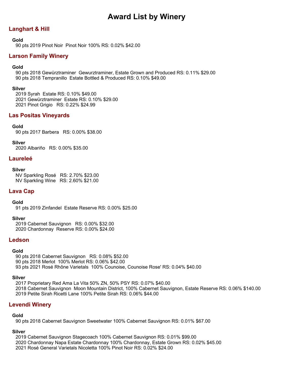# **Langhart & Hill**

### **Gold**

90 pts 2019 Pinot Noir Pinot Noir 100% RS: 0.02% \$42.00

# **Larson Family Winery**

## **Gold**

90 pts 2018 Gewürztraminer Gewurztraminer, Estate Grown and Produced RS: 0.11% \$29.00 90 pts 2018 Tempranillo Estate Bottled & Produced RS: 0.10% \$49.00

### **Silver**

2019 Syrah Estate RS: 0.10% \$49.00 2021 Gewürztraminer Estate RS: 0.10% \$29.00 2021 Pinot Grigio RS: 0.22% \$24.99

## **Las Positas Vineyards**

## **Gold**

90 pts 2017 Barbera RS: 0.00% \$38.00

**Silver**

2020 Albariño RS: 0.00% \$35.00

## **Laureleé**

### **Silver**

NV Sparkling Rosé RS: 2.70% \$23.00 NV Sparkling Wine RS: 2.60% \$21.00

## **Lava Cap**

### **Gold**

91 pts 2019 Zinfandel Estate Reserve RS: 0.00% \$25.00

### **Silver**

2019 Cabernet Sauvignon RS: 0.00% \$32.00 2020 Chardonnay Reserve RS: 0.00% \$24.00

## **Ledson**

### **Gold**

90 pts 2018 Cabernet Sauvignon RS: 0.08% \$52.00 90 pts 2018 Merlot 100% Merlot RS: 0.06% \$42.00 93 pts 2021 Rosé Rhône Varietals 100% Counoise, Counoise Rose' RS: 0.04% \$40.00

### **Silver**

2017 Proprietary Red Ama La Vita 50% ZN, 50% PSY RS: 0.07% \$40.00 2018 Cabernet Sauvignon Moon Mountain District, 100% Cabernet Sauvignon, Estate Reserve RS: 0.06% \$140.00 2019 Petite Sirah Ricetti Lane 100% Petite Sirah RS: 0.06% \$44.00

## **Levendi Winery**

### **Gold**

90 pts 2018 Cabernet Sauvignon Sweetwater 100% Cabernet Sauvignon RS: 0.01% \$67.00

### **Silver**

2019 Cabernet Sauvignon Stagecoach 100% Cabernet Sauvignon RS: 0.01% \$99.00 2020 Chardonnay Napa Estate Chardonnay 100% Chardonnay, Estate Grown RS: 0.02% \$45.00 2021 Rosé General Varietals Nicoletta 100% Pinot Noir RS: 0.02% \$24.00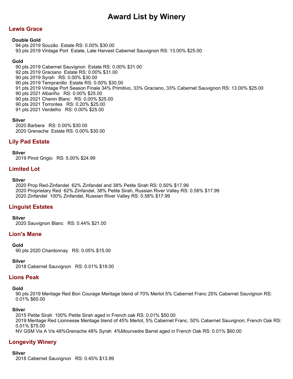# **Lewis Grace**

### **Double Gold**

94 pts 2019 Souzão Estate RS: 0.00% \$30.00 93 pts 2019 Vintage Port Estate, Late Harvest Cabernet Sauvignon RS: 13.00% \$25.00

### **Gold**

90 pts 2019 Cabernet Sauvignon Estate RS: 0.00% \$31.00 92 pts 2019 Graciano Estate RS: 0.00% \$31.00 90 pts 2019 Syrah RS: 0.00% \$30.00 90 pts 2019 Tempranillo Estate RS: 0.00% \$30.00 91 pts 2019 Vintage Port Season Finale 34% Primitivo, 33% Graciano, 33% Cabernet Sauvignon RS: 13.00% \$25.00 90 pts 2021 Albariño RS: 0.00% \$25.00 90 pts 2021 Chenin Blanc RS: 0.00% \$25.00 90 pts 2021 Torrontes RS: 0.20% \$25.00 91 pts 2021 Verdelho RS: 0.00% \$25.00

### **Silver**

2020 Barbera RS: 0.00% \$30.00 2020 Grenache Estate RS: 0.00% \$30.00

## **Lily Pad Estate**

**Silver**

2019 Pinot Grigio RS: 5.00% \$24.99

# **Limited Lot**

#### **Silver**

2020 Prop Red-Zinfandel 62% Zinfandel and 38% Petite Sirah RS: 0.50% \$17.99 2020 Proprietary Red 62% Zinfandel, 38% Petite Sirah, Russian River Valley RS: 0.58% \$17.99 2020 Zinfandel 100% Zinfandel, Russian River Valley RS: 0.58% \$17.99

## **Linguist Estates**

**Silver**

2020 Sauvignon Blanc RS: 0.44% \$21.00

## **Lion's Mane**

### **Gold**

90 pts 2020 Chardonnay RS: 0.05% \$15.00

**Silver**

2018 Cabernet Sauvignon RS: 0.01% \$19.00

## **Lions Peak**

### **Gold**

90 pts 2019 Meritage Red Bon Courage Meritage blend of 70% Merlot 5% Cabernet Franc 25% Cabernet Sauvignon RS: 0.01% \$65.00

### **Silver**

2015 Petite Sirah 100% Petite Sirah aged in French oak RS: 0.01% \$50.00 2019 Meritage Red Lionnesse Meritage blend of 45% Merlot, 5% Cabernet Franc, 50% Cabernet Sauvignon; French Oak RS: 0.01% \$75.00 NV GSM Vis A Vis 48%Grenache 48% Syrah 4%Mourvedre Barrel aged in French Oak RS: 0.01% \$60.00

## **Longevity Winery**

**Silver**

2018 Cabernet Sauvignon RS: 0.45% \$13.99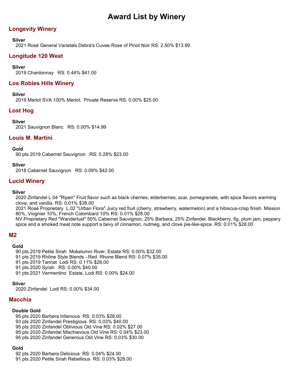# **Longevity Winery**

## **Silver**

2021 Rosé General Varietals Debra's Cuvee Rose of Pinot Noir RS: 2.50% \$13.99

# **Longitude 120 West**

## **Silver**

2019 Chardonnay RS: 0.44% \$41.00

## **Los Robles Hills Winery**

## **Silver**

2019 Merlot SVA 100% Merlot; Private Reserve RS: 0.00% \$25.00

## **Lost Hog**

## **Silver**

2021 Sauvignon Blanc RS: 0.00% \$14.99

## **Louis M. Martini**

## **Gold**

90 pts 2019 Cabernet Sauvignon RS: 0.28% \$23.00

### **Silver**

2018 Cabernet Sauvignon RS: 0.09% \$42.00

# **Lucid Winery**

### **Silver**

2020 Zinfandel L.04 "Ripen" Fruit flavor such as black cherries, elderberries, acai, pomegranate, with spice flavors warming clove, and vanilla. RS: 0.01% \$38.00

2021 Rosé Proprietary L.02 "Urban Flora" Juicy red fruit (cherry, strawberry, watermelon) and a hibiscus-crisp finish. Mission 80%, Viognier 10%, French Colombard 10% RS: 0.01% \$28.00

NV Proprietary Red "Wanderlust" 50% Cabernet Sauvignon, 25% Barbera, 25% Zinfandel. Blackberry, fig, plum jam, peppery spice and a smoked meat note support a bevy of cinnamon, nutmeg, and clove pie-like-spice. RS: 0.01% \$28.00

## **M2**

### **Gold**

90 pts 2019 Petite Sirah Mokelumni River, Estate RS: 0.00% \$32.00

- 91 pts 2019 Rhône Style Blends Red Rhone Blend RS: 0.07% \$35.00
- 91 pts 2019 Tannat Lodi RS: 0.11% \$28.00
- 91 pts 2020 Syrah RS: 0.00% \$40.00
- 91 pts 2021 Vermentino Estate, Lodi RS: 0.00% \$24.00

## **Silver**

2020 Zinfandel Lodi RS: 0.00% \$34.00

# **Macchia**

## **Double Gold**

- 95 pts 2020 Barbera Infamous RS: 0.03% \$28.00
- 93 pts 2020 Zinfandel Prestigious RS: 0.03% \$40.00
- 95 pts 2020 Zinfandel Oblivious Old Vine RS: 0.02% \$27.00
- 95 pts 2020 Zinfandel Mischievous Old Vine RS: 0.04% \$23.00
- 95 pts 2020 Zinfandel Generous Old Vine RS: 0.03% \$30.00

## **Gold**

92 pts 2020 Barbera Delicious RS: 0.04% \$24.00 91 pts 2020 Petite Sirah Rebellious RS: 0.03% \$28.00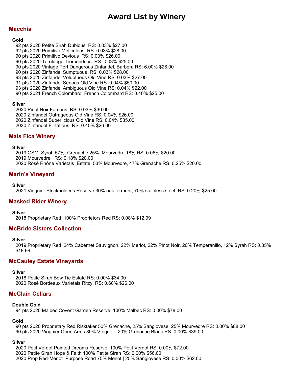# **Macchia**

#### **Gold**

- 92 pts 2020 Petite Sirah Dubious RS: 0.03% \$27.00
- 92 pts 2020 Primitivo Meticulous RS: 0.03% \$28.00
- 90 pts 2020 Primitivo Devious RS: 0.03% \$26.00
- 90 pts 2020 Teroldego Tremendous RS: 0.03% \$25.00
- 90 pts 2020 Vintage Port Dangerous Zinfandel, Barbera RS: 6.00% \$28.00
- 90 pts 2020 Zinfandel Sumptuous RS: 0.03% \$28.00
- 93 pts 2020 Zinfandel Voluptuous Old Vine RS: 0.03% \$27.00
- 91 pts 2020 Zinfandel Serious Old Vine RS: 0.04% \$50.00
- 93 pts 2020 Zinfandel Ambiguous Old Vine RS: 0.04% \$22.00
- 90 pts 2021 French Colombard French Colombard RS: 0.40% \$25.00

## **Silver**

2020 Pinot Noir Famous RS: 0.03% \$30.00 2020 Zinfandel Outrageous Old Vine RS: 0.04% \$26.00 2020 Zinfandel Superlicious Old Vine RS: 0.04% \$35.00 2020 Zinfandel Flirtatious RS: 0.40% \$26.00

# **Mais Fica Winery**

### **Silver**

2019 GSM Syrah 57%, Grenache 25%, Mourvedre 18% RS: 0.06% \$20.00 2019 Mourvedre RS: 0.18% \$20.00 2020 Rosé Rhône Varietals Estate, 53% Mourvedre, 47% Grenache RS: 0.25% \$20.00

# **Marin's Vineyard**

## **Silver**

2021 Viognier Stockholder's Reserve 30% oak ferment, 70% stainless steel. RS: 0.20% \$25.00

## **Masked Rider Winery**

**Silver**

2018 Proprietary Red 100% Proprietors Red RS: 0.08% \$12.99

## **McBride Sisters Collection**

### **Silver**

2019 Proprietary Red 24% Cabernet Sauvignon, 22% Merlot, 22% Pinot Noir, 20% Temperanillo, 12% Syrah RS: 0.35% \$18.99

## **McCauley Estate Vineyards**

### **Silver**

2018 Petite Sirah Bow Tie Estate RS: 0.00% \$34.00 2020 Rosé Bordeaux Varietals Ritzy RS: 0.60% \$26.00

## **McClain Cellars**

### **Double Gold**

94 pts 2020 Malbec Covent Garden Reserve, 100% Malbec RS: 0.00% \$78.00

## **Gold**

90 pts 2020 Proprietary Red Risktaker 50% Grenache, 25% Sangiovese, 25% Mourvedre RS: 0.00% \$88.00 90 pts 2020 Viognier Open Arms 80% VIogner | 20% Grenache Blanc RS: 0.00% \$39.00

## **Silver**

2020 Petit Verdot Painted Dreams Reserve, 100% Petit Verdot RS: 0.00% \$72.00 2020 Petite Sirah Hope & Faith 100% Petite Sirah RS: 0.00% \$56.00 2020 Prop Red-Merlot Purpose Road 75% Merlot | 25% Sangiovese RS: 0.00% \$62.00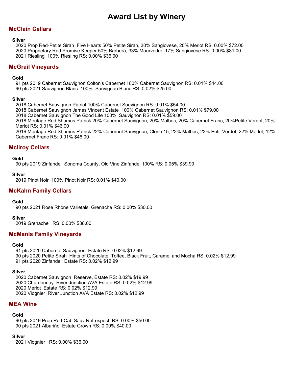# **McClain Cellars**

### **Silver**

2020 Prop Red-Petite Sirah Five Hearts 50% Petite Sirah, 30% Sangiovese, 20% Merlot RS: 0.00% \$72.00 2020 Proprietary Red Promise Keeper 50% Barbera, 33% Mourvedre, 17% Sangiovese RS: 0.00% \$81.00 2021 Riesling 100% Riesling RS: 0.00% \$36.00

## **McGrail Vineyards**

## **Gold**

91 pts 2019 Cabernet Sauvignon Colton's Cabernet 100% Cabernet Sauvignon RS: 0.01% \$44.00 90 pts 2021 Sauvignon Blanc 100% Sauvignon Blanc RS: 0.02% \$25.00

### **Silver**

2018 Cabernet Sauvignon Patriot 100% Cabernet Sauvignon RS: 0.01% \$54.00

2018 Cabernet Sauvignon James Vincent Estate 100% Cabernet Sauvignon RS: 0.01% \$79.00

2018 Cabernet Sauvignon The Good Life 100% Sauvignon RS: 0.01% \$59.00

2018 Meritage Red Shamus Patrick 20% Cabernet Sauvignon, 20% Malbec, 20% Cabernet Franc, 20%Petite Verdot, 20% Merlot RS: 0.01% \$46.00

2019 Meritage Red Shamus Patrick 22% Cabernet Sauvignon, Clone 15, 22% Malbec, 22% Petit Verdot, 22% Merlot, 12% Cabernet Franc RS: 0.01% \$46.00

## **McIlroy Cellars**

## **Gold**

90 pts 2019 Zinfandel Sonoma County, Old Vine Zinfandel 100% RS: 0.05% \$39.99

**Silver**

2019 Pinot Noir 100% Pinot Noir RS: 0.01% \$40.00

## **McKahn Family Cellars**

### **Gold**

90 pts 2021 Rosé Rhône Varietals Grenache RS: 0.00% \$30.00

### **Silver**

2019 Grenache RS: 0.00% \$38.00

## **McManis Family Vineyards**

### **Gold**

91 pts 2020 Cabernet Sauvignon Estate RS: 0.02% \$12.99 90 pts 2020 Petite Sirah Hints of Chocolate, Toffee, Black Fruit, Caramel and Mocha RS: 0.02% \$12.99 91 pts 2020 Zinfandel Estate RS: 0.02% \$12.99

### **Silver**

2020 Cabernet Sauvignon Reserve, Estate RS: 0.02% \$19.99 2020 Chardonnay River Junction AVA Estate RS: 0.02% \$12.99 2020 Merlot Estate RS: 0.02% \$12.99 2020 Viognier River Junction AVA Estate RS: 0.02% \$12.99

## **MEA Wine**

### **Gold**

90 pts 2019 Prop Red-Cab Sauv Retrospect RS: 0.00% \$50.00 90 pts 2021 Albariño Estate Grown RS: 0.00% \$40.00

### **Silver**

2021 Viognier RS: 0.00% \$36.00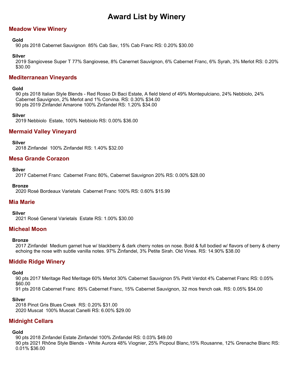# **Meadow View Winery**

## **Gold**

90 pts 2018 Cabernet Sauvignon 85% Cab Sav, 15% Cab Franc RS: 0.20% \$30.00

## **Silver**

2019 Sangiovese Super T 77% Sangiovese, 8% Canernet Sauvignon, 6% Cabernet Franc, 6% Syrah, 3% Merlot RS: 0.20% \$30.00

## **Mediterranean Vineyards**

## **Gold**

90 pts 2018 Italian Style Blends - Red Rosso Di Baci Estate, A field blend of 49% Montepulciano, 24% Nebbiolo, 24% Cabernet Sauvignon, 2% Merlot and 1% Corvina. RS: 0.30% \$34.00 90 pts 2019 Zinfandel Amarone 100% Zinfandel RS: 1.20% \$34.00

### **Silver**

2019 Nebbiolo Estate, 100% Nebbiolo RS: 0.00% \$36.00

## **Mermaid Valley Vineyard**

**Silver**

2018 Zinfandel 100% Zinfandel RS: 1.40% \$32.00

## **Mesa Grande Corazon**

### **Silver**

2017 Cabernet Franc Cabernet Franc 80%, Cabernet Sauvignon 20% RS: 0.00% \$28.00

### **Bronze**

2020 Rosé Bordeaux Varietals Cabernet Franc 100% RS: 0.60% \$15.99

## **Mia Marie**

**Silver**

2021 Rosé General Varietals Estate RS: 1.00% \$30.00

## **Micheal Moon**

### **Bronze**

2017 Zinfandel Medium garnet hue w/ blackberry & dark cherry notes on nose. Bold & full bodied w/ flavors of berry & cherry echoing the nose with subtle vanilla notes. 97% Zinfandel, 3% Petite Sirah. Old Vines. RS: 14.90% \$38.00

# **Middle Ridge Winery**

### **Gold**

90 pts 2017 Meritage Red Meritage 60% Merlot 30% Cabernet Sauvignon 5% Petit Verdot 4% Cabernet Franc RS: 0.05% \$60.00

91 pts 2018 Cabernet Franc 85% Cabernet Franc, 15% Cabernet Sauvignon, 32 mos french oak. RS: 0.05% \$54.00

### **Silver**

2018 Pinot Gris Blues Creek RS: 0.20% \$31.00 2020 Muscat 100% Muscat Canelli RS: 6.00% \$29.00

## **Midnight Cellars**

### **Gold**

90 pts 2018 Zinfandel Estate Zinfandel 100% Zinfandel RS: 0.03% \$49.00 90 pts 2021 Rhône Style Blends - White Aurora 48% Viognier, 25% Picpoul Blanc,15% Rousanne, 12% Grenache Blanc RS: 0.01% \$36.00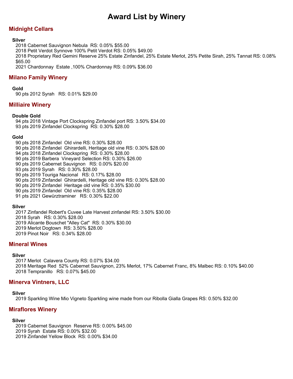# **Midnight Cellars**

## **Silver**

2018 Cabernet Sauvignon Nebula RS: 0.05% \$55.00

2018 Petit Verdot Synnove 100% Petit Verdot RS: 0.05% \$49.00

2018 Proprietary Red Gemini Reserve 25% Estate Zinfandel, 25% Estate Merlot, 25% Petite Sirah, 25% Tannat RS: 0.08% \$65.00

2021 Chardonnay Estate ,100% Chardonnay RS: 0.09% \$36.00

# **Milano Family Winery**

**Gold**

90 pts 2012 Syrah RS: 0.01% \$29.00

# **Milliaire Winery**

## **Double Gold**

94 pts 2018 Vintage Port Clockspring Zinfandel port RS: 3.50% \$34.00 93 pts 2019 Zinfandel Clockspring RS: 0.30% \$28.00

## **Gold**

90 pts 2018 Zinfandel Old vine RS: 0.30% \$28.00 90 pts 2018 Zinfandel Ghirardelli, Heritage old vine RS: 0.30% \$28.00 94 pts 2018 Zinfandel Clockspring RS: 0.30% \$28.00 90 pts 2019 Barbera Vineyard Selection RS: 0.30% \$26.00 90 pts 2019 Cabernet Sauvignon RS: 0.00% \$20.00 93 pts 2019 Syrah RS: 0.30% \$28.00 90 pts 2019 Touriga Nacional RS: 0.17% \$28.00 90 pts 2019 Zinfandel Ghirardelli, Heritage old vine RS: 0.30% \$28.00 90 pts 2019 Zinfandel Heritage old vine RS: 0.35% \$30.00 90 pts 2019 Zinfandel Old vine RS: 0.35% \$28.00 91 pts 2021 Gewürztraminer RS: 0.30% \$22.00

## **Silver**

2017 Zinfandel Robert's Cuvee Late Harvest zinfandel RS: 3.50% \$30.00 2018 Syrah RS: 0.30% \$28.00 2019 Alicante Bouschet "Alley Cat" RS: 0.30% \$30.00 2019 Merlot Dogtown RS: 3.50% \$28.00 2019 Pinot Noir RS: 0.34% \$28.00

## **Mineral Wines**

### **Silver**

2017 Merlot Calavera County RS: 0.07% \$34.00 2018 Meritage Red 52% Cabernet Sauvignon, 23% Merlot, 17% Cabernet Franc, 8% Malbec RS: 0.10% \$40.00 2018 Tempranillo RS: 0.07% \$45.00

## **Minerva Vintners, LLC**

### **Silver**

2019 Sparkling Wine Mio Vigneto Sparkling wine made from our Ribolla Gialla Grapes RS: 0.50% \$32.00

## **Miraflores Winery**

### **Silver**

2019 Cabernet Sauvignon Reserve RS: 0.00% \$45.00

2019 Syrah Estate RS: 0.00% \$32.00

2019 Zinfandel Yellow Block RS: 0.00% \$34.00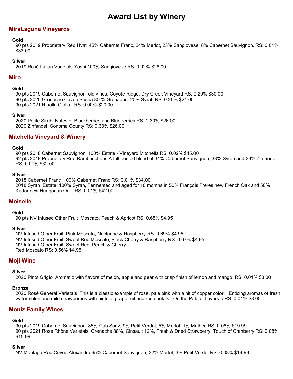# **MiraLaguna Vineyards**

## **Gold**

90 pts 2019 Proprietary Red Hvati 45% Cabernet Franc, 24% Merlot, 23% Sangiovese, 8% Cabernet Sauvignon. RS: 0.01% \$33.00

### **Silver**

2019 Rosé Italian Varietals Yoshi 100% Sangiovese RS: 0.02% \$28.00

## **Miro**

## **Gold**

90 pts 2019 Cabernet Sauvignon old vines, Coyote Ridge, Dry Creek Vineyard RS: 0.20% \$30.00 90 pts 2020 Grenache Cuvee Sasha 80 % Grenache; 20% Syrah RS: 0.20% \$24.00 90 pts 2021 Ribolla Gialla RS: 0.00% \$20.00

### **Silver**

2020 Petite Sirah Notes of Blackberries and Blueberries RS: 0.30% \$26.00 2020 Zinfandel Sonoma County RS: 0.30% \$26.00

# **Mitchella Vineyard & Winery**

#### **Gold**

90 pts 2018 Cabernet Sauvignon 100% Estate - Vineyard Mitchella RS: 0.02% \$45.00 92 pts 2018 Proprietary Red Rambunctious A full bodied blend of 34% Cabernet Sauvignon, 33% Syrah and 33% Zinfandel. RS: 0.01% \$32.00

#### **Silver**

2018 Cabernet Franc 100% Cabernet Franc RS: 0.01% \$34.00 2018 Syrah Estate, 100% Syrah, Fermented and aged for 18 months in 50% François Frères new French Oak and 50% Kadar new Hungarian Oak. RS: 0.01% \$42.00

## **Moiselle**

### **Gold**

90 pts NV Infused Other Fruit Moscato, Peach & Apricot RS: 0.65% \$4.95

### **Silver**

NV Infused Other Fruit Pink Moscato, Nectarine & Raspberry RS: 0.69% \$4.95 NV Infused Other Fruit Sweet Red Moscato, Black Cherry & Raspberry RS: 0.67% \$4.95 NV Infused Other Fruit Sweet Red, Peach & Cherry Red Moscato RS: 0.56% \$4.95

## **Moji Wine**

### **Silver**

2020 Pinot Grigio Aromatic with flavors of melon, apple and pear with crisp finish of lemon and mango. RS: 0.01% \$8.00

### **Bronze**

2020 Rosé General Varietals This is a classic example of rose, pale pink with a hit of copper color. Enticing aromas of fresh watermelon and mild strawberries with hints of grapefruit and rose petals. On the Palate, flavors o RS: 0.01% \$8.00

## **Moniz Family Wines**

### **Gold**

90 pts 2019 Cabernet Sauvignon 85% Cab Sauv, 9% Petit Verdot, 5% Merlot, 1% Malbec RS: 0.08% \$19.99 90 pts 2021 Rosé Rhône Varietals Grenache 88%, Cinsault 12%, Fresh & Dried Strawberry, Touch of Cranberry RS: 0.08% \$15.99

### **Silver**

NV Meritage Red Cuvee Alexandra 65% Cabernet Sauvignon, 32% Merlot, 3% Petit Verdot RS: 0.08% \$19.99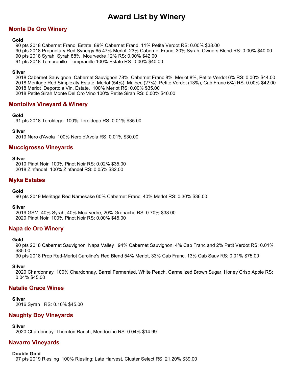# **Monte De Oro Winery**

### **Gold**

90 pts 2018 Cabernet Franc Estate, 89% Cabernet Frand, 11% Petite Verdot RS: 0.00% \$38.00

90 pts 2018 Proprietary Red Synergy 65 47% Merlot, 23% Cabernet Franc, 30% Syrah, Owners Blend RS: 0.00% \$40.00

90 pts 2018 Syrah Syrah 88%, Mourvedre 12% RS: 0.00% \$42.00

91 pts 2018 Tempranillo Tempranillo 100% Estate RS: 0.00% \$40.00

## **Silver**

2018 Cabernet Sauvignon Cabernet Sauvignon 78%, Cabernet Franc 8%, Merlot 8%, Petite Verdot 6% RS: 0.00% \$44.00 2018 Meritage Red Simplexity Estate, Merlot (54%), Malbec (27%), Petite Verdot (13%), Cab Franc 6%) RS: 0.00% \$42.00 2018 Merlot Deportola Vin, Estate, 100% Merlot RS: 0.00% \$35.00 2018 Petite Sirah Monte Del Oro Vino 100% Petite Sirah RS: 0.00% \$40.00

# **Montoliva Vineyard & Winery**

## **Gold**

91 pts 2018 Teroldego 100% Teroldego RS: 0.01% \$35.00

## **Silver**

2019 Nero d'Avola 100% Nero d'Avola RS: 0.01% \$30.00

## **Muccigrosso Vineyards**

### **Silver**

2010 Pinot Noir 100% Pinot Noir RS: 0.02% \$35.00 2018 Zinfandel 100% Zinfandel RS: 0.05% \$32.00

# **Myka Estates**

## **Gold**

90 pts 2019 Meritage Red Namesake 60% Cabernet Franc, 40% Merlot RS: 0.30% \$36.00

### **Silver**

2019 GSM 40% Syrah, 40% Mourvedre, 20% Grenache RS: 0.70% \$38.00 2020 Pinot Noir 100% Pinot Noir RS: 0.00% \$45.00

## **Napa de Oro Winery**

### **Gold**

90 pts 2018 Cabernet Sauvignon Napa Valley 94% Cabernet Sauvignon, 4% Cab Franc and 2% Petit Verdot RS: 0.01% \$85.00

90 pts 2018 Prop Red-Merlot Caroline's Red Blend 54% Merlot, 33% Cab Franc, 13% Cab Sauv RS: 0.01% \$75.00

### **Silver**

2020 Chardonnay 100% Chardonnay, Barrel Fermented, White Peach, Carmelized Brown Sugar, Honey Crisp Apple RS: 0.04% \$45.00

## **Natalie Grace Wines**

### **Silver**

2016 Syrah RS: 0.10% \$45.00

## **Naughty Boy Vineyards**

**Silver**

2020 Chardonnay Thornton Ranch, Mendocino RS: 0.04% \$14.99

# **Navarro Vineyards**

## **Double Gold**

97 pts 2019 Riesling 100% Riesling; Late Harvest, Cluster Select RS: 21.20% \$39.00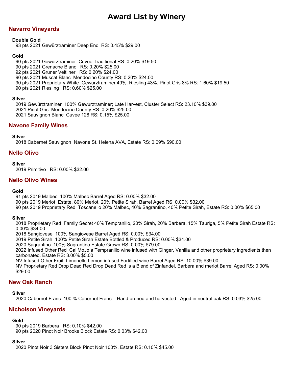# **Navarro Vineyards**

## **Double Gold**

93 pts 2021 Gewürztraminer Deep End RS: 0.45% \$29.00

## **Gold**

90 pts 2021 Gewürztraminer Cuvee Traditional RS: 0.20% \$19.50 90 pts 2021 Grenache Blanc RS: 0.20% \$25.00 92 pts 2021 Gruner Veltliner RS: 0.20% \$24.00 90 pts 2021 Muscat Blanc Mendocino County RS: 0.20% \$24.00 90 pts 2021 Proprietary White Gewurztraminer 49%, Riesling 43%, Pinot Gris 8% RS: 1.60% \$19.50 90 pts 2021 Riesling RS: 0.60% \$25.00

## **Silver**

2019 Gewürztraminer 100% Gewurztraminer; Late Harvest, Cluster Select RS: 23.10% \$39.00 2021 Pinot Gris Mendocino County RS: 0.20% \$25.00 2021 Sauvignon Blanc Cuvee 128 RS: 0.15% \$25.00

# **Navone Family Wines**

## **Silver**

2018 Cabernet Sauvignon Navone St. Helena AVA, Estate RS: 0.09% \$90.00

## **Nello Olivo**

## **Silver**

2019 Primitivo RS: 0.00% \$32.00

## **Nello Olivo Wines**

## **Gold**

91 pts 2019 Malbec 100% Malbec Barrel Aged RS: 0.00% \$32.00

90 pts 2019 Merlot Estate, 80% Merlot, 20% Petite Sirah, Barrel Aged RS: 0.00% \$32.00

90 pts 2019 Proprietary Red Toscanello 20% Malbec, 40% Sagrantino, 40% Petite Sirah, Estate RS: 0.00% \$65.00

## **Silver**

2018 Proprietary Red Family Secret 40% Tempranillo, 20% Sirah, 20% Barbera, 15% Tauriga, 5% Petite Sirah Estate RS: 0.00% \$34.00

2018 Sangiovese 100% Sangiovese Barrel Aged RS: 0.00% \$34.00

2019 Petite Sirah 100% Petite Sirah Estate Bottled & Produced RS: 0.00% \$34.00

2020 Sagrantino 100% Sagrantino Estate Grown RS: 0.00% \$79.00

2022 Infused Other Red CaliMoJo a Tempranillo wine infused with Ginger, Vanilla and other proprietary ingredients then carbonated. Estate RS: 3.00% \$5.00

NV Infused Other Fruit Limonello Lemon infused Fortified wine Barrel Aged RS: 10.00% \$39.00

NV Proprietary Red Drop Dead Red Drop Dead Red is a Blend of Zinfandel, Barbera and merlot Barrel Aged RS: 0.00% \$29.00

# **New Oak Ranch**

## **Silver**

2020 Cabernet Franc 100 % Cabernet Franc. Hand pruned and harvested. Aged in neutral oak RS: 0.03% \$25.00

# **Nicholson Vineyards**

## **Gold**

90 pts 2019 Barbera RS: 0.10% \$42.00 90 pts 2020 Pinot Noir Brooks Block Estate RS: 0.03% \$42.00

## **Silver**

2020 Pinot Noir 3 Sisters Block Pinot Noir 100%, Estate RS: 0.10% \$45.00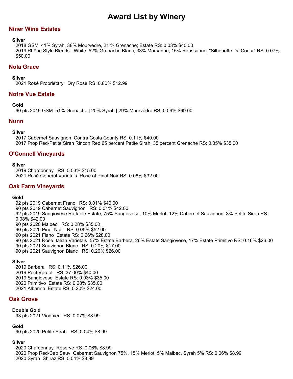## **Niner Wine Estates**

#### **Silver**

2018 GSM 41% Syrah, 38% Mourvedre, 21 % Grenache; Estate RS: 0.03% \$40.00 2019 Rhône Style Blends - White 52% Grenache Blanc, 33% Marsanne, 15% Roussanne; "Silhouette Du Coeur" RS: 0.07% \$50.00

## **Nola Grace**

#### **Silver**

2021 Rosé Proprietary Dry Rose RS: 0.80% \$12.99

## **Notre Vue Estate**

#### **Gold**

90 pts 2019 GSM 51% Grenache | 20% Syrah | 29% Mourvèdre RS: 0.06% \$69.00

## **Nunn**

#### **Silver**

2017 Cabernet Sauvignon Contra Costa County RS: 0.11% \$40.00 2017 Prop Red-Petite Sirah Rincon Red 65 percent Petite Sirah, 35 percent Grenache RS: 0.35% \$35.00

## **O'Connell Vineyards**

#### **Silver**

2019 Chardonnay RS: 0.03% \$45.00 2021 Rosé General Varietals Rose of Pinot Noir RS: 0.08% \$32.00

## **Oak Farm Vineyards**

### **Gold**

92 pts 2019 Cabernet Franc RS: 0.01% \$40.00 90 pts 2019 Cabernet Sauvignon RS: 0.01% \$42.00 92 pts 2019 Sangiovese Raffaele Estate; 75% Sangiovese, 10% Merlot, 12% Cabernet Sauvignon, 3% Petite Sirah RS: 0.08% \$42.00 90 pts 2020 Malbec RS: 0.28% \$35.00 90 pts 2020 Pinot Noir RS: 0.05% \$52.00 90 pts 2021 Fiano Estate RS: 0.26% \$28.00 90 pts 2021 Rosé Italian Varietals 57% Estate Barbera, 26% Estate Sangiovese, 17% Estate Primitivo RS: 0.16% \$26.00 90 pts 2021 Sauvignon Blanc RS: 0.20% \$17.00 90 pts 2021 Sauvignon Blanc RS: 0.20% \$26.00

### **Silver**

2019 Barbera RS: 0.11% \$26.00 2019 Petit Verdot RS: 37.00% \$40.00 2019 Sangiovese Estate RS: 0.03% \$35.00 2020 Primitivo Estate RS: 0.28% \$35.00 2021 Albariño Estate RS: 0.20% \$24.00

## **Oak Grove**

### **Double Gold**

93 pts 2021 Viognier RS: 0.07% \$8.99

## **Gold**

90 pts 2020 Petite Sirah RS: 0.04% \$8.99

## **Silver**

2020 Chardonnay Reserve RS: 0.06% \$8.99 2020 Prop Red-Cab Sauv Cabernet Sauvignon 75%, 15% Merlot, 5% Malbec, Syrah 5% RS: 0.06% \$8.99 2020 Syrah Shiraz RS: 0.04% \$8.99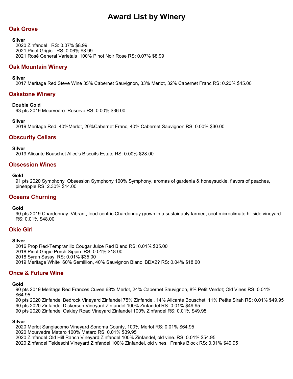# **Oak Grove**

### **Silver**

2020 Zinfandel RS: 0.07% \$8.99 2021 Pinot Grigio RS: 0.06% \$8.99 2021 Rosé General Varietals 100% Pinot Noir Rose RS: 0.07% \$8.99

## **Oak Mountain Winery**

### **Silver**

2017 Meritage Red Steve Wine 35% Cabernet Sauvignon, 33% Merlot, 32% Cabernet Franc RS: 0.20% \$45.00

## **Oakstone Winery**

### **Double Gold**

93 pts 2019 Mourvedre Reserve RS: 0.00% \$36.00

### **Silver**

2019 Meritage Red 40%Merlot, 20%Cabernet Franc, 40% Cabernet Sauvignon RS: 0.00% \$30.00

# **Obscurity Cellars**

**Silver**

2019 Alicante Bouschet Alice's Biscuits Estate RS: 0.00% \$28.00

## **Obsession Wines**

#### **Gold**

91 pts 2020 Symphony Obsession Symphony 100% Symphony, aromas of gardenia & honeysuckle, flavors of peaches, pineapple RS: 2.30% \$14.00

## **Oceans Churning**

### **Gold**

90 pts 2019 Chardonnay Vibrant, food-centric Chardonnay grown in a sustainably farmed, cool-microclimate hillside vineyard RS: 0.01% \$48.00

## **Okie Girl**

### **Silver**

2016 Prop Red-Tempranillo Cougar Juice Red Blend RS: 0.01% \$35.00 2018 Pinot Grigio Porch Sippin RS: 0.01% \$18.00 2018 Syrah Sassy RS: 0.01% \$35.00 2019 Meritage White 60% Semillion, 40% Sauvignon Blanc BDX2? RS: 0.04% \$18.00

## **Once & Future Wine**

## **Gold**

90 pts 2019 Meritage Red Frances Cuvee 68% Merlot, 24% Cabernet Sauvignon, 8% Petit Verdot; Old Vines RS: 0.01% \$64.95

90 pts 2020 Zinfandel Bedrock Vineyard Zinfandel 75% Zinfandel, 14% Alicante Bouschet, 11% Petite Sirah RS: 0.01% \$49.95 90 pts 2020 Zinfandel Dickerson Vineyard Zinfandel 100% Zinfandel RS: 0.01% \$49.95

90 pts 2020 Zinfandel Oakley Road Vineyard Zinfandel 100% Zinfandel RS: 0.01% \$49.95

### **Silver**

2020 Merlot Sangiacomo Vineyard Sonoma County, 100% Merlot RS: 0.01% \$64.95

2020 Mourvedre Mataro 100% Mataro RS: 0.01% \$39.95

2020 Zinfandel Old Hill Ranch Vineyard Zinfandel 100% Zinfandel, old vine. RS: 0.01% \$54.95

2020 Zinfandel Teldeschi Vineyard Zinfandel 100% Zinfandel, old vines. Franks Block RS: 0.01% \$49.95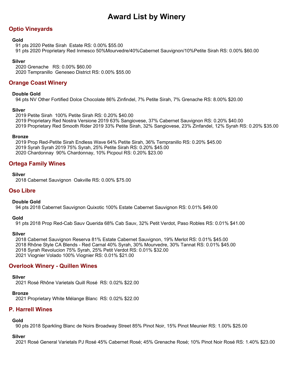# **Optio Vineyards**

## **Gold**

91 pts 2020 Petite Sirah Estate RS: 0.00% \$55.00 91 pts 2020 Proprietary Red Inmesco 50%Mourvedre/40%Cabernet Sauvignon/10%Petite Sirah RS: 0.00% \$60.00

## **Silver**

2020 Grenache RS: 0.00% \$60.00 2020 Tempranillo Geneseo District RS: 0.00% \$55.00

# **Orange Coast Winery**

## **Double Gold**

94 pts NV Other Fortified Dolce Chocolate 86% Zinfindel, 7% Petite Sirah, 7% Grenache RS: 8.00% \$20.00

## **Silver**

2019 Petite Sirah 100% Petite Sirah RS: 0.20% \$40.00 2019 Proprietary Red Nostra Versione 2019 63% Sangiovese, 37% Cabernet Sauvignon RS: 0.20% \$40.00 2019 Proprietary Red Smooth Rider 2019 33% Petite Sirah, 32% Sangiovese, 23% Zinfandel, 12% Syrah RS: 0.20% \$35.00

## **Bronze**

2019 Prop Red-Petite Sirah Endless Wave 64% Petite Sirah, 36% Tempranillo RS: 0.20% \$45.00 2019 Syrah Syrah 2019 75% Syrah, 25% Petite Sirah RS: 0.20% \$45.00 2020 Chardonnay 90% Chardonnay, 10% Picpoul RS: 0.20% \$23.00

# **Ortega Family Wines**

## **Silver**

2018 Cabernet Sauvignon Oakville RS: 0.00% \$75.00

## **Oso Libre**

## **Double Gold**

94 pts 2018 Cabernet Sauvignon Quixotic 100% Estate Cabernet Sauvignon RS: 0.01% \$49.00

## **Gold**

91 pts 2018 Prop Red-Cab Sauv Querida 68% Cab Sauv, 32% Petit Verdot, Paso Robles RS: 0.01% \$41.00

### **Silver**

2018 Cabernet Sauvignon Reserva 81% Estate Cabernet Sauvignon, 19% Merlot RS: 0.01% \$45.00 2018 Rhône Style CA Blends - Red Carnal 40% Syrah, 30% Mourvedre, 30% Tannat RS: 0.01% \$45.00 2018 Syrah Revolucion 75% Syrah, 25% Petit Verdot RS: 0.01% \$32.00 2021 Viognier Volado 100% Viognier RS: 0.01% \$21.00

## **Overlook Winery - Quillen Wines**

### **Silver**

2021 Rosé Rhône Varietals Quill Rosé RS: 0.02% \$22.00

### **Bronze**

2021 Proprietary White Mélange Blanc RS: 0.02% \$22.00

# **P. Harrell Wines**

### **Gold**

90 pts 2018 Sparkling Blanc de Noirs Broadway Street 85% Pinot Noir, 15% Pinot Meunier RS: 1.00% \$25.00

### **Silver**

2021 Rosé General Varietals PJ Rosé 45% Cabernet Rosé; 45% Grenache Rosé; 10% Pinot Noir Rosé RS: 1.40% \$23.00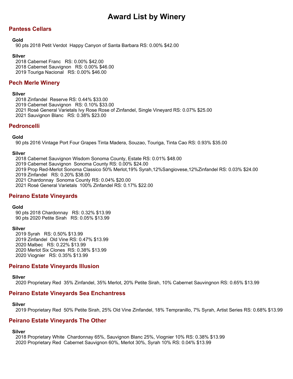# **Pantess Cellars**

### **Gold**

90 pts 2018 Petit Verdot Happy Canyon of Santa Barbara RS: 0.00% \$42.00

## **Silver**

2018 Cabernet Franc RS: 0.00% \$42.00 2018 Cabernet Sauvignon RS: 0.00% \$46.00 2019 Touriga Nacional RS: 0.00% \$46.00

# **Pech Merle Winery**

#### **Silver**

2018 Zinfandel Reserve RS: 0.44% \$33.00

2019 Cabernet Sauvignon RS: 0.10% \$33.00

2021 Rosé General Varietals Ivy Rose Rose of Zinfandel, Single Vineyard RS: 0.07% \$25.00

2021 Sauvignon Blanc RS: 0.38% \$23.00

## **Pedroncelli**

## **Gold**

90 pts 2016 Vintage Port Four Grapes Tinta Madera, Souzao, Touriga, Tinta Cao RS: 0.93% \$35.00

## **Silver**

2018 Cabernet Sauvignon Wisdom Sonoma County, Estate RS: 0.01% \$48.00 2019 Cabernet Sauvignon Sonoma County RS: 0.00% \$24.00 2019 Prop Red-Merlot Sonoma Classico 50% Merlot,19% Syrah,12%Sangiovese,12%Zinfandel RS: 0.03% \$24.00 2019 Zinfandel RS: 0.20% \$38.00 2021 Chardonnay Sonoma County RS: 0.04% \$20.00 2021 Rosé General Varietals 100% Zinfandel RS: 0.17% \$22.00

## **Peirano Estate Vineyards**

### **Gold**

90 pts 2018 Chardonnay RS: 0.32% \$13.99 90 pts 2020 Petite Sirah RS: 0.05% \$13.99

## **Silver**

2019 Syrah RS: 0.50% \$13.99 2019 Zinfandel Old Vine RS: 0.47% \$13.99 2020 Malbec RS: 0.22% \$13.99 2020 Merlot Six Clones RS: 0.38% \$13.99 2020 Viognier RS: 0.35% \$13.99

# **Peirano Estate Vineyards Illusion**

## **Silver**

2020 Proprietary Red 35% Zinfandel, 35% Merlot, 20% Petite Sirah, 10% Cabernet Sauvingnon RS: 0.65% \$13.99

## **Peirano Estate Vineyards Sea Enchantress**

### **Silver**

2019 Proprietary Red 50% Petite Sirah, 25% Old Vine Zinfandel, 18% Tempranillo, 7% Syrah, Artist Series RS: 0.68% \$13.99

## **Peirano Estate Vineyards The Other**

### **Silver**

2018 Proprietary White Chardonnay 65%, Sauvignon Blanc 25%, Viognier 10% RS: 0.38% \$13.99 2020 Proprietary Red Cabernet Sauvignon 60%, Merlot 30%, Syrah 10% RS: 0.04% \$13.99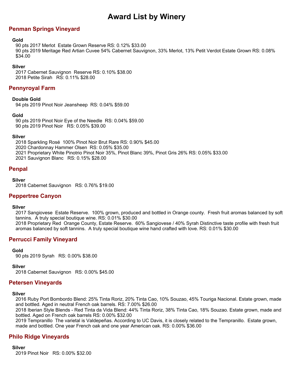# **Penman Springs Vineyard**

### **Gold**

90 pts 2017 Merlot Estate Grown Reserve RS: 0.12% \$33.00 90 pts 2019 Meritage Red Artian Cuvee 54% Cabernet Sauvignon, 33% Merlot, 13% Petit Verdot Estate Grown RS: 0.08% \$34.00

### **Silver**

2017 Cabernet Sauvignon Reserve RS: 0.10% \$38.00 2018 Petite Sirah RS: 0.11% \$28.00

## **Pennyroyal Farm**

### **Double Gold**

94 pts 2019 Pinot Noir Jeansheep RS: 0.04% \$59.00

### **Gold**

90 pts 2019 Pinot Noir Eye of the Needle RS: 0.04% \$59.00 90 pts 2019 Pinot Noir RS: 0.05% \$39.00

### **Silver**

2018 Sparkling Rosé 100% Pinot Noir Brut Rare RS: 0.90% \$45.00 2020 Chardonnay Hammer Olsen RS: 0.05% \$35.00 2021 Proprietary White Pinotrio Pinot Noir 35%, Pinot Blanc 39%, Pinot Gris 26% RS: 0.05% \$33.00 2021 Sauvignon Blanc RS: 0.15% \$28.00

## **Penpal**

#### **Silver**

2018 Cabernet Sauvignon RS: 0.76% \$19.00

## **Peppertree Canyon**

### **Silver**

2017 Sangiovese Estate Reserve. 100% grown, produced and bottled in Orange county. Fresh fruit aromas balanced by soft tannins. A truly special boutique wine. RS: 0.01% \$30.00

2018 Proprietary Red Orange County, Estate Reserve. 60% Sangiovese / 40% Syrah Distinctive taste profile with fresh fruit aromas balanced by soft tannins. A truly special boutique wine hand crafted with love. RS: 0.01% \$30.00

## **Perrucci Family Vineyard**

### **Gold**

90 pts 2019 Syrah RS: 0.00% \$38.00

### **Silver**

2018 Cabernet Sauvignon RS: 0.00% \$45.00

## **Petersen Vineyards**

### **Silver**

2016 Ruby Port Bombordo Blend: 25% Tinta Roriz, 20% Tinta Cao, 10% Souzao, 45% Touriga Nacional. Estate grown, made and bottled. Aged in neutral French oak barrels. RS: 7.00% \$26.00

2018 Iberian Style Blends - Red Tinta da Vida Blend: 44% Tinta Roriz, 38% Tinta Cao, 18% Souzao. Estate grown, made and bottled. Aged on French oak barrels RS: 0.00% \$32.00

2019 Tempranillo The varietal is Valdepeñas. According to UC Davis, it is closely related to the Tempranillo. Estate grown, made and bottled. One year French oak and one year American oak. RS: 0.00% \$36.00

## **Philo Ridge Vineyards**

**Silver** 2019 Pinot Noir RS: 0.00% \$32.00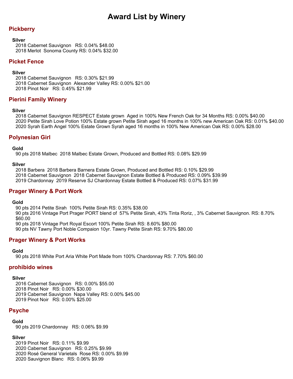# **Pickberry**

#### **Silver**

2018 Cabernet Sauvignon RS: 0.04% \$48.00 2018 Merlot Sonoma County RS: 0.04% \$32.00

## **Picket Fence**

### **Silver**

2018 Cabernet Sauvignon RS: 0.30% \$21.99 2018 Cabernet Sauvignon Alexander Valley RS: 0.00% \$21.00 2018 Pinot Noir RS: 0.45% \$21.99

## **Pierini Family Winery**

### **Silver**

2018 Cabernet Sauvignon RESPECT Estate grown Aged in 100% New French Oak for 34 Months RS: 0.00% \$40.00 2020 Petite Sirah Love Potion 100% Estate grown Petite Sirah aged 16 months in 100% new American Oak RS: 0.01% \$40.00 2020 Syrah Earth Angel 100% Estate Grown Syrah aged 16 months in 100% New American Oak RS: 0.00% \$28.00

## **Polynesian Girl**

### **Gold**

90 pts 2018 Malbec 2018 Malbec Estate Grown, Produced and Bottled RS: 0.08% \$29.99

### **Silver**

2018 Barbera 2018 Barbera Barnera Estate Grown, Produced and Bottled RS: 0.10% \$29.99 2018 Cabernet Sauvignon 2018 Cabernet Sauvignon Estate Bottled & Produced RS: 0.09% \$39.99 2019 Chardonnay 2019 Reserve SJ Chardonnay Estate Bottled & Produced RS: 0.07% \$31.99

## **Prager Winery & Port Work**

### **Gold**

90 pts 2014 Petite Sirah 100% Petite Sirah RS: 0.35% \$38.00 90 pts 2016 Vintage Port Prager PORT blend of 57% Petite Sirah, 43% Tinta Roriz, , 3% Cabernet Sauvignon. RS: 8.70% \$60.00 90 pts 2018 Vintage Port Royal Escort 100% Petite Sirah RS: 8.60% \$80.00 90 pts NV Tawny Port Noble Compaion 10yr. Tawny Petite Sirah RS: 9.70% \$80.00

## **Prager Winery & Port Works**

### **Gold**

90 pts 2018 White Port Aria White Port Made from 100% Chardonnay RS: 7.70% \$60.00

## **prohibido wines**

### **Silver**

2016 Cabernet Sauvignon RS: 0.00% \$55.00 2018 Pinot Noir RS: 0.00% \$30.00 2019 Cabernet Sauvignon Napa Valley RS: 0.00% \$45.00 2019 Pinot Noir RS: 0.00% \$25.00

## **Psyche**

### **Gold**

90 pts 2019 Chardonnay RS: 0.06% \$9.99

### **Silver**

2019 Pinot Noir RS: 0.11% \$9.99 2020 Cabernet Sauvignon RS: 0.25% \$9.99 2020 Rosé General Varietals Rose RS: 0.00% \$9.99 2020 Sauvignon Blanc RS: 0.06% \$9.99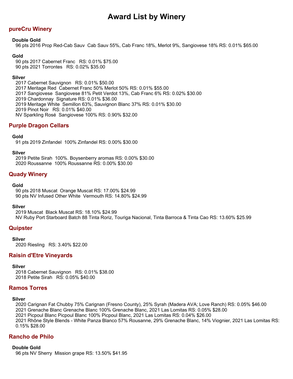# **pureCru Winery**

## **Double Gold**

96 pts 2016 Prop Red-Cab Sauv Cab Sauv 55%, Cab Franc 18%, Merlot 9%, Sangiovese 18% RS: 0.01% \$65.00

## **Gold**

90 pts 2017 Cabernet Franc RS: 0.01% \$75.00 90 pts 2021 Torrontes RS: 0.02% \$35.00

### **Silver**

2017 Cabernet Sauvignon RS: 0.01% \$50.00 2017 Meritage Red Cabernet Franc 50% Merlot 50% RS: 0.01% \$55.00 2017 Sangiovese Sangiovese 81% Petit Verdot 13%, Cab Franc 6% RS: 0.02% \$30.00 2019 Chardonnay Signature RS: 0.01% \$36.00 2019 Meritage White Semillon 63%, Sauvignon Blanc 37% RS: 0.01% \$30.00 2019 Pinot Noir RS: 0.01% \$40.00 NV Sparkling Rosé Sangiovese 100% RS: 0.90% \$32.00

## **Purple Dragon Cellars**

## **Gold**

91 pts 2019 Zinfandel 100% Zinfandel RS: 0.00% \$30.00

### **Silver**

2019 Petite Sirah 100%. Boysenberry aromas RS: 0.00% \$30.00 2020 Roussanne 100% Roussanne RS: 0.00% \$30.00

## **Quady Winery**

### **Gold**

90 pts 2018 Muscat Orange Muscat RS: 17.00% \$24.99 90 pts NV Infused Other White Vermouth RS: 14.80% \$24.99

### **Silver**

2019 Muscat Black Muscat RS: 18.10% \$24.99 NV Ruby Port Starboard Batch 88 Tinta Roriz, Touriga Nacional, Tinta Barroca & Tinta Cao RS: 13.60% \$25.99

## **Quipster**

**Silver**

2020 Riesling RS: 3.40% \$22.00

## **Raisin d'Etre Vineyards**

## **Silver**

2018 Cabernet Sauvignon RS: 0.01% \$38.00 2018 Petite Sirah RS: 0.05% \$40.00

# **Ramos Torres**

## **Silver**

2020 Carignan Fat Chubby 75% Carignan (Fresno County), 25% Syrah (Madera AVA; Love Ranch) RS: 0.05% \$46.00 2021 Grenache Blanc Grenache Blanc 100% Grenache Blanc, 2021 Las Lomitas RS: 0.05% \$28.00 2021 Picpoul Blanc Picpoul Blanc 100% Picpoul Blanc, 2021 Las Lomitas RS: 0.04% \$26.00 2021 Rhône Style Blends - White Panza Blanco 57% Rousanne, 29% Grenache Blanc, 14% Viognier, 2021 Las Lomitas RS: 0.15% \$28.00

## **Rancho de Philo**

## **Double Gold**

96 pts NV Sherry Mission grape RS: 13.50% \$41.95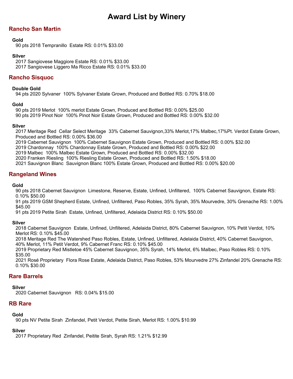# **Rancho San Martin**

## **Gold**

90 pts 2018 Tempranillo Estate RS: 0.01% \$33.00

## **Silver**

2017 Sangiovese Maggiore Estate RS: 0.01% \$33.00 2017 Sangiovese Liggero Ma Ricco Estate RS: 0.01% \$33.00

# **Rancho Sisquoc**

## **Double Gold**

94 pts 2020 Sylvaner 100% Sylvaner Estate Grown, Produced and Bottled RS: 0.70% \$18.00

## **Gold**

90 pts 2019 Merlot 100% merlot Estate Grown, Produced and Bottled RS: 0.00% \$25.00 90 pts 2019 Pinot Noir 100% Pinot Noir Estate Grown, Produced and Bottled RS: 0.00% \$32.00

## **Silver**

2017 Meritage Red Cellar Select Meritage 33% Cabernet Sauvignon,33% Merlot,17% Malbec,17%Pt. Verdot Estate Grown, Produced and Bottled RS: 0.00% \$36.00

2019 Cabernet Sauvignon 100% Cabernet Sauvignon Estate Grown, Produced and Bottled RS: 0.00% \$32.00

2019 Chardonnay 100% Chardonnay Estate Grown, Produced and Bottled RS: 0.00% \$22.00

2019 Malbec 100% Malbec Estate Grown, Produced and Bottled RS: 0.00% \$32.00

2020 Franken Riesling 100% Riesling Estate Grown, Produced and Bottled RS: 1.50% \$18.00

2021 Sauvignon Blanc Sauvignon Blanc 100% Estate Grown, Produced and Bottled RS: 0.00% \$20.00

## **Rangeland Wines**

## **Gold**

90 pts 2018 Cabernet Sauvignon Limestone, Reserve, Estate, Unfined, Unfiltered, 100% Cabernet Sauvignon, Estate RS: 0.10% \$50.00

91 pts 2019 GSM Shepherd Estate, Unfined, Unfiltered, Paso Robles, 35% Syrah, 35% Mourvedre, 30% Grenache RS: 1.00% \$45.00

91 pts 2019 Petite Sirah Estate, Unfined, Unfiltered, Adelaida District RS: 0.10% \$50.00

## **Silver**

2018 Cabernet Sauvignon Estate, Unfined, Unfiltered, Adelaida District, 80% Cabernet Sauvignon, 10% Petit Verdot, 10% Merlot RS: 0.10% \$45.00

2018 Meritage Red The Watershed Paso Robles, Estate, Unfined, Unfiltered, Adelaida District, 40% Cabernet Sauvignon, 40% Merlot, 11% Petit Verdot, 9% Cabernet Franc RS: 0.10% \$45.00

2019 Proprietary Red Mistletoe 45% Cabernet Sauvignon, 35% Syrah, 14% Merlot, 6% Malbec, Paso Robles RS: 0.10% \$35.00

2021 Rosé Proprietary Flora Rose Estate, Adelaida District, Paso Robles, 53% Mourvedre 27% Zinfandel 20% Grenache RS: 0.10% \$30.00

## **Rare Barrels**

## **Silver**

2020 Cabernet Sauvignon RS: 0.04% \$15.00

## **RB Rare**

## **Gold**

90 pts NV Petite Sirah Zinfandel, Petit Verdot, Petite Sirah, Merlot RS: 1.00% \$10.99

## **Silver**

2017 Proprietary Red Zinfandel, Peitite Sirah, Syrah RS: 1.21% \$12.99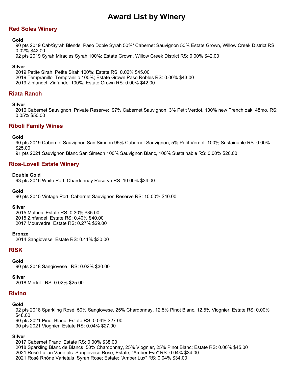# **Red Soles Winery**

## **Gold**

90 pts 2019 Cab/Syrah Blends Paso Doble Syrah 50%/ Cabernet Sauvignon 50% Estate Grown, Willow Creek District RS: 0.02% \$42.00

92 pts 2019 Syrah Miracles Syrah 100%; Estate Grown, Willow Creek District RS: 0.00% \$42.00

## **Silver**

2019 Petite Sirah Petite Sirah 100%; Estate RS: 0.02% \$45.00 2019 Tempranillo Tempranillo 100%; Estate Grown Paso Robles RS: 0.00% \$43.00 2019 Zinfandel Zinfandel 100%; Estate Grown RS: 0.00% \$42.00

# **Riata Ranch**

## **Silver**

2016 Cabernet Sauvignon Private Reserve: 97% Cabernet Sauvignon, 3% Petit Verdot, 100% new French oak, 48mo. RS: 0.05% \$50.00

## **Riboli Family Wines**

## **Gold**

90 pts 2019 Cabernet Sauvignon San Simeon 95% Cabernet Sauvignon, 5% Petit Verdot 100% Sustainable RS: 0.00% \$25.00

91 pts 2021 Sauvignon Blanc San Simeon 100% Sauvignon Blanc, 100% Sustainable RS: 0.00% \$20.00

## **Rios-Lovell Estate Winery**

## **Double Gold**

93 pts 2016 White Port Chardonnay Reserve RS: 10.00% \$34.00

## **Gold**

90 pts 2015 Vintage Port Cabernet Sauvignon Reserve RS: 10.00% \$40.00

### **Silver**

2015 Malbec Estate RS: 0.30% \$35.00 2015 Zinfandel Estate RS: 0.40% \$40.00 2017 Mourvedre Estate RS: 0.27% \$29.00

### **Bronze**

2014 Sangiovese Estate RS: 0.41% \$30.00

# **RISK**

## **Gold**

90 pts 2018 Sangiovese RS: 0.02% \$30.00

## **Silver**

2018 Merlot RS: 0.02% \$25.00

## **Rivino**

## **Gold**

92 pts 2018 Sparkling Rosé 50% Sangiovese, 25% Chardonnay, 12.5% Pinot Blanc, 12.5% Viognier; Estate RS: 0.00% \$48.00 90 pts 2021 Pinot Blanc Estate RS: 0.04% \$27.00 90 pts 2021 Viognier Estate RS: 0.04% \$27.00

## **Silver**

2017 Cabernet Franc Estate RS: 0.00% \$38.00

2018 Sparkling Blanc de Blancs 50% Chardonnay, 25% Viognier, 25% Pinot Blanc; Estate RS: 0.00% \$45.00

- 2021 Rosé Italian Varietals Sangiovese Rose; Estate; "Amber Eve" RS: 0.04% \$34.00
- 2021 Rosé Rhône Varietals Syrah Rose; Estate; "Amber Lux" RS: 0.04% \$34.00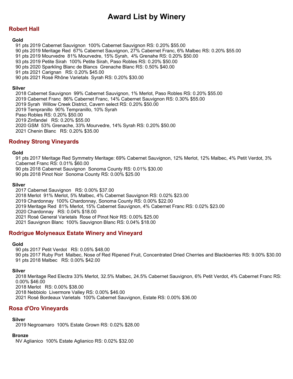# **Robert Hall**

### **Gold**

91 pts 2019 Cabernet Sauvignon 100% Cabernet Sauvignon RS: 0.20% \$55.00

- 90 pts 2019 Meritage Red 67% Cabernet Sauvignon, 27% Cabernet Franc, 6% Malbec RS: 0.20% \$55.00
- 91 pts 2019 Mourvedre 81% Mourvedre, 15% Syrah, 4% Grenahe RS: 0.20% \$50.00
- 93 pts 2019 Petite Sirah 100% Petite Sirah, Paso Robles RS: 0.20% \$50.00
- 90 pts 2020 Sparkling Blanc de Blancs Grenache Blanc RS: 0.50% \$40.00
- 91 pts 2021 Carignan RS: 0.20% \$45.00
- 90 pts 2021 Rosé Rhône Varietals Syrah RS: 0.20% \$30.00

## **Silver**

2018 Cabernet Sauvignon 99% Cabernet Sauvignon, 1% Merlot, Paso Robles RS: 0.20% \$55.00 2019 Cabernet Franc 86% Cabernet Franc, 14% Cabernet Sauvignon RS: 0.30% \$55.00 2019 Syrah Willow Creek District, Cavern select RS: 0.20% \$50.00 2019 Tempranillo 90% Tempranillo, 10% Syrah Paso Robles RS: 0.20% \$50.00 2019 Zinfandel RS: 0.20% \$55.00 2020 GSM 53% Grenache, 33% Mourvedre, 14% Syrah RS: 0.20% \$50.00 2021 Chenin Blanc RS: 0.20% \$35.00

# **Rodney Strong Vineyards**

## **Gold**

91 pts 2017 Meritage Red Symmetry Meritage: 69% Cabernet Sauvignon, 12% Merlot, 12% Malbec, 4% Petit Verdot, 3% Cabernet Franc RS: 0.01% \$60.00

90 pts 2018 Cabernet Sauvignon Sonoma County RS: 0.01% \$30.00

90 pts 2018 Pinot Noir Sonoma County RS: 0.00% \$25.00

## **Silver**

2017 Cabernet Sauvignon RS: 0.00% \$37.00 2018 Merlot 91% Merlot, 5% Malbec, 4% Cabernet Sauvignon RS: 0.02% \$23.00 2019 Chardonnay 100% Chardonnay, Sonoma County RS: 0.00% \$22.00 2019 Meritage Red 81% Merlot, 15% Cabernet Sauvignon, 4% Cabernet Franc RS: 0.02% \$23.00 2020 Chardonnay RS: 0.04% \$18.00 2021 Rosé General Varietals Rose of Pinot Noir RS: 0.00% \$25.00 2021 Sauvignon Blanc 100% Sauvignon Blanc RS: 0.04% \$18.00

## **Rodrigue Molyneaux Estate Winery and Vineyard**

### **Gold**

90 pts 2017 Petit Verdot RS: 0.05% \$48.00 90 pts 2017 Ruby Port Malbec, Nose of Red Ripened Fruit, Concentrated Dried Cherries and Blackberries RS: 9.00% \$30.00 91 pts 2018 Malbec RS: 0.00% \$42.00

## **Silver**

2018 Meritage Red Electra 33% Merlot, 32.5% Malbec, 24.5% Cabernet Sauvignon, 6% Petit Verdot, 4% Cabernet Franc RS: 0.00% \$46.00 2018 Merlot RS: 0.00% \$38.00 2018 Nebbiolo Livermore Valley RS: 0.00% \$46.00 2021 Rosé Bordeaux Varietals 100% Cabernet Sauvignon, Estate RS: 0.00% \$36.00

## **Rosa d'Oro Vineyards**

## **Silver**

2019 Negroamaro 100% Estate Grown RS: 0.02% \$28.00

### **Bronze**

NV Aglianico 100% Estate Aglianico RS: 0.02% \$32.00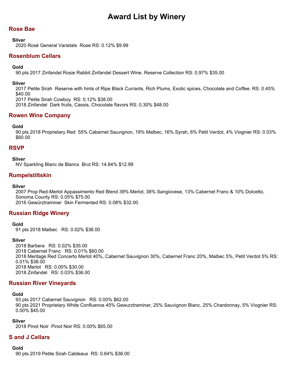# **Rose Bae**

### **Silver**

2020 Rosé General Varietals Rose RS: 0.12% \$9.99

# **Rosenblum Cellars**

## **Gold**

90 pts 2017 Zinfandel Rosie Rabbit Zinfandel Dessert Wine, Reserve Collection RS: 0.97% \$35.00

### **Silver**

2017 Petite Sirah Reserve with hints of Ripe Black Currants, Rich Plums, Exotic spices, Chocolate and Coffee. RS: 0.45% \$40.00 2017 Petite Sirah Cowboy RS: 0.12% \$38.00

2018 Zinfandel Dark fruits, Cassis, Chocolate flavors RS: 0.30% \$48.00

## **Rowen Wine Company**

## **Gold**

90 pts 2018 Proprietary Red 55% Cabernet Sauvignon, 19% Malbec, 16% Syrah, 6% Petit Verdot, 4% Viognier RS: 0.03% \$60.00

## **RSVP**

### **Silver**

NV Sparkling Blanc de Blancs Brut RS: 14.84% \$12.99

## **Rumpelstiltskin**

## **Silver**

2007 Prop Red-Merlot Appassimento Red Blend 39% Merlot, 38% Sangiovese, 13% Cabernet Franc & 10% Dolcetto, Sonoma County RS: 0.05% \$75.00 2016 Gewürztraminer Skin Fermented RS: 0.08% \$32.00

## **Russian Ridge Winery**

### **Gold**

91 pts 2018 Malbec RS: 0.02% \$36.00

### **Silver**

2018 Barbera RS: 0.02% \$35.00 2018 Cabernet Franc RS: 0.01% \$60.00 2018 Meritage Red Concerto Merlot 40%, Cabernet Sauvignon 30%, Cabernet Franc 20%, Malbec 5%, Petit Verdot 5% RS: 0.01% \$38.00 2018 Merlot RS: 0.00% \$30.00 2018 Zinfandel RS: 0.03% \$36.00

## **Russian River Vineyards**

## **Gold**

93 pts 2017 Cabernet Sauvignon RS: 0.00% \$62.00 90 pts 2021 Proprietary White Confluence 45% Gewurztraminer, 25% Sauvignon Blanc, 25% Chardonnay, 5% Viognier RS: 0.00% \$45.00

### **Silver**

2018 Pinot Noir Pinot Noir RS: 0.00% \$65.00

## **S and J Cellars**

### **Gold**

90 pts 2019 Petite Sirah Caldeaux RS: 0.64% \$36.00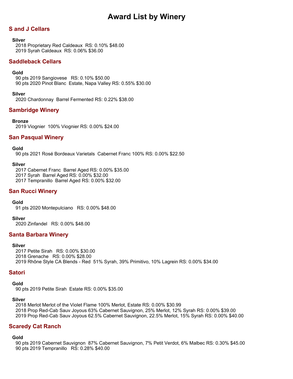# **S and J Cellars**

## **Silver**

2018 Proprietary Red Caldeaux RS: 0.10% \$48.00 2019 Syrah Caldeaux RS: 0.06% \$36.00

# **Saddleback Cellars**

## **Gold**

90 pts 2019 Sangiovese RS: 0.10% \$50.00 90 pts 2020 Pinot Blanc Estate, Napa Valley RS: 0.55% \$30.00

## **Silver**

2020 Chardonnay Barrel Fermented RS: 0.22% \$38.00

# **Sambridge Winery**

## **Bronze**

2019 Viognier 100% Viognier RS: 0.00% \$24.00

## **San Pasqual Winery**

## **Gold**

90 pts 2021 Rosé Bordeaux Varietals Cabernet Franc 100% RS: 0.00% \$22.50

## **Silver**

2017 Cabernet Franc Barrel Aged RS: 0.00% \$35.00 2017 Syrah Barrel Aged RS: 0.00% \$32.00 2017 Tempranillo Barrel Aged RS: 0.00% \$32.00

## **San Rucci Winery**

### **Gold**

91 pts 2020 Montepulciano RS: 0.00% \$48.00

### **Silver**

2020 Zinfandel RS: 0.00% \$48.00

## **Santa Barbara Winery**

### **Silver**

2017 Petite Sirah RS: 0.00% \$30.00 2018 Grenache RS: 0.00% \$28.00 2019 Rhône Style CA Blends - Red 51% Syrah, 39% Primitivo, 10% Lagrein RS: 0.00% \$34.00

## **Satori**

**Gold**

90 pts 2019 Petite Sirah Estate RS: 0.00% \$35.00

## **Silver**

2018 Merlot Merlot of the Violet Flame 100% Merlot, Estate RS: 0.00% \$30.99 2018 Prop Red-Cab Sauv Joyous 63% Cabernet Sauvignon, 25% Merlot, 12% Syrah RS: 0.00% \$39.00 2019 Prop Red-Cab Sauv Joyous 62.5% Cabernet Sauvignon, 22.5% Merlot, 15% Syrah RS: 0.00% \$40.00

## **Scaredy Cat Ranch**

### **Gold**

90 pts 2019 Cabernet Sauvignon 87% Cabernet Sauvignon, 7% Petit Verdot, 6% Malbec RS: 0.30% \$45.00 90 pts 2019 Tempranillo RS: 0.28% \$40.00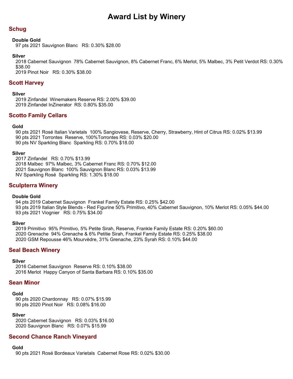# **Schug**

## **Double Gold**

97 pts 2021 Sauvignon Blanc RS: 0.30% \$28.00

## **Silver**

2018 Cabernet Sauvignon 78% Cabernet Sauvignon, 8% Cabernet Franc, 6% Merlot, 5% Malbec, 3% Petit Verdot RS: 0.30% \$38.00

2019 Pinot Noir RS: 0.30% \$38.00

## **Scott Harvey**

## **Silver**

2019 Zinfandel Winemakers Reserve RS: 2.00% \$39.00 2019 Zinfandel InZinerator RS: 0.80% \$35.00

## **Scotto Family Cellars**

## **Gold**

90 pts 2021 Rosé Italian Varietals 100% Sangiovese, Reserve, Cherry, Strawberry, Hint of Citrus RS: 0.02% \$13.99 90 pts 2021 Torrontes Reserve, 100%Torrontes RS: 0.03% \$20.00 90 pts NV Sparkling Blanc Sparkling RS: 0.70% \$18.00

### **Silver**

2017 Zinfandel RS: 0.70% \$13.99 2018 Malbec 97% Malbec, 3% Cabernet Franc RS: 0.70% \$12.00 2021 Sauvignon Blanc 100% Sauvignon Blanc RS: 0.03% \$13.99 NV Sparkling Rosé Sparkling RS: 1.30% \$18.00

## **Sculpterra Winery**

### **Double Gold**

94 pts 2019 Cabernet Sauvignon Frankel Family Estate RS: 0.25% \$42.00 93 pts 2019 Italian Style Blends - Red Figurine 50% Primitivo, 40% Cabernet Sauvignon, 10% Merlot RS: 0.05% \$44.00 93 pts 2021 Viognier RS: 0.75% \$34.00

### **Silver**

2019 Primitivo 95% Primitivo, 5% Petite Sirah, Reserve, Frankle Family Estate RS: 0.20% \$60.00 2020 Grenache 94% Grenache & 6% Petitie Sirah, Frankel Family Estate RS: 0.25% \$38.00 2020 GSM Repousse 46% Mourvèdre, 31% Grenache, 23% Syrah RS: 0.10% \$44.00

# **Seal Beach Winery**

### **Silver**

2016 Cabernet Sauvignon Reserve RS: 0.10% \$38.00 2016 Merlot Happy Canyon of Santa Barbara RS: 0.10% \$35.00

## **Sean Minor**

### **Gold**

90 pts 2020 Chardonnay RS: 0.07% \$15.99 90 pts 2020 Pinot Noir RS: 0.08% \$16.00

### **Silver**

2020 Cabernet Sauvignon RS: 0.03% \$16.00 2020 Sauvignon Blanc RS: 0.07% \$15.99

## **Second Chance Ranch Vineyard**

## **Gold**

90 pts 2021 Rosé Bordeaux Varietals Cabernet Rose RS: 0.02% \$30.00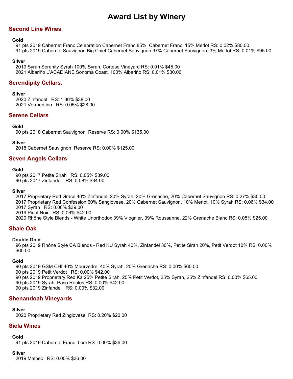# **Second Line Wines**

## **Gold**

91 pts 2019 Cabernet Franc Celebration Cabernet Franc 85% Cabernet Franc, 15% Merlot RS: 0.02% \$80.00 91 pts 2019 Cabernet Sauvignon Big Chief Cabernet Sauvignon 97% Cabernet Sauvignon, 3% Merlot RS: 0.01% \$95.00

## **Silver**

2019 Syrah Serenity Syrah 100% Syrah, Cortese Vineyard RS: 0.01% \$45.00 2021 Albariño L'ACADIANE Sonoma Coast, 100% Albariño RS: 0.01% \$30.00

# **Serendipity Cellars.**

## **Silver**

2020 Zinfandel RS: 1.30% \$38.00 2021 Vermentino RS: 0.05% \$28.00

## **Serene Cellars**

## **Gold**

90 pts 2018 Cabernet Sauvignon Reserve RS: 0.00% \$135.00

## **Silver**

2018 Cabernet Sauvignon Reserve RS: 0.00% \$125.00

## **Seven Angels Cellars**

### **Gold**

90 pts 2017 Petite Sirah RS: 0.05% \$39.00 90 pts 2017 Zinfandel RS: 0.08% \$34.00

### **Silver**

2017 Proprietary Red Grace 40% Zinfandel, 20% Syrah, 20% Grenache, 20% Cabernet Sauvignon RS: 0.27% \$35.00 2017 Proprietary Red Confession 60% Sangiovese, 20% Cabernet Sauvignon, 10% Merlot, 10% Syrah RS: 0.06% \$34.00 2017 Syrah RS: 0.06% \$39.00 2019 Pinot Noir RS: 0.06% \$42.00 2020 Rhône Style Blends - White Unorthodox 39% Viognier, 39% Roussanne, 22% Grenache Blanc RS: 0.05% \$25.00

## **Shale Oak**

### **Double Gold**

96 pts 2019 Rhône Style CA Blends - Red KU Syrah 40%, Zinfandel 30%, Petite Sirah 20%, Petit Verdot 10% RS: 0.00% \$65.00

### **Gold**

90 pts 2019 GSM CHI 40% Mourvedre, 40% Syrah. 20% Grenache RS: 0.00% \$65.00 90 pts 2019 Petit Verdot RS: 0.00% \$42.00 90 pts 2019 Proprietary Red Ka 25% Petite Sirah, 25% Petit Verdot, 25% Syrah, 25% Zinfandel RS: 0.00% \$65.00 90 pts 2019 Syrah Paso Robles RS: 0.00% \$42.00 90 pts 2019 Zinfandel RS: 0.00% \$32.00

## **Shenandoah Vineyards**

### **Silver**

2020 Proprietary Red Zingiovese RS: 0.20% \$20.00

# **Siela Wines**

### **Gold**

91 pts 2019 Cabernet Franc Lodi RS: 0.00% \$36.00

### **Silver**

2019 Malbec RS: 0.00% \$36.00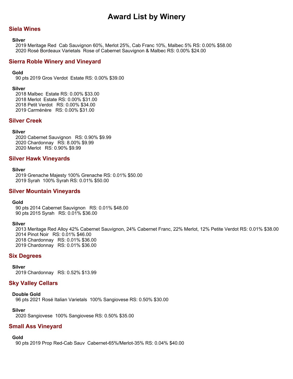## **Siela Wines**

#### **Silver**

2019 Meritage Red Cab Sauvignon 60%, Merlot 25%, Cab Franc 10%, Malbec 5% RS: 0.00% \$58.00 2020 Rosé Bordeaux Varietals Rose of Cabernet Sauvignon & Malbec RS: 0.00% \$24.00

### **Sierra Roble Winery and Vineyard**

#### **Gold**

90 pts 2019 Gros Verdot Estate RS: 0.00% \$39.00

#### **Silver**

2018 Malbec Estate RS: 0.00% \$33.00 2018 Merlot Estate RS: 0.00% \$31.00 2018 Petit Verdot RS: 0.00% \$34.00 2019 Carménère RS: 0.00% \$31.00

## **Silver Creek**

#### **Silver**

2020 Cabernet Sauvignon RS: 0.90% \$9.99 2020 Chardonnay RS: 8.00% \$9.99 2020 Merlot RS: 0.90% \$9.99

#### **Silver Hawk Vineyards**

#### **Silver**

2019 Grenache Majesty 100% Grenache RS: 0.01% \$50.00 2019 Syrah 100% Syrah RS: 0.01% \$50.00

### **Silver Mountain Vineyards**

#### **Gold**

90 pts 2014 Cabernet Sauvignon RS: 0.01% \$48.00 90 pts 2015 Syrah RS: 0.01% \$36.00

#### **Silver**

2013 Meritage Red Alloy 42% Cabernet Sauvignon, 24% Cabernet Franc, 22% Merlot, 12% Petite Verdot RS: 0.01% \$38.00 2014 Pinot Noir RS: 0.01% \$46.00 2018 Chardonnay RS: 0.01% \$36.00 2019 Chardonnay RS: 0.01% \$36.00

#### **Six Degrees**

#### **Silver**

2019 Chardonnay RS: 0.52% \$13.99

## **Sky Valley Cellars**

#### **Double Gold**

96 pts 2021 Rosé Italian Varietals 100% Sangiovese RS: 0.50% \$30.00

#### **Silver**

2020 Sangiovese 100% Sangiovese RS: 0.50% \$35.00

## **Small Ass Vineyard**

#### **Gold**

90 pts 2019 Prop Red-Cab Sauv Cabernet-65%/Merlot-35% RS: 0.04% \$40.00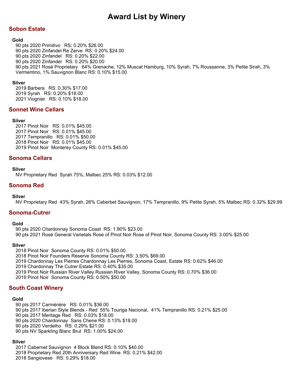# **Sobon Estate**

### **Gold**

90 pts 2020 Primitivo RS: 0.20% \$26.00 90 pts 2020 Zinfandel Re Zerve RS: 0.20% \$24.00 90 pts 2020 Zinfandel RS: 0.20% \$22.00 90 pts 2020 Zinfandel RS: 0.20% \$20.00 90 pts 2021 Rosé Proprietary 64% Grenache, 12% Muscat Hamburg, 10% Syrah, 7% Roussanne, 3% Petite Sirah, 3% Vermentino, 1% Sauvignon Blanc RS: 0.10% \$15.00

## **Silver**

2019 Barbera RS: 0.30% \$17.00 2019 Syrah RS: 0.20% \$18.00 2021 Viognier RS: 0.10% \$18.00

## **Sonnet Wine Cellars**

### **Silver**

2017 Pinot Noir RS: 0.01% \$45.00 2017 Pinot Noir RS: 0.01% \$45.00 2017 Tempranillo RS: 0.01% \$50.00 2018 Pinot Noir RS: 0.01% \$45.00 2019 Pinot Noir Monterey County RS: 0.01% \$45.00

## **Sonoma Cellars**

### **Silver**

NV Proprietary Red Syrah 75%, Malbec 25% RS: 0.03% \$12.00

## **Sonoma Red**

### **Silver**

NV Proprietary Red 43% Syrah, 26% Caberbet Sauvignon, 17% Tempranillo, 9% Petite Syrah, 5% Malbec RS: 0.32% \$29.99

## **Sonoma-Cutrer**

### **Gold**

90 pts 2020 Chardonnay Sonoma Coast RS: 1.90% \$23.00 90 pts 2021 Rosé General Varietals Rose of Pinot Noir Rose of Pinot Noir, Sonoma County RS: 3.00% \$25.00

### **Silver**

2018 Pinot Noir Sonoma County RS: 0.01% \$50.00 2018 Pinot Noir Founders Reserve Sonoma County RS: 3.50% \$69.00 2019 Chardonnay Les Pierres Chardonnay Les Pierres, Sonoma Coast, Estate RS: 0.62% \$46.00 2019 Chardonnay The Cutrer Estate RS: 0.40% \$35.00 2019 Pinot Noir Russian River Valley Russian River Valley, Sonoma County RS: 0.70% \$36.00

2019 Pinot Noir Sonoma County RS: 0.50% \$50.00

## **South Coast Winery**

### **Gold**

90 pts 2017 Carménère RS: 0.01% \$36.00

90 pts 2017 Iberian Style Blends - Red 55% Touriga Nacional, 41% Tempranillo RS: 0.21% \$25.00

- 90 pts 2017 Meritage Red RS: 0.03% \$18.00
- 90 pts 2020 Chardonnay Sans Chene RS: 0.13% \$18.00
- 90 pts 2020 Verdelho RS: 0.29% \$21.00
- 90 pts NV Sparkling Blanc Brut RS: 1.00% \$24.00

### **Silver**

2017 Cabernet Sauvignon 4 Block Blend RS: 0.10% \$40.00

- 2018 Proprietary Red 20th Anniversary Red Wine RS: 0.21% \$42.00
- 2018 Sangiovese RS: 0.29% \$18.00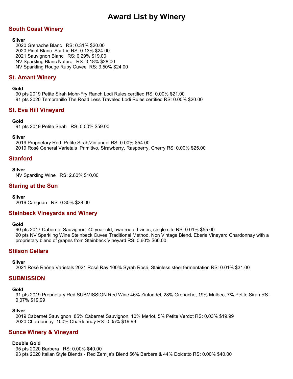# **South Coast Winery**

## **Silver**

2020 Grenache Blanc RS: 0.31% \$20.00 2020 Pinot Blanc Sur Lie RS: 0.13% \$24.00 2021 Sauvignon Blanc RS: 0.29% \$19.00 NV Sparkling Blanc Natural RS: 0.18% \$28.00 NV Sparkling Rouge Ruby Cuvee RS: 3.50% \$24.00

# **St. Amant Winery**

## **Gold**

90 pts 2019 Petite Sirah Mohr-Fry Ranch Lodi Rules certified RS: 0.00% \$21.00 91 pts 2020 Tempranillo The Road Less Traveled Lodi Rules certified RS: 0.00% \$20.00

## **St. Eva Hill Vineyard**

## **Gold**

91 pts 2019 Petite Sirah RS: 0.00% \$59.00

## **Silver**

2019 Proprietary Red Petite Sirah/Zinfandel RS: 0.00% \$54.00 2019 Rosé General Varietals Primitivo, Strawberry, Raspberry, Cherry RS: 0.00% \$25.00

## **Stanford**

### **Silver**

NV Sparkling Wine RS: 2.80% \$10.00

## **Staring at the Sun**

### **Silver**

2019 Carignan RS: 0.30% \$28.00

## **Steinbeck Vineyards and Winery**

### **Gold**

90 pts 2017 Cabernet Sauvignon 40 year old, own rooted vines, single site RS: 0.01% \$55.00 90 pts NV Sparkling Wine Steinbeck Cuvee Traditional Method, Non Vintage Blend. Eberle Vineyard Chardonnay with a proprietary blend of grapes from Steinbeck Vineyard RS: 0.60% \$60.00

## **Stilson Cellars**

### **Silver**

2021 Rosé Rhône Varietals 2021 Rosé Ray 100% Syrah Rosé, Stainless steel fermentation RS: 0.01% \$31.00

## **SUBMISSION**

### **Gold**

91 pts 2019 Proprietary Red SUBMISSION Red Wine 46% Zinfandel, 28% Grenache, 19% Malbec, 7% Petite Sirah RS: 0.07% \$19.99

### **Silver**

2019 Cabernet Sauvignon 85% Cabernet Sauvignon, 10% Merlot, 5% Petite Verdot RS: 0.03% \$19.99 2020 Chardonnay 100% Chardonnay RS: 0.05% \$19.99

## **Sunce Winery & Vineyard**

### **Double Gold**

95 pts 2020 Barbera RS: 0.00% \$40.00 93 pts 2020 Italian Style Blends - Red Zemlja's Blend 56% Barbera & 44% Dolcetto RS: 0.00% \$40.00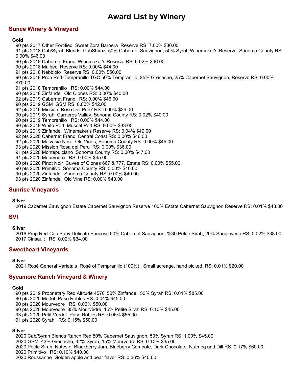# **Sunce Winery & Vineyard**

## **Gold**

90 pts 2017 Other Fortified Sweet Zora Barbera Reserve RS: 7.00% \$30.00 91 pts 2018 Cab/Syrah Blends CabShiraz, 50% Cabernet Sauvignon, 50% Syrah Winemaker's Reserve, Sonoma County RS: 0.00% \$46.00 90 pts 2018 Cabernet Franc Winemaker's Reserve RS: 0.02% \$46.00 90 pts 2018 Malbec Reserve RS: 0.00% \$44.00 91 pts 2018 Nebbiolo Reserve RS: 0.00% \$50.00 90 pts 2018 Prop Red-Tempranillo TGC 50% Tempranillo, 25% Grenache, 25% Cabernet Sauvignon, Reserve RS: 0.00% \$70.00 91 pts 2018 Tempranillo RS: 0.00% \$44.00 90 pts 2018 Zinfandel Old Clones RS: 0.00% \$40.00 92 pts 2019 Cabernet Franc RS: 0.00% \$46.00 90 pts 2019 GSM GSM RS: 0.00% \$42.00 92 pts 2019 Mission Rose Del Peru' RS: 0.00% \$36.00 90 pts 2019 Syrah Carneros Valley, Sonoma County RS: 0.02% \$40.00 90 pts 2019 Tempranillo RS: 0.00% \$44.00 90 pts 2019 White Port Muscat Port RS: 9.00% \$33.00 90 pts 2019 Zinfandel Winemaker's Reserve RS: 0.04% \$40.00 92 pts 2020 Cabernet Franc Central Coast RS: 0.00% \$46.00 92 pts 2020 Malvasia Nera Old Vines, Sonoma County RS: 0.00% \$45.00 93 pts 2020 Mission Rosa del Peru RS: 0.00% \$36.00 91 pts 2020 Montepulciano Sonoma County RS: 0.00% \$47.00 91 pts 2020 Mourvedre RS: 0.00% \$45.00 90 pts 2020 Pinot Noir Cuvee of Clones 667 & 777, Estate RS: 0.00% \$55.00 90 pts 2020 Primitivo Sonoma County RS: 0.00% \$40.00 90 pts 2020 Zinfandel Sonoma County RS: 0.00% \$40.00 93 pts 2020 Zinfandel Old Vine RS: 0.00% \$40.00

## **Sunrise Vineyards**

### **Silver**

2019 Cabernet Sauvignon Estate Cabernet Sauvignon Reserve 100% Estate Cabernet Sauvignon Reserve RS: 0.01% \$43.00

## **SVI**

### **Silver**

2016 Prop Red-Cab Sauv Delicate Princess 50% Cabernet Sauvignon, %30 Petite Sirah, 20% Sangiovese RS: 0.02% \$38.00 2017 Cinsault RS: 0.02% \$34.00

## **Sweetheart Vineyards**

**Silver**

2021 Rosé General Varietals Rosé of Tempranillo (100%). Small acreage, hand picked. RS: 0.01% \$20.00

## **Sycamore Ranch Vineyard & Winery**

## **Gold**

90 pts 2019 Proprietary Red Altitude 4576' 50% Zinfandel, 50% Syrah RS: 0.01% \$85.00 90 pts 2020 Merlot Paso Robles RS: 0.04% \$45.00 90 pts 2020 Mourvedre RS: 0.06% \$50.00 90 pts 2020 Mourvedre 85% Mourvèdre, 15% Petite Sirah RS: 0.10% \$45.00 93 pts 2020 Petit Verdot Paso Robles RS: 0.06% \$55.00 91 pts 2020 Syrah RS: 0.15% \$50.00

### **Silver**

2020 Cab/Syrah Blends Ranch Red 50% Cabernet Sauvignon, 50% Syrah RS: 1.00% \$45.00 2020 GSM 43% Grenache, 42% Syrah, 15% Mourvedre RS: 0.10% \$45.00 2020 Petite Sirah Notes of Blackberry Jam, Blueberry Compote, Dark Chocolate, Nutmeg and Dill RS: 0.17% \$60.00

2020 Primitivo RS: 0.10% \$40.00

2020 Roussanne Golden apple and pear flavor RS: 0.36% \$40.00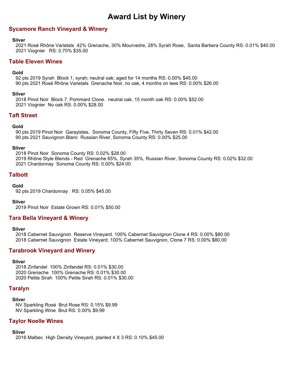## **Sycamore Ranch Vineyard & Winery**

#### **Silver**

2021 Rosé Rhône Varietals 42% Grenache, 30% Mourvedre, 28% Syrah Rose, Santa Barbera County RS: 0.01% \$40.00 2021 Viognier RS: 0.70% \$35.00

## **Table Eleven Wines**

#### **Gold**

92 pts 2019 Syrah Block 1, syrah; neutral oak; aged for 14 months RS: 0.00% \$45.00 90 pts 2021 Rosé Rhône Varietals Grenache Noir, no oak, 4 months on lees RS: 0.00% \$26.00

#### **Silver**

2018 Pinot Noir Block 7, Pommard Clone. neutral oak, 15 month oak RS: 0.00% \$52.00 2021 Viognier No oak RS: 0.00% \$28.00

## **Taft Street**

## **Gold**

90 pts 2019 Pinot Noir Garayistes, Sonoma County, Fifty Five, Thirty Seven RS: 0.01% \$42.00 90 pts 2021 Sauvignon Blanc Russian River, Sonoma County RS: 0.00% \$25.00

#### **Silver**

2018 Pinot Noir Sonoma County RS: 0.02% \$28.00 2019 Rhône Style Blends - Red Grenache 65%, Syrah 35%, Russian River, Sonoma County RS: 0.02% \$32.00 2021 Chardonnay Sonoma County RS: 0.00% \$24.00

## **Talbott**

## **Gold**

92 pts 2019 Chardonnay RS: 0.05% \$45.00

### **Silver**

2019 Pinot Noir Estate Grown RS: 0.01% \$50.00

## **Tara Bella Vineyard & Winery**

### **Silver**

2018 Cabernet Sauvignon Reserve Vineyard. 100% Cabernet Sauvignon Clone 4 RS: 0.00% \$80.00 2018 Cabernet Sauvignon Estate Vineyard. 100% Cabernet Sauvignon, Clone 7 RS: 0.00% \$80.00

## **Tarabrook Vineyard and Winery**

### **Silver**

2018 Zinfandel 100% Zinfandel RS: 0.01% \$30.00 2020 Grenache 100% Grenache RS: 0.01% \$30.00 2020 Petite Sirah 100% Petite Sirah RS: 0.01% \$30.00

## **Taralyn**

### **Silver**

NV Sparkling Rosé Brut Rose RS: 0.15% \$9.99 NV Sparkling Wine Brut RS: 0.00% \$9.99

## **Taylor Noelle Wines**

### **Silver**

2016 Malbec High Density Vineyard, planted 4 X 3 RS: 0.10% \$45.00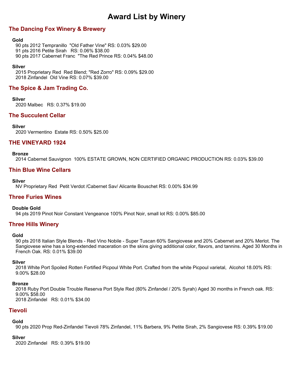# **The Dancing Fox Winery & Brewery**

#### **Gold**

90 pts 2012 Tempranillo "Old Father Vine" RS: 0.03% \$29.00 91 pts 2016 Petite Sirah RS: 0.06% \$38.00 90 pts 2017 Cabernet Franc "The Red Prince RS: 0.04% \$48.00

#### **Silver**

2015 Proprietary Red Red Blend; "Red Zorro" RS: 0.09% \$29.00 2018 Zinfandel Old Vine RS: 0.07% \$39.00

# **The Spice & Jam Trading Co.**

**Silver**

2020 Malbec RS: 0.37% \$19.00

## **The Succulent Cellar**

#### **Silver**

2020 Vermentino Estate RS: 0.50% \$25.00

## **THE VINEYARD 1924**

#### **Bronze**

2014 Cabernet Sauvignon 100% ESTATE GROWN, NON CERTIFIED ORGANIC PRODUCTION RS: 0.03% \$39.00

## **Thin Blue Wine Cellars**

#### **Silver**

NV Proprietary Red Petit Verdot /Cabernet Sav/ Alicante Bouschet RS: 0.00% \$34.99

## **Three Furies Wines**

### **Double Gold**

94 pts 2019 Pinot Noir Constant Vengeance 100% Pinot Noir, small lot RS: 0.00% \$85.00

## **Three Hills Winery**

#### **Gold**

90 pts 2018 Italian Style Blends - Red Vino Nobile - Super Tuscan 60% Sangiovese and 20% Cabernet and 20% Merlot. The Sangiovese wine has a long-extended maceration on the skins giving additional color, flavors, and tannins. Aged 30 Months in French Oak. RS: 0.01% \$39.00

### **Silver**

2018 White Port Spoiled Rotten Fortified Picpoul White Port. Crafted from the white Picpoul varietal, Alcohol 18.00% RS: 9.00% \$28.00

### **Bronze**

2018 Ruby Port Double Trouble Reserva Port Style Red (80% Zinfandel / 20% Syrah) Aged 30 months in French oak. RS: 9.00% \$58.00 2018 Zinfandel RS: 0.01% \$34.00

## **Tievoli**

### **Gold**

90 pts 2020 Prop Red-Zinfandel Tievoli 78% Zinfandel, 11% Barbera, 9% Petite Sirah, 2% Sangiovese RS: 0.39% \$19.00

#### **Silver**

2020 Zinfandel RS: 0.39% \$19.00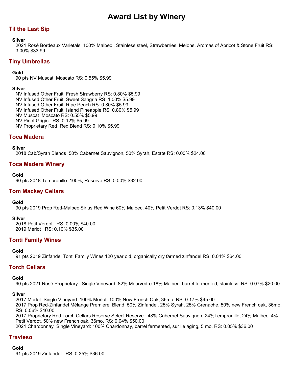# **Til the Last Sip**

## **Silver**

2021 Rosé Bordeaux Varietals 100% Malbec , Stainless steel, Strawberries, Melons, Aromas of Apricot & Stone Fruit RS: 3.00% \$33.99

## **Tiny Umbrellas**

## **Gold**

90 pts NV Muscat Moscato RS: 0.55% \$5.99

## **Silver**

NV Infused Other Fruit Fresh Strawberry RS: 0.80% \$5.99 NV Infused Other Fruit Sweet Sangria RS: 1.00% \$5.99 NV Infused Other Fruit Ripe Peach RS: 0.80% \$5.99 NV Infused Other Fruit Island Pineapple RS: 0.80% \$5.99 NV Muscat Moscato RS: 0.55% \$5.99 NV Pinot Grigio RS: 0.12% \$5.99 NV Proprietary Red Red Blend RS: 0.10% \$5.99

# **Toca Madera**

**Silver**

2018 Cab/Syrah Blends 50% Cabernet Sauvignon, 50% Syrah, Estate RS: 0.00% \$24.00

## **Toca Madera Winery**

**Gold**

90 pts 2018 Tempranillo 100%, Reserve RS: 0.00% \$32.00

## **Tom Mackey Cellars**

### **Gold**

90 pts 2019 Prop Red-Malbec Sirius Red Wine 60% Malbec, 40% Petit Verdot RS: 0.13% \$40.00

### **Silver**

2018 Petit Verdot RS: 0.00% \$40.00 2019 Merlot RS: 0.10% \$35.00

## **Tonti Family Wines**

### **Gold**

91 pts 2019 Zinfandel Tonti Family Wines 120 year old, organically dry farmed zinfandel RS: 0.04% \$64.00

## **Torch Cellars**

### **Gold**

90 pts 2021 Rosé Proprietary Single Vineyard: 82% Mourvedre 18% Malbec, barrel fermented, stainless. RS: 0.07% \$20.00

### **Silver**

2017 Merlot Single Vineyard: 100% Merlot, 100% New French Oak, 36mo. RS: 0.17% \$45.00

2017 Prop Red-Zinfandel Mélange Premiere Blend: 50% Zinfandel, 25% Syrah, 25% Grenache, 50% new French oak, 36mo. RS: 0.06% \$40.00

2017 Proprietary Red Torch Cellars Reserve Select Reserve : 48% Cabernet Sauvignon, 24%Tempranillo, 24% Malbec, 4% Petit Verdot, 50% new French oak, 36mo. RS: 0.04% \$50.00

2021 Chardonnay Single Vineyard: 100% Chardonnay, barrel fermented, sur lie aging, 5 mo. RS: 0.05% \$36.00

# **Travieso**

**Gold**

91 pts 2019 Zinfandel RS: 0.35% \$36.00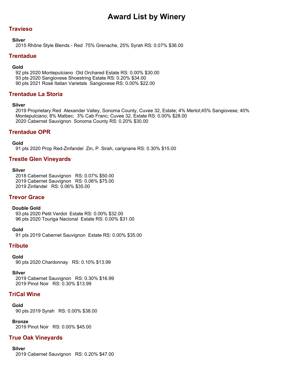# **Travieso**

## **Silver**

2015 Rhône Style Blends - Red 75% Grenache, 25% Syrah RS: 0.07% \$36.00

# **Trentadue**

## **Gold**

92 pts 2020 Montepulciano Old Orchared Estate RS: 0.00% \$30.00 93 pts 2020 Sangiovese Shoestring Estate RS: 0.20% \$34.00 90 pts 2021 Rosé Italian Varietals Sangiovese RS: 0.00% \$22.00

# **Trentadue La Storia**

## **Silver**

2019 Proprietary Red Alexander Valley, Sonoma County, Cuvee 32, Estate; 4% Merlot;45% Sangiovese; 40% Montepulciano; 8% Malbec; 3% Cab Franc; Cuvee 32, Estate RS: 0.00% \$28.00 2020 Cabernet Sauvignon Sonoma County RS: 0.20% \$30.00

# **Trentadue OPR**

**Gold**

91 pts 2020 Prop Red-Zinfandel Zin, P. Sirah, carignane RS: 0.30% \$15.00

# **Trestle Glen Vineyards**

### **Silver**

2018 Cabernet Sauvignon RS: 0.07% \$50.00 2019 Cabernet Sauvignon RS: 0.06% \$75.00 2019 Zinfandel RS: 0.06% \$35.00

## **Trevor Grace**

### **Double Gold**

93 pts 2020 Petit Verdot Estate RS: 0.00% \$32.00 96 pts 2020 Touriga Nacional Estate RS: 0.00% \$31.00

## **Gold**

91 pts 2019 Cabernet Sauvignon Estate RS: 0.00% \$35.00

# **Tribute**

### **Gold**

90 pts 2020 Chardonnay RS: 0.10% \$13.99

### **Silver**

2019 Cabernet Sauvignon RS: 0.30% \$16.99 2019 Pinot Noir RS: 0.30% \$13.99

# **TriCal Wine**

### **Gold**

90 pts 2019 Syrah RS: 0.00% \$38.00

**Bronze** 2019 Pinot Noir RS: 0.00% \$45.00

# **True Oak Vineyards**

## **Silver**

2019 Cabernet Sauvignon RS: 0.20% \$47.00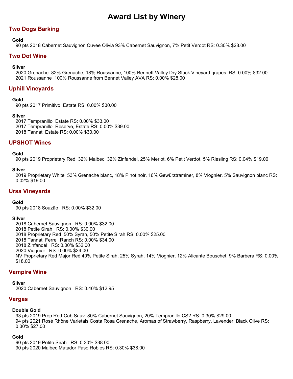# **Two Dogs Barking**

## **Gold**

90 pts 2018 Cabernet Sauvignon Cuvee Olivia 93% Cabernet Sauvignon, 7% Petit Verdot RS: 0.30% \$28.00

## **Two Dot Wine**

## **Silver**

2020 Grenache 82% Grenache, 18% Roussanne, 100% Bennett Valley Dry Stack Vineyard grapes. RS: 0.00% \$32.00 2021 Roussanne 100% Roussanne from Bennet Valley AVA RS: 0.00% \$28.00

# **Uphill Vineyards**

## **Gold**

90 pts 2017 Primitivo Estate RS: 0.00% \$30.00

## **Silver**

2017 Tempranillo Estate RS: 0.00% \$33.00 2017 Tempranillo Reserve, Estate RS: 0.00% \$39.00 2018 Tannat Estate RS: 0.00% \$30.00

## **UPSHOT Wines**

## **Gold**

90 pts 2019 Proprietary Red 32% Malbec, 32% Zinfandel, 25% Merlot, 6% Petit Verdot, 5% Riesling RS: 0.04% \$19.00

## **Silver**

2019 Proprietary White 53% Grenache blanc, 18% Pinot noir, 16% Gewürztraminer, 8% Viognier, 5% Sauvignon blanc RS: 0.02% \$19.00

## **Ursa Vineyards**

### **Gold**

90 pts 2018 Souzão RS: 0.00% \$32.00

### **Silver**

2018 Cabernet Sauvignon RS: 0.00% \$32.00 2018 Petite Sirah RS: 0.00% \$30.00 2018 Proprietary Red 50% Syrah, 50% Petite Sirah RS: 0.00% \$25.00 2018 Tannat Ferrell Ranch RS: 0.00% \$34.00 2018 Zinfandel RS: 0.00% \$32.00 2020 Viognier RS: 0.00% \$24.00 NV Proprietary Red Major Red 40% Petite Sirah, 25% Syrah, 14% Viognier, 12% Alicante Bouschet, 9% Barbera RS: 0.00% \$18.00

## **Vampire Wine**

**Silver**

2020 Cabernet Sauvignon RS: 0.40% \$12.95

## **Vargas**

### **Double Gold**

93 pts 2019 Prop Red-Cab Sauv 80% Cabernet Sauvignon, 20% Tempranillo CS? RS: 0.30% \$29.00 94 pts 2021 Rosé Rhône Varietals Costa Rosa Grenache, Aromas of Strawberry, Raspberry, Lavender, Black Olive RS: 0.30% \$27.00

### **Gold**

90 pts 2019 Petite Sirah RS: 0.30% \$38.00 90 pts 2020 Malbec Matador Paso Robles RS: 0.30% \$38.00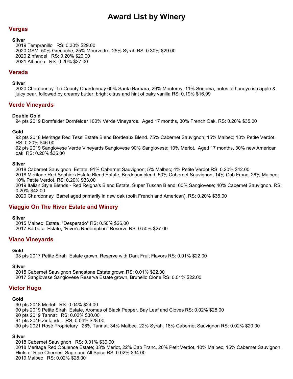# **Vargas**

**Silver**

2019 Tempranillo RS: 0.30% \$29.00 2020 GSM 50% Grenache, 25% Mourvedre, 25% Syrah RS: 0.30% \$29.00 2020 Zinfandel RS: 0.20% \$29.00 2021 Albariño RS: 0.20% \$27.00

## **Verada**

**Silver**

2020 Chardonnay Tri-County Chardonnay 60% Santa Barbara, 29% Monterey, 11% Sonoma, notes of honeycrisp apple & juicy pear, followed by creamy butter, bright citrus and hint of oaky vanilla RS: 0.19% \$16.99

# **Verde Vineyards**

## **Double Gold**

94 pts 2019 Dornfelder Dornfelder 100% Verde Vineyards. Aged 17 months, 30% French Oak. RS: 0.20% \$35.00

## **Gold**

92 pts 2018 Meritage Red Tess' Estate Blend Bordeaux Blend. 75% Cabernet Sauvignon; 15% Malbec; 10% Petite Verdot. RS: 0.20% \$46.00

92 pts 2019 Sangiovese Verde Vineyards Sangiovese 90% Sangiovese; 10% Merlot. Aged 17 months, 30% new American oak. RS: 0.20% \$35.00

## **Silver**

2018 Cabernet Sauvignon Estate, 91% Cabernet Sauvignon; 5% Malbec; 4% Petite Verdot RS: 0.20% \$42.00

2018 Meritage Red Sophie's Estate Blend Estate, Bordeaux blend. 50% Cabernet Sauvignon; 14% Cab Franc; 26% Malbec; 10% Petite Verdot. RS: 0.20% \$33.00

2019 Italian Style Blends - Red Reigna's Blend Estate, Super Tuscan Blend; 60% Sangiovese; 40% Cabernet Sauvignon. RS: 0.20% \$42.00

2020 Chardonnay Barrel aged primarily in new oak (both French and American). RS: 0.20% \$35.00

# **Viaggio On The River Estate and Winery**

### **Silver**

2015 Malbec Estate, "Desperado" RS: 0.50% \$26.00 2017 Barbera Estate, "River's Redemption" Reserve RS: 0.50% \$27.00

## **Viano Vineyards**

### **Gold**

93 pts 2017 Petite Sirah Estate grown, Reserve with Dark Fruit Flavors RS: 0.01% \$22.00

### **Silver**

2015 Cabernet Sauvignon Sandstone Estate grown RS: 0.01% \$22.00 2017 Sangiovese Sangiovese Reserva Estate grown, Brunello Clone RS: 0.01% \$22.00

## **Victor Hugo**

### **Gold**

90 pts 2018 Merlot RS: 0.04% \$24.00

90 pts 2019 Petite Sirah Estate, Aromas of Black Pepper, Bay Leaf and Cloves RS: 0.02% \$28.00

90 pts 2019 Tannat RS: 0.02% \$30.00

91 pts 2019 Zinfandel RS: 0.04% \$28.00

90 pts 2021 Rosé Proprietary 26% Tannat, 34% Malbec, 22% Syrah, 18% Cabernet Sauvignon RS: 0.02% \$20.00

## **Silver**

2018 Cabernet Sauvignon RS: 0.01% \$30.00 2018 Meritage Red Opulence Estate; 33% Merlot, 22% Cab Franc, 20% Petit Verdot, 10% Malbec, 15% Cabernet Sauvignon. Hints of Ripe Cherries, Sage and All Spice RS: 0.02% \$34.00 2019 Malbec RS: 0.02% \$28.00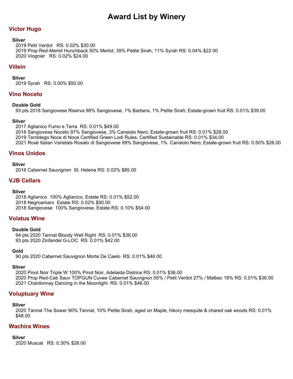# **Victor Hugo**

### **Silver**

2019 Petit Verdot RS: 0.02% \$30.00 2019 Prop Red-Merlot Hunchback 50% Merlot, 39% Petite Sirah, 11% Syrah RS: 0.04% \$22.00 2020 Viognier RS: 0.02% \$24.00

## **Villein**

**Silver**

2019 Syrah RS: 0.00% \$50.00

## **Vino Noceto**

**Double Gold**

93 pts 2018 Sangiovese Riserva 98% Sangiovese, 1% Barbera, 1% Petite Sirah; Estate-grown fruit RS: 0.01% \$39.00

## **Silver**

2017 Aglianico Fumo e Terra RS: 0.01% \$49.00

2018 Sangiovese Noceto 97% Sangiovese, 3% Canaiolo Nero; Estate-grown fruit RS: 0.01% \$28.00

2019 Teroldego Noce di Noce Certified Green Lodi Rules, Certified Sustainable RS: 0.01% \$34.00

2021 Rosé Italian Varietals Rosato di Sangiovese 99% Sangiovese, 1% Canaiolo Nero; Estate-grown fruit RS: 0.50% \$26.00

# **Vinos Unidos**

**Silver**

2016 Cabernet Sauvignon St. Helena RS: 0.02% \$85.00

# **VJB Cellars**

### **Silver**

2018 Aglianico 100% Aglianico, Estate RS: 0.01% \$52.00 2018 Negroamaro Estate RS: 0.02% \$50.00 2018 Sangiovese 100% Sangiovese, Estate RS: 0.10% \$54.00

## **Volatus Wine**

### **Double Gold**

94 pts 2020 Tannat Bloody Well Right RS: 0.01% \$38.00 93 pts 2020 Zinfandel G-LOC RS: 0.01% \$42.00

### **Gold**

90 pts 2020 Cabernet Sauvignon Morte De Caelo RS: 0.01% \$46.00

### **Silver**

2020 Pinot Noir Triple W 100% Pinot Noir, Adelaida Districe RS: 0.01% \$36.00 2020 Prop Red-Cab Sauv TOPGUN Cuvee Cabernet Sauvignon 55% / Petit Verdot 27% / Malbec 18% RS: 0.01% \$36.00 2021 Chardonnay Dancing in the Moonlight RS: 0.01% \$46.00

# **Voluptuary Wine**

### **Silver**

2020 Tannat The Sower 90% Tannat, 10% Petite Sirah, aged on Maple, hikory mesquite & chared oak woods RS: 0.01% \$48.00

## **Wachira Wines**

### **Silver**

2020 Muscat RS: 0.30% \$28.00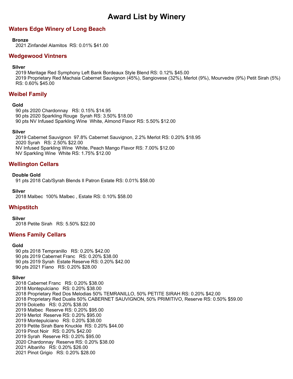# **Waters Edge Winery of Long Beach**

### **Bronze**

2021 Zinfandel Alamitos RS: 0.01% \$41.00

## **Wedgewood Vintners**

#### **Silver**

2019 Meritage Red Symphony Left Bank Bordeaux Style Blend RS: 0.12% \$45.00 2019 Proprietary Red Machaia Cabernet Sauvignon (45%), Sangiovese (32%), Merlot (9%), Mourvedre (9%) Petit Sirah (5%) RS: 0.60% \$45.00

## **Weibel Family**

### **Gold**

90 pts 2020 Chardonnay RS: 0.15% \$14.95 90 pts 2020 Sparkling Rouge Syrah RS: 3.50% \$18.00 90 pts NV Infused Sparkling Wine White, Almond Flavor RS: 5.50% \$12.00

#### **Silver**

2019 Cabernet Sauvignon 97.8% Cabernet Sauvignon, 2.2% Merlot RS: 0.20% \$18.95 2020 Syrah RS: 2.50% \$22.00 NV Infused Sparkling Wine White, Peach Mango Flavor RS: 7.00% \$12.00 NV Sparkling Wine White RS: 1.75% \$12.00

## **Wellington Cellars**

#### **Double Gold**

91 pts 2018 Cab/Syrah Blends Il Patron Estate RS: 0.01% \$58.00

#### **Silver**

2018 Malbec 100% Malbec , Estate RS: 0.10% \$58.00

## **Whipstitch**

#### **Silver**

2018 Petite Sirah RS: 5.50% \$22.00

## **Wiens Family Cellars**

### **Gold**

90 pts 2018 Tempranillo RS: 0.20% \$42.00 90 pts 2019 Cabernet Franc RS: 0.20% \$38.00 90 pts 2019 Syrah Estate Reserve RS: 0.20% \$42.00 90 pts 2021 Fiano RS: 0.20% \$28.00

### **Silver**

2018 Cabernet Franc RS: 0.20% \$38.00 2018 Montepulciano RS: 0.20% \$38.00 2018 Proprietary Red Dos Melodias 50% TEMRANILLO, 50% PETITE SIRAH RS: 0.20% \$42.00 2018 Proprietary Red Dualis 50% CABERNET SAUVIGNON, 50% PRIMITIVO, Reserve RS: 0.50% \$59.00 2019 Dolcetto RS: 0.20% \$38.00 2019 Malbec Reserve RS: 0.20% \$95.00 2019 Merlot Reserve RS: 0.20% \$95.00 2019 Montepulciano RS: 0.20% \$38.00 2019 Petite Sirah Bare Knuckle RS: 0.20% \$44.00 2019 Pinot Noir RS: 0.20% \$42.00 2019 Syrah Reserve RS: 0.20% \$95.00 2020 Chardonnay Reserve RS: 0.20% \$38.00 2021 Albariño RS: 0.20% \$26.00 2021 Pinot Grigio RS: 0.20% \$28.00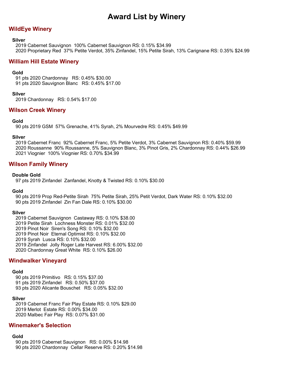## **WildEye Winery**

#### **Silver**

2019 Cabernet Sauvignon 100% Cabernet Sauvignon RS: 0.15% \$34.99 2020 Proprietary Red 37% Petite Verdot, 35% Zinfandel, 15% Petite Sirah, 13% Carignane RS: 0.35% \$24.99

## **William Hill Estate Winery**

### **Gold**

91 pts 2020 Chardonnay RS: 0.45% \$30.00 91 pts 2020 Sauvignon Blanc RS: 0.45% \$17.00

### **Silver**

2019 Chardonnay RS: 0.54% \$17.00

## **Wilson Creek Winery**

### **Gold**

90 pts 2019 GSM 57% Grenache, 41% Syrah, 2% Mourvedre RS: 0.45% \$49.99

### **Silver**

2019 Cabernet Franc 92% Cabernet Franc, 5% Petite Verdot, 3% Cabernet Sauvignon RS: 0.40% \$59.99 2020 Roussanne 90% Roussanne, 5% Sauvignon Blanc, 3% Pinot Gris, 2% Chardonnay RS: 0.44% \$26.99 2021 Viognier 100% Viognier RS: 0.70% \$34.99

## **Wilson Family Winery**

#### **Double Gold**

97 pts 2019 Zinfandel Zanfandel, Knotty & Twisted RS: 0.10% \$30.00

#### **Gold**

90 pts 2019 Prop Red-Petite Sirah 75% Petite Sirah, 25% Petit Verdot, Dark Water RS: 0.10% \$32.00 90 pts 2019 Zinfandel Zin Fan Dale RS: 0.10% \$30.00

### **Silver**

2019 Cabernet Sauvignon Castaway RS: 0.10% \$38.00

2019 Petite Sirah Lochness Monster RS: 0.01% \$32.00

2019 Pinot Noir Siren's Song RS: 0.10% \$32.00

2019 Pinot Noir Eternal Optimist RS: 0.10% \$32.00

2019 Syrah Lusca RS: 0.10% \$32.00

2019 Zinfandel Jolly Roger Late Harvest RS: 6.00% \$32.00

2020 Chardonnay Great White RS: 0.10% \$26.00

## **Windwalker Vineyard**

#### **Gold**

90 pts 2019 Primitivo RS: 0.15% \$37.00 91 pts 2019 Zinfandel RS: 0.50% \$37.00 93 pts 2020 Alicante Bouschet RS: 0.05% \$32.00

#### **Silver**

2019 Cabernet Franc Fair Play Estate RS: 0.10% \$29.00 2019 Merlot Estate RS: 0.00% \$34.00 2020 Malbec Fair Play RS: 0.07% \$31.00

## **Winemaker's Selection**

### **Gold**

90 pts 2019 Cabernet Sauvignon RS: 0.00% \$14.98 90 pts 2020 Chardonnay Cellar Reserve RS: 0.20% \$14.98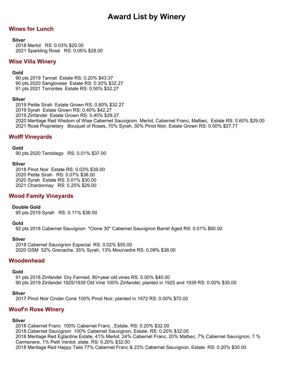# **Wines for Lunch**

## **Silver**

2018 Merlot RS: 0.03% \$20.00 2021 Sparkling Rosé RS: 0.05% \$28.00

## **Wise Villa Winery**

## **Gold**

90 pts 2019 Tannat Estate RS: 0.20% \$43.37 90 pts 2020 Sangiovese Estate RS: 0.30% \$32.27 91 pts 2021 Torrontes Estate RS: 0.50% \$32.27

## **Silver**

2019 Petite Sirah Estate Grown RS: 0.60% \$32.27 2019 Syrah Estate Grown RS: 0.40% \$42.27 2019 Zinfandel Estate Grown RS: 0.40% \$29.27

2020 Meritage Red Wisdom of Wise Cabernet Sauvignon, Merlot, Cabernet Franc, Malbec, Estate RS: 0.60% \$29.00 2021 Rosé Proprietary Bouquet of Roses, 70% Syrah, 30% Pinot Noir, Estate Grown RS: 0.50% \$27.77

# **Wolff Vineyards**

## **Gold**

90 pts 2020 Teroldego RS: 0.01% \$37.00

## **Silver**

2018 Pinot Noir Estate RS: 0.03% \$39.00 2020 Petite Sirah RS: 0.07% \$38.00 2020 Syrah Estate RS: 0.01% \$30.00 2021 Chardonnay RS: 0.25% \$29.00

# **Wood Family Vineyards**

### **Double Gold**

95 pts 2019 Syrah RS: 0.11% \$36.00

### **Gold**

92 pts 2018 Cabernet Sauvignon "Clone 30" Cabernet Sauvignon Barrel Aged RS: 0.01% \$60.00

### **Silver**

2018 Cabernet Sauvignon Especial RS: 0.02% \$55.00 2020 GSM 52% Grenache, 35% Syrah, 13% Mourvedre RS: 0.09% \$36.00

## **Woodenhead**

### **Gold**

91 pts 2018 Zinfandel Dry Farmed, 80+year old vines RS: 0.00% \$40.00 90 pts 2019 Zinfandel 1925/1939 Old Vine 100% Zinfandel, planted in 1925 and 1939 RS: 0.00% \$35.00

## **Silver**

2017 Pinot Noir Cinder Cone 100% Pinot Noir, planted in 1972 RS: 0.00% \$70.00

# **Woof'n Rose Winery**

## **Silver**

2018 Cabernet Franc 100% Cabernet Franc , Estate. RS: 0.20% \$32.00 2018 Cabernet Sauvignon 100% Cabernet Sauvignon, Estate. RS: 0.20% \$32.00 2018 Meritage Red Eglantine Estate, 41% Merlot, 24% Cabernet Franc, 20% Malbec, 7% Cabernet Sauvignon, 7 % Carmenere, 1% Petit Verdot. state. RS: 0.20% \$32.00 2018 Meritage Red Happy Tails 77% Cabernet Franc & 23% Cabernet Sauvignon, Estate. RS: 0.20% \$30.00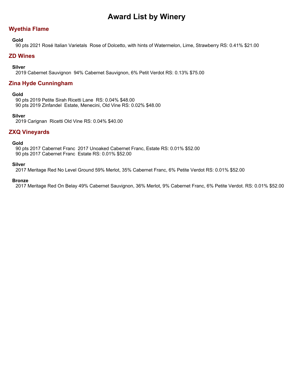# **Wyethia Flame**

## **Gold**

90 pts 2021 Rosé Italian Varietals Rose of Dolcetto, with hints of Watermelon, Lime, Strawberry RS: 0.41% \$21.00

## **ZD Wines**

## **Silver**

2019 Cabernet Sauvignon 94% Cabernet Sauvignon, 6% Petit Verdot RS: 0.13% \$75.00

## **Zina Hyde Cunningham**

### **Gold**

90 pts 2019 Petite Sirah Ricetti Lane RS: 0.04% \$48.00 90 pts 2019 Zinfandel Estate, Menecini, Old Vine RS: 0.02% \$48.00

### **Silver**

2019 Carignan Ricetti Old Vine RS: 0.04% \$40.00

## **ZXQ Vineyards**

### **Gold**

90 pts 2017 Cabernet Franc 2017 Unoaked Cabernet Franc, Estate RS: 0.01% \$52.00 90 pts 2017 Cabernet Franc Estate RS: 0.01% \$52.00

### **Silver**

2017 Meritage Red No Level Ground 59% Merlot, 35% Cabernet Franc, 6% Petite Verdot RS: 0.01% \$52.00

## **Bronze**

2017 Meritage Red On Belay 49% Cabernet Sauvignon, 36% Merlot, 9% Cabernet Franc, 6% Petite Verdot. RS: 0.01% \$52.00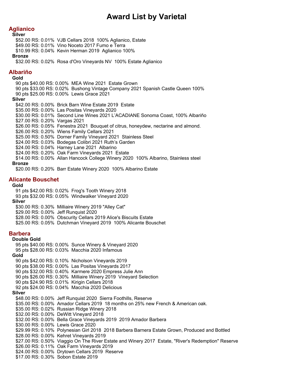# **Aglianico**

#### **Silver**

\$52.00 RS: 0.01% VJB Cellars 2018 100% Aglianico, Estate \$49.00 RS: 0.01% Vino Noceto 2017 Fumo e Terra \$10.99 RS: 0.04% Kevin Herman 2019 Aglianico 100%

#### **Bronze**

\$32.00 RS: 0.02% Rosa d'Oro Vineyards NV 100% Estate Aglianico

## **Albariño**

### **Gold**

90 pts \$40.00 RS: 0.00% MEA Wine 2021 Estate Grown 90 pts \$33.00 RS: 0.02% Bushong Vintage Company 2021 Spanish Castle Queen 100% 90 pts \$25.00 RS: 0.00% Lewis Grace 2021 **Silver** \$42.00 RS: 0.00% Brick Barn Wine Estate 2019 Estate \$35.00 RS: 0.00% Las Positas Vineyards 2020 \$30.00 RS: 0.01% Second Line Wines 2021 L'ACADIANE Sonoma Coast, 100% Albariño \$27.00 RS: 0.20% Vargas 2021 \$26.00 RS: 0.05% Fenestra 2021 Bouquet of citrus, honeydew, nectarine and almond. \$26.00 RS: 0.20% Wiens Family Cellars 2021 \$25.00 RS: 0.50% Dorner Family Vineyard 2021 Stainless Steel \$24.00 RS: 0.03% Bodegas Colibri 2021 Ruth's Garden \$24.00 RS: 0.04% Harney Lane 2021 Albarino \$24.00 RS: 0.20% Oak Farm Vineyards 2021 Estate \$14.00 RS: 0.00% Allan Hancock College Winery 2020 100% Albarino, Stainless steel

#### **Bronze**

\$20.00 RS: 0.20% Barr Estate Winery 2020 100% Albarino Estate

## **Alicante Bouschet**

### **Gold**

91 pts \$42.00 RS: 0.02% Frog's Tooth Winery 2018 93 pts \$32.00 RS: 0.05% Windwalker Vineyard 2020 **Silver** \$30.00 RS: 0.30% Milliaire Winery 2019 "Alley Cat" \$29.00 RS: 0.00% Jeff Runquist 2020 \$28.00 RS: 0.00% Obscurity Cellars 2019 Alice's Biscuits Estate \$25.00 RS: 0.05% Dutchman Vineyard 2019 100% Alicante Bouschet

95 pts \$40.00 RS: 0.00% Sunce Winery & Vineyard 2020

### **Barbera**

### **Double Gold**

95 pts \$28.00 RS: 0.03% Macchia 2020 Infamous **Gold** 90 pts \$42.00 RS: 0.10% Nicholson Vineyards 2019 90 pts \$38.00 RS: 0.00% Las Positas Vineyards 2017 90 pts \$32.00 RS: 0.40% Karmere 2020 Empress Julie Ann 90 pts \$26.00 RS: 0.30% Milliaire Winery 2019 Vineyard Selection 90 pts \$24.90 RS: 0.01% Kirigin Cellars 2018 92 pts \$24.00 RS: 0.04% Macchia 2020 Delicious **Silver** \$48.00 RS: 0.00% Jeff Runquist 2020 Sierra Foothills, Reserve \$35.00 RS: 0.00% Amador Cellars 2019 18 months on 25% new French & American oak. \$35.00 RS: 0.02% Russian Ridge Winery 2018 \$32.00 RS: 0.00% DeWitt Vineyard 2018 \$32.00 RS: 0.00% Bella Grace Vineyards 2019 2019 Amador Barbera \$30.00 RS: 0.00% Lewis Grace 2020 \$29.99 RS: 0.10% Polynesian Girl 2018 2018 Barbera Barnera Estate Grown, Produced and Bottled \$28.00 RS: 0.00% Kehret Vineyards 2019 \$27.00 RS: 0.50% Viaggio On The River Estate and Winery 2017 Estate, "River's Redemption" Reserve \$26.00 RS: 0.11% Oak Farm Vineyards 2019 \$24.00 RS: 0.00% Drytown Cellars 2019 Reserve \$17.00 RS: 0.30% Sobon Estate 2019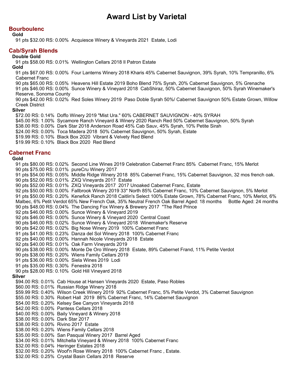## **Bourboulenc**

#### **Gold**

91 pts \$32.00 RS: 0.00% Acquiesce Winery & Vineyards 2021 Estate, Lodi

## **Cab/Syrah Blends**

#### **Double Gold**

91 pts \$58.00 RS: 0.01% Wellington Cellars 2018 Il Patron Estate

#### **Gold**

91 pts \$67.00 RS: 0.00% Four Lanterns Winery 2018 Kharis 45% Cabernet Sauvignon, 39% Syrah, 10% Tempranillo, 6% Cabernet Franc

90 pts \$65.00 RS: 0.05% Heavens Hill Estate 2019 Boho Blend 75% Syrah, 20% Cabernet Sauvignon, 5% Grenache

91 pts \$46.00 RS: 0.00% Sunce Winery & Vineyard 2018 CabShiraz, 50% Cabernet Sauvignon, 50% Syrah Winemaker's Reserve, Sonoma County

90 pts \$42.00 RS: 0.02% Red Soles Winery 2019 Paso Doble Syrah 50%/ Cabernet Sauvignon 50% Estate Grown, Willow Creek District

#### **Silver**

\$72.00 RS: 0.14% Doffo Winery 2019 "Mist Ura." 60% CABERNET SAUVIGNON - 40% SYRAH \$45.00 RS: 1.00% Sycamore Ranch Vineyard & Winery 2020 Ranch Red 50% Cabernet Sauvignon, 50% Syrah \$38.00 RS: 0.00% Dark Star 2018 Anderson Road 45% Cab Sauv, 45% Syrah, 10% Petite Sirah \$24.00 RS: 0.00% Toca Madera 2018 50% Cabernet Sauvignon, 50% Syrah, Estate \$19.99 RS: 0.10% Black Box 2020 Vibrant & Velvety Red Blend \$19.99 RS: 0.10% Black Box 2020 Red Blend

## **Cabernet Franc**

### **Gold**

91 pts \$80.00 RS: 0.02% Second Line Wines 2019 Celebration Cabernet Franc 85% Cabernet Franc, 15% Merlot 90 pts \$75.00 RS: 0.01% pureCru Winery 2017 91 pts \$54.00 RS: 0.05% Middle Ridge Winery 2018 85% Cabernet Franc, 15% Cabernet Sauvignon, 32 mos french oak. 90 pts \$52.00 RS: 0.01% ZXQ Vineyards 2017 Estate 90 pts \$52.00 RS: 0.01% ZXQ Vineyards 2017 2017 Unoaked Cabernet Franc, Estate 92 pts \$50.00 RS: 0.00% Fallbrook Winery 2019 33\* North 85% Cabernet Franc, 10% Cabernet Sauvignon, 5% Merlot 91 pts \$50.00 RS: 0.20% Kenefick Ranch 2018 Caitlin's Select 100% Estate Grown, 78% Cabernet Franc, 10% Merlot, 6% Malbec, 6% Petit Verdot 65% New French Oak, 35% Neutral French Oak Barrel Aged: 18 months Bottle Aged: 24 months 90 pts \$48.00 RS: 0.04% The Dancing Fox Winery & Brewery 2017 "The Red Prince 92 pts \$46.00 RS: 0.00% Sunce Winery & Vineyard 2019 92 pts \$46.00 RS: 0.00% Sunce Winery & Vineyard 2020 Central Coast 90 pts \$46.00 RS: 0.02% Sunce Winery & Vineyard 2018 Winemaker's Reserve 90 pts \$42.00 RS: 0.02% Big Nose Winery 2019 100% Cabernet Franc 91 pts \$41.00 RS: 0.23% Danza del Sol Winery 2018 100% Cabernet Franc 92 pts \$40.00 RS: 0.00% Hannah Nicole Vineyards 2018 Estate 92 pts \$40.00 RS: 0.01% Oak Farm Vineyards 2019 90 pts \$38.00 RS: 0.00% Monte De Oro Winery 2018 Estate, 89% Cabernet Frand, 11% Petite Verdot 90 pts \$38.00 RS: 0.20% Wiens Family Cellars 2019 91 pts \$36.00 RS: 0.00% Siela Wines 2019 Lodi 91 pts \$35.00 RS: 0.30% Fenestra 2018 90 pts \$28.00 RS: 0.10% Gold Hill Vineyard 2018 **Silver** \$94.00 RS: 0.01% Cab House at Hansen Vineyards 2020 Estate, Paso Robles \$60.00 RS: 0.01% Russian Ridge Winery 2018 \$59.99 RS: 0.40% Wilson Creek Winery 2019 92% Cabernet Franc, 5% Petite Verdot, 3% Cabernet Sauvignon \$55.00 RS: 0.30% Robert Hall 2019 86% Cabernet Franc, 14% Cabernet Sauvignon \$54.00 RS: 0.20% Kelsey See Canyon Vineyards 2018 \$42.00 RS: 0.00% Pantess Cellars 2018 \$40.00 RS: 0.00% Baily Vineyard & Winery 2018 \$38.00 RS: 0.00% Dark Star 2017 \$38.00 RS: 0.00% Rivino 2017 Estate \$38.00 RS: 0.20% Wiens Family Cellars 2018 \$35.00 RS: 0.00% San Pasqual Winery 2017 Barrel Aged \$34.00 RS: 0.01% Mitchella Vineyard & Winery 2018 100% Cabernet Franc \$32.00 RS: 0.04% Heringer Estates 2018 \$32.00 RS: 0.20% Woof'n Rose Winery 2018 100% Cabernet Franc , Estate. \$32.00 RS: 0.25% Crystal Basin Cellars 2018 Reserve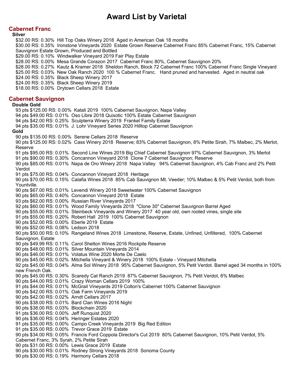# **Cabernet Franc**

#### **Silver**

\$32.00 RS: 0.30% Hill Top Oaks Winery 2018 Aged in American Oak 18 months \$30.00 RS: 0.35% Ironstone Vineyards 2020 Estate Grown Reserve Cabernet Franc 85% Cabernet Franc, 15% Cabernet Sauvignon Estate Grown, Produced and Bottled \$29.00 RS: 0.10% Windwalker Vineyard 2019 Fair Play Estate \$28.00 RS: 0.00% Mesa Grande Corazon 2017 Cabernet Franc 80%, Cabernet Sauvignon 20% \$28.00 RS: 0.27% Kautz & Kramer 2018 Sheldon Ranch, Block 72 Cabernet Franc 100% Cabernet Franc Single Vineyard \$25.00 RS: 0.03% New Oak Ranch 2020 100 % Cabernet Franc. Hand pruned and harvested. Aged in neutral oak \$24.00 RS: 0.35% Black Sheep Winery 2017 \$24.00 RS: 0.35% Black Sheep Winery 2019 \$18.00 RS: 0.00% Drytown Cellars 2018 Estate **Cabernet Sauvignon Double Gold** 93 pts \$125.00 RS: 0.00% Katali 2019 100% Cabernet Sauvignon, Napa Valley 94 pts \$49.00 RS: 0.01% Oso Libre 2018 Quixotic 100% Estate Cabernet Sauvignon 94 pts \$42.00 RS: 0.25% Sculpterra Winery 2019 Frankel Family Estate 94 pts \$35.00 RS: 0.01% J. Lohr Vineyard Series 2020 Hilltop Cabernet Sauvignon **Gold** 90 pts \$135.00 RS: 0.00% Serene Cellars 2018 Reserve 90 pts \$125.00 RS: 0.02% Cass Winery 2018 Reserve; 83% Cabernet Sauvignon, 8% Petite Sirah, 7% Malbec, 2% Merlot, Reserve 91 pts \$95.00 RS: 0.01% Second Line Wines 2019 Big Chief Cabernet Sauvignon 97% Cabernet Sauvignon, 3% Merlot 91 pts \$90.00 RS: 0.30% Concannon Vineyard 2018 Clone 7 Cabernet Sauvignon; Reserve 90 pts \$85.00 RS: 0.01% Napa de Oro Winery 2018 Napa Valley 94% Cabernet Sauvignon, 4% Cab Franc and 2% Petit Verdot 91 pts \$75.00 RS: 0.04% Concannon Vineyard 2018 Heritage 90 pts \$70.00 RS: 0.15% Calafia Wines 2018 85% Cab Sauvignon Mt. Veeder; 10% Malbec & 5% Petit Verdot, both from Yountville. 90 pts \$67.00 RS: 0.01% Levendi Winery 2018 Sweetwater 100% Cabernet Sauvignon 90 pts \$65.00 RS: 0.40% Concannon Vineyard 2018 Estate 93 pts \$62.00 RS: 0.00% Russian River Vineyards 2017 92 pts \$60.00 RS: 0.01% Wood Family Vineyards 2018 "Clone 30" Cabernet Sauvignon Barrel Aged 90 pts \$55.00 RS: 0.01% Steinbeck Vineyards and Winery 2017 40 year old, own rooted vines, single site 91 pts \$55.00 RS: 0.20% Robert Hall 2019 100% Cabernet Sauvignon 90 pts \$52.00 RS: 0.00% Eberle 2019 Estate 90 pts \$52.00 RS: 0.08% Ledson 2018 90 pts \$50.00 RS: 0.10% Rangeland Wines 2018 Limestone, Reserve, Estate, Unfined, Unfiltered, 100% Cabernet Sauvignon, Estate 90 pts \$49.99 RS: 0.11% Carol Shelton Wines 2016 Rockpile Reserve 90 pts \$48.00 RS: 0.01% Silver Mountain Vineyards 2014 90 pts \$46.00 RS: 0.01% Volatus Wine 2020 Morte De Caelo 90 pts \$45.00 RS: 0.02% Mitchella Vineyard & Winery 2018 100% Estate - Vineyard Mitchella 92 pts \$45.00 RS: 0.04% Alma Sol Winery 2018 95% Cabernet Sauvignon, 5% Petit Verdot. Barrel aged 34 months in 100% new French Oak. 90 pts \$45.00 RS: 0.30% Scaredy Cat Ranch 2019 87% Cabernet Sauvignon, 7% Petit Verdot, 6% Malbec 90 pts \$44.00 RS: 0.01% Crazy Woman Cellars 2019 100% 91 pts \$44.00 RS: 0.01% McGrail Vineyards 2019 Colton's Cabernet 100% Cabernet Sauvignon 90 pts \$42.00 RS: 0.01% Oak Farm Vineyards 2019 90 pts \$42.00 RS: 0.02% Arndt Cellars 2017 90 pts \$38.00 RS: 0.01% Bard Clan Wines 2016 Night 90 pts \$38.00 RS: 0.03% Blockchain 2020 91 pts \$36.00 RS: 0.00% Jeff Runquist 2020 90 pts \$36.00 RS: 0.04% Heringer Estates 2020 91 pts \$35.00 RS: 0.00% Campo Creek Vineyards 2019 Big Red Edition 91 pts \$35.00 RS: 0.00% Trevor Grace 2019 Estate 90 pts \$34.00 RS: 0.05% Francis Ford Coppola Director's Cut 2019 80% Cabernet Sauvignon, 10% Petit Verdot, 5% Cabernet Franc, 3% Syrah, 2% Petite Sirah 90 pts \$31.00 RS: 0.00% Lewis Grace 2019 Estate 90 pts \$30.00 RS: 0.01% Rodney Strong Vineyards 2018 Sonoma County 90 pts \$30.00 RS: 0.19% Harmony Cellars 2018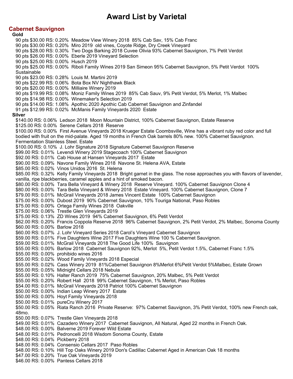## **Cabernet Sauvignon**

**Gold** 90 pts \$30.00 RS: 0.20% Meadow View Winery 2018 85% Cab Sav, 15% Cab Franc 90 pts \$30.00 RS: 0.20% Miro 2019 old vines, Coyote Ridge, Dry Creek Vineyard 90 pts \$28.00 RS: 0.30% Two Dogs Barking 2018 Cuvee Olivia 93% Cabernet Sauvignon, 7% Petit Verdot 90 pts \$26.00 RS: 0.00% Eberle 2019 Vineyard Selection 90 pts \$25.00 RS: 0.00% Husch 2019 90 pts \$25.00 RS: 0.00% Riboli Family Wines 2019 San Simeon 95% Cabernet Sauvignon, 5% Petit Verdot 100% Sustainable 90 pts \$23.00 RS: 0.28% Louis M. Martini 2019 90 pts \$22.99 RS: 0.06% Bota Box NV Nighthawk Black 90 pts \$20.00 RS: 0.00% Milliaire Winery 2019 90 pts \$19.99 RS: 0.08% Moniz Family Wines 2019 85% Cab Sauv, 9% Petit Verdot, 5% Merlot, 1% Malbec 90 pts \$14.98 RS: 0.00% Winemaker's Selection 2019 90 pts \$14.00 RS: 1.08% Apothic 2020 Apothic Cab Cabernet Sauvignon and Zinfandel 91 pts \$12.99 RS: 0.02% McManis Family Vineyards 2020 Estate **Silver** \$140.00 RS: 0.06% Ledson 2018 Moon Mountain District, 100% Cabernet Sauvignon, Estate Reserve \$125.00 RS: 0.00% Serene Cellars 2018 Reserve \$100.00 RS: 0.00% First Avenue Vineyards 2018 Krueger Estate Coombsville, Wine has a vibrant ruby red color and full bodied with fruit on the mid-palate. Aged 19 months in French Oak barrels 80% new. 100% Cabernet Sauvignon. Fermentation Stainless Steel. Estate \$100.00 RS: 0.10% J. Lohr Signature 2018 Signature Cabernet Sauvignon Reserve \$99.00 RS: 0.01% Levendi Winery 2019 Stagecoach 100% Cabernet Sauvignon \$92.00 RS: 0.01% Cab House at Hansen Vineyards 2017 Estate \$90.00 RS: 0.09% Navone Family Wines 2018 Navone St. Helena AVA, Estate \$85.00 RS: 0.02% Vinos Unidos 2016 St. Helena \$85.00 RS: 0.32% Kelly Family Vineyards 2018 Bright garnet in the glass. The nose approaches you with flavors of lavender, vanilla, ripe blackberries, caramel apples and a hint of smoked bacon. \$80.00 RS: 0.00% Tara Bella Vineyard & Winery 2018 Reserve Vineyard. 100% Cabernet Sauvignon Clone 4 \$80.00 RS: 0.00% Tara Bella Vineyard & Winery 2018 Estate Vineyard. 100% Cabernet Sauvignon, Clone 7 \$79.00 RS: 0.01% McGrail Vineyards 2018 James Vincent Estate 100% Cabernet Sauvignon \$75.00 RS: 0.00% Dubost 2019 90% Cabernet Sauvignon, 10% Touriga National, Paso Robles \$75.00 RS: 0.00% Ortega Family Wines 2018 Oakville \$75.00 RS: 0.06% Trestle Glen Vineyards 2019 \$75.00 RS: 0.13% ZD Wines 2019 94% Cabernet Sauvignon, 6% Petit Verdot \$62.00 RS: 0.20% Francis Coppola Reserve 2018 96% Cabernet Sauvignon, 2% Petit Verdot, 2% Malbec, Sonoma County \$60.00 RS: 0.00% Barlow 2018 \$60.00 RS: 0.07% J. Lohr Vineyard Series 2018 Carol's Vineyard Cabernet Sauvignon \$59.00 RS: 0.01% Five Daughters Wine 2017 Five Daughters Wine 100 % Cabernet Sauvignon. \$59.00 RS: 0.01% McGrail Vineyards 2018 The Good Life 100% Sauvignon \$55.00 RS: 0.00% Barlow 2018 Cabernet Sauvignon 92%, Merlot 5%, Petit Verdot 1.5%, Cabernet Franc 1.5% \$55.00 RS: 0.00% prohibido wines 2016 \$55.00 RS: 0.02% Wood Family Vineyards 2018 Especial \$55.00 RS: 0.02% Cass Winery 2019 81%Cabernet Sauvignon 8%Merlot 6%Petit Verdot 5%Malbec, Estate Grown \$55.00 RS: 0.05% Midnight Cellars 2018 Nebula \$55.00 RS: 0.10% Halter Ranch 2019 75% Cabernet Sauvignon, 20% Malbec, 5% Petit Verdot \$55.00 RS: 0.20% Robert Hall 2018 99% Cabernet Sauvignon, 1% Merlot, Paso Robles \$54.00 RS: 0.01% McGrail Vineyards 2018 Patriot 100% Cabernet Sauvignon \$50.00 RS: 0.00% Indian Leap Winery 2017 Estate \$50.00 RS: 0.00% Hoyt Family Vineyards 2018 \$50.00 RS: 0.01% pureCru Winery 2017 \$50.00 RS: 0.05% Riata Ranch 2016 Private Reserve: 97% Cabernet Sauvignon, 3% Petit Verdot, 100% new French oak, 48mo. \$50.00 RS: 0.07% Trestle Glen Vineyards 2018 \$49.00 RS: 0.01% Cazadero Winery 2017 Cabernet Sauvignon, All Natural, Aged 22 months in French Oak. \$48.00 RS: 0.00% Balverne 2019 Forever Wild Estate \$48.00 RS: 0.01% Pedroncelli 2018 Wisdom Sonoma County, Estate \$48.00 RS: 0.04% Pickberry 2018 \$48.00 RS: 0.04% Consensio Cellars 2017 Paso Robles \$48.00 RS: 0.10% Hill Top Oaks Winery 2019 Don's Cadillac Cabernet Aged in American Oak 18 months \$47.00 RS: 0.20% True Oak Vineyards 2019 \$46.00 RS: 0.00% Pantess Cellars 2018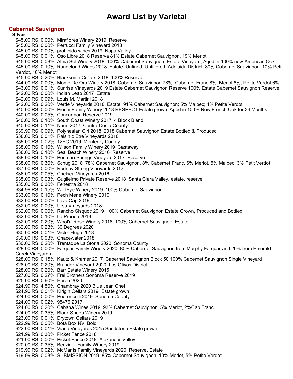## **Cabernet Sauvignon**

**Silver** \$45.00 RS: 0.00% Miraflores Winery 2019 Reserve \$45.00 RS: 0.00% Perrucci Family Vineyard 2018 \$45.00 RS: 0.00% prohibido wines 2019 Napa Valley \$45.00 RS: 0.01% Oso Libre 2018 Reserva 81% Estate Cabernet Sauvignon, 19% Merlot \$45.00 RS: 0.03% Alma Sol Winery 2018 100% Cabernet Sauvignon, Estate Vineyard, Aged in 100% new American Oak \$45.00 RS: 0.10% Rangeland Wines 2018 Estate, Unfined, Unfiltered, Adelaida District, 80% Cabernet Sauvignon, 10% Petit Verdot, 10% Merlot \$45.00 RS: 0.20% Blacksmith Cellars 2018 100% Reserve \$44.00 RS: 0.00% Monte De Oro Winery 2018 Cabernet Sauvignon 78%, Cabernet Franc 8%, Merlot 8%, Petite Verdot 6% \$43.00 RS: 0.01% Sunrise Vineyards 2019 Estate Cabernet Sauvignon Reserve 100% Estate Cabernet Sauvignon Reserve \$42.00 RS: 0.00% Indian Leap 2017 Estate \$42.00 RS: 0.09% Louis M. Martini 2018 \$42.00 RS: 0.20% Verde Vineyards 2018 Estate, 91% Cabernet Sauvignon; 5% Malbec; 4% Petite Verdot \$40.00 RS: 0.00% Pierini Family Winery 2018 RESPECT Estate grown Aged in 100% New French Oak for 34 Months \$40.00 RS: 0.05% Concannon Reserve 2019 \$40.00 RS: 0.10% South Coast Winery 2017 4 Block Blend \$40.00 RS: 0.11% Nunn 2017 Contra Costa County \$39.99 RS: 0.09% Polynesian Girl 2018 2018 Cabernet Sauvignon Estate Bottled & Produced \$38.00 RS: 0.01% Raisin d'Etre Vineyards 2018 \$38.00 RS: 0.02% 12EC 2019 Monterey County \$38.00 RS: 0.10% Wilson Family Winery 2019 Castaway \$38.00 RS: 0.10% Seal Beach Winery 2016 Reserve \$38.00 RS: 0.10% Penman Springs Vineyard 2017 Reserve \$38.00 RS: 0.30% Schug 2018 78% Cabernet Sauvignon, 8% Cabernet Franc, 6% Merlot, 5% Malbec, 3% Petit Verdot \$37.00 RS: 0.00% Rodney Strong Vineyards 2017 \$36.00 RS: 0.05% Chelsea Vineyards 2016 \$35.00 RS: 0.03% Guglielmo Private Reserve 2018 Santa Clara Valley, estate, reserve \$35.00 RS: 0.30% Fenestra 2018 \$34.99 RS: 0.15% WildEye Winery 2019 100% Cabernet Sauvignon \$33.00 RS: 0.10% Pech Merle Winery 2019 \$32.00 RS: 0.00% Lava Cap 2019 \$32.00 RS: 0.00% Ursa Vineyards 2018 \$32.00 RS: 0.00% Rancho Sisquoc 2019 100% Cabernet Sauvignon Estate Grown, Produced and Bottled \$32.00 RS: 0.10% La Prenda 2019 \$32.00 RS: 0.20% Woof'n Rose Winery 2018 100% Cabernet Sauvignon, Estate. \$32.00 RS: 0.23% 30 Degrees 2020 \$30.00 RS: 0.01% Victor Hugo 2018 \$30.00 RS: 0.03% Chacewater 2018 \$30.00 RS: 0.20% Trentadue La Storia 2020 Sonoma County \$28.00 RS: 0.00% Farquar Family Winery 2020 80% Cabernet Sauvignon from Murphy Farquar and 20% from Emerald Creek Vineyards \$28.00 RS: 0.15% Kautz & Kramer 2017 Cabernet Sauvignon Block 50 100% Cabernet Sauvignon Single Vineyard \$28.00 RS: 0.20% Brander Vineyard 2020 Los Olivos District \$28.00 RS: 0.20% Barr Estate Winery 2015 \$27.00 RS: 0.27% Frei Brothers Sonoma Reserve 2019 \$25.00 RS: 0.60% Heroe 2020 \$24.99 RS: 4.50% Chambray 2020 Blue Jean Chef \$24.90 RS: 0.01% Kirigin Cellars 2019 Estate grown \$24.00 RS: 0.00% Pedroncelli 2019 Sonoma County \$24.00 RS: 0.02% 95476 2017 \$24.00 RS: 0.20% Cabana Wines 2019 93% Cabernet Sauvignon, 5% Merlot, 2%Cab Franc \$24.00 RS: 0.35% Black Sheep Winery 2019 \$23.00 RS: 0.01% Drytown Cellars 2019 \$22.99 RS: 0.05% Bota Box NV Bold \$22.00 RS: 0.01% Viano Vineyards 2015 Sandstone Estate grown \$21.99 RS: 0.30% Picket Fence 2018 \$21.00 RS: 0.00% Picket Fence 2018 Alexander Valley \$20.00 RS: 0.35% Benziger Family Winery 2019 \$19.99 RS: 0.02% McManis Family Vineyards 2020 Reserve, Estate \$19.99 RS: 0.03% SUBMISSION 2019 85% Cabernet Sauvignon, 10% Merlot, 5% Petite Verdot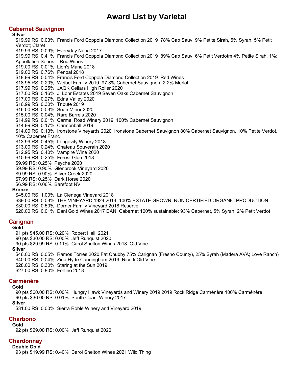## **Cabernet Sauvignon**

**Silver** \$19.99 RS: 0.03% Francis Ford Coppola Diamond Collection 2019 78% Cab Sauv, 9% Petite Sirah, 5% Syrah, 5% Petit Verdot; Claret \$19.99 RS: 0.09% Everyday Napa 2017 \$19.99 RS: 0.41% Francis Ford Coppola Diamond Collection 2019 89% Cab Sauv, 6% Petit Verdotm 4% Petite Sirah, 1%; Appellation Series - Red Wines \$19.00 RS: 0.01% Lion's Mane 2018 \$19.00 RS: 0.76% Penpal 2018 \$18.99 RS: 0.04% Francis Ford Coppola Diamond Collection 2019 Red Wines \$18.95 RS: 0.20% Weibel Family 2019 97.8% Cabernet Sauvignon, 2.2% Merlot \$17.99 RS: 0.25% JAQK Cellars High Roller 2020 \$17.00 RS: 0.16% J. Lohr Estates 2019 Seven Oaks Cabernet Sauvignon \$17.00 RS: 0.27% Edna Valley 2020 \$16.99 RS: 0.30% Tribute 2019 \$16.00 RS: 0.03% Sean Minor 2020 \$15.00 RS: 0.04% Rare Barrels 2020 \$14.99 RS: 0.01% Carmel Road Winery 2019 100% Cabernet Sauvignon \$14.99 RS: 0.17% Cannonball 2019 \$14.00 RS: 0.13% Ironstone Vineyards 2020 Ironstone Cabernet Sauvignon 80% Cabernet Sauvignon, 10% Petite Verdot, 10% Cabernet Franc \$13.99 RS: 0.45% Longevity Winery 2018 \$13.00 RS: 0.24% Chateau Souverain 2020 \$12.95 RS: 0.40% Vampire Wine 2020 \$10.99 RS: 0.25% Forest Glen 2018 \$9.99 RS: 0.25% Psyche 2020 \$9.99 RS: 0.90% Glenbrook Vineyard 2020 \$9.99 RS: 0.90% Silver Creek 2020 \$7.99 RS: 0.25% Dark Horse 2020 \$6.99 RS: 0.06% Barefoot NV **Bronze** \$45.00 RS: 1.00% La Cienega Vineyard 2018 \$39.00 RS: 0.03% THE VINEYARD 1924 2014 100% ESTATE GROWN, NON CERTIFIED ORGANIC PRODUCTION

- \$30.00 RS: 0.50% Dorner Family Vineyard 2018 Reserve
- \$20.00 RS: 0.01% Dani Gold Wines 2017 DANI Cabernet 100% sustainable; 93% Cabernet, 5% Syrah, 2% Petit Verdot

# **Carignan**

## **Gold**

91 pts \$45.00 RS: 0.20% Robert Hall 2021 90 pts \$30.00 RS: 0.00% Jeff Runquist 2020 90 pts \$29.99 RS: 0.11% Carol Shelton Wines 2018 Old Vine **Silver** \$46.00 RS: 0.05% Ramos Torres 2020 Fat Chubby 75% Carignan (Fresno County), 25% Syrah (Madera AVA; Love Ranch) \$40.00 RS: 0.04% Zina Hyde Cunningham 2019 Ricetti Old Vine \$28.00 RS: 0.30% Staring at the Sun 2019 \$27.00 RS: 0.80% Fortino 2018

# **Carménère**

## **Gold**

90 pts \$60.00 RS: 0.00% Hungry Hawk Vineyards and Winery 2019 2019 Rock Ridge Carménère 100% Carménère 90 pts \$36.00 RS: 0.01% South Coast Winery 2017 **Silver**

\$31.00 RS: 0.00% Sierra Roble Winery and Vineyard 2019

# **Charbono**

## **Gold**

92 pts \$29.00 RS: 0.00% Jeff Runquist 2020

# **Chardonnay**

**Double Gold** 93 pts \$19.99 RS: 0.40% Carol Shelton Wines 2021 Wild Thing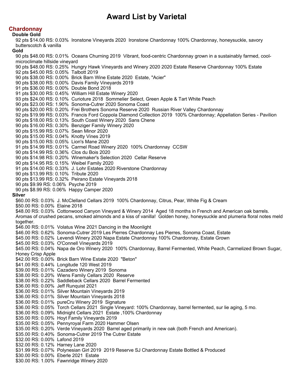# **Chardonnay**

**Double Gold**

92 pts \$14.00 RS: 0.03% Ironstone Vineyards 2020 Ironstone Chardonnay 100% Chardonnay, honeysuckle, savory butterscotch & vanilla **Gold** 90 pts \$48.00 RS: 0.01% Oceans Churning 2019 Vibrant, food-centric Chardonnay grown in a sustainably farmed, coolmicroclimate hillside vineyard 90 pts \$48.00 RS: 0.25% Hungry Hawk Vineyards and Winery 2020 2020 Estate Reserve Chardonnay 100% Estate 92 pts \$45.00 RS: 0.05% Talbott 2019 90 pts \$38.00 RS: 0.00% Brick Barn Wine Estate 2020 Estate, "Acier" 90 pts \$38.00 RS: 0.00% Davis Family Vineyards 2019 91 pts \$36.00 RS: 0.00% Double Bond 2018 91 pts \$30.00 RS: 0.45% William Hill Estate Winery 2020 93 pts \$24.00 RS: 0.10% Curioture 2018 Sommelier Select, Green Apple & Tart White Peach 90 pts \$23.00 RS: 1.90% Sonoma-Cutrer 2020 Sonoma Coast 90 pts \$20.00 RS: 0.20% Frei Brothers Sonoma Reserve 2020 Russian River Valley Chardonnay 92 pts \$19.99 RS: 0.03% Francis Ford Coppola Diamond Collection 2019 100% Chardonnay; Appellation Series - Pavilion 90 pts \$18.00 RS: 0.13% South Coast Winery 2020 Sans Chene 90 pts \$16.00 RS: 0.30% Benziger Family Winery 2020 90 pts \$15.99 RS: 0.07% Sean Minor 2020 90 pts \$15.00 RS: 0.04% Knotty Vines 2019 90 pts \$15.00 RS: 0.05% Lion's Mane 2020 91 pts \$14.99 RS: 0.01% Carmel Road Winery 2020 100% Chardonnay CCSW 90 pts \$14.99 RS: 0.36% Clos du Bois 2020 90 pts \$14.98 RS: 0.20% Winemaker's Selection 2020 Cellar Reserve 90 pts \$14.95 RS: 0.15% Weibel Family 2020 91 pts \$14.00 RS: 0.33% J. Lohr Estates 2020 Riverstone Chardonnay 90 pts \$13.99 RS: 0.10% Tribute 2020 90 pts \$13.99 RS: 0.32% Peirano Estate Vineyards 2018 90 pts \$9.99 RS: 0.06% Psyche 2019 90 pts \$8.99 RS: 0.06% Happy Camper 2020 **Silver** \$60.00 RS: 0.03% J. McClelland Cellars 2019 100% Chardonnay, Citrus, Pear, White Fig & Cream \$50.00 RS: 0.00% Elaine 2018 \$48.00 RS: 0.03% Cottonwood Canyon Vineyard & Winery 2014 Aged 18 months in French and American oak barrels. Aromas of crushed pecans, smoked almonds and a kiss of vanilla! Golden honey, honeysuckle and plumeria floral notes meld together. \$46.00 RS: 0.01% Volatus Wine 2021 Dancing in the Moonlight \$46.00 RS: 0.62% Sonoma-Cutrer 2019 Les Pierres Chardonnay Les Pierres, Sonoma Coast, Estate \$45.00 RS: 0.02% Levendi Winery 2020 Napa Estate Chardonnay 100% Chardonnay, Estate Grown \$45.00 RS: 0.03% O'Connell Vineyards 2019 \$45.00 RS: 0.04% Napa de Oro Winery 2020 100% Chardonnay, Barrel Fermented, White Peach, Carmelized Brown Sugar, Honey Crisp Apple \$42.00 RS: 0.00% Brick Barn Wine Estate 2020 "Beton" \$41.00 RS: 0.44% Longitude 120 West 2019 \$39.00 RS: 0.01% Cazadero Winery 2019 Sonoma \$38.00 RS: 0.20% Wiens Family Cellars 2020 Reserve \$38.00 RS: 0.22% Saddleback Cellars 2020 Barrel Fermented \$36.00 RS: 0.00% Jeff Runquist 2021 \$36.00 RS: 0.01% Silver Mountain Vineyards 2019 \$36.00 RS: 0.01% Silver Mountain Vineyards 2018 \$36.00 RS: 0.01% pureCru Winery 2019 Signature \$36.00 RS: 0.05% Torch Cellars 2021 Single Vineyard: 100% Chardonnay, barrel fermented, sur lie aging, 5 mo. \$36.00 RS: 0.09% Midnight Cellars 2021 Estate ,100% Chardonnay \$35.00 RS: 0.00% Hoyt Family Vineyards 2019 \$35.00 RS: 0.05% Pennyroyal Farm 2020 Hammer Olsen \$35.00 RS: 0.20% Verde Vineyards 2020 Barrel aged primarily in new oak (both French and American). \$35.00 RS: 0.40% Sonoma-Cutrer 2019 The Cutrer Estate \$32.00 RS: 0.00% Lafond 2019 \$32.00 RS: 0.12% Harney Lane 2020 \$31.99 RS: 0.07% Polynesian Girl 2019 2019 Reserve SJ Chardonnay Estate Bottled & Produced \$30.00 RS: 0.00% Eberle 2021 Estate \$30.00 RS: 1.00% Fawnridge Winery 2020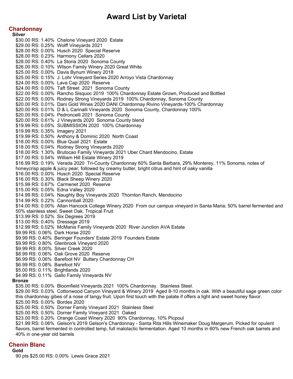## **Chardonnay**

**Silver** \$30.00 RS: 1.40% Chalone Vineyard 2020 Estate \$29.00 RS: 0.25% Wolff Vineyards 2021 \$28.00 RS: 0.00% Husch 2020 Special Reserve \$28.00 RS: 0.23% Harmony Cellars 2020 \$28.00 RS: 0.40% La Storia 2020 Sonoma County \$26.00 RS: 0.10% Wilson Family Winery 2020 Great White \$25.00 RS: 0.00% Davis Bynum Winery 2018 \$25.00 RS: 0.15% J. Lohr Vineyard Series 2020 Arroyo Vista Chardonnay \$24.00 RS: 0.00% Lava Cap 2020 Reserve \$24.00 RS: 0.00% Taft Street 2021 Sonoma County \$22.00 RS: 0.00% Rancho Sisquoc 2019 100% Chardonnay Estate Grown, Produced and Bottled \$22.00 RS: 0.00% Rodney Strong Vineyards 2019 100% Chardonnay, Sonoma County \$20.00 RS: 0.01% Dani Gold Wines 2020 DANI Chardonnay Rivino Vineyards-100% Chardonnay \$20.00 RS: 0.01% D & L Carinalli Vineyards 2020 Sonoma County, Chardonnay 100% \$20.00 RS: 0.04% Pedroncelli 2021 Sonoma County \$20.00 RS: 0.61% J Vineyards 2020 Sonoma County blend \$19.99 RS: 0.05% SUBMISSION 2020 100% Chardonnay \$19.99 RS: 0.35% Imagery 2021 \$19.99 RS: 0.50% Anthony & Dominic 2020 North Coast \$18.00 RS: 0.00% Blue Quail 2021 Estate \$18.00 RS: 0.04% Rodney Strong Vineyards 2020 \$18.00 RS: 1.30% Brutocao Family Vineyards 2021 Uber Chard Mendocino, Estate \$17.00 RS: 0.54% William Hill Estate Winery 2019 \$16.99 RS: 0.19% Verada 2020 Tri-County Chardonnay 60% Santa Barbara, 29% Monterey, 11% Sonoma, notes of honeycrisp apple & juicy pear, followed by creamy butter, bright citrus and hint of oaky vanilla \$16.00 RS: 0.00% Husch 2020 Special Reserve \$16.00 RS: 0.30% Black Sheep Winery 2020 \$15.99 RS: 0.67% Carmenet 2020 Reserve \$15.00 RS: 0.05% Edna Valley 2020 \$14.99 RS: 0.04% Naughty Boy Vineyards 2020 Thornton Ranch, Mendocino \$14.99 RS: 0.22% Cannonball 2020 \$14.00 RS: 0.00% Allan Hancock College Winery 2020 From our campus vineyard in Santa Maria; 50% barrel fermented and 50% stainless steel, Sweet Oak, Tropical Fruit \$13.99 RS: 0.52% Six Degrees 2019 \$13.00 RS: 0.40% Dressage 2019 \$12.99 RS: 0.02% McManis Family Vineyards 2020 River Junction AVA Estate \$9.99 RS: 0.06% Dark Horse 2020 \$9.99 RS: 0.40% Beringer Founders' Estate 2019 Founders Estate \$9.99 RS: 0.80% Glenbrook Vineyard 2020 \$9.99 RS: 8.00% Silver Creek 2020 \$8.99 RS: 0.06% Oak Grove 2020 Reserve \$6.99 RS: 0.06% Barefoot NV Buttery Chardonnay CH \$6.99 RS: 0.08% Barefoot NV \$5.00 RS: 0.11% Brightlands 2020 \$4.99 RS: 0.11% Gallo Family Vineyards NV **Bronze** \$35.00 RS: 0.00% Bloomfield Vineyards 2021 100% Chardonnay. Stainless Steel. \$29.00 RS: 0.03% Cottonwood Canyon Vineyard & Winery 2019 Aged 8-10 months in oak. With a beautiful sage green color this chardonnay gibes of a nose of tangy fruit. Upon first touch with the palate if offers a light and sweet honey flavor. \$25.00 RS: 0.00% Bordes 2020 \$25.00 RS: 0.50% Dorner Family Vineyard 2021 Stainless Steel \$25.00 RS: 0.50% Dorner Family Vineyard 2021 Oaked \$23.00 RS: 0.20% Orange Coast Winery 2020 90% Chardonnay, 10% Picpoul \$21.99 RS: 0.06% Gelson's 2019 Gelson's Chardonnay - Santa Rita Hills Winemaker Doug Margerum. Picked for opulent flavors, barrel fermented in controlled temp, full malolactic fermentation. Aged 10 months in 60% new French oak barrels and 40% in one-year old barrels

## **Chenin Blanc**

**Gold**

90 pts \$25.00 RS: 0.00% Lewis Grace 2021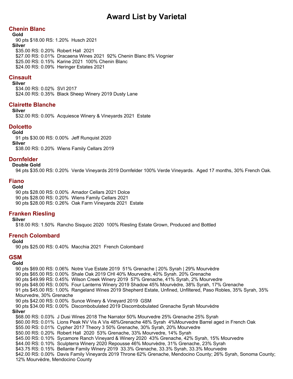# **Chenin Blanc**

**Gold** 90 pts \$18.00 RS: 1.20% Husch 2021 **Silver** \$35.00 RS: 0.20% Robert Hall 2021 \$27.00 RS: 0.01% Dracaena Wines 2021 92% Chenin Blanc 8% Viognier \$25.00 RS: 0.15% Karine 2021 100% Chenin Blanc \$24.00 RS: 0.09% Heringer Estates 2021

# **Cinsault**

#### **Silver**

\$34.00 RS: 0.02% SVI 2017 \$24.00 RS: 0.35% Black Sheep Winery 2019 Dusty Lane

## **Clairette Blanche**

**Silver**

\$32.00 RS: 0.00% Acquiesce Winery & Vineyards 2021 Estate

## **Dolcetto**

#### **Gold**

91 pts \$30.00 RS: 0.00% Jeff Runquist 2020 **Silver**

\$38.00 RS: 0.20% Wiens Family Cellars 2019

# **Dornfelder**

## **Double Gold**

94 pts \$35.00 RS: 0.20% Verde Vineyards 2019 Dornfelder 100% Verde Vineyards. Aged 17 months, 30% French Oak.

# **Fiano**

**Gold**

90 pts \$28.00 RS: 0.00% Amador Cellars 2021 Dolce 90 pts \$28.00 RS: 0.20% Wiens Family Cellars 2021 90 pts \$28.00 RS: 0.26% Oak Farm Vineyards 2021 Estate

## **Franken Riesling**

### **Silver**

\$18.00 RS: 1.50% Rancho Sisquoc 2020 100% Riesling Estate Grown, Produced and Bottled

## **French Colombard**

### **Gold**

90 pts \$25.00 RS: 0.40% Macchia 2021 French Colombard

## **GSM**

**Gold**

90 pts \$69.00 RS: 0.06% Notre Vue Estate 2019 51% Grenache | 20% Syrah | 29% Mourvèdre 90 pts \$65.00 RS: 0.00% Shale Oak 2019 CHI 40% Mourvedre, 40% Syrah. 20% Grenache 90 pts \$49.99 RS: 0.45% Wilson Creek Winery 2019 57% Grenache, 41% Syrah, 2% Mourvedre 90 pts \$48.00 RS: 0.00% Four Lanterns Winery 2019 Shadow 45% Mourvèdre, 38% Syrah, 17% Grenache 91 pts \$45.00 RS: 1.00% Rangeland Wines 2019 Shepherd Estate, Unfined, Unfiltered, Paso Robles, 35% Syrah, 35% Mourvedre, 30% Grenache 90 pts \$42.00 RS: 0.00% Sunce Winery & Vineyard 2019 GSM 90 pts \$34.00 RS: 0.00% Discombobulated 2019 Discombobulated Grenache Syrah Mourvèdre **Silver** \$68.00 RS: 0.03% J Dusi Wines 2018 The Narrator 50% Mourvedre 25% Grenache 25% Syrah \$60.00 RS: 0.01% Lions Peak NV Vis A Vis 48%Grenache 48% Syrah 4%Mourvedre Barrel aged in French Oak \$55.00 RS: 0.01% Cypher 2017 Theory 3 50% Grenache, 30% Syrah, 20% Mourvedre \$50.00 RS: 0.20% Robert Hall 2020 53% Grenache, 33% Mourvedre, 14% Syrah \$45.00 RS: 0.10% Sycamore Ranch Vineyard & Winery 2020 43% Grenache, 42% Syrah, 15% Mourvedre \$44.00 RS: 0.10% Sculpterra Winery 2020 Repousse 46% Mourvèdre, 31% Grenache, 23% Syrah \$43.75 RS: 0.15% Bellante Family Winery 2019 33.3% Grenache, 33.3% Syrah, 33.3% Mourvedre \$42.00 RS: 0.00% Davis Family Vineyards 2019 Throne 62% Grenache, Mendocino County; 26% Syrah, Sonoma County; 12% Mourvèdre, Mendocino County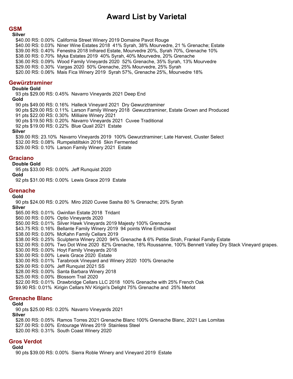## **GSM**

#### **Silver**

\$40.00 RS: 0.00% California Street Winery 2019 Domaine Pavot Rouge \$40.00 RS: 0.03% Niner Wine Estates 2018 41% Syrah, 38% Mourvedre, 21 % Grenache; Estate \$39.00 RS: 0.40% Fenestra 2018 Infrared Estate, Mourvedre 20%, Syrah 70%, Grenache 10% \$38.00 RS: 0.70% Myka Estates 2019 40% Syrah, 40% Mourvedre, 20% Grenache \$36.00 RS: 0.09% Wood Family Vineyards 2020 52% Grenache, 35% Syrah, 13% Mourvedre \$29.00 RS: 0.30% Vargas 2020 50% Grenache, 25% Mourvedre, 25% Syrah \$20.00 RS: 0.06% Mais Fica Winery 2019 Syrah 57%, Grenache 25%, Mourvedre 18%

#### **Gewürztraminer**

#### **Double Gold**

93 pts \$29.00 RS: 0.45% Navarro Vineyards 2021 Deep End

#### **Gold**

90 pts \$49.00 RS: 0.16% Halleck Vineyard 2021 Dry Gewurztraminer 90 pts \$29.00 RS: 0.11% Larson Family Winery 2018 Gewurztraminer, Estate Grown and Produced 91 pts \$22.00 RS: 0.30% Milliaire Winery 2021 90 pts \$19.50 RS: 0.20% Navarro Vineyards 2021 Cuvee Traditional 92 pts \$19.00 RS: 0.22% Blue Quail 2021 Estate **Silver** \$39.00 RS: 23.10% Navarro Vineyards 2019 100% Gewurztraminer; Late Harvest, Cluster Select \$32.00 RS: 0.08% Rumpelstiltskin 2016 Skin Fermented

\$29.00 RS: 0.10% Larson Family Winery 2021 Estate

## **Graciano**

#### **Double Gold**

95 pts \$33.00 RS: 0.00% Jeff Runquist 2020

**Gold**

92 pts \$31.00 RS: 0.00% Lewis Grace 2019 Estate

### **Grenache**

#### **Gold**

90 pts \$24.00 RS: 0.20% Miro 2020 Cuvee Sasha 80 % Grenache; 20% Syrah

**Silver**

\$65.00 RS: 0.01% Gwinllan Estate 2018 Tridant \$60.00 RS: 0.00% Optio Vineyards 2020

- \$50.00 RS: 0.01% Silver Hawk Vineyards 2019 Majesty 100% Grenache
- \$43.75 RS: 0.16% Bellante Family Winery 2019 94 points Wine Enthusiast
- \$38.00 RS: 0.00% McKahn Family Cellars 2019
- \$38.00 RS: 0.25% Sculpterra Winery 2020 94% Grenache & 6% Petitie Sirah, Frankel Family Estate
- \$32.00 RS: 0.00% Two Dot Wine 2020 82% Grenache, 18% Roussanne, 100% Bennett Valley Dry Stack Vineyard grapes.
- \$30.00 RS: 0.00% Hoyt Family Vineyards 2018
- \$30.00 RS: 0.00% Lewis Grace 2020 Estate
- \$30.00 RS: 0.01% Tarabrook Vineyard and Winery 2020 100% Grenache
- \$29.00 RS: 0.00% Jeff Runquist 2021 SS
- \$28.00 RS: 0.00% Santa Barbara Winery 2018
- \$25.00 RS: 0.00% Blossom Trail 2020
- \$22.00 RS: 0.01% Drawbridge Cellars LLC 2018 100% Grenache with 25% French Oak
- \$9.90 RS: 0.01% Kirigin Cellars NV Kirigin's Delight 75% Grenache and 25% Merlot

## **Grenache Blanc**

#### **Gold**

90 pts \$25.00 RS: 0.20% Navarro Vineyards 2021 **Silver** \$28.00 RS: 0.05% Ramos Torres 2021 Grenache Blanc 100% Grenache Blanc, 2021 Las Lomitas

- \$27.00 RS: 0.00% Entourage Wines 2019 Stainless Steel
- \$20.00 RS: 0.31% South Coast Winery 2020

## **Gros Verdot**

**Gold**

90 pts \$39.00 RS: 0.00% Sierra Roble Winery and Vineyard 2019 Estate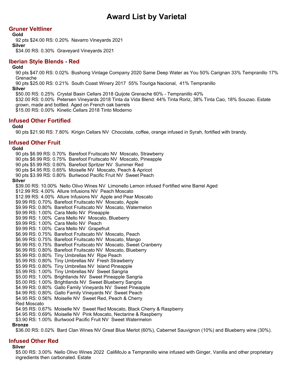## **Gruner Veltliner**

**Gold**

92 pts \$24.00 RS: 0.20% Navarro Vineyards 2021

**Silver**

\$34.00 RS: 0.30% Graveyard Vineyards 2021

## **Iberian Style Blends - Red**

#### **Gold**

90 pts \$47.00 RS: 0.02% Bushong Vintage Company 2020 Same Deep Water as You 50% Carignan 33% Tempranillo 17% Grenache

90 pts \$25.00 RS: 0.21% South Coast Winery 2017 55% Touriga Nacional, 41% Tempranillo

**Silver**

\$50.00 RS: 0.25% Crystal Basin Cellars 2018 Quijote Grenache 60% - Tempranillo 40%

\$32.00 RS: 0.00% Petersen Vineyards 2018 Tinta da Vida Blend: 44% Tinta Roriz, 38% Tinta Cao, 18% Souzao. Estate grown, made and bottled. Aged on French oak barrels

\$15.00 RS: 0.00% Kinetic Cellars 2018 Tinto Moderno

# **Infused Other Fortified**

## **Gold**

90 pts \$21.90 RS: 7.80% Kirigin Cellars NV Chocolate, coffee, orange infused in Syrah, fortified with brandy.

## **Infused Other Fruit**

#### **Gold**

90 pts \$6.99 RS: 0.70% Barefoot Fruitscato NV Moscato, Strawberry 90 pts \$6.99 RS: 0.75% Barefoot Fruitscato NV Moscato, Pineapple 90 pts \$5.99 RS: 0.60% Barefoot Spritzer NV Summer Red 90 pts \$4.95 RS: 0.65% Moiselle NV Moscato, Peach & Apricot 90 pts \$3.99 RS: 0.80% Burlwood Pacific Fruit NV Sweet Peach **Silver** \$39.00 RS: 10.00% Nello Olivo Wines NV Limonello Lemon infused Fortified wine Barrel Aged \$12.99 RS: 4.00% Allure Infusions NV Peach Moscato \$12.99 RS: 4.00% Allure Infusions NV Apple and Pear Moscato \$9.99 RS: 0.70% Barefoot Fruitscato NV Moscato, Apple \$9.99 RS: 0.80% Barefoot Fruitscato NV Moscato, Watermelon \$9.99 RS: 1.00% Cara Mello NV Pineapple \$9.99 RS: 1.00% Cara Mello NV Moscato, Blueberry \$9.99 RS: 1.00% Cara Mello NV Peach \$9.99 RS: 1.00% Cara Mello NV Grapefruit \$6.99 RS: 0.75% Barefoot Fruitscato NV Moscato, Peach \$6.99 RS: 0.75% Barefoot Fruitscato NV Moscato, Mango \$6.99 RS: 0.75% Barefoot Fruitscato NV Moscato, Sweet Cranberry \$6.99 RS: 0.80% Barefoot Fruitscato NV Moscato, Blueberry \$5.99 RS: 0.80% Tiny Umbrellas NV Ripe Peach \$5.99 RS: 0.80% Tiny Umbrellas NV Fresh Strawberry \$5.99 RS: 0.80% Tiny Umbrellas NV Island Pineapple \$5.99 RS: 1.00% Tiny Umbrellas NV Sweet Sangria \$5.00 RS: 1.00% Brightlands NV Sweet Pineapple Sangria \$5.00 RS: 1.00% Brightlands NV Sweet Blueberry Sangria \$4.99 RS: 0.80% Gallo Family Vineyards NV Sweet Pineapple \$4.99 RS: 0.80% Gallo Family Vineyards NV Sweet Peach \$4.95 RS: 0.56% Moiselle NV Sweet Red, Peach & Cherry Red Moscato \$4.95 RS: 0.67% Moiselle NV Sweet Red Moscato, Black Cherry & Raspberry \$4.95 RS: 0.69% Moiselle NV Pink Moscato, Nectarine & Raspberry \$3.90 RS: 1.00% Burlwood Pacific Fruit NV Sweet Watermelon

### **Bronze**

\$36.00 RS: 0.02% Bard Clan Wines NV Great Blue Merlot (60%), Cabernet Sauvignon (10%) and Blueberry wine (30%).

## **Infused Other Red**

### **Silver**

\$5.00 RS: 3.00% Nello Olivo Wines 2022 CaliMoJo a Tempranillo wine infused with Ginger, Vanilla and other proprietary ingredients then carbonated. Estate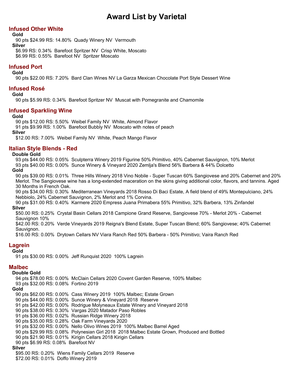## **Infused Other White**

**Gold**

90 pts \$24.99 RS: 14.80% Quady Winery NV Vermouth **Silver** \$6.99 RS: 0.34% Barefoot Spritzer NV Crisp White, Moscato \$6.99 RS: 0.55% Barefoot NV Spritzer Moscato

**Infused Port**

#### **Gold**

90 pts \$22.00 RS: 7.20% Bard Clan Wines NV La Garza Mexican Chocolate Port Style Dessert Wine

## **Infused Rosé**

#### **Gold**

90 pts \$5.99 RS: 0.34% Barefoot Spritzer NV Muscat with Pomegranite and Chamomile

## **Infused Sparkling Wine**

#### **Gold**

90 pts \$12.00 RS: 5.50% Weibel Family NV White, Almond Flavor

91 pts \$9.99 RS: 1.00% Barefoot Bubbly NV Moscato with notes of peach **Silver**

\$12.00 RS: 7.00% Weibel Family NV White, Peach Mango Flavor

## **Italian Style Blends - Red**

#### **Double Gold**

93 pts \$44.00 RS: 0.05% Sculpterra Winery 2019 Figurine 50% Primitivo, 40% Cabernet Sauvignon, 10% Merlot 93 pts \$40.00 RS: 0.00% Sunce Winery & Vineyard 2020 Zemlja's Blend 56% Barbera & 44% Dolcetto

## **Gold**

90 pts \$39.00 RS: 0.01% Three Hills Winery 2018 Vino Nobile - Super Tuscan 60% Sangiovese and 20% Cabernet and 20% Merlot. The Sangiovese wine has a long-extended maceration on the skins giving additional color, flavors, and tannins. Aged 30 Months in French Oak.

90 pts \$34.00 RS: 0.30% Mediterranean Vineyards 2018 Rosso Di Baci Estate, A field blend of 49% Montepulciano, 24% Nebbiolo, 24% Cabernet Sauvignon, 2% Merlot and 1% Corvina.

90 pts \$31.00 RS: 0.40% Karmere 2020 Empress Juana Primabera 55% Primitivo, 32% Barbera, 13% Zinfandel **Silver**

\$50.00 RS: 0.25% Crystal Basin Cellars 2018 Campione Grand Reserve, Sangiovese 70% - Merlot 20% - Cabernet Sauvignon 10%

\$42.00 RS: 0.20% Verde Vineyards 2019 Reigna's Blend Estate, Super Tuscan Blend; 60% Sangiovese; 40% Cabernet Sauvignon.

\$16.00 RS: 0.00% Drytown Cellars NV Viara Ranch Red 50% Barbera - 50% Primitivo; Vaira Ranch Red

## **Lagrein**

**Gold**

91 pts \$30.00 RS: 0.00% Jeff Runquist 2020 100% Lagrein

## **Malbec**

#### **Double Gold**

94 pts \$78.00 RS: 0.00% McClain Cellars 2020 Covent Garden Reserve, 100% Malbec

93 pts \$32.00 RS: 0.08% Fortino 2019

### **Gold**

90 pts \$62.00 RS: 0.00% Cass Winery 2019 100% Malbec; Estate Grown

- 90 pts \$44.00 RS: 0.00% Sunce Winery & Vineyard 2018 Reserve
- 91 pts \$42.00 RS: 0.00% Rodrigue Molyneaux Estate Winery and Vineyard 2018
- 90 pts \$38.00 RS: 0.30% Vargas 2020 Matador Paso Robles
- 91 pts \$36.00 RS: 0.02% Russian Ridge Winery 2018
- 90 pts \$35.00 RS: 0.28% Oak Farm Vineyards 2020
- 91 pts \$32.00 RS: 0.00% Nello Olivo Wines 2019 100% Malbec Barrel Aged
- 90 pts \$29.99 RS: 0.08% Polynesian Girl 2018 2018 Malbec Estate Grown, Produced and Bottled
- 90 pts \$21.90 RS: 0.01% Kirigin Cellars 2018 Kirigin Cellars
- 90 pts \$6.99 RS: 0.08% Barefoot NV

## **Silver**

\$95.00 RS: 0.20% Wiens Family Cellars 2019 Reserve

\$72.00 RS: 0.01% Doffo Winery 2019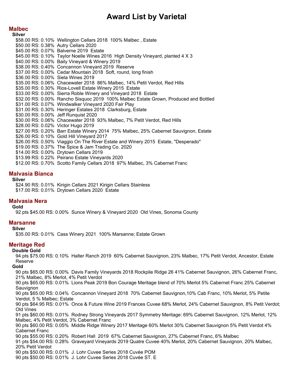## **Malbec**

**Silver** \$58.00 RS: 0.10% Wellington Cellars 2018 100% Malbec , Estate \$50.00 RS: 0.38% Autry Cellars 2020 \$45.00 RS: 0.07% Balverne 2019 Estate \$45.00 RS: 0.10% Taylor Noelle Wines 2016 High Density Vineyard, planted 4 X 3 \$40.00 RS: 0.00% Baily Vineyard & Winery 2019 \$38.00 RS: 0.40% Concannon Vineyard 2019 Reserve \$37.00 RS: 0.00% Cedar Mountain 2018 Soft, round, long finish \$36.00 RS: 0.00% Siela Wines 2019 \$35.00 RS: 0.06% Chacewater 2018 86% Malbec, 14% Petit Verdot, Red Hills \$35.00 RS: 0.30% Rios-Lovell Estate Winery 2015 Estate \$33.00 RS: 0.00% Sierra Roble Winery and Vineyard 2018 Estate \$32.00 RS: 0.00% Rancho Sisquoc 2019 100% Malbec Estate Grown, Produced and Bottled \$31.00 RS: 0.07% Windwalker Vineyard 2020 Fair Play \$31.00 RS: 0.30% Heringer Estates 2018 Clarksburg, Estate \$30.00 RS: 0.00% Jeff Runquist 2020 \$30.00 RS: 0.06% Chacewater 2018 93% Malbec, 7% Petit Verdot, Red Hills \$28.00 RS: 0.02% Victor Hugo 2019 \$27.00 RS: 0.20% Barr Estate Winery 2014 75% Malbec, 25% Cabernet Sauvignon, Estate \$26.00 RS: 0.10% Gold Hill Vineyard 2017 \$26.00 RS: 0.50% Viaggio On The River Estate and Winery 2015 Estate, "Desperado" \$19.00 RS: 0.37% The Spice & Jam Trading Co. 2020 \$14.00 RS: 0.00% Drytown Cellars 2019 \$13.99 RS: 0.22% Peirano Estate Vineyards 2020 \$12.00 RS: 0.70% Scotto Family Cellars 2018 97% Malbec, 3% Cabernet Franc

## **Malvasia Bianca**

**Silver**

\$24.90 RS: 0.01% Kirigin Cellars 2021 Kirigin Cellars Stainless \$17.00 RS: 0.01% Drytown Cellars 2020 Estate

# **Malvasia Nera**

### **Gold**

92 pts \$45.00 RS: 0.00% Sunce Winery & Vineyard 2020 Old Vines, Sonoma County

## **Marsanne**

#### **Silver**

\$35.00 RS: 0.01% Cass Winery 2021 100% Marsanne; Estate Grown

## **Meritage Red**

**Double Gold**

94 pts \$75.00 RS: 0.10% Halter Ranch 2019 60% Cabernet Sauvignon, 23% Malbec, 17% Petit Verdot, Ancestor, Estate Reserve

**Gold**

90 pts \$65.00 RS: 0.00% Davis Family Vineyards 2018 Rockpile Ridge 26 41% Cabernet Sauvignon, 26% Cabernet Franc, 21% Malbec, 8% Merlot, 4% Petit Verdot

90 pts \$65.00 RS: 0.01% Lions Peak 2019 Bon Courage Meritage blend of 70% Merlot 5% Cabernet Franc 25% Cabernet **Sauvignon** 

90 pts \$65.00 RS: 0.04% Concannon Vineyard 2018 70% Cabernet Sauvignon,10% Cab Franc, 10% Merlot, 5% Petite Verdot, 5 % Malbec; Estate

90 pts \$64.95 RS: 0.01% Once & Future Wine 2019 Frances Cuvee 68% Merlot, 24% Cabernet Sauvignon, 8% Petit Verdot; Old Vines

91 pts \$60.00 RS: 0.01% Rodney Strong Vineyards 2017 Symmetry Meritage: 69% Cabernet Sauvignon, 12% Merlot, 12% Malbec, 4% Petit Verdot, 3% Cabernet Franc

90 pts \$60.00 RS: 0.05% Middle Ridge Winery 2017 Meritage 60% Merlot 30% Cabernet Sauvignon 5% Petit Verdot 4% Cabernet Franc

90 pts \$55.00 RS: 0.20% Robert Hall 2019 67% Cabernet Sauvignon, 27% Cabernet Franc, 6% Malbec

91 pts \$54.00 RS: 0.28% Graveyard Vineyards 2019 Quatre Cuvee 40% Merlot, 20% Cabernet Sauvignon, 20% Malbec, 20% Petit Verdot

90 pts \$50.00 RS: 0.01% J. Lohr Cuvee Series 2018 Cuvée POM

90 pts \$50.00 RS: 0.01% J. Lohr Cuvee Series 2018 Cuvée ST. E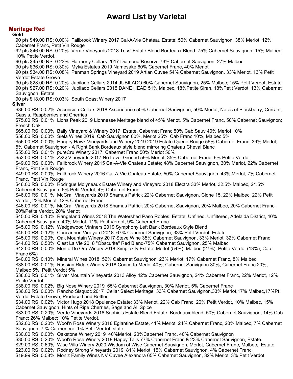# **Meritage Red**

#### **Gold**

90 pts \$49.00 RS: 0.00% Fallbrook Winery 2017 Cal-A-Vie Chateau Estate; 50% Cabernet Sauvignon, 38% Merlot, 12% Cabernet Franc, Petit Vin Rouge 92 pts \$46.00 RS: 0.20% Verde Vineyards 2018 Tess' Estate Blend Bordeaux Blend. 75% Cabernet Sauvignon; 15% Malbec; 10% Petite Verdot. 90 pts \$45.00 RS: 0.23% Harmony Cellars 2017 Diamond Reserve 73% Cabernet Sauvignon, 27% Malbec 90 pts \$36.00 RS: 0.30% Myka Estates 2019 Namesake 60% Cabernet Franc, 40% Merlot 90 pts \$34.00 RS: 0.08% Penman Springs Vineyard 2019 Artian Cuvee 54% Cabernet Sauvignon, 33% Merlot, 13% Petit Verdot Estate Grown 90 pts \$28.00 RS: 0.20% Jubilado Cellars 2014 JUBILADO 60% Cabernet Sauvignon, 25% Malbec, 15% Petit Verdot, Estate 90 pts \$27.00 RS: 0.20% Jubilado Cellars 2015 DANE HEAD 51% Malbec, 18%Petite Sirah, 18%Petit Verdot, 13% Cabernet Sauvignon, Estate 90 pts \$18.00 RS: 0.03% South Coast Winery 2017 **Silver** \$86.00 RS: 0.02% Ascension Cellars 2018 Ascendance 50% Cabernet Sauvignon, 50% Merlot; Notes of Blackberry, Currant, Cassis, Raspberries and Cherries \$75.00 RS: 0.01% Lions Peak 2019 Lionnesse Meritage blend of 45% Merlot, 5% Cabernet Franc, 50% Cabernet Sauvignon; French Oak \$65.00 RS: 0.00% Baily Vineyard & Winery 2017 Estate, Cabernet Franc 50% Cab Sauv 40% Merlot 10% \$58.00 RS: 0.00% Siela Wines 2019 Cab Sauvignon 60%, Merlot 25%, Cab Franc 10%, Malbec 5% \$56.00 RS: 0.00% Hungry Hawk Vineyards and Winery 2019 2019 Estate Queue Rouge 56% Cabernet Franc, 39% Merlot, 5% Cabernet Sauvignon - A Right Bank Bordeaux style blend mirroring Chateau Cheval Blanc \$55.00 RS: 0.01% pureCru Winery 2017 Cabernet Franc 50% Merlot 50% \$52.00 RS: 0.01% ZXQ Vineyards 2017 No Level Ground 59% Merlot, 35% Cabernet Franc, 6% Petite Verdot \$49.00 RS: 0.00% Fallbrook Winery 2015 Cal-A-Vie Chateau Estate; 48% Cabernet Sauvignon, 30% Merlot, 22% Cabernet Franc, Petit Vin Rouge \$49.00 RS: 0.00% Fallbrook Winery 2016 Cal-A-Vie Chateau Estate; 50% Cabernet Sauvignon, 43% Merlot, 7% Cabernet Franc, Petit Vin Rouge \$46.00 RS: 0.00% Rodrigue Molyneaux Estate Winery and Vineyard 2018 Electra 33% Merlot, 32.5% Malbec, 24.5% Cabernet Sauvignon, 6% Petit Verdot, 4% Cabernet Franc \$46.00 RS: 0.01% McGrail Vineyards 2019 Shamus Patrick 22% Cabernet Sauvignon, Clone 15, 22% Malbec, 22% Petit Verdot, 22% Merlot, 12% Cabernet Franc \$46.00 RS: 0.01% McGrail Vineyards 2018 Shamus Patrick 20% Cabernet Sauvignon, 20% Malbec, 20% Cabernet Franc, 20%Petite Verdot, 20% Merlot \$45.00 RS: 0.10% Rangeland Wines 2018 The Watershed Paso Robles, Estate, Unfined, Unfiltered, Adelaida District, 40% Cabernet Sauvignon, 40% Merlot, 11% Petit Verdot, 9% Cabernet Franc \$45.00 RS: 0.12% Wedgewood Vintners 2019 Symphony Left Bank Bordeaux Style Blend \$45.00 RS: 0.12% Concannon Vineyard 2018 67% Cabernet Sauvignon, 33% Petit Verdot; Estate \$45.00 RS: 0.20% Oak Mountain Winery 2017 Steve Wine 35% Cabernet Sauvignon, 33% Merlot, 32% Cabernet Franc \$44.00 RS: 0.50% C'est La Vie 2018 "Obscurite" Red Blend-75% Cabernet Sauvignon, 25% Malbec \$42.00 RS: 0.00% Monte De Oro Winery 2018 Simplexity Estate, Merlot (54%), Malbec (27%), Petite Verdot (13%), Cab Franc 6%) \$40.00 RS: 0.10% Mineral Wines 2018 52% Cabernet Sauvignon, 23% Merlot, 17% Cabernet Franc, 8% Malbec \$38.00 RS: 0.01% Russian Ridge Winery 2018 Concerto Merlot 40%, Cabernet Sauvignon 30%, Cabernet Franc 20%, Malbec 5%, Petit Verdot 5% \$38.00 RS: 0.01% Silver Mountain Vineyards 2013 Alloy 42% Cabernet Sauvignon, 24% Cabernet Franc, 22% Merlot, 12% Petite Verdot \$38.00 RS: 0.02% Big Nose Winery 2019 65% Cabernet Sauvignon, 30% Merlot, 5% Cabernet Franc \$36.00 RS: 0.00% Rancho Sisquoc 2017 Cellar Select Meritage 33% Cabernet Sauvignon,33% Merlot,17% Malbec,17%Pt. Verdot Estate Grown, Produced and Bottled \$34.00 RS: 0.02% Victor Hugo 2018 Opulence Estate; 33% Merlot, 22% Cab Franc, 20% Petit Verdot, 10% Malbec, 15% Cabernet Sauvignon. Hints of Ripe Cherries, Sage and All Spice \$33.00 RS: 0.20% Verde Vineyards 2018 Sophie's Estate Blend Estate, Bordeaux blend. 50% Cabernet Sauvignon; 14% Cab Franc; 26% Malbec; 10% Petite Verdot. \$32.00 RS: 0.20% Woof'n Rose Winery 2018 Eglantine Estate, 41% Merlot, 24% Cabernet Franc, 20% Malbec, 7% Cabernet Sauvignon, 7 % Carmenere, 1% Petit Verdot. state. \$30.00 RS: 0.00% Oakstone Winery 2019 40%Merlot, 20%Cabernet Franc, 40% Cabernet Sauvignon \$30.00 RS: 0.20% Woof'n Rose Winery 2018 Happy Tails 77% Cabernet Franc & 23% Cabernet Sauvignon, Estate. \$29.00 RS: 0.60% Wise Villa Winery 2020 Wisdom of Wise Cabernet Sauvignon, Merlot, Cabernet Franc, Malbec, Estate \$23.00 RS: 0.02% Rodney Strong Vineyards 2019 81% Merlot, 15% Cabernet Sauvignon, 4% Cabernet Franc \$19.99 RS: 0.08% Moniz Family Wines NV Cuvee Alexandra 65% Cabernet Sauvignon, 32% Merlot, 3% Petit Verdot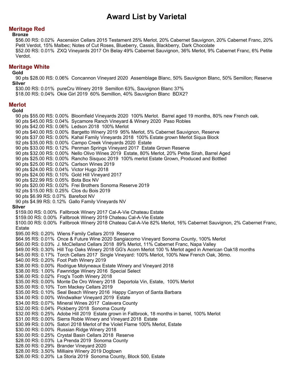## **Meritage Red**

#### **Bronze**

\$56.00 RS: 0.02% Ascension Cellars 2015 Testament 25% Merlot, 20% Cabernet Sauvignon, 20% Cabernet Franc, 20% Petit Verdot, 15% Malbec; Notes of Cut Roses, Blueberry, Cassis, Blackberry, Dark Chocolate \$52.00 RS: 0.01% ZXQ Vineyards 2017 On Belay 49% Cabernet Sauvignon, 36% Merlot, 9% Cabernet Franc, 6% Petite Verdot.

## **Meritage White**

#### **Gold**

90 pts \$28.00 RS: 0.06% Concannon Vineyard 2020 Assemblage Blanc, 50% Sauvignon Blanc, 50% Semillon; Reserve **Silver**

\$30.00 RS: 0.01% pureCru Winery 2019 Semillon 63%, Sauvignon Blanc 37%

\$18.00 RS: 0.04% Okie Girl 2019 60% Semillion, 40% Sauvignon Blanc BDX2?

## **Merlot**

**Gold**

90 pts \$55.00 RS: 0.00% Bloomfield Vineyards 2020 100% Merlot. Barrel aged 19 months, 80% new French oak. 90 pts \$45.00 RS: 0.04% Sycamore Ranch Vineyard & Winery 2020 Paso Robles 90 pts \$42.00 RS: 0.06% Ledson 2018 100% Merlot 90 pts \$40.00 RS: 0.00% Bargetto Winery 2019 95% Merlot, 5% Cabernet Sauvignon, Reserve 90 pts \$37.00 RS: 0.00% Kahal Family Vineyards 2018 100% Estate grown Merlot Siqua Block 92 pts \$35.00 RS: 0.00% Campo Creek Vineyards 2020 Estate 90 pts \$33.00 RS: 0.12% Penman Springs Vineyard 2017 Estate Grown Reserve 90 pts \$32.00 RS: 0.00% Nello Olivo Wines 2019 Estate, 80% Merlot, 20% Petite Sirah, Barrel Aged 90 pts \$25.00 RS: 0.00% Rancho Sisquoc 2019 100% merlot Estate Grown, Produced and Bottled 90 pts \$25.00 RS: 0.02% Carlson Wines 2019 90 pts \$24.00 RS: 0.04% Victor Hugo 2018 90 pts \$24.00 RS: 0.10% Gold Hill Vineyard 2017 90 pts \$22.99 RS: 0.05% Bota Box NV 90 pts \$20.00 RS: 0.02% Frei Brothers Sonoma Reserve 2019 92 pts \$15.00 RS: 0.25% Clos du Bois 2019 90 pts \$6.99 RS: 0.07% Barefoot NV 90 pts \$4.99 RS: 0.12% Gallo Family Vineyards NV **Silver** \$159.00 RS: 0.00% Fallbrook Winery 2017 Cal-A-Vie Chateau Estate \$159.00 RS: 0.00% Fallbrook Winery 2019 Chateau Cal-A-Vie Estate \$100.00 RS: 0.00% Fallbrook Winery 2018 Chateau Cal-A-Vie 82% Merlot, 16% Cabernet Sauvignon, 2% Cabernet Franc, Estate \$95.00 RS: 0.20% Wiens Family Cellars 2019 Reserve \$64.95 RS: 0.01% Once & Future Wine 2020 Sangiacomo Vineyard Sonoma County, 100% Merlot \$60.00 RS: 0.03% J. McClelland Cellars 2018 89% Merlot, 11% Cabernet Franc, Napa Valley \$49.00 RS: 0.30% Hill Top Oaks Winery 2018 GG's Acorn Merlot 100 % Merlot aged in American Oak18 months \$45.00 RS: 0.17% Torch Cellars 2017 Single Vineyard: 100% Merlot, 100% New French Oak, 36mo. \$40.00 RS: 0.20% Foot Path Winery 2019 \$38.00 RS: 0.00% Rodrigue Molyneaux Estate Winery and Vineyard 2018 \$38.00 RS: 1.00% Fawnridge Winery 2016 Special Select \$36.00 RS: 0.02% Frog's Tooth Winery 2018 \$35.00 RS: 0.00% Monte De Oro Winery 2018 Deportola Vin, Estate, 100% Merlot \$35.00 RS: 0.10% Tom Mackey Cellars 2019 \$35.00 RS: 0.10% Seal Beach Winery 2016 Happy Canyon of Santa Barbara \$34.00 RS: 0.00% Windwalker Vineyard 2019 Estate \$34.00 RS: 0.07% Mineral Wines 2017 Calavera County \$32.00 RS: 0.04% Pickberry 2018 Sonoma County \$32.00 RS: 0.25% Adobe Hill 2019 Estate grown in Fallbrook, 18 months in barrel, 100% Merlot \$31.00 RS: 0.00% Sierra Roble Winery and Vineyard 2018 Estate \$30.99 RS: 0.00% Satori 2018 Merlot of the Violet Flame 100% Merlot, Estate \$30.00 RS: 0.00% Russian Ridge Winery 2018 \$30.00 RS: 0.25% Crystal Basin Cellars 2018 Reserve \$28.00 RS: 0.03% La Prenda 2019 Sonoma County \$28.00 RS: 0.29% Brander Vineyard 2020 \$28.00 RS: 3.50% Milliaire Winery 2019 Dogtown \$26.00 RS: 0.20% La Storia 2019 Sonoma County, Block 500, Estate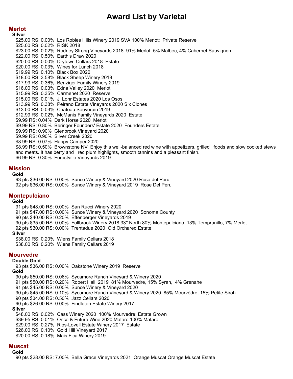## **Merlot**

**Silver** \$25.00 RS: 0.00% Los Robles Hills Winery 2019 SVA 100% Merlot; Private Reserve \$25.00 RS: 0.02% RISK 2018 \$23.00 RS: 0.02% Rodney Strong Vineyards 2018 91% Merlot, 5% Malbec, 4% Cabernet Sauvignon \$22.00 RS: 0.50% Earth's Draw 2020 \$20.00 RS: 0.00% Drytown Cellars 2018 Estate \$20.00 RS: 0.03% Wines for Lunch 2018 \$19.99 RS: 0.10% Black Box 2020 \$18.00 RS: 3.58% Black Sheep Winery 2019 \$17.99 RS: 0.36% Benziger Family Winery 2019 \$16.00 RS: 0.03% Edna Valley 2020 Merlot \$15.99 RS: 0.35% Carmenet 2020 Reserve \$15.00 RS: 0.01% J. Lohr Estates 2020 Los Osos \$13.99 RS: 0.38% Peirano Estate Vineyards 2020 Six Clones \$13.00 RS: 0.03% Chateau Souverain 2019 \$12.99 RS: 0.02% McManis Family Vineyards 2020 Estate \$9.99 RS: 0.04% Dark Horse 2020 Merlot \$9.99 RS: 0.80% Beringer Founders' Estate 2020 Founders Estate \$9.99 RS: 0.90% Glenbrook Vineyard 2020 \$9.99 RS: 0.90% Silver Creek 2020 \$8.99 RS: 0.07% Happy Camper 2020 \$8.99 RS: 0.50% Brownstone NV Enjoy this well-balanced red wine with appetizers, grilled foods and slow cooked stews and meats. It has berry and red plum highlights, smooth tannins and a pleasant finish. \$6.99 RS: 0.30% Forestville Vineyards 2019

## **Mission**

#### **Gold**

93 pts \$36.00 RS: 0.00% Sunce Winery & Vineyard 2020 Rosa del Peru 92 pts \$36.00 RS: 0.00% Sunce Winery & Vineyard 2019 Rose Del Peru'

## **Montepulciano**

**Gold**

91 pts \$48.00 RS: 0.00% San Rucci Winery 2020 91 pts \$47.00 RS: 0.00% Sunce Winery & Vineyard 2020 Sonoma County 90 pts \$40.00 RS: 0.20% Effenberger Vineyards 2019 90 pts \$35.00 RS: 0.00% Fallbrook Winery 2018 33\* North 80% Montepulciano, 13% Tempranillo, 7% Merlot 92 pts \$30.00 RS: 0.00% Trentadue 2020 Old Orchared Estate **Silver** \$38.00 RS: 0.20% Wiens Family Cellars 2018 \$38.00 RS: 0.20% Wiens Family Cellars 2019

# **Mourvedre**

## **Double Gold**

93 pts \$36.00 RS: 0.00% Oakstone Winery 2019 Reserve **Gold** 90 pts \$50.00 RS: 0.06% Sycamore Ranch Vineyard & Winery 2020 91 pts \$50.00 RS: 0.20% Robert Hall 2019 81% Mourvedre, 15% Syrah, 4% Grenahe 91 pts \$45.00 RS: 0.00% Sunce Winery & Vineyard 2020 90 pts \$45.00 RS: 0.10% Sycamore Ranch Vineyard & Winery 2020 85% Mourvèdre, 15% Petite Sirah 90 pts \$34.00 RS: 0.50% Jazz Cellars 2020 90 pts \$26.00 RS: 0.00% Findleton Estate Winery 2017 **Silver** \$48.00 RS: 0.02% Cass Winery 2020 100% Mourvedre; Estate Grown \$39.95 RS: 0.01% Once & Future Wine 2020 Mataro 100% Mataro \$29.00 RS: 0.27% Rios-Lovell Estate Winery 2017 Estate \$26.00 RS: 0.10% Gold Hill Vineyard 2017 \$20.00 RS: 0.18% Mais Fica Winery 2019

## **Muscat**

**Gold**

90 pts \$28.00 RS: 7.00% Bella Grace Vineyards 2021 Orange Muscat Orange Muscat Estate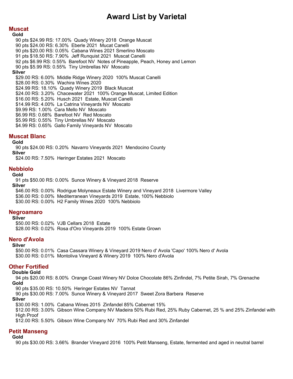## **Muscat**

**Gold** 90 pts \$24.99 RS: 17.00% Quady Winery 2018 Orange Muscat 90 pts \$24.00 RS: 6.30% Eberle 2021 Mucat Canelli 90 pts \$20.00 RS: 0.05% Cabana Wines 2021 Smerlino Moscato 91 pts \$18.50 RS: 7.90% Jeff Runquist 2021 Muscat Canelli 92 pts \$6.99 RS: 0.55% Barefoot NV Notes of Pineapple, Peach, Honey and Lemon 90 pts \$5.99 RS: 0.55% Tiny Umbrellas NV Moscato **Silver** \$29.00 RS: 6.00% Middle Ridge Winery 2020 100% Muscat Canelli \$28.00 RS: 0.30% Wachira Wines 2020 \$24.99 RS: 18.10% Quady Winery 2019 Black Muscat \$24.00 RS: 3.20% Chacewater 2021 100% Orange Muscat, Limited Edition \$16.00 RS: 5.20% Husch 2021 Estate, Muscat Canelli \$14.99 RS: 4.00% La Catrina Vineyards NV Moscato \$9.99 RS: 1.00% Cara Mello NV Moscato \$6.99 RS: 0.68% Barefoot NV Red Moscato \$5.99 RS: 0.55% Tiny Umbrellas NV Moscato \$4.99 RS: 0.65% Gallo Family Vineyards NV Moscato

## **Muscat Blanc**

**Gold**

90 pts \$24.00 RS: 0.20% Navarro Vineyards 2021 Mendocino County **Silver**

\$24.00 RS: 7.50% Heringer Estates 2021 Moscato

# **Nebbiolo**

## **Gold**

91 pts \$50.00 RS: 0.00% Sunce Winery & Vineyard 2018 Reserve **Silver** \$46.00 RS: 0.00% Rodrigue Molyneaux Estate Winery and Vineyard 2018 Livermore Valley \$36.00 RS: 0.00% Mediterranean Vineyards 2019 Estate, 100% Nebbiolo \$30.00 RS: 0.00% H2 Family Wines 2020 100% Nebbiolo

## **Negroamaro**

**Silver**

\$50.00 RS: 0.02% VJB Cellars 2018 Estate \$28.00 RS: 0.02% Rosa d'Oro Vineyards 2019 100% Estate Grown

## **Nero d'Avola**

#### **Silver**

\$50.00 RS: 0.01% Casa Cassara Winery & Vineyard 2019 Nero d' Avola 'Capo' 100% Nero d' Avola \$30.00 RS: 0.01% Montoliva Vineyard & Winery 2019 100% Nero d'Avola

## **Other Fortified**

### **Double Gold**

94 pts \$20.00 RS: 8.00% Orange Coast Winery NV Dolce Chocolate 86% Zinfindel, 7% Petite Sirah, 7% Grenache **Gold**

90 pts \$35.00 RS: 10.50% Heringer Estates NV Tannat

90 pts \$30.00 RS: 7.00% Sunce Winery & Vineyard 2017 Sweet Zora Barbera Reserve **Silver**

\$30.00 RS: 1.00% Cabana Wines 2015 Zinfandel 85% Cabernet 15% \$12.00 RS: 3.00% Gibson Wine Company NV Madeira 50% Rubi Red, 25% Ruby Cabernet, 25 % and 25% Zinfandel with High Proof

\$12.00 RS: 5.50% Gibson Wine Company NV 70% Rubi Red and 30% Zinfandel

## **Petit Manseng**

## **Gold**

90 pts \$30.00 RS: 3.66% Brander Vineyard 2016 100% Petit Manseng, Estate, fermented and aged in neutral barrel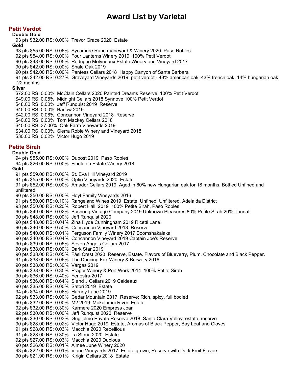## **Petit Verdot**

### **Double Gold**

93 pts \$32.00 RS: 0.00% Trevor Grace 2020 Estate **Gold** 93 pts \$55.00 RS: 0.06% Sycamore Ranch Vineyard & Winery 2020 Paso Robles 92 pts \$54.00 RS: 0.00% Four Lanterns Winery 2019 100% Petit Verdot 90 pts \$48.00 RS: 0.05% Rodrigue Molyneaux Estate Winery and Vineyard 2017 90 pts \$42.00 RS: 0.00% Shale Oak 2019 90 pts \$42.00 RS: 0.00% Pantess Cellars 2018 Happy Canyon of Santa Barbara 91 pts \$42.00 RS: 0.27% Graveyard Vineyards 2019 petit verdot - 43% american oak, 43% french oak, 14% hungarian oak -22 months **Silver** \$72.00 RS: 0.00% McClain Cellars 2020 Painted Dreams Reserve, 100% Petit Verdot \$49.00 RS: 0.05% Midnight Cellars 2018 Synnove 100% Petit Verdot \$48.00 RS: 0.00% Jeff Runquist 2019 Reserve \$45.00 RS: 0.00% Barlow 2019 \$42.00 RS: 0.06% Concannon Vineyard 2018 Reserve \$40.00 RS: 0.00% Tom Mackey Cellars 2018 \$40.00 RS: 37.00% Oak Farm Vineyards 2019 \$34.00 RS: 0.00% Sierra Roble Winery and Vineyard 2018 \$30.00 RS: 0.02% Victor Hugo 2019 **Petite Sirah Double Gold** 94 pts \$55.00 RS: 0.00% Dubost 2019 Paso Robles 94 pts \$26.00 RS: 0.00% Findleton Estate Winery 2018 **Gold** 91 pts \$59.00 RS: 0.00% St. Eva Hill Vineyard 2019 91 pts \$55.00 RS: 0.00% Optio Vineyards 2020 Estate 91 pts \$52.00 RS: 0.00% Amador Cellars 2019 Aged in 60% new Hungarian oak for 18 months. Bottled Unfined and unfiltered. 90 pts \$50.00 RS: 0.00% Hoyt Family Vineyards 2016 91 pts \$50.00 RS: 0.10% Rangeland Wines 2019 Estate, Unfined, Unfiltered, Adelaida District 93 pts \$50.00 RS: 0.20% Robert Hall 2019 100% Petite Sirah, Paso Robles 90 pts \$49.00 RS: 0.02% Bushong Vintage Company 2019 Unknown Pleasures 80% Petite Sirah 20% Tannat 90 pts \$48.00 RS: 0.00% Jeff Runquist 2020 90 pts \$48.00 RS: 0.04% Zina Hyde Cunningham 2019 Ricetti Lane 90 pts \$46.00 RS: 0.50% Concannon Vineyard 2018 Reserve 90 pts \$40.00 RS: 0.01% Ferguson Family Winery 2017 Boomshakalaka 90 pts \$40.00 RS: 0.04% Concannon Vineyard 2019 Captain Joe's Reserve 90 pts \$39.00 RS: 0.05% Seven Angels Cellars 2017 90 pts \$38.00 RS: 0.00% Dark Star 2019 90 pts \$38.00 RS: 0.05% Fäsi Crest 2020 Reserve, Estate. Flavors of Blueverry, Plum, Chocolate and Black Pepper. 91 pts \$38.00 RS: 0.06% The Dancing Fox Winery & Brewery 2016 90 pts \$38.00 RS: 0.30% Vargas 2019 90 pts \$38.00 RS: 0.35% Prager Winery & Port Work 2014 100% Petite Sirah 90 pts \$36.00 RS: 0.40% Fenestra 2017 90 pts \$36.00 RS: 0.64% S and J Cellars 2019 Caldeaux 90 pts \$35.00 RS: 0.00% Satori 2019 Estate 94 pts \$34.00 RS: 0.06% Harney Lane 2019 92 pts \$33.00 RS: 0.00% Cedar Mountain 2017 Reserve; Rich, spicy, full bodied 90 pts \$32.00 RS: 0.00% M2 2019 Mokelumni River, Estate 92 pts \$32.00 RS: 0.30% Karmere 2020 Empress Joan 92 pts \$30.00 RS: 0.00% Jeff Runquist 2020 Reserve 90 pts \$30.00 RS: 0.03% Guglielmo Private Reserve 2018 Santa Clara Valley, estate, reserve 90 pts \$28.00 RS: 0.02% Victor Hugo 2019 Estate, Aromas of Black Pepper, Bay Leaf and Cloves 91 pts \$28.00 RS: 0.03% Macchia 2020 Rebellious 91 pts \$28.00 RS: 0.30% La Storia 2020 Estate 92 pts \$27.00 RS: 0.03% Macchia 2020 Dubious 90 pts \$26.00 RS: 0.01% Aimee June Winery 2020 93 pts \$22.00 RS: 0.01% Viano Vineyards 2017 Estate grown, Reserve with Dark Fruit Flavors

90 pts \$21.90 RS: 0.01% Kirigin Cellars 2018 Estate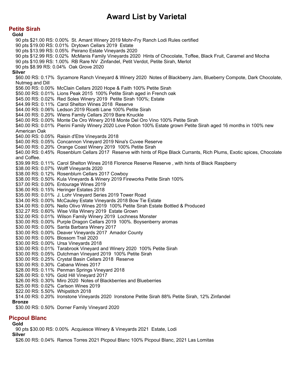**Petite Sirah**

**Gold** 90 pts \$21.00 RS: 0.00% St. Amant Winery 2019 Mohr-Fry Ranch Lodi Rules certified 90 pts \$19.00 RS: 0.01% Drytown Cellars 2019 Estate 90 pts \$13.99 RS: 0.05% Peirano Estate Vineyards 2020 90 pts \$12.99 RS: 0.02% McManis Family Vineyards 2020 Hints of Chocolate, Toffee, Black Fruit, Caramel and Mocha 90 pts \$10.99 RS: 1.00% RB Rare NV Zinfandel, Petit Verdot, Petite Sirah, Merlot 90 pts \$8.99 RS: 0.04% Oak Grove 2020 **Silver** \$60.00 RS: 0.17% Sycamore Ranch Vineyard & Winery 2020 Notes of Blackberry Jam, Blueberry Compote, Dark Chocolate, Nutmeg and Dill \$56.00 RS: 0.00% McClain Cellars 2020 Hope & Faith 100% Petite Sirah \$50.00 RS: 0.01% Lions Peak 2015 100% Petite Sirah aged in French oak \$45.00 RS: 0.02% Red Soles Winery 2019 Petite Sirah 100%; Estate \$44.99 RS: 0.11% Carol Shelton Wines 2018 Reserve \$44.00 RS: 0.06% Ledson 2019 Ricetti Lane 100% Petite Sirah \$44.00 RS: 0.20% Wiens Family Cellars 2019 Bare Knuckle \$40.00 RS: 0.00% Monte De Oro Winery 2018 Monte Del Oro Vino 100% Petite Sirah \$40.00 RS: 0.01% Pierini Family Winery 2020 Love Potion 100% Estate grown Petite Sirah aged 16 months in 100% new American Oak \$40.00 RS: 0.05% Raisin d'Etre Vineyards 2018 \$40.00 RS: 0.05% Concannon Vineyard 2019 Nina's Cuvee Reserve \$40.00 RS: 0.20% Orange Coast Winery 2019 100% Petite Sirah \$40.00 RS: 0.45% Rosenblum Cellars 2017 Reserve with hints of Ripe Black Currants, Rich Plums, Exotic spices, Chocolate and Coffee. \$39.99 RS: 0.11% Carol Shelton Wines 2018 Florence Reserve Reserve , with hints of Black Raspberry \$38.00 RS: 0.07% Wolff Vineyards 2020 \$38.00 RS: 0.12% Rosenblum Cellars 2017 Cowboy \$38.00 RS: 0.50% Kula Vineyards & Winery 2019 Fireworks Petite Sirah 100% \$37.00 RS: 0.00% Entourage Wines 2019 \$36.00 RS: 0.15% Heringer Estates 2018 \$35.00 RS: 0.01% J. Lohr Vineyard Series 2019 Tower Road \$34.00 RS: 0.00% McCauley Estate Vineyards 2018 Bow Tie Estate \$34.00 RS: 0.00% Nello Olivo Wines 2019 100% Petite Sirah Estate Bottled & Produced \$32.27 RS: 0.60% Wise Villa Winery 2019 Estate Grown \$32.00 RS: 0.01% Wilson Family Winery 2019 Lochness Monster \$30.00 RS: 0.00% Purple Dragon Cellars 2019 100%. Boysenberry aromas \$30.00 RS: 0.00% Santa Barbara Winery 2017 \$30.00 RS: 0.00% Deaver Vineyards 2017 Amador County \$30.00 RS: 0.00% Blossom Trail 2020 \$30.00 RS: 0.00% Ursa Vineyards 2018 \$30.00 RS: 0.01% Tarabrook Vineyard and Winery 2020 100% Petite Sirah \$30.00 RS: 0.05% Dutchman Vineyard 2019 100% Petite Sirah \$30.00 RS: 0.25% Crystal Basin Cellars 2018 Reserve \$30.00 RS: 0.30% Cabana Wines 2017 \$28.00 RS: 0.11% Penman Springs Vineyard 2018 \$26.00 RS: 0.10% Gold Hill Vineyard 2017 \$26.00 RS: 0.30% Miro 2020 Notes of Blackberries and Blueberries \$25.00 RS: 0.02% Carlson Wines 2019 \$22.00 RS: 5.50% Whipstitch 2018 \$14.00 RS: 0.20% Ironstone Vineyards 2020 Ironstone Petite Sirah 88% Petite Sirah, 12% Zinfandel **Bronze** \$30.00 RS: 0.50% Dorner Family Vineyard 2020

## **Picpoul Blanc**

### **Gold**

90 pts \$30.00 RS: 0.00% Acquiesce Winery & Vineyards 2021 Estate, Lodi

**Silver**

\$26.00 RS: 0.04% Ramos Torres 2021 Picpoul Blanc 100% Picpoul Blanc, 2021 Las Lomitas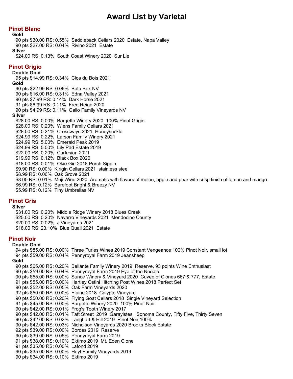## **Pinot Blanc**

**Gold**

90 pts \$30.00 RS: 0.55% Saddleback Cellars 2020 Estate, Napa Valley 90 pts \$27.00 RS: 0.04% Rivino 2021 Estate

### **Silver**

\$24.00 RS: 0.13% South Coast Winery 2020 Sur Lie

## **Pinot Grigio**

**Double Gold**

95 pts \$14.99 RS: 0.34% Clos du Bois 2021 **Gold** 90 pts \$22.99 RS: 0.06% Bota Box NV

90 pts \$16.00 RS: 0.31% Edna Valley 2021

90 pts \$7.99 RS: 0.14% Dark Horse 2021

91 pts \$6.99 RS: 0.11% Free Reign 2020

90 pts \$4.99 RS: 0.11% Gallo Family Vineyards NV

## **Silver**

\$28.00 RS: 0.00% Bargetto Winery 2020 100% Pinot Grigio \$28.00 RS: 0.20% Wiens Family Cellars 2021 \$28.00 RS: 0.21% Crossways 2021 Honeysuckle \$24.99 RS: 0.22% Larson Family Winery 2021 \$24.99 RS: 5.00% Emerald Peak 2019 \$24.99 RS: 5.00% Lily Pad Estate 2019 \$22.00 RS: 0.20% Cartesian 2021 \$19.99 RS: 0.12% Black Box 2020 \$18.00 RS: 0.01% Okie Girl 2018 Porch Sippin \$9.90 RS: 0.00% Kirigin Cellars 2021 stainless steel \$8.99 RS: 0.06% Oak Grove 2021 \$8.00 RS: 0.01% Moji Wine 2020 Aromatic with flavors of melon, apple and pear with crisp finish of lemon and mango. \$6.99 RS: 0.12% Barefoot Bright & Breezy NV

\$5.99 RS: 0.12% Tiny Umbrellas NV

## **Pinot Gris**

**Silver**

\$31.00 RS: 0.20% Middle Ridge Winery 2018 Blues Creek \$25.00 RS: 0.20% Navarro Vineyards 2021 Mendocino County \$20.00 RS: 0.02% J Vineyards 2021 \$18.00 RS: 23.10% Blue Quail 2021 Estate

## **Pinot Noir**

#### **Double Gold**

94 pts \$85.00 RS: 0.00% Three Furies Wines 2019 Constant Vengeance 100% Pinot Noir, small lot 94 pts \$59.00 RS: 0.04% Pennyroyal Farm 2019 Jeansheep **Gold** 90 pts \$65.00 RS: 0.20% Bellante Family Winery 2019 Reserve, 93 points Wine Enthusiast 90 pts \$59.00 RS: 0.04% Pennyroyal Farm 2019 Eye of the Needle 90 pts \$55.00 RS: 0.00% Sunce Winery & Vineyard 2020 Cuvee of Clones 667 & 777, Estate 91 pts \$55.00 RS: 0.00% Hartley Ostini Hitching Post Wines 2018 Perfect Set 90 pts \$52.00 RS: 0.05% Oak Farm Vineyards 2020 92 pts \$50.00 RS: 0.00% Elaine 2018 Calypte Vineyard 90 pts \$50.00 RS: 0.20% Flying Goat Cellars 2018 Single Vineyard Selection 91 pts \$45.00 RS: 0.00% Bargetto Winery 2020 100% Pinot Noir 90 pts \$42.00 RS: 0.01% Frog's Tooth Winery 2017 90 pts \$42.00 RS: 0.01% Taft Street 2019 Garayistes, Sonoma County, Fifty Five, Thirty Seven 90 pts \$42.00 RS: 0.02% Langhart & Hill 2019 Pinot Noir 100% 90 pts \$42.00 RS: 0.03% Nicholson Vineyards 2020 Brooks Block Estate 92 pts \$39.00 RS: 0.00% Bordes 2019 Reserve 90 pts \$39.00 RS: 0.05% Pennyroyal Farm 2019 91 pts \$38.00 RS: 0.10% Ektimo 2019 Mt. Eden Clone 91 pts \$35.00 RS: 0.00% Lafond 2019 90 pts \$35.00 RS: 0.00% Hoyt Family Vineyards 2019 90 pts \$34.00 RS: 0.10% Ektimo 2019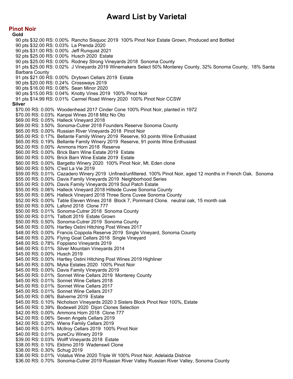**Pinot Noir**

**Gold** 90 pts \$32.00 RS: 0.00% Rancho Sisquoc 2019 100% Pinot Noir Estate Grown, Produced and Bottled 90 pts \$32.00 RS: 0.03% La Prenda 2020 90 pts \$31.00 RS: 0.00% Jeff Runquist 2021 92 pts \$25.00 RS: 0.00% Husch 2020 Estate 90 pts \$25.00 RS: 0.00% Rodney Strong Vineyards 2018 Sonoma County 91 pts \$25.00 RS: 0.02% J Vineyards 2019 Winemakers Select 50% Monterey County, 32% Sonoma County, 18% Santa Barbara County 91 pts \$21.00 RS: 0.00% Drytown Cellars 2019 Estate 90 pts \$20.00 RS: 0.24% Crossways 2019 90 pts \$16.00 RS: 0.08% Sean Minor 2020 90 pts \$15.00 RS: 0.04% Knotty Vines 2019 100% Pinot Noir 91 pts \$14.99 RS: 0.01% Carmel Road Winery 2020 100% Pinot Noir CCSW **Silver** \$70.00 RS: 0.00% Woodenhead 2017 Cinder Cone 100% Pinot Noir, planted in 1972 \$70.00 RS: 0.03% Kanpai Wines 2018 Mitz No Oto \$69.00 RS: 0.05% Halleck Vineyard 2018 \$69.00 RS: 3.50% Sonoma-Cutrer 2018 Founders Reserve Sonoma County \$65.00 RS: 0.00% Russian River Vineyards 2018 Pinot Noir \$65.00 RS: 0.17% Bellante Family Winery 2019 Reserve, 93 points Wine Enthusiast \$65.00 RS: 0.19% Bellante Family Winery 2019 Reserve, 91 points Wine Enthusiast \$62.00 RS: 0.00% Ammons Horn 2018 Reserve \$60.00 RS: 0.00% Brick Barn Wine Estate 2019 Estate \$60.00 RS: 0.00% Brick Barn Wine Estate 2019 Estate \$60.00 RS: 0.00% Bargetto Winery 2020 100% Pinot Noir, Mt. Eden clone \$60.00 RS: 0.50% C'est La Vie 2019 \$59.00 RS: 0.01% Cazadero Winery 2019 Unfined/unfiltered. 100% Pinot Noir, aged 12 months in French Oak. Sonoma \$55.00 RS: 0.00% Davis Family Vineyards 2019 Neighborhood Series \$55.00 RS: 0.00% Davis Family Vineyards 2019 Soul Patch Estate \$55.00 RS: 0.06% Halleck Vineyard 2018 Hillside Cuvee Sonoma County \$55.00 RS: 0.06% Halleck Vineyard 2018 Three Sons Cuvee Sonoma County \$52.00 RS: 0.00% Table Eleven Wines 2018 Block 7, Pommard Clone. neutral oak, 15 month oak \$50.00 RS: 0.00% Lafond 2018 Clone 777 \$50.00 RS: 0.01% Sonoma-Cutrer 2018 Sonoma County \$50.00 RS: 0.01% Talbott 2019 Estate Grown \$50.00 RS: 0.50% Sonoma-Cutrer 2019 Sonoma County \$48.00 RS: 0.00% Hartley Ostini Hitching Post Wines 2017 \$48.00 RS: 0.00% Francis Coppola Reserve 2019 Single Vineyard, Sonoma County \$48.00 RS: 0.20% Flying Goat Cellars 2018 Single Vineyard \$48.00 RS: 0.78% Foppiano Vineyards 2019 \$46.00 RS: 0.01% Silver Mountain Vineyards 2014 \$45.00 RS: 0.00% Husch 2019 \$45.00 RS: 0.00% Hartley Ostini Hitching Post Wines 2019 Highliner \$45.00 RS: 0.00% Myka Estates 2020 100% Pinot Noir \$45.00 RS: 0.00% Davis Family Vineyards 2019 \$45.00 RS: 0.01% Sonnet Wine Cellars 2019 Monterey County \$45.00 RS: 0.01% Sonnet Wine Cellars 2018 \$45.00 RS: 0.01% Sonnet Wine Cellars 2017 \$45.00 RS: 0.01% Sonnet Wine Cellars 2017 \$45.00 RS: 0.06% Balverne 2019 Estate \$45.00 RS: 0.10% Nicholson Vineyards 2020 3 Sisters Block Pinot Noir 100%, Estate \$45.00 RS: 0.39% Bodewell 2020 Dijon Clones Selection \$42.00 RS: 0.00% Ammons Horn 2018 Clone 777 \$42.00 RS: 0.06% Seven Angels Cellars 2019 \$42.00 RS: 0.20% Wiens Family Cellars 2019 \$40.00 RS: 0.01% McIlroy Cellars 2019 100% Pinot Noir \$40.00 RS: 0.01% pureCru Winery 2019 \$39.00 RS: 0.03% Wolff Vineyards 2018 Estate \$38.00 RS: 0.10% Ektimo 2019 Wadenswil Clone \$38.00 RS: 0.30% Schug 2019 \$36.00 RS: 0.01% Volatus Wine 2020 Triple W 100% Pinot Noir, Adelaida Districe \$36.00 RS: 0.70% Sonoma-Cutrer 2019 Russian River Valley Russian River Valley, Sonoma County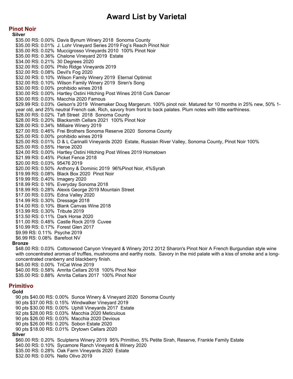## **Pinot Noir**

**Silver** \$35.00 RS: 0.00% Davis Bynum Winery 2018 Sonoma County \$35.00 RS: 0.01% J. Lohr Vineyard Series 2019 Fog's Reach Pinot Noir \$35.00 RS: 0.02% Muccigrosso Vineyards 2010 100% Pinot Noir \$35.00 RS: 0.36% Chalone Vineyard 2019 Estate \$34.00 RS: 0.21% 30 Degrees 2020 \$32.00 RS: 0.00% Philo Ridge Vineyards 2019 \$32.00 RS: 0.08% Devil's Fog 2020 \$32.00 RS: 0.10% Wilson Family Winery 2019 Eternal Optimist \$32.00 RS: 0.10% Wilson Family Winery 2019 Siren's Song \$30.00 RS: 0.00% prohibido wines 2018 \$30.00 RS: 0.00% Hartley Ostini Hitching Post Wines 2018 Cork Dancer \$30.00 RS: 0.03% Macchia 2020 Famous \$29.99 RS: 0.03% Gelson's 2019 Winemaker Doug Margerum. 100% pinot noir. Matured for 10 months in 25% new, 50% 1 year old, and 25% neutral French oak. Rich, savory from front to back palates. Plum notes with little earthiness. \$28.00 RS: 0.02% Taft Street 2018 Sonoma County \$28.00 RS: 0.20% Blacksmith Cellars 2021 100% Pinot Noir \$28.00 RS: 0.34% Milliaire Winery 2019 \$27.00 RS: 0.46% Frei Brothers Sonoma Reserve 2020 Sonoma County \$25.00 RS: 0.00% prohibido wines 2019 \$25.00 RS: 0.01% D & L Carinalli Vineyards 2020 Estate, Russian River Valley, Sonoma County, Pinot Noir 100% \$25.00 RS: 0.55% Heroe 2020 \$24.00 RS: 0.00% Hartley Ostini Hitching Post Wines 2019 Hometown \$21.99 RS: 0.45% Picket Fence 2018 \$20.00 RS: 0.03% 95476 2019 \$20.00 RS: 0.50% Anthony & Dominic 2019 96%Pinot Noir, 4%Syrah \$19.99 RS: 0.08% Black Box 2020 Pinot Noir \$19.99 RS: 0.40% Imagery 2020 \$18.99 RS: 0.16% Everyday Sonoma 2018 \$18.99 RS: 0.28% Alexis George 2019 Mountain Street \$17.00 RS: 0.03% Edna Valley 2020 \$14.99 RS: 0.30% Dressage 2018 \$14.00 RS: 0.10% Blank Canvas Wine 2018 \$13.99 RS: 0.30% Tribute 2019 \$13.50 RS: 0.11% Dark Horse 2020 \$11.00 RS: 0.48% Castle Rock 2019 Cuvee \$10.99 RS: 0.17% Forest Glen 2017 \$9.99 RS: 0.11% Psyche 2019 \$6.99 RS: 0.08% Barefoot NV

#### **Bronze**

\$48.00 RS: 0.03% Cottonwood Canyon Vineyard & Winery 2012 2012 Sharon's Pinot Noir A French Burgundian style wine with concentrated aromas of truffles, mushrooms and earthy roots. Savory in the mid palate with a kiss of smoke and a longconcentrated cranberry and blackberry finish. \$45.00 RS: 0.00% TriCal Wine 2019 \$40.00 RS: 0.58% Amrita Cellars 2018 100% Pinot Noir \$35.00 RS: 0.88% Amrita Cellars 2017 100% Pinot Noir

## **Primitivo**

### **Gold**

90 pts \$40.00 RS: 0.00% Sunce Winery & Vineyard 2020 Sonoma County 90 pts \$37.00 RS: 0.15% Windwalker Vineyard 2019 90 pts \$30.00 RS: 0.00% Uphill Vineyards 2017 Estate 92 pts \$28.00 RS: 0.03% Macchia 2020 Meticulous 90 pts \$26.00 RS: 0.03% Macchia 2020 Devious 90 pts \$26.00 RS: 0.20% Sobon Estate 2020 90 pts \$18.00 RS: 0.01% Drytown Cellars 2020 **Silver** \$60.00 RS: 0.20% Sculpterra Winery 2019 95% Primitivo, 5% Petite Sirah, Reserve, Frankle Family Estate \$40.00 RS: 0.10% Sycamore Ranch Vineyard & Winery 2020 \$35.00 RS: 0.28% Oak Farm Vineyards 2020 Estate \$32.00 RS: 0.00% Nello Olivo 2019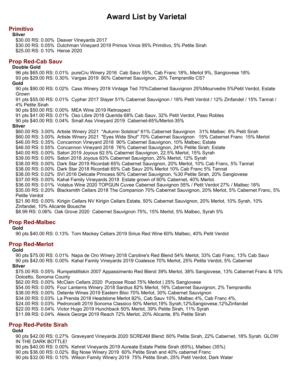## **Primitivo**

**Silver**

\$30.00 RS: 0.00% Deaver Vineyards 2017 \$30.00 RS: 0.05% Dutchman Vineyard 2019 Primos Vinos 95% Primitivo, 5% Petite Sirah \$25.00 RS: 0.10% Heroe 2020

## **Prop Red-Cab Sauv**

#### **Double Gold**

96 pts \$65.00 RS: 0.01% pureCru Winery 2016 Cab Sauv 55%, Cab Franc 18%, Merlot 9%, Sangiovese 18% 93 pts \$29.00 RS: 0.30% Vargas 2019 80% Cabernet Sauvignon, 20% Tempranillo CS?

#### **Gold**

90 pts \$90.00 RS: 0.02% Cass Winery 2019 Vintage Ted 70%Cabernet Sauvignon 25%Mourvedre 5%Petit Verdot, Estate Grown

91 pts \$55.00 RS: 0.01% Cypher 2017 Slayer 51% Cabernet Sauvignon / 18% Petit Verdot / 12% Zinfandel / 15% Tannat / 4% Petite Sirah

90 pts \$50.00 RS: 0.00% MEA Wine 2019 Retrospect

91 pts \$41.00 RS: 0.01% Oso Libre 2018 Querida 68% Cab Sauv, 32% Petit Verdot, Paso Robles

90 pts \$40.00 RS: 0.04% Small Ass Vineyard 2019 Cabernet-65%/Merlot-35%

#### **Silver**

\$60.00 RS: 3.00% Artiste Winery 2021 "Autumn Solstice" 61% Cabernet Sauvignon 31% Malbec 8% Petit Sirah \$60.00 RS: 3.00% Artiste Winery 2021 "Eyes Wide Shut" 70% Cabernet Sauvignon 15% Cabernet Franc 15% Merlot \$46.00 RS: 0.35% Concannon Vineyard 2018 90% Cabernet Sauvignon, 10% Malbec; Estate \$46.00 RS: 0.55% Concannon Vineyard 2018 76% Cabernet Sauvignon, 24% Petite Sirah; Estate \$40.00 RS: 0.00% Satori 2019 Joyous 62.5% Cabernet Sauvignon, 22.5% Merlot, 15% Syrah \$39.00 RS: 0.00% Satori 2018 Joyous 63% Cabernet Sauvignon, 25% Merlot, 12% Syrah \$38.00 RS: 0.00% Dark Star 2019 Ricordati 65% Cabernet Sauvignon, 20% Merlot, 10% Cab Franc, 5% Tannat \$38.00 RS: 0.00% Dark Star 2018 Ricordati 65% Cab Sauv 20% Merlot 10% Cab Franc 5% Tannat \$38.00 RS: 0.02% SVI 2016 Delicate Princess 50% Cabernet Sauvignon, %30 Petite Sirah, 20% Sangiovese \$37.00 RS: 0.00% Kahal Family Vineyards 2018 Estate grown of 60% Cabernet, 40% Merlot. \$36.00 RS: 0.01% Volatus Wine 2020 TOPGUN Cuvee Cabernet Sauvignon 55% / Petit Verdot 27% / Malbec 18% \$35.00 RS: 0.20% Blacksmith Cellars 2018 The Companion 70% Cabernet Sauvignon, 20% Merlot, 5% Cabernet Franc, 5% Petite Verdot \$21.90 RS: 0.00% Kirigin Cellars NV Kirigin Cellars Estate, 50% Cabernet Sauvignon, 20% Merlot, 10% Syrah, 10% Zinfandel, 10% Alicante Bousche

\$8.99 RS: 0.06% Oak Grove 2020 Cabernet Sauvignon 75%, 15% Merlot, 5% Malbec, Syrah 5%

## **Prop Red-Malbec**

#### **Gold**

90 pts \$40.00 RS: 0.13% Tom Mackey Cellars 2019 Sirius Red Wine 60% Malbec, 40% Petit Verdot

## **Prop Red-Merlot**

#### **Gold**

90 pts \$75.00 RS: 0.01% Napa de Oro Winery 2018 Caroline's Red Blend 54% Merlot, 33% Cab Franc, 13% Cab Sauv 90 pts \$42.00 RS: 0.00% Kahal Family Vineyards 2019 Coalesce 70% Merlot, 25% Petite Verdot, 5% Cabernet **Silver**

\$75.00 RS: 0.05% Rumpelstiltskin 2007 Appassimento Red Blend 39% Merlot, 38% Sangiovese, 13% Cabernet Franc & 10% Dolcetto, Sonoma County

\$62.00 RS: 0.00% McClain Cellars 2020 Purpose Road 75% Merlot | 25% Sangiovese

\$54.00 RS: 0.00% Four Lanterns Winery 2018 Sardius 82% Merlot, 16% Cabernet Sauvignon, 2% Tempranillo

- \$38.00 RS: 0.00% Detente Wines 2019 Eastern Bloc 70% Merlot, 30% Cabernet Sauvignon
- \$34.00 RS: 0.03% La Prenda 2018 Headstone Merlot 82%, Cab Sauv 10%, Malbec 4%, Cab Franc 4%,
- \$24.00 RS: 0.03% Pedroncelli 2019 Sonoma Classico 50% Merlot,19% Syrah,12%Sangiovese,12%Zinfandel

\$22.00 RS: 0.04% Victor Hugo 2019 Hunchback 50% Merlot, 39% Petite Sirah, 11% Syrah

\$11.99 RS: 0.04% Alexis George 2019 Reach 72% Merlot, 20% Alicante, 8% Petite Sirah

## **Prop Red-Petite Sirah**

### **Gold**

90 pts \$42.00 RS: 0.27% Graveyard Vineyards 2020 SCREAM Blend: 60% Petite Sirah, 22% Cabernet, 18% Syrah. GLOW IN THE DARK BOTTLE!

90 pts \$40.00 RS: 0.00% Kehret Vineyards 2019 Aureate Estate Petite Sirah (65%), Malbec (35%)

90 pts \$36.00 RS: 0.02% Big Nose Winery 2019 60% Petite Sirah and 40% cabernet Franc

90 pts \$32.00 RS: 0.10% Wilson Family Winery 2019 75% Petite Sirah, 25% Petit Verdot, Dark Water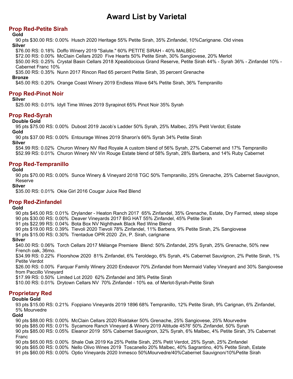# **Prop Red-Petite Sirah**

### **Gold**

90 pts \$30.00 RS: 0.00% Husch 2020 Heritage 55% Petite Sirah, 35% Zinfandel, 10%Carignane. Old vines **Silver**

\$76.00 RS: 0.18% Doffo Winery 2019 "Salute." 60% PETITE SIRAH - 40% MALBEC

\$72.00 RS: 0.00% McClain Cellars 2020 Five Hearts 50% Petite Sirah, 30% Sangiovese, 20% Merlot

\$50.00 RS: 0.25% Crystal Basin Cellars 2018 Xpealidocious Grand Reserve, Petite Sirah 44% - Syrah 36% - Zinfandel 10% - Cabernet Franc 10%

\$35.00 RS: 0.35% Nunn 2017 Rincon Red 65 percent Petite Sirah, 35 percent Grenache

#### **Bronze**

\$45.00 RS: 0.20% Orange Coast Winery 2019 Endless Wave 64% Petite Sirah, 36% Tempranillo

## **Prop Red-Pinot Noir**

#### **Silver**

\$25.00 RS: 0.01% Idyll Time Wines 2019 Syrapinot 65% Pinot Noir 35% Syrah

## **Prop Red-Syrah**

#### **Double Gold**

95 pts \$75.00 RS: 0.00% Dubost 2019 Jacob's Ladder 50% Syrah, 25% Malbec, 25% Petit Verdot; Estate **Gold**

90 pts \$37.00 RS: 0.00% Entourage Wines 2019 Sharon's 66% Syrah 34% Petite Sirah

**Silver**

\$54.99 RS: 0.02% Churon Winery NV Red Royale A custom blend of 56% Syrah, 27% Cabernet and 17% Tempranillo \$52.99 RS: 0.01% Churon Winery NV Vin Rouge Estate blend of 58% Syrah, 28% Barbera, and 14% Ruby Cabernet

## **Prop Red-Tempranillo**

#### **Gold**

90 pts \$70.00 RS: 0.00% Sunce Winery & Vineyard 2018 TGC 50% Tempranillo, 25% Grenache, 25% Cabernet Sauvignon, Reserve

#### **Silver**

\$35.00 RS: 0.01% Okie Girl 2016 Cougar Juice Red Blend

## **Prop Red-Zinfandel**

### **Gold**

90 pts \$45.00 RS: 0.01% Drylander - Heaton Ranch 2017 65% Zinfandel, 35% Grenache, Estate, Dry Farmed, steep slope 90 pts \$30.00 RS: 0.00% Deaver Vineyards 2017 BIG HAT 55% Zinfandel, 45% Petite Sirah

91 pts \$22.99 RS: 0.04% Bota Box NV Nighthawk Black Red Wine Blend

90 pts \$19.00 RS: 0.39% Tievoli 2020 Tievoli 78% Zinfandel, 11% Barbera, 9% Petite Sirah, 2% Sangiovese

91 pts \$15.00 RS: 0.30% Trentadue OPR 2020 Zin, P. Sirah, carignane

**Silver**

\$40.00 RS: 0.06% Torch Cellars 2017 Mélange Premiere Blend: 50% Zinfandel, 25% Syrah, 25% Grenache, 50% new French oak, 36mo.

\$34.99 RS: 0.22% Floorshow 2020 81% Zinfandel, 6% Teroldego, 6% Syrah, 4% Cabernet Sauvignon, 2% Petite Sirah, 1% Petite Verdot

\$26.00 RS: 0.00% Farquar Family Winery 2020 Endeavor 70% Zinfandel from Mermaid Valley Vineyard and 30% Sangiovese from Paccillo Vineyard

\$17.99 RS: 0.50% Limited Lot 2020 62% Zinfandel and 38% Petite Sirah

\$10.00 RS: 0.01% Drytown Cellars NV 70% Zinfandel - 10% ea. of Merlot-Syrah-Petite Sirah

## **Proprietary Red**

### **Double Gold**

93 pts \$15.00 RS: 0.21% Foppiano Vineyards 2019 1896 68% Tempranillo, 12% Petite Sirah, 9% Carignan, 6% Zinfandel, 5% Mourvedre

## **Gold**

90 pts \$88.00 RS: 0.00% McClain Cellars 2020 Risktaker 50% Grenache, 25% Sangiovese, 25% Mourvedre 90 pts \$85.00 RS: 0.01% Sycamore Ranch Vineyard & Winery 2019 Altitude 4576' 50% Zinfandel, 50% Syrah 90 pts \$85.00 RS: 0.05% Eleanor 2019 55% Cabernet Sauvignon, 32% Syrah, 6% Malbec, 4% Petite Sirah, 3% Cabernet Franc 90 pts \$65.00 RS: 0.00% Shale Oak 2019 Ka 25% Petite Sirah, 25% Petit Verdot, 25% Syrah, 25% Zinfandel 90 pts \$65.00 RS: 0.00% Nello Olivo Wines 2019 Toscanello 20% Malbec, 40% Sagrantino, 40% Petite Sirah, Estate 91 pts \$60.00 RS: 0.00% Optio Vineyards 2020 Inmesco 50%Mourvedre/40%Cabernet Sauvignon/10%Petite Sirah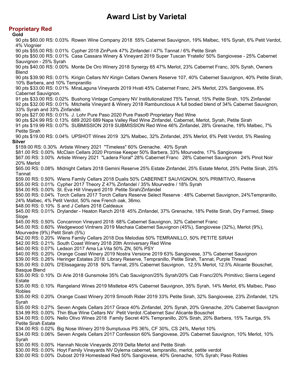# **Proprietary Red**

**Gold** 90 pts \$60.00 RS: 0.03% Rowen Wine Company 2018 55% Cabernet Sauvignon, 19% Malbec, 16% Syrah, 6% Petit Verdot, 4% Viognier 90 pts \$55.00 RS: 0.01% Cypher 2018 ZinPunk 47% Zinfandel / 47% Tannat / 6% Petite Sirah 90 pts \$50.00 RS: 0.01% Casa Cassara Winery & Vineyard 2019 Super Tuscan 'Fratello' 50% Sangiovese - 25% Cabernet Sauvignon - 25% Syrah 90 pts \$40.00 RS: 0.00% Monte De Oro Winery 2018 Synergy 65 47% Merlot, 23% Cabernet Franc, 30% Syrah, Owners **Blend** 90 pts \$39.90 RS: 0.01% Kirigin Cellars NV Kirigin Cellars Owners Reserve 107, 40% Cabernet Sauvignon, 40% Petite Sirah, 10% Barbera, and 10% Tempranillo 90 pts \$33.00 RS: 0.01% MiraLaguna Vineyards 2019 Hvati 45% Cabernet Franc, 24% Merlot, 23% Sangiovese, 8% Cabernet Sauvignon. 91 pts \$33.00 RS: 0.02% Bushong Vintage Company NV Institutionalized 75% Tannat, 15% Petite Sirah, 10% Zinfandel 92 pts \$32.00 RS: 0.01% Mitchella Vineyard & Winery 2018 Rambunctious A full bodied blend of 34% Cabernet Sauvignon, 33% Syrah and 33% Zinfandel. 90 pts \$27.00 RS: 0.01% J. Lohr Pure Paso 2020 Pure Paso® Proprietary Red Wine 90 pts \$24.99 RS: 0.13% 689 2020 689 Napa Valley Red Wine Zinfandel, Cabernet, Merlot, Syrah, Petite Sirah 91 pts \$19.99 RS: 0.07% SUBMISSION 2019 SUBMISSION Red Wine 46% Zinfandel, 28% Grenache, 19% Malbec, 7% Petite Sirah 90 pts \$19.00 RS: 0.04% UPSHOT Wines 2019 32% Malbec, 32% Zinfandel, 25% Merlot, 6% Petit Verdot, 5% Riesling **Silver** \$159.00 RS: 0.30% Artiste Winery 2021 "Timeless" 60% Grenache. 40% Syrah \$81.00 RS: 0.00% McClain Cellars 2020 Promise Keeper 50% Barbera, 33% Mourvedre, 17% Sangiovese \$67.00 RS: 3.00% Artiste Winery 2021 "Ladera Floral" 28% Cabernet Franc 28% Cabernet Sauvignon 24% Pinot Noir 20% Merlot \$65.00 RS: 0.08% Midnight Cellars 2018 Gemini Reserve 25% Estate Zinfandel, 25% Estate Merlot, 25% Petite Sirah, 25% Tannat \$59.00 RS: 0.50% Wiens Family Cellars 2018 Dualis 50% CABERNET SAUVIGNON, 50% PRIMITIVO, Reserve \$55.00 RS: 0.01% Cypher 2017 Theory Z 47% Zinfandel / 35% Mourvedre / 18% Syrah \$54.00 RS: 0.00% St. Eva Hill Vineyard 2019 Petite Sirah/Zinfandel \$50.00 RS: 0.04% Torch Cellars 2017 Torch Cellars Reserve Select Reserve : 48% Cabernet Sauvignon, 24%Tempranillo, 24% Malbec, 4% Petit Verdot, 50% new French oak, 36mo. \$48.00 RS: 0.10% S and J Cellars 2018 Caldeaux \$45.00 RS: 0.01% Drylander - Heaton Ranch 2018 45% Zinfandel, 37% Grenache, 18% Petite Sirah, Dry Farmed, Steep Slope \$45.00 RS: 0.50% Concannon Vineyard 2018 68% Cabernet Sauvignon, 32% Cabernet Franc \$45.00 RS: 0.60% Wedgewood Vintners 2019 Machaia Cabernet Sauvignon (45%), Sangiovese (32%), Merlot (9%), Mourvedre (9%) Petit Sirah (5%) \$42.00 RS: 0.20% Wiens Family Cellars 2018 Dos Melodias 50% TEMRANILLO, 50% PETITE SIRAH \$42.00 RS: 0.21% South Coast Winery 2018 20th Anniversary Red Wine \$40.00 RS: 0.07% Ledson 2017 Ama La Vita 50% ZN, 50% PSY \$40.00 RS: 0.20% Orange Coast Winery 2019 Nostra Versione 2019 63% Sangiovese, 37% Cabernet Sauvignon \$39.00 RS: 0.26% Heringer Estates 2018 Library Reserve, Tempranillo, Petite Sirah, Tannat, Purple Thread \$35.00 RS: 0.00% D'Elissagaray 2018 50% Tannat, 25% Cabernet Sauvignon, 12.5% Merlot, 12.5% Alicante Bouschet, Basque Blend \$35.00 RS: 0.10% Di Arie 2018 Gunsmoke 35% Cab Sauvignon/25% Syrah/20% Cab Franc/20% Primitivo; Sierra Legend Estate \$35.00 RS: 0.10% Rangeland Wines 2019 Mistletoe 45% Cabernet Sauvignon, 35% Syrah, 14% Merlot, 6% Malbec, Paso Robles \$35.00 RS: 0.20% Orange Coast Winery 2019 Smooth Rider 2019 33% Petite Sirah, 32% Sangiovese, 23% Zinfandel, 12% Syrah \$35.00 RS: 0.27% Seven Angels Cellars 2017 Grace 40% Zinfandel, 20% Syrah, 20% Grenache, 20% Cabernet Sauvignon \$34.99 RS: 0.00% Thin Blue Wine Cellars NV Petit Verdot /Cabernet Sav/ Alicante Bouschet \$34.00 RS: 0.00% Nello Olivo Wines 2018 Family Secret 40% Tempranillo, 20% Sirah, 20% Barbera, 15% Tauriga, 5% Petite Sirah Estate \$34.00 RS: 0.02% Big Nose Winery 2019 Sumptuous PS 36%, CF 30%, CS 24%, Merlot 10% \$34.00 RS: 0.06% Seven Angels Cellars 2017 Confession 60% Sangiovese, 20% Cabernet Sauvignon, 10% Merlot, 10% Syrah \$30.00 RS: 0.00% Hannah Nicole Vineyards 2019 Delta Merlot and Petite Sirah \$30.00 RS: 0.00% Hoyt Family Vineyards NV Dylema cabernet, tempranillo, merlot, petite verdot \$30.00 RS: 0.00% Dubost 2019 Homestead Red 50% Sangiovese, 40% Grenache, 10% Syrah; Paso Robles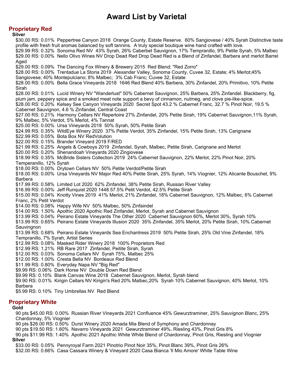## **Proprietary Red**

**Silver** \$30.00 RS: 0.01% Peppertree Canyon 2018 Orange County, Estate Reserve. 60% Sangiovese / 40% Syrah Distinctive taste profile with fresh fruit aromas balanced by soft tannins. A truly special boutique wine hand crafted with love. \$29.99 RS: 0.32% Sonoma Red NV 43% Syrah, 26% Caberbet Sauvignon, 17% Tempranillo, 9% Petite Syrah, 5% Malbec \$29.00 RS: 0.00% Nello Olivo Wines NV Drop Dead Red Drop Dead Red is a Blend of Zinfandel, Barbera and merlot Barrel Aged \$29.00 RS: 0.09% The Dancing Fox Winery & Brewery 2015 Red Blend; "Red Zorro" \$28.00 RS: 0.00% Trentadue La Storia 2019 Alexander Valley, Sonoma County, Cuvee 32, Estate; 4% Merlot;45% Sangiovese; 40% Montepulciano; 8% Malbec; 3% Cab Franc; Cuvee 32, Estate \$28.00 RS: 0.00% Bella Grace Vineyards 2018 1646 Red Blend 40% Barbera, 30% Zinfandel, 20% Primitivo, 10% Petite Sirah \$28.00 RS: 0.01% Lucid Winery NV "Wanderlust" 50% Cabernet Sauvignon, 25% Barbera, 25% Zinfandel. Blackberry, fig, plum jam, peppery spice and a smoked meat note support a bevy of cinnamon, nutmeg, and clove pie-like-spice. \$28.00 RS: 0.20% Kelsey See Canyon Vineyards 2020 Secret Spot 43.2 % Cabernet Franc, 32.7 % Pinot Noir, 19.5 % Cabernet Sauvignon, 4.6 % Zinfandel, Central Coast \$27.00 RS: 0.21% Harmony Cellars NV Repertoire 27% Zinfandel, 20% Petite Sirah, 19% Cabernet Sauvignon,11% Syrah, 9% Malbec, 5% Verdot, 5% Merlot, 4% Tannat \$25.00 RS: 0.00% Ursa Vineyards 2018 50% Syrah, 50% Petite Sirah \$24.99 RS: 0.35% WildEye Winery 2020 37% Petite Verdot, 35% Zinfandel, 15% Petite Sirah, 13% Carignane \$22.99 RS: 0.05% Bota Box NV RedVolution \$22.00 RS: 0.15% Brander Vineyard 2019 F/RED \$21.99 RS: 0.25% Angels & Cowboys 2019 Zinfandel, Syrah, Malbec, Petite Sirah, Carignane and Merlot \$20.00 RS: 0.20% Shenandoah Vineyards 2020 Zingiovese \$18.99 RS: 0.35% McBride Sisters Collection 2019 24% Cabernet Sauvignon, 22% Merlot, 22% Pinot Noir, 20% Temperanillo, 12% Syrah \$18.00 RS: 0.00% Drytown Cellars NV 50% Petite Verdot/Petite Sirah \$18.00 RS: 0.00% Ursa Vineyards NV Major Red 40% Petite Sirah, 25% Syrah, 14% Viognier, 12% Alicante Bouschet, 9% Barbera \$17.99 RS: 0.58% Limited Lot 2020 62% Zinfandel, 38% Petite Sirah, Russian River Valley \$16.99 RS: 0.00% Jeff Runquist 2020 1448 57.5% Petit Verdot, 42.5% Petite Sirah \$15.00 RS: 0.04% Knotty Vines 2019 41% Merlot, 21% Zinfandel, 18% Cabernet Sauvignon, 12% Malbec, 6% Cabernet Franc, 2% Petit Verdot \$14.00 RS: 0.08% Happy Wife NV 50% Malbec, 50% Zinfaindel \$14.00 RS: 1.50% Apothic 2020 Apothic Red Zinfandel, Merlot, Syrah and Cabernet Sauvignon \$13.99 RS: 0.04% Peirano Estate Vineyards The Other 2020 Cabernet Sauvignon 60%, Merlot 30%, Syrah 10% \$13.99 RS: 0.65% Peirano Estate Vineyards Illusion 2020 35% Zinfandel, 35% Merlot, 20% Petite Sirah, 10% Cabernet **Sauvingnon** \$13.99 RS: 0.68% Peirano Estate Vineyards Sea Enchantress 2019 50% Petite Sirah, 25% Old Vine Zinfandel, 18% Tempranillo, 7% Syrah, Artist Series \$12.99 RS: 0.08% Masked Rider Winery 2018 100% Proprietors Red \$12.99 RS: 1.21% RB Rare 2017 Zinfandel, Peitite Sirah, Syrah \$12.00 RS: 0.03% Sonoma Cellars NV Syrah 75%, Malbec 25% \$12.00 RS: 1.00% Cresta Bella NV Bordeaux Red Blend \$11.99 RS: 0.80% Everyday Napa NV "Big Red" \$9.99 RS: 0.06% Dark Horse NV Double Down Red Blend \$9.99 RS: 0.10% Blank Canvas Wine 2018 Cabernet Sauvignon, Merlot, Syrah blend \$9.90 RS: 0.01% Kirigin Cellars NV Kirigin's Red 20% Malbec,20% Syrah 10% Cabernet Sauvignon, 40% Merlot, 10% Barbera \$5.99 RS: 0.10% Tiny Umbrellas NV Red Blend

# **Proprietary White**

#### **Gold**

90 pts \$45.00 RS: 0.00% Russian River Vineyards 2021 Confluence 45% Gewurztraminer, 25% Sauvignon Blanc, 25% Chardonnay, 5% Viognier

90 pts \$26.00 RS: 0.50% Durst Winery 2020 Amada Mia Blend of Symphony and Chardonnay

90 pts \$19.50 RS: 1.60% Navarro Vineyards 2021 Gewurztraminer 49%, Riesling 43%, Pinot Gris 8%

90 pts \$11.99 RS: 1.40% Apothic 2021 Apothic White White Blend of Chardonnay, Pinot Gris, Riesling and Viognier **Silver**

\$33.00 RS: 0.05% Pennyroyal Farm 2021 Pinotrio Pinot Noir 35%, Pinot Blanc 39%, Pinot Gris 26%

\$32.00 RS: 0.66% Casa Cassara Winery & Vineyard 2020 Casa Bianca 'Il Mio Amore' White Table Wine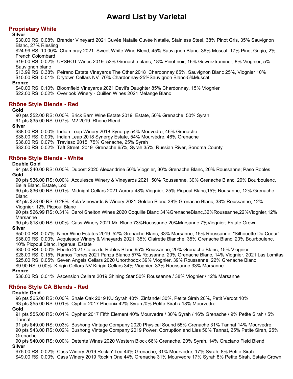# **Proprietary White**

### **Silver**

\$30.00 RS: 0.08% Brander Vineyard 2021 Cuvée Natalie Cuvée Natalie, Stainless Steel, 38% Pinot Gris, 35% Sauvignon Blanc, 27% Riesling

\$24.99 RS: 10.00% Chambray 2021 Sweet White Wine Blend, 45% Sauvignon Blanc, 36% Moscat, 17% Pinot Grigio, 2% French Colombard

\$19.00 RS: 0.02% UPSHOT Wines 2019 53% Grenache blanc, 18% Pinot noir, 16% Gewürztraminer, 8% Viognier, 5% Sauvignon blanc

\$13.99 RS: 0.38% Peirano Estate Vineyards The Other 2018 Chardonnay 65%, Sauvignon Blanc 25%, Viognier 10% \$10.00 RS: 0.01% Drytown Cellars NV 70% Chardonnay-25%Sauvignon Blanc-5%Muscat

#### **Bronze**

\$40.00 RS: 0.10% Bloomfield Vineyards 2021 Devil's Daughter 85% Chardonnay, 15% Viognier \$22.00 RS: 0.02% Overlook Winery - Quillen Wines 2021 Mélange Blanc

## **Rhône Style Blends - Red**

#### **Gold**

90 pts \$52.00 RS: 0.00% Brick Barn Wine Estate 2019 Estate, 50% Grenache, 50% Syrah 91 pts \$35.00 RS: 0.07% M2 2019 Rhone Blend

### **Silver**

\$38.00 RS: 0.00% Indian Leap Winery 2018 Synergy 54% Mouvedre, 46% Grenache \$38.00 RS: 0.00% Indian Leap 2018 Synergy Estate, 54% Mourvèdre, 46% Grenache

\$36.00 RS: 0.07% Travieso 2015 75% Grenache, 25% Syrah

\$32.00 RS: 0.02% Taft Street 2019 Grenache 65%, Syrah 35%, Russian River, Sonoma County

## **Rhône Style Blends - White**

### **Double Gold**

94 pts \$40.00 RS: 0.00% Dubost 2020 Alexandrine 50% Viognier, 30% Grenache Blanc, 20% Roussanne; Paso Robles **Gold**

90 pts \$36.00 RS: 0.00% Acquiesce Winery & Vineyards 2021 50% Roussanne, 30% Grenache Blanc, 20% Bourboulenc, Bella Blanc, Estate, Lodi

90 pts \$36.00 RS: 0.01% Midnight Cellars 2021 Aurora 48% Viognier, 25% Picpoul Blanc,15% Rousanne, 12% Grenache Blanc

92 pts \$28.00 RS: 0.28% Kula Vineyards & Winery 2021 Golden Blend 38% Grenache Blanc, 38% Roussanne, 12% Viognier, 12% Picpoul Blanc

90 pts \$26.99 RS: 0.31% Carol Shelton Wines 2020 Coquille Blanc 34%GrenacheBlanc,32%Roussanne,22%Viognier,12% Marsanne

90 pts \$18.00 RS: 0.00% Cass Winery 2021 Mr. Blanc 73%Roussanne 20%Marsanne 7%Viognier; Estate Grown **Silver**

\$50.00 RS: 0.07% Niner Wine Estates 2019 52% Grenache Blanc, 33% Marsanne, 15% Roussanne; "Silhouette Du Coeur" \$36.00 RS: 0.00% Acquiesce Winery & Vineyards 2021 35% Clairette Blanche, 35% Grenache Blanc, 20% Bourboulenc, 10% Picpoul Blanc, Ingenue, Estate

\$30.00 RS: 0.00% Eberle 2021 Cotes-du-Robles Blanc 65% Roussanne, 20% Grenache Blanc, 15% Viognier

\$28.00 RS: 0.15% Ramos Torres 2021 Panza Blanco 57% Rousanne, 29% Grenache Blanc, 14% Viognier, 2021 Las Lomitas \$25.00 RS: 0.05% Seven Angels Cellars 2020 Unorthodox 39% Viognier, 39% Roussanne, 22% Grenache Blanc

\$9.90 RS: 0.00% Kirigin Cellars NV Kirigin Cellars 34% Viognier, 33% Roussanne 33% Marsanne **Bronze**

\$36.00 RS: 0.01% Ascension Cellars 2019 Shining Star 50% Roussanne / 38% Viognier / 12% Marsanne

## **Rhône Style CA Blends - Red**

### **Double Gold**

96 pts \$65.00 RS: 0.00% Shale Oak 2019 KU Syrah 40%, Zinfandel 30%, Petite Sirah 20%, Petit Verdot 10% 93 pts \$55.00 RS: 0.01% Cypher 2017 Phoenix 42% Syrah /0% Petite Sirah / 18% Mourvedre **Gold**

91 pts \$55.00 RS: 0.01% Cypher 2017 Fifth Element 40% Mourvedre / 30% Syrah / 16% Grenache / 9% Petite Sirah / 5% Tannat

91 pts \$49.00 RS: 0.03% Bushong Vintage Company 2020 Physical Sound 55% Grenache 31% Tannat 14% Mourvedre 90 pts \$43.00 RS: 0.02% Bushong Vintage Company 2019 Power, Corruption and Lies 50% Tannat, 25% Petite Sirah, 25% Grenache

90 pts \$40.00 RS: 0.00% Detente Wines 2020 Western Block 66% Grenache, 20% Syrah, 14% Graciano Field Blend **Silver**

\$75.00 RS: 0.02% Cass Winery 2019 Rockin' Ted 44% Grenache, 31% Mourvedre, 17% Syrah, 8% Petite Sirah \$49.00 RS: 0.00% Cass Winery 2019 Rockin One 44% Grenache 31% Mourvedre 17% Syrah 8% Petite Sirah, Estate Grown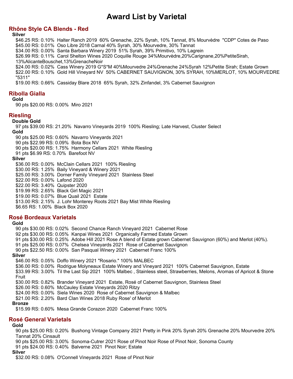## **Rhône Style CA Blends - Red**

**Silver**

\$46.25 RS: 0.10% Halter Ranch 2019 60% Grenache, 22% Syrah, 10% Tannat, 8% Mourvèdre "CDP" Cotes de Paso \$45.00 RS: 0.01% Oso Libre 2018 Carnal 40% Syrah, 30% Mourvedre, 30% Tannat

\$34.00 RS: 0.00% Santa Barbara Winery 2019 51% Syrah, 39% Primitivo, 10% Lagrein

\$26.99 RS: 0.11% Carol Shelton Wines 2020 Coquille Rouge 34%Mourvèdre,20%Carignane,20%PetiteSirah,

13%AlicanteBouschet,13%GrenacheNoir \$24.00 RS: 0.02% Cass Winery 2019 G\*S\*M 40%Mourvedre 24%Grenache 24%Syrah 12%Petite Sirah; Estate Grown

\$22.00 RS: 0.10% Gold Hill Vineyard NV 50% CABERNET SAUVIGNON, 30% SYRAH, 10%MERLOT, 10% MOURVEDRE "5311"

\$19.00 RS: 0.66% Cassiday Blare 2018 65% Syrah, 32% Zinfandel, 3% Cabernet Sauvignon

# **Ribolla Gialla**

**Gold**

90 pts \$20.00 RS: 0.00% Miro 2021

## **Riesling**

**Double Gold**

97 pts \$39.00 RS: 21.20% Navarro Vineyards 2019 100% Riesling; Late Harvest, Cluster Select **Gold**

90 pts \$25.00 RS: 0.60% Navarro Vineyards 2021

90 pts \$22.99 RS: 0.09% Bota Box NV

90 pts \$20.00 RS: 1.75% Harmony Cellars 2021 White Riesling

91 pts \$6.99 RS: 0.70% Barefoot NV

#### **Silver**

\$36.00 RS: 0.00% McClain Cellars 2021 100% Riesling \$30.00 RS: 1.25% Baily Vineyard & Winery 2021 \$25.00 RS: 3.00% Dorner Family Vineyard 2021 Stainless Steel \$22.00 RS: 0.00% Lafond 2020 \$22.00 RS: 3.40% Quipster 2020 \$19.99 RS: 2.65% Black Girl Magic 2021 \$19.00 RS: 0.07% Blue Quail 2021 Estate \$13.00 RS: 2.15% J. Lohr Monterey Roots 2021 Bay Mist White Riesling \$6.65 RS: 1.00% Black Box 2020

## **Rosé Bordeaux Varietals**

#### **Gold**

90 pts \$30.00 RS: 0.02% Second Chance Ranch Vineyard 2021 Cabernet Rose 92 pts \$30.00 RS: 0.05% Kanpai Wines 2021 Organically Farmed Estate Grown 91 pts \$30.00 RS: 0.25% Adobe Hill 2021 Rose A blend of Estate grown Cabernet Sauvignon (60%) and Merlot (40%). 91 pts \$25.00 RS: 0.07% Chelsea Vineyards 2021 Rose of Cabernet Sauvignon 90 pts \$22.50 RS: 0.00% San Pasqual Winery 2021 Cabernet Franc 100% **Silver** \$46.00 RS: 0.05% Doffo Winery 2021 "Rosario." 100% MALBEC \$36.00 RS: 0.00% Rodrigue Molyneaux Estate Winery and Vineyard 2021 100% Cabernet Sauvignon, Estate \$33.99 RS: 3.00% Til the Last Sip 2021 100% Malbec , Stainless steel, Strawberries, Melons, Aromas of Apricot & Stone Fruit \$30.00 RS: 0.82% Brander Vineyard 2021 Estate, Rosé of Cabernet Sauvignon, Stainless Steel \$26.00 RS: 0.60% McCauley Estate Vineyards 2020 Ritzy \$24.00 RS: 0.00% Siela Wines 2020 Rose of Cabernet Sauvignon & Malbec \$21.00 RS: 2.20% Bard Clan Wines 2018 Ruby Rose' of Merlot **Bronze**

\$15.99 RS: 0.60% Mesa Grande Corazon 2020 Cabernet Franc 100%

## **Rosé General Varietals**

### **Gold**

90 pts \$25.00 RS: 0.20% Bushong Vintage Company 2021 Pretty in Pink 20% Syrah 20% Grenache 20% Mourvedre 20% Tannat 20% Cinsault

90 pts \$25.00 RS: 3.00% Sonoma-Cutrer 2021 Rose of Pinot Noir Rose of Pinot Noir, Sonoma County 91 pts \$24.00 RS: 0.40% Balverne 2021 Pinot Noir; Estate

### **Silver**

\$32.00 RS: 0.08% O'Connell Vineyards 2021 Rose of Pinot Noir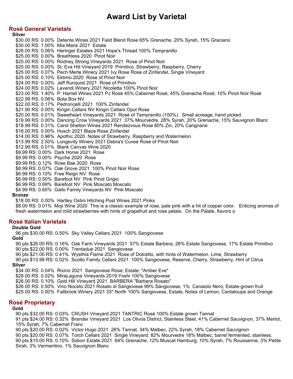## **Rosé General Varietals**

**Silver** \$30.00 RS: 0.00% Detente Wines 2021 Field Blend Rose 65% Grenache, 20% Syrah, 15% Graciano \$30.00 RS: 1.00% Mia Marie 2021 Estate \$26.00 RS: 0.06% Heringer Estates 2021 Hope's Thread 100% Tempranillo \$25.00 RS: 0.00% Breathless 2020 Pinot Noir \$25.00 RS: 0.00% Rodney Strong Vineyards 2021 Rose of Pinot Noir \$25.00 RS: 0.00% St. Eva Hill Vineyard 2019 Primitivo, Strawberry, Raspberry, Cherry \$25.00 RS: 0.07% Pech Merle Winery 2021 Ivy Rose Rose of Zinfandel, Single Vineyard \$25.00 RS: 0.10% Ektimo 2020 Rose of Pinot Noir \$24.00 RS: 0.00% Jeff Runquist 2021 Rose of Primitivo \$24.00 RS: 0.02% Levendi Winery 2021 Nicoletta 100% Pinot Noir \$23.00 RS: 1.40% P. Harrell Wines 2021 PJ Rosé 45% Cabernet Rosé; 45% Grenache Rosé; 10% Pinot Noir Rosé \$22.99 RS: 0.06% Bota Box NV \$22.00 RS: 0.17% Pedroncelli 2021 100% Zinfandel \$21.90 RS: 0.00% Kirigin Cellars NV Kirigin Cellars Opol Rose \$20.00 RS: 0.01% Sweetheart Vineyards 2021 Rosé of Tempranillo (100%). Small acreage, hand picked. \$19.99 RS: 0.00% Dancing Crow Vineyards 2021 37% Mourvèdre, 28% Syrah, 20% Grenache, 15% Sauvignon Blanc \$18.99 RS: 0.31% Carol Shelton Wines 2021 Rendezvous Rose 80% Zin, 20% Carignane \$18.00 RS: 0.00% Husch 2021 Blaze Rose Zinfandel \$14.00 RS: 0.96% Apothic 2020 Notes of Strawberry, Raspberry and Watermelon \$13.99 RS: 2.50% Longevity Winery 2021 Debra's Cuvee Rose of Pinot Noir \$12.99 RS: 0.01% Blank Canvas Wine 2020 \$9.99 RS: 0.00% Dark Horse 2021 Rose \$9.99 RS: 0.00% Psyche 2020 Rose \$9.99 RS: 0.12% Rose Bae 2020 Rose \$8.99 RS: 0.07% Oak Grove 2021 100% Pinot Noir Rose \$6.99 RS: 0.10% Free Reign NV Rose \$6.99 RS: 0.50% Barefoot NV Pink Pinot Grigio \$6.99 RS: 0.69% Barefoot NV Pink Moscato Moscato \$4.99 RS: 0.65% Gallo Family Vineyards NV Pink Moscato

#### **Bronze**

\$18.00 RS: 0.00% Hartley Ostini Hitching Post Wines 2021 Pinks

\$8.00 RS: 0.01% Moji Wine 2020 This is a classic example of rose, pale pink with a hit of copper color. Enticing aromas of fresh watermelon and mild strawberries with hints of grapefruit and rose petals. On the Palate, flavors o

### **Rosé Italian Varietals**

#### **Double Gold**

96 pts \$30.00 RS: 0.50% Sky Valley Cellars 2021 100% Sangiovese

#### **Gold**

90 pts \$26.00 RS: 0.16% Oak Farm Vineyards 2021 57% Estate Barbera, 26% Estate Sangiovese, 17% Estate Primitivo 90 pts \$22.00 RS: 0.00% Trentadue 2021 Sangiovese

90 pts \$21.00 RS: 0.41% Wyethia Flame 2021 Rose of Dolcetto, with hints of Watermelon, Lime, Strawberry

90 pts \$13.99 RS: 0.02% Scotto Family Cellars 2021 100% Sangiovese, Reserve, Cherry, Strawberry, Hint of Citrus **Silver**

\$34.00 RS: 0.04% Rivino 2021 Sangiovese Rose; Estate; "Amber Eve"

\$28.00 RS: 0.02% MiraLaguna Vineyards 2019 Yoshi 100% Sangiovese

\$26.00 RS: 0.10% Gold Hill Vineyard 2021 BARBERA "Barbera Rosato"

\$26.00 RS: 0.50% Vino Noceto 2021 Rosato di Sangiovese 99% Sangiovese, 1% Canaiolo Nero; Estate-grown fruit

\$25.00 RS: 0.00% Fallbrook Winery 2021 33\* North 100% Sangiovese, Estate, Notes of Lemon, Cantaloupe and Orange

## **Rosé Proprietary**

#### **Gold**

90 pts \$32.00 RS: 0.03% CRUSH Vineyard 2021 TANTRIC Rosé 100% Estate grown Tannat

91 pts \$24.00 RS: 0.32% Brander Vineyard 2021 Los Olivos District, Stainless Steel, 41% Cabernet Sauvignon, 37% Merlot, 15% Syrah, 7% Cabernet Franc

90 pts \$20.00 RS: 0.02% Victor Hugo 2021 26% Tannat, 34% Malbec, 22% Syrah, 18% Cabernet Sauvignon

90 pts \$20.00 RS: 0.07% Torch Cellars 2021 Single Vineyard: 82% Mourvedre 18% Malbec, barrel fermented, stainless. 90 pts \$15.00 RS: 0.10% Sobon Estate 2021 64% Grenache, 12% Muscat Hamburg, 10% Syrah, 7% Roussanne, 3% Petite

Sirah, 3% Vermentino, 1% Sauvignon Blanc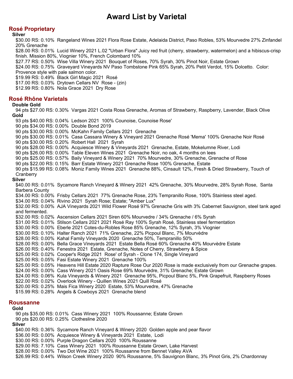# **Rosé Proprietary**

### **Silver**

\$30.00 RS: 0.10% Rangeland Wines 2021 Flora Rose Estate, Adelaida District, Paso Robles, 53% Mourvedre 27% Zinfandel 20% Grenache

\$28.00 RS: 0.01% Lucid Winery 2021 L.02 "Urban Flora" Juicy red fruit (cherry, strawberry, watermelon) and a hibiscus-crisp finish. Mission 80%, Viognier 10%, French Colombard 10%

\$27.77 RS: 0.50% Wise Villa Winery 2021 Bouquet of Roses, 70% Syrah, 30% Pinot Noir, Estate Grown

\$24.00 RS: 0.75% Graveyard Vineyards NV Paso Tombstone Pink 65% Syrah, 20% Petit Verdot, 15% Dolcetto. Color: Provence style with pale salmon color.

\$19.99 RS: 0.49% Black Girl Magic 2021 Rosé

\$17.00 RS: 0.03% Drytown Cellars NV Rose - (zin)

\$12.99 RS: 0.80% Nola Grace 2021 Dry Rose

## **Rosé Rhône Varietals**

### **Double Gold**

94 pts \$27.00 RS: 0.30% Vargas 2021 Costa Rosa Grenache, Aromas of Strawberry, Raspberry, Lavender, Black Olive **Gold**

93 pts \$40.00 RS: 0.04% Ledson 2021 100% Counoise, Counoise Rose' 90 pts \$34.00 RS: 0.00% Double Bond 2019 90 pts \$30.00 RS: 0.00% McKahn Family Cellars 2021 Grenache 90 pts \$30.00 RS: 0.01% Casa Cassara Winery & Vineyard 2021 Grenache Rosé 'Mema' 100% Grenache Noir Rosé 90 pts \$30.00 RS: 0.20% Robert Hall 2021 Syrah 90 pts \$28.00 RS: 0.00% Acquiesce Winery & Vineyards 2021 Grenache, Estate, Mokelumne River, Lodi 90 pts \$26.00 RS: 0.00% Table Eleven Wines 2021 Grenache Noir, no oak, 4 months on lees 90 pts \$25.00 RS: 0.57% Baily Vineyard & Winery 2021 70% Mourvedre, 30% Grenache, Grenache of Rose 90 pts \$22.00 RS: 0.15% Barr Estate Winery 2021 Grenache Rose 100% Grenache, Estate 90 pts \$15.99 RS: 0.08% Moniz Family Wines 2021 Grenache 88%, Cinsault 12%, Fresh & Dried Strawberry, Touch of **Cranberry Silver** \$40.00 RS: 0.01% Sycamore Ranch Vineyard & Winery 2021 42% Grenache, 30% Mourvedre, 28% Syrah Rose, Santa Barbera County \$34.00 RS: 0.00% Frisby Cellars 2021 77% Grenache Rose, 23% Tempranillo Rose, 100% Stainless steel aged. \$34.00 RS: 0.04% Rivino 2021 Syrah Rose; Estate; "Amber Lux" \$32.00 RS: 0.00% AJA Vineyards 2021 Wild Flower Rosé 97% Grenache Gris with 3% Cabernet Sauvignon, steel tank aged and fermented. \$32.00 RS: 0.02% Ascension Cellars 2021 Siren 60% Mourvedre / 34% Grenache / 6% Syrah \$31.00 RS: 0.01% Stilson Cellars 2021 2021 Rosé Ray 100% Syrah Rosé, Stainless steel fermentation \$30.00 RS: 0.00% Eberle 2021 Cotes-du-Robles Rose 85% Grenache, 12% Syrah, 3% Viognier \$30.00 RS: 0.10% Halter Ranch 2021 71% Grenache, 22% Picpoul Blanc, 7% Mourvèdre \$28.00 RS: 0.00% Kahal Family Vineyards 2020 Grenache 50%, Tempranillo 50% \$28.00 RS: 0.00% Bella Grace Vineyards 2021 Estate Bella Rosé 60% Grenache 40% Mourvèdre Estate \$26.00 RS: 0.40% Fenestra 2021 Estate, Grenache, Notes of Cherry, Strawberry & Spice \$25.00 RS: 0.02% Cooper's Ridge 2021 Rose' of Syrah - Clone 174, Single Vineyard \$25.00 RS: 0.05% Fasi Estate Winery 2021 Grenache 100% \$25.00 RS: 0.05% Heavens Hill Estate 2020 Rapture Rose Our 2020 Rose is made exclusively from our Grenache grapes. \$24.00 RS: 0.00% Cass Winery 2021 Oasis Rose 69% Mourvèdre, 31% Grenache; Estate Grown \$24.00 RS: 0.06% Kula Vineyards & Winery 2021 Grenache 95%, Picpoul Blanc 5%, Pink Grapefruit, Raspberry Roses \$22.00 RS: 0.02% Overlook Winery - Quillen Wines 2021 Quill Rosé \$20.00 RS: 0.25% Mais Fica Winery 2020 Estate, 53% Mourvedre, 47% Grenache \$15.99 RS: 0.28% Angels & Cowboys 2021 Grenache blend

## **Roussanne**

#### **Gold**

90 pts \$35.00 RS: 0.01% Cass Winery 2021 100% Roussanne; Estate Grown 90 pts \$20.00 RS: 0.25% Clothesline 2020 **Silver** \$40.00 RS: 0.36% Sycamore Ranch Vineyard & Winery 2020 Golden apple and pear flavor \$36.00 RS: 0.00% Acquiesce Winery & Vineyards 2021 Estate, Lodi \$30.00 RS: 0.00% Purple Dragon Cellars 2020 100% Roussanne \$29.00 RS: 7.10% Cass Winery 2021 100% Roussanne Estate Grown, Lake Harvest \$28.00 RS: 0.00% Two Dot Wine 2021 100% Roussanne from Bennet Valley AVA \$26.99 RS: 0.44% Wilson Creek Winery 2020 90% Roussanne, 5% Sauvignon Blanc, 3% Pinot Gris, 2% Chardonnay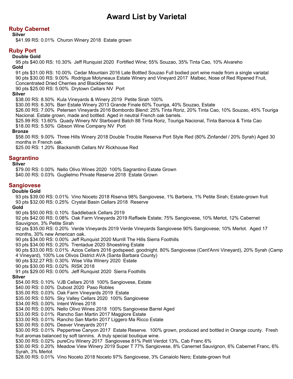# **Ruby Cabernet**

#### **Silver**

\$41.99 RS: 0.01% Churon Winery 2018 Estate grown

# **Ruby Port**

#### **Double Gold**

95 pts \$40.00 RS: 10.30% Jeff Runquist 2020 Fortified Wine; 55% Souzao, 35% Tinta Cao, 10% Alvareho **Gold**

91 pts \$31.00 RS: 10.00% Cedar Mountain 2016 Late Bottled Souzao Full bodied port wine made from a single variatal 90 pts \$30.00 RS: 9.00% Rodrigue Molyneaux Estate Winery and Vineyard 2017 Malbec, Nose of Red Ripened Fruit, Concentrated Dried Cherries and Blackberries

90 pts \$25.00 RS: 5.00% Drytown Cellars NV Port

#### **Silver**

\$38.00 RS: 8.50% Kula Vineyards & Winery 2019 Petite Sirah 100%

\$30.00 RS: 6.30% Barr Estate Winery 2013 Grande Finale 60% Touriga, 40% Souzao, Estate

\$26.00 RS: 7.00% Petersen Vineyards 2016 Bombordo Blend: 25% Tinta Roriz, 20% Tinta Cao, 10% Souzao, 45% Touriga Nacional. Estate grown, made and bottled. Aged in neutral French oak barrels.

\$25.99 RS: 13.60% Quady Winery NV Starboard Batch 88 Tinta Roriz, Touriga Nacional, Tinta Barroca & Tinta Cao \$18.00 RS: 5.50% Gibson Wine Company NV Port

#### **Bronze**

\$58.00 RS: 9.00% Three Hills Winery 2018 Double Trouble Reserva Port Style Red (80% Zinfandel / 20% Syrah) Aged 30 months in French oak.

\$25.00 RS: 1.20% Blacksmith Cellars NV Rickhouse Red

## **Sagrantino**

#### **Silver**

\$79.00 RS: 0.00% Nello Olivo Wines 2020 100% Sagrantino Estate Grown

\$40.00 RS: 0.03% Guglielmo Private Reserve 2018 Estate Grown

# **Sangiovese**

**Double Gold**

93 pts \$39.00 RS: 0.01% Vino Noceto 2018 Riserva 98% Sangiovese, 1% Barbera, 1% Petite Sirah; Estate-grown fruit 93 pts \$32.00 RS: 0.25% Crystal Basin Cellars 2018 Reserve

#### **Gold**

90 pts \$50.00 RS: 0.10% Saddleback Cellars 2019

92 pts \$42.00 RS: 0.08% Oak Farm Vineyards 2019 Raffaele Estate; 75% Sangiovese, 10% Merlot, 12% Cabernet Sauvignon, 3% Petite Sirah

92 pts \$35.00 RS: 0.20% Verde Vineyards 2019 Verde Vineyards Sangiovese 90% Sangiovese; 10% Merlot. Aged 17 months, 30% new American oak.

90 pts \$34.00 RS: 0.00% Jeff Runquist 2020 Murrill The Hills Sierra Foothills

93 pts \$34.00 RS: 0.20% Trentadue 2020 Shoestring Estate

90 pts \$33.00 RS: 0.01% Azios Cellars 2016 godspeed. goodnight. 80% Sangiovese (Cent'Anni Vineyard), 20% Syrah (Camp 4 Vineyard), 100% Los Olivos District AVA (Santa Barbara County)

- 90 pts \$32.27 RS: 0.30% Wise Villa Winery 2020 Estate
- 
- 90 pts \$30.00 RS: 0.02% RISK 2018
- 91 pts \$29.00 RS: 0.00% Jeff Runquist 2020 Sierra Foothills

## **Silver**

\$54.00 RS: 0.10% VJB Cellars 2018 100% Sangiovese, Estate

- \$40.00 RS: 0.00% Dubost 2020 Paso Robles
- \$35.00 RS: 0.03% Oak Farm Vineyards 2019 Estate
- \$35.00 RS: 0.50% Sky Valley Cellars 2020 100% Sangiovese
- \$34.00 RS: 0.00% Intent Wines 2018
- \$34.00 RS: 0.00% Nello Olivo Wines 2018 100% Sangiovese Barrel Aged
- \$33.00 RS: 0.01% Rancho San Martin 2017 Maggiore Estate
- \$33.00 RS: 0.01% Rancho San Martin 2017 Liggero Ma Ricco Estate
- \$30.00 RS: 0.00% Deaver Vineyards 2017

\$30.00 RS: 0.01% Peppertree Canyon 2017 Estate Reserve. 100% grown, produced and bottled in Orange county. Fresh fruit aromas balanced by soft tannins. A truly special boutique wine.

- \$30.00 RS: 0.02% pureCru Winery 2017 Sangiovese 81% Petit Verdot 13%, Cab Franc 6%
- \$30.00 RS: 0.20% Meadow View Winery 2019 Super T 77% Sangiovese, 8% Canernet Sauvignon, 6% Cabernet Franc, 6% Syrah, 3% Merlot
- \$28.00 RS: 0.01% Vino Noceto 2018 Noceto 97% Sangiovese, 3% Canaiolo Nero; Estate-grown fruit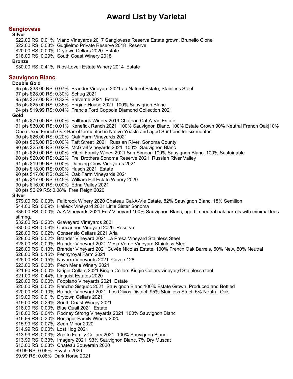#### **Sangiovese**

#### **Silver**

\$22.00 RS: 0.01% Viano Vineyards 2017 Sangiovese Reserva Estate grown, Brunello Clone \$22.00 RS: 0.03% Guglielmo Private Reserve 2018 Reserve \$20.00 RS: 0.00% Drytown Cellars 2020 Estate \$18.00 RS: 0.29% South Coast Winery 2018 **Bronze** \$30.00 RS: 0.41% Rios-Lovell Estate Winery 2014 Estate **Sauvignon Blanc Double Gold** 95 pts \$38.00 RS: 0.07% Brander Vineyard 2021 au Naturel Estate, Stainless Steel 97 pts \$28.00 RS: 0.30% Schug 2021 95 pts \$27.00 RS: 0.32% Balverne 2021 Estate 95 pts \$25.00 RS: 0.35% Engine House 2021 100% Sauvignon Blanc 94 pts \$19.99 RS: 0.04% Francis Ford Coppola Diamond Collection 2021 **Gold** 91 pts \$79.00 RS: 0.00% Fallbrook Winery 2019 Chateau Cal-A-Vie Estate 91 pts \$30.00 RS: 0.01% Kenefick Ranch 2021 100% Sauvignon Blanc, 100% Estate Grown 90% Neutral French Oak|10% Once Used French Oak Barrel fermented in Native Yeasts and aged Sur Lees for six months. 90 pts \$26.00 RS: 0.20% Oak Farm Vineyards 2021 90 pts \$25.00 RS: 0.00% Taft Street 2021 Russian River, Sonoma County 90 pts \$25.00 RS: 0.02% McGrail Vineyards 2021 100% Sauvignon Blanc 91 pts \$20.00 RS: 0.00% Riboli Family Wines 2021 San Simeon 100% Sauvignon Blanc, 100% Sustainable 90 pts \$20.00 RS: 0.22% Frei Brothers Sonoma Reserve 2021 Russian River Valley 91 pts \$19.99 RS: 0.00% Dancing Crow Vineyards 2021 90 pts \$18.00 RS: 0.00% Husch 2021 Estate 90 pts \$17.00 RS: 0.20% Oak Farm Vineyards 2021 91 pts \$17.00 RS: 0.45% William Hill Estate Winery 2020 90 pts \$16.00 RS: 0.00% Edna Valley 2021 90 pts \$6.99 RS: 0.08% Free Reign 2020 **Silver** \$79.00 RS: 0.00% Fallbrook Winery 2020 Chateau Cal-A-Vie Estate, 82% Sauvignon Blanc, 18% Semillon \$44.00 RS: 0.09% Halleck Vineyard 2021 Little Sister Sonoma \$35.00 RS: 0.00% AJA Vineyards 2021 Eds' Vineyard 100% Sauvignon Blanc, aged in neutral oak barrels with minimal lees stirring. \$32.00 RS: 0.20% Graveyard Vineyards 2021 \$30.00 RS: 0.06% Concannon Vineyard 2020 Reserve \$28.00 RS: 0.02% Consensio Cellars 2021 Aria \$28.00 RS: 0.02% Brander Vineyard 2021 La Presa Vineyard Stainless Steel \$28.00 RS: 0.09% Brander Vineyard 2021 Mesa Verde Vineyard Stainless Steel \$28.00 RS: 0.13% Brander Vineyard 2021 Cuvée Nicolas Estate, 100% French Oak Barrels, 50% New, 50% Neutral \$28.00 RS: 0.15% Pennyroyal Farm 2021 \$25.00 RS: 0.15% Navarro Vineyards 2021 Cuvee 128 \$23.00 RS: 0.38% Pech Merle Winery 2021 \$21.90 RS: 0.00% Kirigin Cellars 2021 Kirigin Cellars Kirigin Cellars vineyar,d Stainless steel \$21.00 RS: 0.44% Linguist Estates 2020 \$20.00 RS: 0.00% Foppiano Vineyards 2021 Estate \$20.00 RS: 0.00% Rancho Sisquoc 2021 Sauvignon Blanc 100% Estate Grown, Produced and Bottled \$20.00 RS: 0.10% Brander Vineyard 2021 Los Olivos District, 95% Stainless Steel, 5% Neutral Oak \$19.00 RS: 0.01% Drytown Cellars 2021 \$19.00 RS: 0.29% South Coast Winery 2021 \$18.00 RS: 0.00% Blue Quail 2021 Estate \$18.00 RS: 0.04% Rodney Strong Vineyards 2021 100% Sauvignon Blanc \$16.99 RS: 0.30% Benziger Family Winery 2020 \$15.99 RS: 0.07% Sean Minor 2020 \$14.99 RS: 0.00% Lost Hog 2021 \$13.99 RS: 0.03% Scotto Family Cellars 2021 100% Sauvignon Blanc \$13.99 RS: 0.33% Imagery 2021 93% Sauvignon Blanc, 7% Dry Muscat \$13.00 RS: 0.03% Chateau Souverain 2020 \$9.99 RS: 0.06% Psyche 2020

\$9.99 RS: 0.06% Dark Horse 2021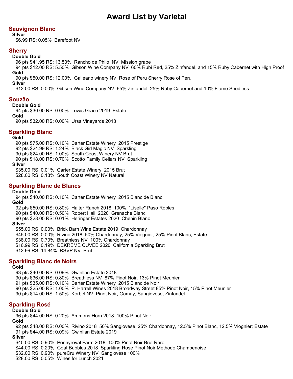# **Sauvignon Blanc**

**Silver**

\$6.99 RS: 0.05% Barefoot NV

# **Sherry**

**Double Gold**

96 pts \$41.95 RS: 13.50% Rancho de Philo NV Mission grape

94 pts \$12.00 RS: 5.50% Gibson Wine Company NV 60% Rubi Red, 25% Zinfandel, and 15% Ruby Cabernet with High Proof **Gold**

90 pts \$50.00 RS: 12.00% Galleano winery NV Rose of Peru Sherry Rose of Peru

**Silver**

\$12.00 RS: 0.00% Gibson Wine Company NV 65% Zinfandel, 25% Ruby Cabernet and 10% Flame Seedless

# **Souzão**

#### **Double Gold**

94 pts \$30.00 RS: 0.00% Lewis Grace 2019 Estate

**Gold**

90 pts \$32.00 RS: 0.00% Ursa Vineyards 2018

# **Sparkling Blanc**

**Gold**

90 pts \$75.00 RS: 0.10% Carter Estate Winery 2015 Prestige 92 pts \$24.99 RS: 1.24% Black Girl Magic NV Sparkling 90 pts \$24.00 RS: 1.00% South Coast Winery NV Brut 90 pts \$18.00 RS: 0.70% Scotto Family Cellars NV Sparkling **Silver** \$35.00 RS: 0.01% Carter Estate Winery 2015 Brut

\$28.00 RS: 0.18% South Coast Winery NV Natural

# **Sparkling Blanc de Blancs**

#### **Double Gold**

94 pts \$40.00 RS: 0.10% Carter Estate Winery 2015 Blanc de Blanc **Gold** 92 pts \$50.00 RS: 0.80% Halter Ranch 2018 100%, "Liselle" Paso Robles 90 pts \$40.00 RS: 0.50% Robert Hall 2020 Grenache Blanc 90 pts \$28.00 RS: 0.01% Heringer Estates 2020 Chenin Blanc **Silver** \$55.00 RS: 0.00% Brick Barn Wine Estate 2019 Chardonnay \$45.00 RS: 0.00% Rivino 2018 50% Chardonnay, 25% Viognier, 25% Pinot Blanc; Estate \$38.00 RS: 0.70% Breathless NV 100% Chardonnay

\$16.99 RS: 0.19% DEKREME CUVEE 2020 California Sparkling Brut

\$12.99 RS: 14.84% RSVP NV Brut

# **Sparkling Blanc de Noirs**

#### **Gold**

93 pts \$40.00 RS: 0.09% Gwinllan Estate 2018 90 pts \$36.00 RS: 0.80% Breathless NV 87% Pinot Noir, 13% Pinot Meunier 91 pts \$35.00 RS: 0.10% Carter Estate Winery 2015 Blanc de Noir 90 pts \$25.00 RS: 1.00% P. Harrell Wines 2018 Broadway Street 85% Pinot Noir, 15% Pinot Meunier 90 pts \$14.00 RS: 1.50% Korbel NV Pinot Noir, Gamay, Sangiovese, Zinfandel

## **Sparkling Rosé**

#### **Double Gold**

96 pts \$44.00 RS: 0.20% Ammons Horn 2018 100% Pinot Noir

**Gold**

92 pts \$48.00 RS: 0.00% Rivino 2018 50% Sangiovese, 25% Chardonnay, 12.5% Pinot Blanc, 12.5% Viognier; Estate 91 pts \$44.00 RS: 0.09% Gwinllan Estate 2019

**Silver**

\$45.00 RS: 0.90% Pennyroyal Farm 2018 100% Pinot Noir Brut Rare \$44.00 RS: 0.20% Goat Bubbles 2018 Sparkling Rose Pinot Noir Methode Champenoise \$32.00 RS: 0.90% pureCru Winery NV Sangiovese 100% \$28.00 RS: 0.05% Wines for Lunch 2021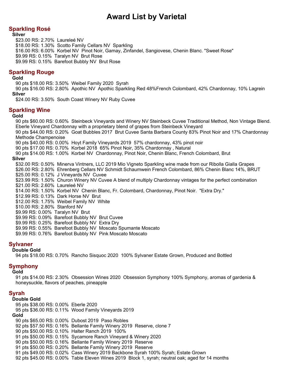# **Sparkling Rosé**

**Silver**

\$23.00 RS: 2.70% Laureleé NV \$18.00 RS: 1.30% Scotto Family Cellars NV Sparkling \$16.00 RS: 6.00% Korbel NV Pinot Noir, Gamay, Zinfandel, Sangiovese, Chenin Blanc. "Sweet Rose" \$9.99 RS: 0.15% Taralyn NV Brut Rose \$9.99 RS: 0.15% Barefoot Bubbly NV Brut Rose

# **Sparkling Rouge**

#### **Gold**

90 pts \$18.00 RS: 3.50% Weibel Family 2020 Syrah

90 pts \$16.00 RS: 2.80% Apothic NV Apothic Sparkling Red 48%French Colombard, 42% Chardonnay, 10% Lagrein **Silver**

\$24.00 RS: 3.50% South Coast Winery NV Ruby Cuvee

#### **Sparkling Wine**

#### **Gold**

90 pts \$60.00 RS: 0.60% Steinbeck Vineyards and Winery NV Steinbeck Cuvee Traditional Method, Non Vintage Blend. Eberle Vineyard Chardonnay with a proprietary blend of grapes from Steinbeck Vineyard 90 pts \$44.00 RS: 0.20% Goat Bubbles 2017 Brut Cuvee Santa Barbara County 83% Pinot Noir and 17% Chardonnay Methode Champenoise 90 pts \$40.00 RS: 0.00% Hoyt Family Vineyards 2019 57% chardonnay, 43% pinot noir 90 pts \$17.00 RS: 0.70% Korbel 2018 65% Pinot Noir, 35% Chardonnay , Natural 90 pts \$14.00 RS: 1.00% Korbel NV Chardonnay, Pinot Noir, Chenin Blanc, French Colombard, Brut **Silver** \$32.00 RS: 0.50% Minerva Vintners, LLC 2019 Mio Vigneto Sparkling wine made from our Ribolla Gialla Grapes \$26.00 RS: 2.80% Ehrenberg Cellars NV Schmidt Schaumwein French Colombard, 86% Chenin Blanc 14%, BRUT \$25.00 RS: 0.12% J Vineyards NV Cuvee \$23.99 RS: 1.50% Churon Winery NV Cuvee A blend of multiply Chardonnay vintages for the perfect combination \$21.00 RS: 2.60% Laureleé NV \$14.00 RS: 1.50% Korbel NV Chenin Blanc, Fr. Colombard, Chardonnay, Pinot Noir. "Extra Dry." \$12.99 RS: 0.13% Dark Horse NV Brut \$12.00 RS: 1.75% Weibel Family NV White \$10.00 RS: 2.80% Stanford NV \$9.99 RS: 0.00% Taralyn NV Brut \$9.99 RS: 0.09% Barefoot Bubbly NV Brut Cuvee \$9.99 RS: 0.25% Barefoot Bubbly NV Extra Dry

\$9.99 RS: 0.55% Barefoot Bubbly NV Moscato Spumante Moscato \$9.99 RS: 0.76% Barefoot Bubbly NV Pink Moscato Moscato

# **Sylvaner**

**Double Gold**

94 pts \$18.00 RS: 0.70% Rancho Sisquoc 2020 100% Sylvaner Estate Grown, Produced and Bottled

# **Symphony**

#### **Gold**

91 pts \$14.00 RS: 2.30% Obsession Wines 2020 Obsession Symphony 100% Symphony, aromas of gardenia & honeysuckle, flavors of peaches, pineapple

# **Syrah**

#### **Double Gold**

95 pts \$38.00 RS: 0.00% Eberle 2020 95 pts \$36.00 RS: 0.11% Wood Family Vineyards 2019 **Gold** 90 pts \$65.00 RS: 0.00% Dubost 2019 Paso Robles 92 pts \$57.50 RS: 0.16% Bellante Family Winery 2019 Reserve, clone 7 90 pts \$50.00 RS: 0.10% Halter Ranch 2019 100% 91 pts \$50.00 RS: 0.15% Sycamore Ranch Vineyard & Winery 2020 90 pts \$50.00 RS: 0.16% Bellante Family Winery 2019 Reserve 91 pts \$50.00 RS: 0.20% Bellante Family Winery 2019 Reserve 91 pts \$49.00 RS: 0.02% Cass Winery 2019 Backbone Syrah 100% Syrah; Estate Grown 92 pts \$45.00 RS: 0.00% Table Eleven Wines 2019 Block 1, syrah; neutral oak; aged for 14 months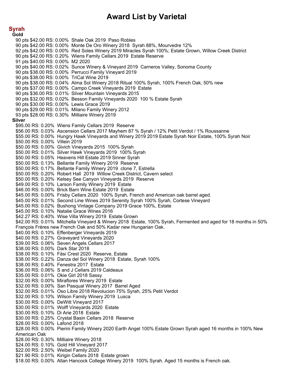**Syrah Gold** 90 pts \$42.00 RS: 0.00% Shale Oak 2019 Paso Robles 90 pts \$42.00 RS: 0.00% Monte De Oro Winery 2018 Syrah 88%, Mourvedre 12% 92 pts \$42.00 RS: 0.00% Red Soles Winery 2019 Miracles Syrah 100%; Estate Grown, Willow Creek District 90 pts \$42.00 RS: 0.20% Wiens Family Cellars 2019 Estate Reserve 91 pts \$40.00 RS: 0.00% M2 2020 90 pts \$40.00 RS: 0.02% Sunce Winery & Vineyard 2019 Carneros Valley, Sonoma County 90 pts \$38.00 RS: 0.00% Perrucci Family Vineyard 2019 90 pts \$38.00 RS: 0.00% TriCal Wine 2019 90 pts \$38.00 RS: 0.04% Alma Sol Winery 2018 Ritual 100% Syrah, 100% French Oak, 50% new 90 pts \$37.00 RS: 0.00% Campo Creek Vineyards 2019 Estate 90 pts \$36.00 RS: 0.01% Silver Mountain Vineyards 2015 90 pts \$32.00 RS: 0.02% Besson Family Vineyards 2020 100 % Estate Syrah 90 pts \$30.00 RS: 0.00% Lewis Grace 2019 90 pts \$29.00 RS: 0.01% Milano Family Winery 2012 93 pts \$28.00 RS: 0.30% Milliaire Winery 2019 **Silver** \$95.00 RS: 0.20% Wiens Family Cellars 2019 Reserve \$56.00 RS: 0.03% Ascension Cellars 2017 Mayhem 87 % Syrah / 12% Petit Verdot / 1% Roussanne \$55.00 RS: 0.00% Hungry Hawk Vineyards and Winery 2019 2019 Estate Syrah Noir Estate, 100% Syrah Noir \$50.00 RS: 0.00% Villein 2019 \$50.00 RS: 0.00% Givich Vineyards 2015 100% Syrah \$50.00 RS: 0.01% Silver Hawk Vineyards 2019 100% Syrah \$50.00 RS: 0.05% Heavens Hill Estate 2019 Sinner Syrah \$50.00 RS: 0.13% Bellante Family Winery 2019 Reserve \$50.00 RS: 0.17% Bellante Family Winery 2019 clone 7, Estrella \$50.00 RS: 0.20% Robert Hall 2019 Willow Creek District, Cavern select \$50.00 RS: 0.20% Kelsey See Canyon Vineyards 2019 Reserve \$49.00 RS: 0.10% Larson Family Winery 2019 Estate \$46.00 RS: 0.00% Brick Barn Wine Estate 2019 Estate \$45.00 RS: 0.00% Frisby Cellars 2020 100% Syrah, French and American oak barrel aged. \$45.00 RS: 0.01% Second Line Wines 2019 Serenity Syrah 100% Syrah, Cortese Vineyard \$45.00 RS: 0.02% Bushong Vintage Company 2019 Grace 100%, Estate \$45.00 RS: 0.10% Natalie Grace Wines 2016 \$42.27 RS: 0.40% Wise Villa Winery 2019 Estate Grown \$42.00 RS: 0.01% Mitchella Vineyard & Winery 2018 Estate, 100% Syrah, Fermented and aged for 18 months in 50% François Frères new French Oak and 50% Kadar new Hungarian Oak. \$40.00 RS: 0.10% Effenberger Vineyards 2019 \$40.00 RS: 0.27% Graveyard Vineyards 2020 \$39.00 RS: 0.06% Seven Angels Cellars 2017 \$38.00 RS: 0.00% Dark Star 2018 \$38.00 RS: 0.10% Fäsi Crest 2020 Reserve, Estate \$38.00 RS: 0.22% Danza del Sol Winery 2018 Estate, Syrah 100% \$38.00 RS: 0.40% Fenestra 2017 Estate \$36.00 RS: 0.06% S and J Cellars 2019 Caldeaux \$35.00 RS: 0.01% Okie Girl 2018 Sassy \$32.00 RS: 0.00% Miraflores Winery 2019 Estate \$32.00 RS: 0.00% San Pasqual Winery 2017 Barrel Aged \$32.00 RS: 0.01% Oso Libre 2018 Revolucion 75% Syrah, 25% Petit Verdot \$32.00 RS: 0.10% Wilson Family Winery 2019 Lusca \$30.00 RS: 0.00% DeWitt Vineyard 2017 \$30.00 RS: 0.01% Wolff Vineyards 2020 Estate \$30.00 RS: 0.10% Di Arie 2018 Estate \$30.00 RS: 0.25% Crystal Basin Cellars 2018 Reserve \$28.00 RS: 0.00% Lafond 2018 \$28.00 RS: 0.00% Pierini Family Winery 2020 Earth Angel 100% Estate Grown Syrah aged 16 months in 100% New American Oak \$28.00 RS: 0.30% Milliaire Winery 2018 \$24.00 RS: 0.10% Gold Hill Vineyard 2017 \$22.00 RS: 2.50% Weibel Family 2020 \$21.90 RS: 0.01% Kirigin Cellars 2018 Estate grown \$18.00 RS: 0.00% Allan Hancock College Winery 2019 100% Syrah. Aged 15 months is French oak.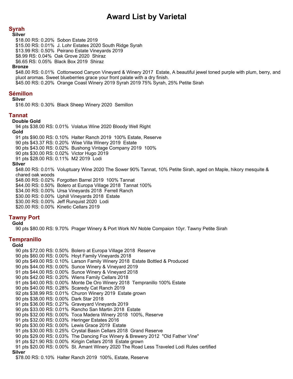# **Syrah**

#### **Silver**

\$18.00 RS: 0.20% Sobon Estate 2019 \$15.00 RS: 0.01% J. Lohr Estates 2020 South Ridge Syrah \$13.99 RS: 0.50% Peirano Estate Vineyards 2019 \$8.99 RS: 0.04% Oak Grove 2020 Shiraz \$6.65 RS: 0.05% Black Box 2019 Shiraz

#### **Bronze**

\$48.00 RS: 0.01% Cottonwood Canyon Vineyard & Winery 2017 Estate, A beautiful jewel toned purple with plum, berry, and pluot aromas. Sweet blueberries grace your front palate with a dry finish. \$45.00 RS: 0.20% Orange Coast Winery 2019 Syrah 2019 75% Syrah, 25% Petite Sirah

## **Sémillon**

#### **Silver**

\$16.00 RS: 0.30% Black Sheep Winery 2020 Semillon

## **Tannat**

## **Double Gold**

94 pts \$38.00 RS: 0.01% Volatus Wine 2020 Bloody Well Right **Gold**

91 pts \$90.00 RS: 0.10% Halter Ranch 2019 100% Estate, Reserve

90 pts \$43.37 RS: 0.20% Wise Villa Winery 2019 Estate

90 pts \$43.00 RS: 0.02% Bushong Vintage Company 2019 100%

90 pts \$30.00 RS: 0.02% Victor Hugo 2019

91 pts \$28.00 RS: 0.11% M2 2019 Lodi

#### **Silver**

\$48.00 RS: 0.01% Voluptuary Wine 2020 The Sower 90% Tannat, 10% Petite Sirah, aged on Maple, hikory mesquite & chared oak woods

\$48.00 RS: 0.02% Forgotten Barrel 2019 100% Tannat

\$44.00 RS: 0.50% Bolero at Europa Village 2018 Tannat 100%

\$34.00 RS: 0.00% Ursa Vineyards 2018 Ferrell Ranch

\$30.00 RS: 0.00% Uphill Vineyards 2018 Estate

\$30.00 RS: 0.00% Jeff Runquist 2020 Lodi

\$20.00 RS: 0.00% Kinetic Cellars 2019

# **Tawny Port**

#### **Gold**

90 pts \$80.00 RS: 9.70% Prager Winery & Port Work NV Noble Compaion 10yr. Tawny Petite Sirah

## **Tempranillo**

#### **Gold**

90 pts \$72.00 RS: 0.50% Bolero at Europa Village 2018 Reserve 90 pts \$60.00 RS: 0.00% Hoyt Family Vineyards 2018 90 pts \$49.00 RS: 0.10% Larson Family Winery 2018 Estate Bottled & Produced 90 pts \$44.00 RS: 0.00% Sunce Winery & Vineyard 2019 91 pts \$44.00 RS: 0.00% Sunce Winery & Vineyard 2018 90 pts \$42.00 RS: 0.20% Wiens Family Cellars 2018 91 pts \$40.00 RS: 0.00% Monte De Oro Winery 2018 Tempranillo 100% Estate 90 pts \$40.00 RS: 0.28% Scaredy Cat Ranch 2019 92 pts \$38.99 RS: 0.01% Churon Winery 2019 Estate grown 90 pts \$38.00 RS: 0.00% Dark Star 2018 91 pts \$36.00 RS: 0.27% Graveyard Vineyards 2019 90 pts \$33.00 RS: 0.01% Rancho San Martin 2018 Estate 90 pts \$32.00 RS: 0.00% Toca Madera Winery 2018 100%, Reserve 91 pts \$32.00 RS: 0.03% Heringer Estates 2016 90 pts \$30.00 RS: 0.00% Lewis Grace 2019 Estate 91 pts \$30.00 RS: 0.25% Crystal Basin Cellars 2018 Grand Reserve 90 pts \$29.00 RS: 0.03% The Dancing Fox Winery & Brewery 2012 "Old Father Vine" 91 pts \$21.90 RS: 0.00% Kirigin Cellars 2018 Estate grown 91 pts \$20.00 RS: 0.00% St. Amant Winery 2020 The Road Less Traveled Lodi Rules certified **Silver**

\$78.00 RS: 0.10% Halter Ranch 2019 100%, Estate, Reserve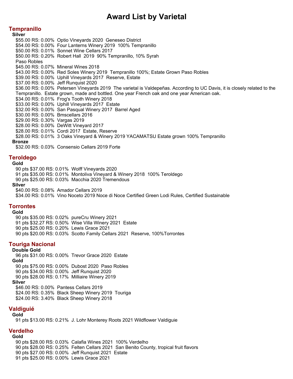## **Tempranillo**

**Silver**

\$55.00 RS: 0.00% Optio Vineyards 2020 Geneseo District \$54.00 RS: 0.00% Four Lanterns Winery 2019 100% Tempranillo \$50.00 RS: 0.01% Sonnet Wine Cellars 2017 \$50.00 RS: 0.20% Robert Hall 2019 90% Tempranillo, 10% Syrah Paso Robles \$45.00 RS: 0.07% Mineral Wines 2018 \$43.00 RS: 0.00% Red Soles Winery 2019 Tempranillo 100%; Estate Grown Paso Robles \$39.00 RS: 0.00% Uphill Vineyards 2017 Reserve, Estate \$37.00 RS: 0.00% Jeff Runquist 2020 \$36.00 RS: 0.00% Petersen Vineyards 2019 The varietal is Valdepeñas. According to UC Davis, it is closely related to the Tempranillo. Estate grown, made and bottled. One year French oak and one year American oak. \$34.00 RS: 0.01% Frog's Tooth Winery 2018 \$33.00 RS: 0.00% Uphill Vineyards 2017 Estate \$32.00 RS: 0.00% San Pasqual Winery 2017 Barrel Aged \$30.00 RS: 0.00% Bmscellars 2016 \$29.00 RS: 0.30% Vargas 2019 \$28.00 RS: 0.00% DeWitt Vineyard 2017 \$28.00 RS: 0.01% Cordi 2017 Estate, Reserve \$28.00 RS: 0.01% 3 Oaks Vineyard & Winery 2019 YACAMATSU Estate grown 100% Tempranillo **Bronze** \$32.00 RS: 0.03% Consensio Cellars 2019 Forte

#### **Teroldego**

#### **Gold**

90 pts \$37.00 RS: 0.01% Wolff Vineyards 2020

91 pts \$35.00 RS: 0.01% Montoliva Vineyard & Winery 2018 100% Teroldego

90 pts \$25.00 RS: 0.03% Macchia 2020 Tremendous

#### **Silver**

\$40.00 RS: 0.08% Amador Cellars 2019 \$34.00 RS: 0.01% Vino Noceto 2019 Noce di Noce Certified Green Lodi Rules, Certified Sustainable

## **Torrontes**

#### **Gold**

90 pts \$35.00 RS: 0.02% pureCru Winery 2021 91 pts \$32.27 RS: 0.50% Wise Villa Winery 2021 Estate 90 pts \$25.00 RS: 0.20% Lewis Grace 2021 90 pts \$20.00 RS: 0.03% Scotto Family Cellars 2021 Reserve, 100%Torrontes

## **Touriga Nacional**

#### **Double Gold**

96 pts \$31.00 RS: 0.00% Trevor Grace 2020 Estate **Gold**

90 pts \$75.00 RS: 0.00% Dubost 2020 Paso Robles 90 pts \$34.00 RS: 0.00% Jeff Runquist 2020 90 pts \$28.00 RS: 0.17% Milliaire Winery 2019 **Silver** \$46.00 RS: 0.00% Pantess Cellars 2019

\$24.00 RS: 0.35% Black Sheep Winery 2019 Touriga \$24.00 RS: 3.40% Black Sheep Winery 2018

# **Valdiguié**

**Gold**

91 pts \$13.00 RS: 0.21% J. Lohr Monterey Roots 2021 Wildflower Valdiguie

# **Verdelho**

#### **Gold**

90 pts \$28.00 RS: 0.03% Calafia Wines 2021 100% Verdelho 90 pts \$28.00 RS: 0.25% Felten Cellars 2021 San Benito County, tropical fruit flavors 90 pts \$27.00 RS: 0.00% Jeff Runquist 2021 Estate 91 pts \$25.00 RS: 0.00% Lewis Grace 2021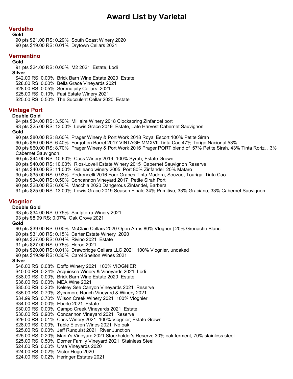# **Verdelho**

**Gold**

90 pts \$21.00 RS: 0.29% South Coast Winery 2020 90 pts \$19.00 RS: 0.01% Drytown Cellars 2021

# **Vermentino**

**Gold**

91 pts \$24.00 RS: 0.00% M2 2021 Estate, Lodi **Silver** \$42.00 RS: 0.00% Brick Barn Wine Estate 2020 Estate \$28.00 RS: 0.00% Bella Grace Vineyards 2021 \$28.00 RS: 0.05% Serendipity Cellars. 2021 \$25.00 RS: 0.10% Fasi Estate Winery 2021 \$25.00 RS: 0.50% The Succulent Cellar 2020 Estate

# **Vintage Port**

#### **Double Gold**

94 pts \$34.00 RS: 3.50% Milliaire Winery 2018 Clockspring Zinfandel port

93 pts \$25.00 RS: 13.00% Lewis Grace 2019 Estate, Late Harvest Cabernet Sauvignon **Gold**

#### 90 pts \$80.00 RS: 8.60% Prager Winery & Port Work 2018 Royal Escort 100% Petite Sirah

90 pts \$60.00 RS: 6.40% Forgotten Barrel 2017 VINTAGE MMXVII Tinta Cao 47% Torigo Nacional 53%

90 pts \$60.00 RS: 8.70% Prager Winery & Port Work 2016 Prager PORT blend of 57% Petite Sirah, 43% Tinta Roriz, , 3% Cabernet Sauvignon.

90 pts \$44.00 RS: 10.60% Cass Winery 2019 100% Syrah; Estate Grown

90 pts \$40.00 RS: 10.00% Rios-Lovell Estate Winery 2015 Cabernet Sauvignon Reserve

91 pts \$40.00 RS: 11.00% Galleano winery 2005 Port 80% Zinfandel 20% Mataro

90 pts \$35.00 RS: 0.93% Pedroncelli 2016 Four Grapes Tinta Madera, Souzao, Touriga, Tinta Cao

90 pts \$34.00 RS: 0.50% Concannon Vineyard 2017 Petite Sirah Port

90 pts \$28.00 RS: 6.00% Macchia 2020 Dangerous Zinfandel, Barbera

91 pts \$25.00 RS: 13.00% Lewis Grace 2019 Season Finale 34% Primitivo, 33% Graciano, 33% Cabernet Sauvignon

# **Viognier**

#### **Double Gold**

93 pts \$34.00 RS: 0.75% Sculpterra Winery 2021

93 pts \$8.99 RS: 0.07% Oak Grove 2021

#### **Gold**

90 pts \$39.00 RS: 0.00% McClain Cellars 2020 Open Arms 80% VIogner | 20% Grenache Blanc 90 pts \$31.00 RS: 0.15% Carter Estate Winery 2020 90 pts \$27.00 RS: 0.04% Rivino 2021 Estate 91 pts \$27.00 RS: 0.75% Heroe 2021 90 pts \$20.00 RS: 0.01% Drawbridge Cellars LLC 2021 100% Viognier, unoaked 90 pts \$19.99 RS: 0.30% Carol Shelton Wines 2021 **Silver** \$46.00 RS: 0.08% Doffo Winery 2021 100% VIOGNIER \$40.00 RS: 0.24% Acquiesce Winery & Vineyards 2021 Lodi \$38.00 RS: 0.00% Brick Barn Wine Estate 2020 Estate \$36.00 RS: 0.00% MEA Wine 2021 \$35.00 RS: 0.20% Kelsey See Canyon Vineyards 2021 Reserve \$35.00 RS: 0.70% Sycamore Ranch Vineyard & Winery 2021 \$34.99 RS: 0.70% Wilson Creek Winery 2021 100% Viognier \$34.00 RS: 0.00% Eberle 2021 Estate \$30.00 RS: 0.00% Campo Creek Vineyards 2021 Estate \$30.00 RS: 0.90% Concannon Vineyard 2021 Reserve \$29.00 RS: 0.01% Cass Winery 2021 100% Viognier; Estate Grown \$28.00 RS: 0.00% Table Eleven Wines 2021 No oak \$25.00 RS: 0.00% Jeff Runquist 2021 River Junction \$25.00 RS: 0.20% Marin's Vineyard 2021 Stockholder's Reserve 30% oak ferment, 70% stainless steel. \$25.00 RS: 0.50% Dorner Family Vineyard 2021 Stainless Steel \$24.00 RS: 0.00% Ursa Vineyards 2020 \$24.00 RS: 0.02% Victor Hugo 2020 \$24.00 RS: 0.02% Heringer Estates 2021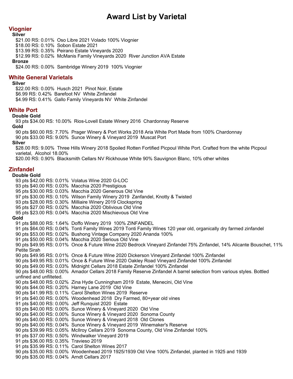# **Viognier**

#### **Silver**

\$21.00 RS: 0.01% Oso Libre 2021 Volado 100% Viognier

\$18.00 RS: 0.10% Sobon Estate 2021

\$13.99 RS: 0.35% Peirano Estate Vineyards 2020

\$12.99 RS: 0.02% McManis Family Vineyards 2020 River Junction AVA Estate **Bronze**

\$24.00 RS: 0.00% Sambridge Winery 2019 100% Viognier

# **White General Varietals**

#### **Silver**

\$22.00 RS: 0.00% Husch 2021 Pinot Noir, Estate \$6.99 RS: 0.42% Barefoot NV White Zinfandel \$4.99 RS: 0.41% Gallo Family Vineyards NV White Zinfandel

## **White Port**

#### **Double Gold**

93 pts \$34.00 RS: 10.00% Rios-Lovell Estate Winery 2016 Chardonnay Reserve **Gold**

90 pts \$60.00 RS: 7.70% Prager Winery & Port Works 2018 Aria White Port Made from 100% Chardonnay 90 pts \$33.00 RS: 9.00% Sunce Winery & Vineyard 2019 Muscat Port

#### **Silver**

\$28.00 RS: 9.00% Three Hills Winery 2018 Spoiled Rotten Fortified Picpoul White Port. Crafted from the white Picpoul varietal, Alcohol 18.00%

\$20.00 RS: 0.90% Blacksmith Cellars NV Rickhouse White 90% Sauvignon Blanc, 10% other whites

# **Zinfandel**

#### **Double Gold**

93 pts \$42.00 RS: 0.01% Volatus Wine 2020 G-LOC 93 pts \$40.00 RS: 0.03% Macchia 2020 Prestigious 95 pts \$30.00 RS: 0.03% Macchia 2020 Generous Old Vine 97 pts \$30.00 RS: 0.10% Wilson Family Winery 2019 Zanfandel, Knotty & Twisted 93 pts \$28.00 RS: 0.30% Milliaire Winery 2019 Clockspring 95 pts \$27.00 RS: 0.02% Macchia 2020 Oblivious Old Vine 95 pts \$23.00 RS: 0.04% Macchia 2020 Mischievous Old Vine **Gold** 91 pts \$88.00 RS: 1.64% Doffo Winery 2019 100% ZINFANDEL 91 pts \$64.00 RS: 0.04% Tonti Family Wines 2019 Tonti Family Wines 120 year old, organically dry farmed zinfandel 90 pts \$53.00 RS: 0.02% Bushong Vintage Company 2020 Ananda 100% 91 pts \$50.00 RS: 0.04% Macchia 2020 Serious Old Vine 90 pts \$49.95 RS: 0.01% Once & Future Wine 2020 Bedrock Vineyard Zinfandel 75% Zinfandel, 14% Alicante Bouschet, 11% Petite Sirah 90 pts \$49.95 RS: 0.01% Once & Future Wine 2020 Dickerson Vineyard Zinfandel 100% Zinfandel 90 pts \$49.95 RS: 0.01% Once & Future Wine 2020 Oakley Road Vineyard Zinfandel 100% Zinfandel 90 pts \$49.00 RS: 0.03% Midnight Cellars 2018 Estate Zinfandel 100% Zinfandel 90 pts \$48.00 RS: 0.00% Amador Cellars 2018 Family Reserve Zinfandel A barrel selection from various styles. Bottled unfined and unfilteted. 90 pts \$48.00 RS: 0.02% Zina Hyde Cunningham 2019 Estate, Menecini, Old Vine 90 pts \$44.00 RS: 0.20% Harney Lane 2019 Old Vine 90 pts \$41.99 RS: 0.11% Carol Shelton Wines 2019 Reserve 91 pts \$40.00 RS: 0.00% Woodenhead 2018 Dry Farmed, 80+year old vines 91 pts \$40.00 RS: 0.00% Jeff Runquist 2020 Estate 93 pts \$40.00 RS: 0.00% Sunce Winery & Vineyard 2020 Old Vine 90 pts \$40.00 RS: 0.00% Sunce Winery & Vineyard 2020 Sonoma County 90 pts \$40.00 RS: 0.00% Sunce Winery & Vineyard 2018 Old Clones 90 pts \$40.00 RS: 0.04% Sunce Winery & Vineyard 2019 Winemaker's Reserve 90 pts \$39.99 RS: 0.05% McIlroy Cellars 2019 Sonoma County, Old Vine Zinfandel 100% 91 pts \$37.00 RS: 0.50% Windwalker Vineyard 2019 91 pts \$36.00 RS: 0.35% Travieso 2019 91 pts \$35.99 RS: 0.11% Carol Shelton Wines 2017 90 pts \$35.00 RS: 0.00% Woodenhead 2019 1925/1939 Old Vine 100% Zinfandel, planted in 1925 and 1939 90 pts \$35.00 RS: 0.04% Arndt Cellars 2017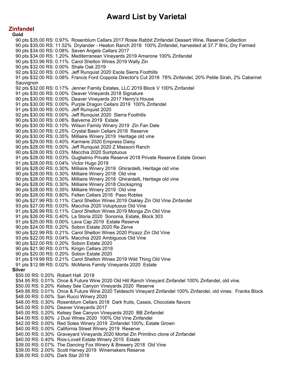## **Zinfandel**

**Gold** 90 pts \$35.00 RS: 0.97% Rosenblum Cellars 2017 Rosie Rabbit Zinfandel Dessert Wine, Reserve Collection 90 pts \$35.00 RS: 11.52% Drylander - Heaton Ranch 2018 100% Zinfandel, harvested at 37.7' Brix, Dry Farmed 90 pts \$34.00 RS: 0.08% Seven Angels Cellars 2017 90 pts \$34.00 RS: 1.20% Mediterranean Vineyards 2019 Amarone 100% Zinfandel 90 pts \$33.99 RS: 0.11% Carol Shelton Wines 2019 Wally Zin 90 pts \$32.00 RS: 0.00% Shale Oak 2019 92 pts \$32.00 RS: 0.00% Jeff Runquist 2020 Esola Sierra Foothills 91 pts \$32.00 RS: 0.08% Francis Ford Coppola Director's Cut 2018 78% Zinfandel, 20% Petite Sirah, 2% Cabernet Sauvignon 92 pts \$32.00 RS: 0.17% Jenner Family Estates, LLC 2019 Block V 100% Zinfandel 91 pts \$30.00 RS: 0.00% Deaver Vineyards 2018 Signature 90 pts \$30.00 RS: 0.00% Deaver Vineyards 2017 Henry's House 91 pts \$30.00 RS: 0.00% Purple Dragon Cellars 2019 100% Zinfandel 91 pts \$30.00 RS: 0.00% Jeff Runquist 2020 92 pts \$30.00 RS: 0.00% Jeff Runquist 2020 Sierra Foothills 90 pts \$30.00 RS: 0.06% Balverne 2019 Estate 90 pts \$30.00 RS: 0.10% Wilson Family Winery 2019 Zin Fan Dale 90 pts \$30.00 RS: 0.25% Crystal Basin Cellars 2018 Reserve 90 pts \$30.00 RS: 0.35% Milliaire Winery 2019 Heritage old vine 90 pts \$29.00 RS: 0.40% Karmere 2020 Empress Daisy 90 pts \$28.00 RS: 0.00% Jeff Runquist 2020 Z Massoni Ranch 90 pts \$28.00 RS: 0.03% Macchia 2020 Sumptuous 91 pts \$28.00 RS: 0.03% Guglielmo Private Reserve 2018 Private Reserve Estate Grown 91 pts \$28.00 RS: 0.04% Victor Hugo 2019 90 pts \$28.00 RS: 0.30% Milliaire Winery 2019 Ghirardelli, Heritage old vine 90 pts \$28.00 RS: 0.30% Milliaire Winery 2018 Old vine 90 pts \$28.00 RS: 0.30% Milliaire Winery 2018 Ghirardelli, Heritage old vine 94 pts \$28.00 RS: 0.30% Milliaire Winery 2018 Clockspring 90 pts \$28.00 RS: 0.35% Milliaire Winery 2019 Old vine 90 pts \$28.00 RS: 0.80% Felten Cellars 2016 Paso Robles 90 pts \$27.99 RS: 0.11% Carol Shelton Wines 2019 Oakley Zin Old Vine Zinfandel 93 pts \$27.00 RS: 0.03% Macchia 2020 Voluptuous Old Vine 91 pts \$26.99 RS: 0.11% Carol Shelton Wines 2019 Monga Zin Old Vine 91 pts \$26.00 RS: 0.40% La Storia 2020 Sonoma, Estate, Block 303 91 pts \$25.00 RS: 0.00% Lava Cap 2019 Estate Reserve 90 pts \$24.00 RS: 0.20% Sobon Estate 2020 Re Zerve 90 pts \$22.99 RS: 0.21% Carol Shelton Wines 2020 Pizazz Zin Old Vine 93 pts \$22.00 RS: 0.04% Macchia 2020 Ambiguous Old Vine 90 pts \$22.00 RS: 0.20% Sobon Estate 2020 90 pts \$21.90 RS: 0.01% Kirigin Cellars 2018 90 pts \$20.00 RS: 0.20% Sobon Estate 2020 91 pts \$19.99 RS: 0.21% Carol Shelton Wines 2019 Wild Thing Old Vine 91 pts \$12.99 RS: 0.02% McManis Family Vineyards 2020 Estate **Silver** \$55.00 RS: 0.20% Robert Hall 2019 \$54.95 RS: 0.01% Once & Future Wine 2020 Old Hill Ranch Vineyard Zinfandel 100% Zinfandel, old vine. \$50.00 RS: 0.20% Kelsey See Canyon Vineyards 2020 Reserve \$49.95 RS: 0.01% Once & Future Wine 2020 Teldeschi Vineyard Zinfandel 100% Zinfandel, old vines. Franks Block \$48.00 RS: 0.00% San Rucci Winery 2020 \$48.00 RS: 0.30% Rosenblum Cellars 2018 Dark fruits, Cassis, Chocolate flavors \$45.00 RS: 0.00% Deaver Vineyards 2017 \$45.00 RS: 0.20% Kelsey See Canyon Vineyards 2020 BB Zinfandel \$44.00 RS: 0.80% J Dusi Wines 2020 100% Old Vine Zinfandel \$42.00 RS: 0.00% Red Soles Winery 2019 Zinfandel 100%; Estate Grown \$40.00 RS: 0.00% California Street Winery 2019 Reserve \$40.00 RS: 0.30% Graveyard Vineyards 2020 Mortal Zin Primitivo clone of Zinfandel \$40.00 RS: 0.40% Rios-Lovell Estate Winery 2015 Estate \$39.00 RS: 0.07% The Dancing Fox Winery & Brewery 2018 Old Vine \$39.00 RS: 2.00% Scott Harvey 2019 Winemakers Reserve \$38.00 RS: 0.00% Dark Star 2018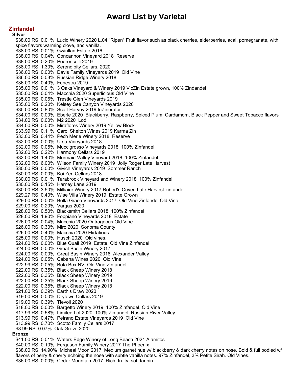# **Zinfandel**

**Silver** \$38.00 RS: 0.01% Lucid Winery 2020 L.04 "Ripen" Fruit flavor such as black cherries, elderberries, acai, pomegranate, with spice flavors warming clove, and vanilla. \$38.00 RS: 0.01% Gwinllan Estate 2016 \$38.00 RS: 0.04% Concannon Vineyard 2018 Reserve \$38.00 RS: 0.20% Pedroncelli 2019 \$38.00 RS: 1.30% Serendipity Cellars. 2020 \$36.00 RS: 0.00% Davis Family Vineyards 2019 Old Vine \$36.00 RS: 0.03% Russian Ridge Winery 2018 \$36.00 RS: 0.40% Fenestra 2019 \$35.00 RS: 0.01% 3 Oaks Vineyard & Winery 2019 VicZin Estate grown, 100% Zindandel \$35.00 RS: 0.04% Macchia 2020 Superlicious Old Vine \$35.00 RS: 0.06% Trestle Glen Vineyards 2019 \$35.00 RS: 0.20% Kelsey See Canyon Vineyards 2020 \$35.00 RS: 0.80% Scott Harvey 2019 InZinerator \$34.00 RS: 0.00% Eberle 2020 Blackberry, Raspberry, Spiced Plum, Cardamom, Black Pepper and Sweet Tobacco flavors \$34.00 RS: 0.00% M2 2020 Lodi \$34.00 RS: 0.00% Miraflores Winery 2019 Yellow Block \$33.99 RS: 0.11% Carol Shelton Wines 2019 Karma Zin \$33.00 RS: 0.44% Pech Merle Winery 2018 Reserve \$32.00 RS: 0.00% Ursa Vineyards 2018 \$32.00 RS: 0.05% Muccigrosso Vineyards 2018 100% Zinfandel \$32.00 RS: 0.22% Harmony Cellars 2019 \$32.00 RS: 1.40% Mermaid Valley Vineyard 2018 100% Zinfandel \$32.00 RS: 6.00% Wilson Family Winery 2019 Jolly Roger Late Harvest \$30.00 RS: 0.00% Givich Vineyards 2019 Sommer Ranch \$30.00 RS: 0.00% Koi Zen Cellars 2018 \$30.00 RS: 0.01% Tarabrook Vineyard and Winery 2018 100% Zinfandel \$30.00 RS: 0.15% Harney Lane 2019 \$30.00 RS: 3.50% Milliaire Winery 2017 Robert's Cuvee Late Harvest zinfandel \$29.27 RS: 0.40% Wise Villa Winery 2019 Estate Grown \$29.00 RS: 0.00% Bella Grace Vineyards 2017 Old Vine Zinfandel Old Vine \$29.00 RS: 0.20% Vargas 2020 \$28.00 RS: 0.50% Blacksmith Cellars 2018 100% Zinfandel \$28.00 RS: 1.90% Foppiano Vineyards 2018 Estate \$26.00 RS: 0.04% Macchia 2020 Outrageous Old Vine \$26.00 RS: 0.30% Miro 2020 Sonoma County \$26.00 RS: 0.40% Macchia 2020 Flirtatious \$25.00 RS: 0.00% Husch 2020 Old vines. \$24.00 RS: 0.00% Blue Quail 2019 Estate, Old Vine Zinfandel \$24.00 RS: 0.00% Great Basin Winery 2017 \$24.00 RS: 0.00% Great Basin Winery 2018 Alexander Valley \$24.00 RS: 0.05% Cabana Wines 2020 Old Vine \$22.99 RS: 0.05% Bota Box NV Old Vine Zinfandel \$22.00 RS: 0.35% Black Sheep Winery 2018 \$22.00 RS: 0.35% Black Sheep Winery 2019 \$22.00 RS: 0.35% Black Sheep Winery 2019 \$22.00 RS: 0.35% Black Sheep Winery 2018 \$21.00 RS: 0.39% Earth's Draw 2020 \$19.00 RS: 0.00% Drytown Cellars 2019 \$19.00 RS: 0.39% Tievoli 2020 \$18.00 RS: 0.00% Bargetto Winery 2019 100% Zinfandel, Old Vine \$17.99 RS: 0.58% Limited Lot 2020 100% Zinfandel, Russian River Valley \$13.99 RS: 0.47% Peirano Estate Vineyards 2019 Old Vine \$13.99 RS: 0.70% Scotto Family Cellars 2017 \$8.99 RS: 0.07% Oak Grove 2020 **Bronze** \$41.00 RS: 0.01% Waters Edge Winery of Long Beach 2021 Alamitos \$40.00 RS: 0.10% Ferguson Family Winery 2017 The Phoenix \$38.00 RS: 14.90% Micheal Moon 2017 Medium garnet hue w/ blackberry & dark cherry notes on nose. Bold & full bodied w/

flavors of berry & cherry echoing the nose with subtle vanilla notes. 97% Zinfandel, 3% Petite Sirah. Old Vines. \$36.00 RS: 0.00% Cedar Mountain 2017 Rich, fruity, soft tannin